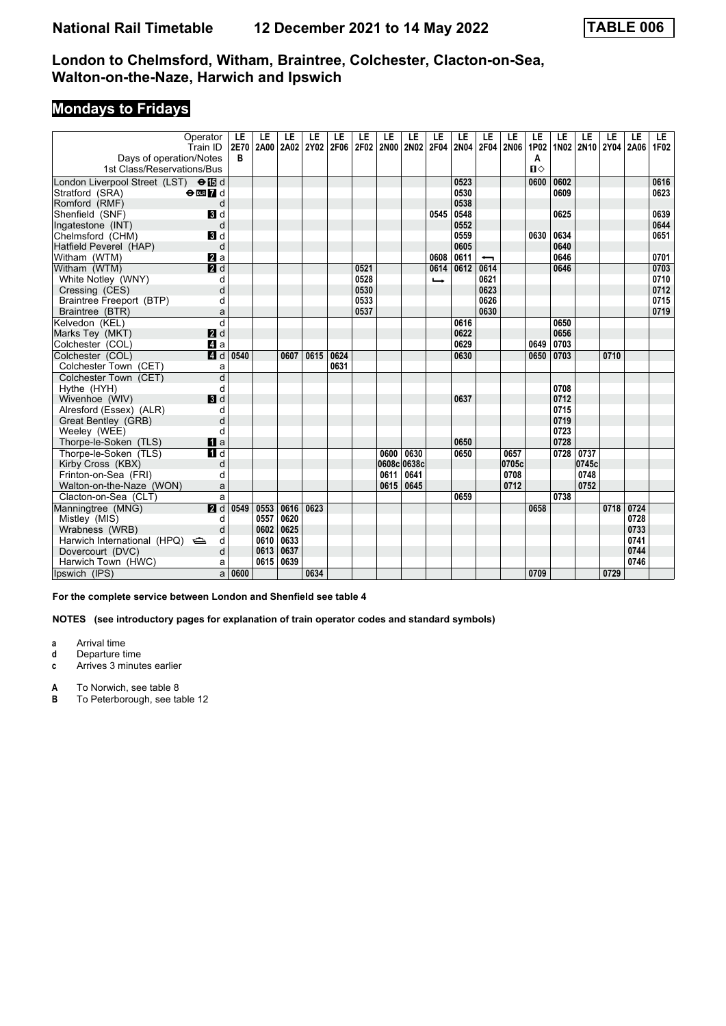# **Mondays to Fridays**

| Operator                                              | LE                     | LE   | LE   | LE          | LE   | LE   | LE          | LE          | LE<br><b>2F04</b> | LE          | LE                       | LE          | LE        | LE   | LE               | LE          | LE   | LE.  |
|-------------------------------------------------------|------------------------|------|------|-------------|------|------|-------------|-------------|-------------------|-------------|--------------------------|-------------|-----------|------|------------------|-------------|------|------|
| Train ID                                              | 2E70<br>B              | 2A00 | 2A02 | <b>2Y02</b> | 2F06 | 2F02 | <b>2N00</b> | 2N02        |                   | <b>2N04</b> | 2F04                     | <b>2N06</b> | 1P02      | 1N02 | 2N <sub>10</sub> | <b>2Y04</b> | 2A06 | 1F02 |
| Days of operation/Notes<br>1st Class/Reservations/Bus |                        |      |      |             |      |      |             |             |                   |             |                          |             | A<br>$\P$ |      |                  |             |      |      |
|                                                       |                        |      |      |             |      |      |             |             |                   |             |                          |             |           |      |                  |             |      |      |
| London Liverpool Street (LST) <b>⊖ iB</b> d           |                        |      |      |             |      |      |             |             |                   | 0523        |                          |             | 0600      | 0602 |                  |             |      | 0616 |
| Stratford (SRA)<br>$\Theta$ or $\boldsymbol{\Pi}$ d   |                        |      |      |             |      |      |             |             |                   | 0530        |                          |             |           | 0609 |                  |             |      | 0623 |
| Romford (RMF)                                         | d                      |      |      |             |      |      |             |             |                   | 0538        |                          |             |           |      |                  |             |      |      |
| Shenfield (SNF)                                       | <b>B</b> Id            |      |      |             |      |      |             |             | 0545              | 0548        |                          |             |           | 0625 |                  |             |      | 0639 |
| Ingatestone (INT)                                     | d                      |      |      |             |      |      |             |             |                   | 0552        |                          |             |           |      |                  |             |      | 0644 |
| Chelmsford (CHM)                                      | <b>B</b> Id            |      |      |             |      |      |             |             |                   | 0559        |                          |             | 0630      | 0634 |                  |             |      | 0651 |
| Hatfield Peverel (HAP)                                | d                      |      |      |             |      |      |             |             |                   | 0605        |                          |             |           | 0640 |                  |             |      |      |
| Witham (WTM)                                          | <b>Z</b> a             |      |      |             |      |      |             |             | 0608              | 0611        | $\overline{\phantom{0}}$ |             |           | 0646 |                  |             |      | 0701 |
| Witham (WTM)                                          | 2d                     |      |      |             |      | 0521 |             |             | 0614              | 0612        | 0614                     |             |           | 0646 |                  |             |      | 0703 |
| White Notley (WNY)                                    | d                      |      |      |             |      | 0528 |             |             | $\rightarrow$     |             | 0621                     |             |           |      |                  |             |      | 0710 |
| Cressing (CES)                                        | d                      |      |      |             |      | 0530 |             |             |                   |             | 0623                     |             |           |      |                  |             |      | 0712 |
| Braintree Freeport (BTP)                              | d                      |      |      |             |      | 0533 |             |             |                   |             | 0626                     |             |           |      |                  |             |      | 0715 |
| Braintree (BTR)                                       | a                      |      |      |             |      | 0537 |             |             |                   |             | 0630                     |             |           |      |                  |             |      | 0719 |
| Kelvedon (KEL)                                        | $\overline{d}$         |      |      |             |      |      |             |             |                   | 0616        |                          |             |           | 0650 |                  |             |      |      |
| Marks Tey (MKT)                                       | 2d                     |      |      |             |      |      |             |             |                   | 0622        |                          |             |           | 0656 |                  |             |      |      |
| Colchester (COL)                                      | $\blacksquare$ a       |      |      |             |      |      |             |             |                   | 0629        |                          |             | 0649      | 0703 |                  |             |      |      |
| Colchester (COL)                                      | $\blacksquare$<br>0540 |      | 0607 | 0615        | 0624 |      |             |             |                   | 0630        |                          |             | 0650      | 0703 |                  | 0710        |      |      |
| Colchester Town (CET)                                 | a                      |      |      |             | 0631 |      |             |             |                   |             |                          |             |           |      |                  |             |      |      |
| Colchester Town (CET)                                 | d                      |      |      |             |      |      |             |             |                   |             |                          |             |           |      |                  |             |      |      |
| Hythe (HYH)                                           | d                      |      |      |             |      |      |             |             |                   |             |                          |             |           | 0708 |                  |             |      |      |
| Wivenhoe (WIV)                                        | 3d                     |      |      |             |      |      |             |             |                   | 0637        |                          |             |           | 0712 |                  |             |      |      |
| Alresford (Essex) (ALR)                               | d                      |      |      |             |      |      |             |             |                   |             |                          |             |           | 0715 |                  |             |      |      |
| Great Bentley (GRB)                                   | d                      |      |      |             |      |      |             |             |                   |             |                          |             |           | 0719 |                  |             |      |      |
| Weeley (WEE)                                          | d                      |      |      |             |      |      |             |             |                   |             |                          |             |           | 0723 |                  |             |      |      |
| Thorpe-le-Soken (TLS)                                 | $\mathbf{u}$ a         |      |      |             |      |      |             |             |                   | 0650        |                          |             |           | 0728 |                  |             |      |      |
| Thorpe-le-Soken (TLS)                                 | H d                    |      |      |             |      |      | 0600        | 0630        |                   | 0650        |                          | 0657        |           | 0728 | 0737             |             |      |      |
| Kirby Cross (KBX)                                     | d                      |      |      |             |      |      |             | 0608c 0638c |                   |             |                          | 0705c       |           |      | 0745c            |             |      |      |
| Frinton-on-Sea (FRI)                                  | d                      |      |      |             |      |      | 0611        | 0641        |                   |             |                          | 0708        |           |      | 0748             |             |      |      |
| Walton-on-the-Naze (WON)                              | a                      |      |      |             |      |      | 0615        | 0645        |                   |             |                          | 0712        |           |      | 0752             |             |      |      |
| Clacton-on-Sea (CLT)                                  | a                      |      |      |             |      |      |             |             |                   | 0659        |                          |             |           | 0738 |                  |             |      |      |
| Manningtree (MNG)                                     | $P$ d<br>0549          | 0553 | 0616 | 0623        |      |      |             |             |                   |             |                          |             | 0658      |      |                  | 0718        | 0724 |      |
| Mistley (MIS)                                         | d                      | 0557 | 0620 |             |      |      |             |             |                   |             |                          |             |           |      |                  |             | 0728 |      |
| Wrabness (WRB)                                        | d                      | 0602 | 0625 |             |      |      |             |             |                   |             |                          |             |           |      |                  |             | 0733 |      |
| Harwich International (HPQ)                           | d                      | 0610 | 0633 |             |      |      |             |             |                   |             |                          |             |           |      |                  |             | 0741 |      |
| Dovercourt (DVC)                                      | d                      | 0613 | 0637 |             |      |      |             |             |                   |             |                          |             |           |      |                  |             | 0744 |      |
| Harwich Town (HWC)                                    | a                      | 0615 | 0639 |             |      |      |             |             |                   |             |                          |             |           |      |                  |             | 0746 |      |
| Ipswich (IPS)                                         | 0600<br>a              |      |      | 0634        |      |      |             |             |                   |             |                          |             | 0709      |      |                  | 0729        |      |      |

**For the complete service between London and Shenfield see table 4**

**NOTES (see introductory pages for explanation of train operator codes and standard symbols)**

**a** Arrival time

- **d** Departure time **c** Arrives 3 minutes earlier
- 

**A** To Norwich, see table 8<br>**B** To Peterborough, see ta

To Peterborough, see table 12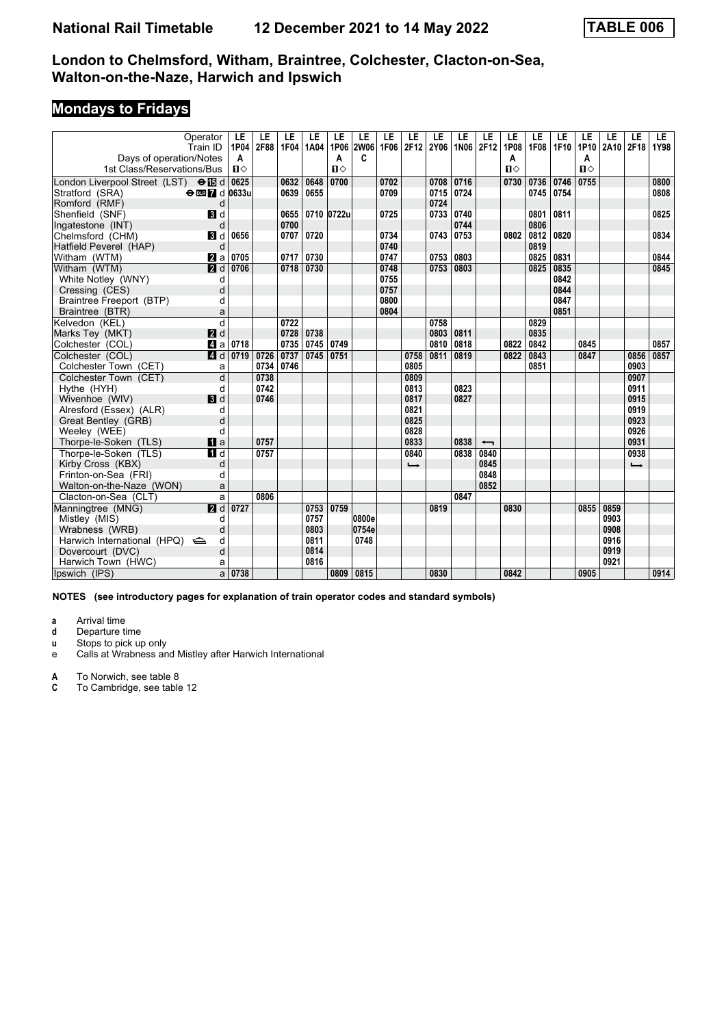# **Mondays to Fridays**

|                                             | Operator<br>Train ID                | LE<br>1P04 | LE<br>2F88 | LE<br>1F04 | LE<br>1A04 | LE<br>1P06   | LE<br><b>2W06</b> | LE<br>1F06 | LE<br>2F12    | LE<br>2Y06 | LE<br>1N06 | LE<br>2F12               | LE<br>1P08 | LE<br><b>1F08</b> | LE<br>1F10 | LE<br>1P10 | LE<br>2A10 | LE<br>2F18    | LE .<br>1Y98 |
|---------------------------------------------|-------------------------------------|------------|------------|------------|------------|--------------|-------------------|------------|---------------|------------|------------|--------------------------|------------|-------------------|------------|------------|------------|---------------|--------------|
| Days of operation/Notes                     |                                     | A          |            |            |            | A            | C                 |            |               |            |            |                          | A          |                   |            | Α          |            |               |              |
| 1st Class/Reservations/Bus                  |                                     | Ⅱ♦         |            |            |            | $\mathbf{u}$ |                   |            |               |            |            |                          | $\P$       |                   |            | $\P$       |            |               |              |
| London Liverpool Street (LST) <b>⊖ ig</b> d |                                     | 0625       |            | 0632       | 0648       | 0700         |                   | 0702       |               | 0708       | 0716       |                          | 0730       | 0736              | 0746       | 0755       |            |               | 0800         |
| Stratford (SRA)                             | $\Theta$ DIE $\blacksquare$ d 0633u |            |            | 0639       | 0655       |              |                   | 0709       |               | 0715       | 0724       |                          |            | 0745              | 0754       |            |            |               | 0808         |
| Romford (RMF)                               | d                                   |            |            |            |            |              |                   |            |               | 0724       |            |                          |            |                   |            |            |            |               |              |
| Shenfield (SNF)                             | $\blacksquare$                      |            |            | 0655       |            | 0710 0722u   |                   | 0725       |               | 0733       | 0740       |                          |            | 0801              | 0811       |            |            |               | 0825         |
| Ingatestone (INT)                           | d                                   |            |            | 0700       |            |              |                   |            |               |            | 0744       |                          |            | 0806              |            |            |            |               |              |
| Chelmsford (CHM)                            | $\blacksquare$                      | 0656       |            | 0707       | 0720       |              |                   | 0734       |               | 0743       | 0753       |                          | 0802       | 0812              | 0820       |            |            |               | 0834         |
| Hatfield Peverel (HAP)                      | d                                   |            |            |            |            |              |                   | 0740       |               |            |            |                          |            | 0819              |            |            |            |               |              |
| Witham (WTM)                                | <b>Za</b>                           | 0705       |            | 0717       | 0730       |              |                   | 0747       |               | 0753       | 0803       |                          |            | 0825              | 0831       |            |            |               | 0844         |
| Witham (WTM)                                | $\blacksquare$                      | 0706       |            | 0718       | 0730       |              |                   | 0748       |               | 0753       | 0803       |                          |            | 0825              | 0835       |            |            |               | 0845         |
| White Notley (WNY)                          | d                                   |            |            |            |            |              |                   | 0755       |               |            |            |                          |            |                   | 0842       |            |            |               |              |
| Cressing (CES)                              | d                                   |            |            |            |            |              |                   | 0757       |               |            |            |                          |            |                   | 0844       |            |            |               |              |
| Braintree Freeport (BTP)                    | d                                   |            |            |            |            |              |                   | 0800       |               |            |            |                          |            |                   | 0847       |            |            |               |              |
| Braintree (BTR)                             | a                                   |            |            |            |            |              |                   | 0804       |               |            |            |                          |            |                   | 0851       |            |            |               |              |
| Kelvedon (KEL)                              | d                                   |            |            | 0722       |            |              |                   |            |               | 0758       |            |                          |            | 0829              |            |            |            |               |              |
| Marks Tey (MKT)                             | 2d                                  |            |            | 0728       | 0738       |              |                   |            |               | 0803       | 0811       |                          |            | 0835              |            |            |            |               |              |
| Colchester (COL)                            | ZI a                                | 0718       |            | 0735       | 0745       | 0749         |                   |            |               | 0810       | 0818       |                          | 0822       | 0842              |            | 0845       |            |               | 0857         |
| Colchester (COL)                            | $\blacksquare$                      | 0719       | 0726       | 0737       | 0745       | 0751         |                   |            | 0758          | 0811       | 0819       |                          | 0822       | 0843              |            | 0847       |            | 0856          | 0857         |
| Colchester Town (CET)                       | a                                   |            | 0734       | 0746       |            |              |                   |            | 0805          |            |            |                          |            | 0851              |            |            |            | 0903          |              |
| Colchester Town (CET)                       | d                                   |            | 0738       |            |            |              |                   |            | 0809          |            |            |                          |            |                   |            |            |            | 0907          |              |
| Hythe (HYH)                                 | d                                   |            | 0742       |            |            |              |                   |            | 0813          |            | 0823       |                          |            |                   |            |            |            | 0911          |              |
| Wivenhoe (WIV)                              | 3d                                  |            | 0746       |            |            |              |                   |            | 0817          |            | 0827       |                          |            |                   |            |            |            | 0915          |              |
| Alresford (Essex) (ALR)                     | d                                   |            |            |            |            |              |                   |            | 0821          |            |            |                          |            |                   |            |            |            | 0919          |              |
| Great Bentley (GRB)                         | d                                   |            |            |            |            |              |                   |            | 0825          |            |            |                          |            |                   |            |            |            | 0923          |              |
| Weeley (WEE)                                | d                                   |            |            |            |            |              |                   |            | 0828          |            |            |                          |            |                   |            |            |            | 0926          |              |
| Thorpe-le-Soken (TLS)                       | $\blacksquare$ a                    |            | 0757       |            |            |              |                   |            | 0833          |            | 0838       | $\overline{\phantom{0}}$ |            |                   |            |            |            | 0931          |              |
| Thorpe-le-Soken (TLS)                       | $\blacksquare$                      |            | 0757       |            |            |              |                   |            | 0840          |            | 0838       | 0840                     |            |                   |            |            |            | 0938          |              |
| Kirby Cross (KBX)                           | d                                   |            |            |            |            |              |                   |            | $\rightarrow$ |            |            | 0845                     |            |                   |            |            |            | $\rightarrow$ |              |
| Frinton-on-Sea (FRI)                        | d                                   |            |            |            |            |              |                   |            |               |            |            | 0848                     |            |                   |            |            |            |               |              |
| Walton-on-the-Naze (WON)                    | a                                   |            |            |            |            |              |                   |            |               |            |            | 0852                     |            |                   |            |            |            |               |              |
| Clacton-on-Sea (CLT)                        | a                                   |            | 0806       |            |            |              |                   |            |               |            | 0847       |                          |            |                   |            |            |            |               |              |
| Manningtree (MNG)                           | $\overline{M}$ d                    | 0727       |            |            | 0753       | 0759         |                   |            |               | 0819       |            |                          | 0830       |                   |            | 0855       | 0859       |               |              |
| Mistley (MIS)                               | d                                   |            |            |            | 0757       |              | 0800e             |            |               |            |            |                          |            |                   |            |            | 0903       |               |              |
| Wrabness (WRB)                              | d                                   |            |            |            | 0803       |              | 0754e             |            |               |            |            |                          |            |                   |            |            | 0908       |               |              |
| Harwich International (HPQ)                 | d                                   |            |            |            | 0811       |              | 0748              |            |               |            |            |                          |            |                   |            |            | 0916       |               |              |
| Dovercourt (DVC)                            | d                                   |            |            |            | 0814       |              |                   |            |               |            |            |                          |            |                   |            |            | 0919       |               |              |
| Harwich Town (HWC)                          | a                                   |            |            |            | 0816       |              |                   |            |               |            |            |                          |            |                   |            |            | 0921       |               |              |
| Ipswich (IPS)                               | a                                   | 0738       |            |            |            | 0809         | 0815              |            |               | 0830       |            |                          | 0842       |                   |            | 0905       |            |               | 0914         |

**NOTES (see introductory pages for explanation of train operator codes and standard symbols)**

**a** Arrival time<br>**d** Departure ti

**d** Departure time

- **x** Stops to pick up only
- e Calls at Wrabness and Mistley after Harwich International
- **A** To Norwich, see table 8<br>**C** To Cambridge, see table
- To Cambridge, see table 12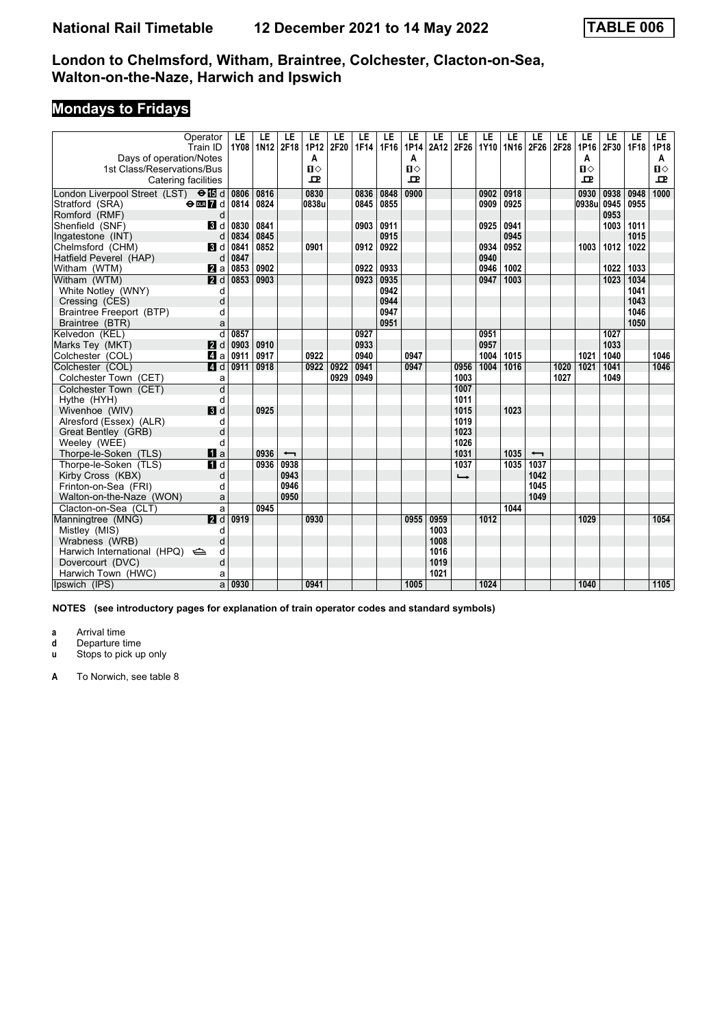# **Mondays to Fridays**

| Operator<br>Train ID                               |                         | LE<br>1Y08 | LE<br><b>1N12</b> | LE<br>2F18               | LE<br>1P12   | LE<br>2F20 | LE<br>1F14 | LE<br>1F16 | LE<br>1P14   | LE<br>2A12 | LE<br>2F26 | LE<br><b>1Y10</b> | LE<br>1N16 | LE<br>2F26               | LE<br>2F28 | LE<br>1P16 | LE<br>2F30 | LE<br>1F18 | LE<br>1P18   |
|----------------------------------------------------|-------------------------|------------|-------------------|--------------------------|--------------|------------|------------|------------|--------------|------------|------------|-------------------|------------|--------------------------|------------|------------|------------|------------|--------------|
| Days of operation/Notes                            |                         |            |                   |                          | A            |            |            |            | A            |            |            |                   |            |                          |            | A          |            |            | A            |
| 1st Class/Reservations/Bus                         |                         |            |                   |                          | $\mathbf{u}$ |            |            |            | $\mathbf{u}$ |            |            |                   |            |                          |            | $\Pi$      |            |            | $\Pi$        |
| Catering facilities                                |                         |            |                   |                          | ᇁ            |            |            |            | $\mathbf{p}$ |            |            |                   |            |                          |            | ᇁ          |            |            | $\mathbf{p}$ |
| London Liverpool Street (LST) $\Theta$ <b>IE</b> d |                         | 0806       | 0816              |                          | 0830         |            | 0836       | 0848       | 0900         |            |            | 0902              | 0918       |                          |            | 0930       | 0938       | 0948       | 1000         |
| Stratford (SRA)<br>$\Theta$ or $\eta$ d            |                         | 0814       | 0824              |                          | 0838u        |            | 0845       | 0855       |              |            |            | 0909              | 0925       |                          |            | 0938ul     | 0945       | 0955       |              |
| Romford (RMF)                                      | d                       |            |                   |                          |              |            |            |            |              |            |            |                   |            |                          |            |            | 0953       |            |              |
| Shenfield (SNF)                                    | BI d                    | 0830       | 0841              |                          |              |            | 0903       | 0911       |              |            |            | 0925              | 0941       |                          |            |            | 1003       | 1011       |              |
| Ingatestone (INT)                                  | d                       | 0834       | 0845              |                          |              |            |            | 0915       |              |            |            |                   | 0945       |                          |            |            |            | 1015       |              |
| Chelmsford (CHM)                                   | BI d                    | 0841       | 0852              |                          | 0901         |            | 0912       | 0922       |              |            |            | 0934              | 0952       |                          |            | 1003       | 1012       | 1022       |              |
| Hatfield Peverel (HAP)                             | d                       | 0847       |                   |                          |              |            |            |            |              |            |            | 0940              |            |                          |            |            |            |            |              |
| Witham (WTM)                                       | <b>2</b> a 0853         |            | 0902              |                          |              |            | 0922       | 0933       |              |            |            | 0946              | 1002       |                          |            |            | 1022       | 1033       |              |
| Witham (WTM)                                       | <b>2</b> d              | 0853       | 0903              |                          |              |            | 0923       | 0935       |              |            |            | 0947              | 1003       |                          |            |            | 1023       | 1034       |              |
| White Notley (WNY)                                 | d                       |            |                   |                          |              |            |            | 0942       |              |            |            |                   |            |                          |            |            |            | 1041       |              |
| Cressing (CES)                                     | d                       |            |                   |                          |              |            |            | 0944       |              |            |            |                   |            |                          |            |            |            | 1043       |              |
| Braintree Freeport (BTP)                           | d                       |            |                   |                          |              |            |            | 0947       |              |            |            |                   |            |                          |            |            |            | 1046       |              |
| Braintree (BTR)                                    | a                       |            |                   |                          |              |            |            | 0951       |              |            |            |                   |            |                          |            |            |            | 1050       |              |
| Kelvedon (KEL)                                     | $\overline{\mathsf{d}}$ | 0857       |                   |                          |              |            | 0927       |            |              |            |            | 0951              |            |                          |            |            | 1027       |            |              |
| Marks Tey (MKT)                                    | <b>2</b> d              | 0903       | 0910              |                          |              |            | 0933       |            |              |            |            | 0957              |            |                          |            |            | 1033       |            |              |
| Colchester (COL)                                   | 44 a                    | 0911       | 0917              |                          | 0922         |            | 0940       |            | 0947         |            |            | 1004              | 1015       |                          |            | 1021       | 1040       |            | 1046         |
| Colchester (COL)                                   | 4 d                     | 0911       | 0918              |                          | 0922         | 0922       | 0941       |            | 0947         |            | 0956       | 1004              | 1016       |                          | 1020       | 1021       | 1041       |            | 1046         |
| Colchester Town (CET)                              | a                       |            |                   |                          |              | 0929       | 0949       |            |              |            | 1003       |                   |            |                          | 1027       |            | 1049       |            |              |
| Colchester Town (CET)                              | $\overline{d}$          |            |                   |                          |              |            |            |            |              |            | 1007       |                   |            |                          |            |            |            |            |              |
| Hythe (HYH)                                        | d                       |            |                   |                          |              |            |            |            |              |            | 1011       |                   |            |                          |            |            |            |            |              |
| Wivenhoe (WIV)                                     | <b>B</b> d              |            | 0925              |                          |              |            |            |            |              |            | 1015       |                   | 1023       |                          |            |            |            |            |              |
| Alresford (Essex) (ALR)                            | d                       |            |                   |                          |              |            |            |            |              |            | 1019       |                   |            |                          |            |            |            |            |              |
| Great Bentley (GRB)                                | d                       |            |                   |                          |              |            |            |            |              |            | 1023       |                   |            |                          |            |            |            |            |              |
| Weeley (WEE)                                       | d                       |            |                   |                          |              |            |            |            |              |            | 1026       |                   |            |                          |            |            |            |            |              |
| Thorpe-le-Soken (TLS)                              | $\mathbf{u}$ a          |            | 0936              | $\overline{\phantom{0}}$ |              |            |            |            |              |            | 1031       |                   | 1035       | $\overline{\phantom{0}}$ |            |            |            |            |              |
| Thorpe-le-Soken (TLS)                              | $\blacksquare$          |            | 0936              | 0938                     |              |            |            |            |              |            | 1037       |                   | 1035       | 1037                     |            |            |            |            |              |
| Kirby Cross (KBX)                                  | d                       |            |                   | 0943                     |              |            |            |            |              |            | ┗          |                   |            | 1042                     |            |            |            |            |              |
| Frinton-on-Sea (FRI)                               | d                       |            |                   | 0946                     |              |            |            |            |              |            |            |                   |            | 1045                     |            |            |            |            |              |
| Walton-on-the-Naze (WON)                           | a                       |            |                   | 0950                     |              |            |            |            |              |            |            |                   |            | 1049                     |            |            |            |            |              |
| Clacton-on-Sea (CLT)                               | a                       |            | 0945              |                          |              |            |            |            |              |            |            |                   | 1044       |                          |            |            |            |            |              |
| Manningtree (MNG)                                  | 2d                      | 0919       |                   |                          | 0930         |            |            |            | 0955         | 0959       |            | 1012              |            |                          |            | 1029       |            |            | 1054         |
| Mistley (MIS)                                      | d                       |            |                   |                          |              |            |            |            |              | 1003       |            |                   |            |                          |            |            |            |            |              |
| Wrabness (WRB)                                     | d                       |            |                   |                          |              |            |            |            |              | 1008       |            |                   |            |                          |            |            |            |            |              |
| Harwich International (HPQ)                        | d                       |            |                   |                          |              |            |            |            |              | 1016       |            |                   |            |                          |            |            |            |            |              |
| Dovercourt (DVC)                                   | d                       |            |                   |                          |              |            |            |            |              | 1019       |            |                   |            |                          |            |            |            |            |              |
| Harwich Town (HWC)                                 | a                       |            |                   |                          |              |            |            |            |              | 1021       |            |                   |            |                          |            |            |            |            |              |
| Ipswich (IPS)                                      | a                       | 0930       |                   |                          | 0941         |            |            |            | 1005         |            |            | 1024              |            |                          |            | 1040       |            |            | 1105         |

**NOTES (see introductory pages for explanation of train operator codes and standard symbols)**

**a** Arrival time<br>**d** Departure t

**d** Departure time

**u** Stops to pick up only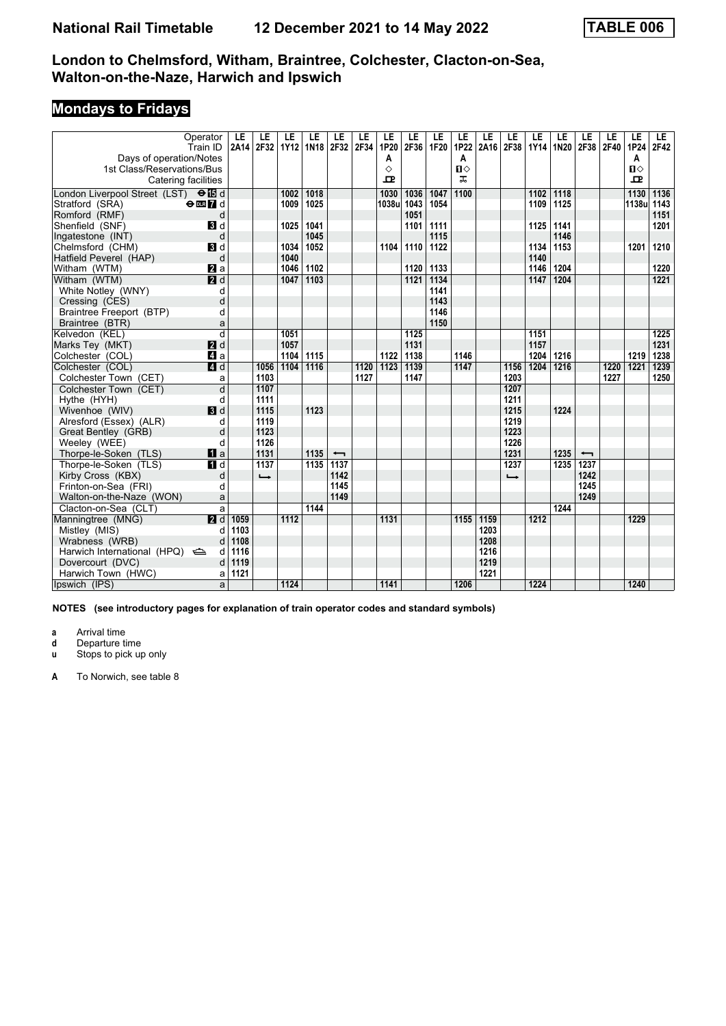# **Mondays to Fridays**

| Operator<br>Train ID                       | LE<br>2A14 | LE<br>2F32    | LE<br><b>1Y12</b> | LE<br>1N18 | LE<br>2F32               | LE<br>2F34 | LE<br>1P20 | LE<br>2F36 | LE<br>1F20 | LE<br>1P22   | LE<br><b>2A16</b> | LE<br>2F38    | LE<br><b>1Y14</b> | LE<br>1N20 | LE<br>2F38               | LE<br>2F40 | LE<br>1P24   | LE.<br>2F42 |
|--------------------------------------------|------------|---------------|-------------------|------------|--------------------------|------------|------------|------------|------------|--------------|-------------------|---------------|-------------------|------------|--------------------------|------------|--------------|-------------|
| Days of operation/Notes                    |            |               |                   |            |                          |            | А          |            |            | A            |                   |               |                   |            |                          |            | A            |             |
| 1st Class/Reservations/Bus                 |            |               |                   |            |                          |            | ♦          |            |            | $\mathbf{u}$ |                   |               |                   |            |                          |            | $\mathbf{u}$ |             |
| Catering facilities                        |            |               |                   |            |                          |            | ᇁ          |            |            | ᠼ            |                   |               |                   |            |                          |            | ᇁ            |             |
| London Liverpool Street (LST) $\Theta$ I d |            |               | 1002              | 1018       |                          |            | 1030       | 1036       | 1047       | 1100         |                   |               | 1102              | 1118       |                          |            | 1130         | 1136        |
| Stratford (SRA)<br>$\Theta$ or $\bf{Z}$ d  |            |               | 1009              | 1025       |                          |            | 1038u      | 1043       | 1054       |              |                   |               | 1109              | 1125       |                          |            | 1138ul       | 1143        |
| Romford (RMF)<br>d                         |            |               |                   |            |                          |            |            | 1051       |            |              |                   |               |                   |            |                          |            |              | 1151        |
| Shenfield (SNF)<br><b>B</b> Id             |            |               | 1025              | 1041       |                          |            |            | 1101       | 1111       |              |                   |               | 1125              | 1141       |                          |            |              | 1201        |
| Ingatestone (INT)<br>d                     |            |               |                   | 1045       |                          |            |            |            | 1115       |              |                   |               |                   | 1146       |                          |            |              |             |
| Chelmsford (CHM)<br>$\blacksquare$         |            |               | 1034              | 1052       |                          |            | 1104       | 1110       | 1122       |              |                   |               | 1134              | 1153       |                          |            | 1201         | 1210        |
| Hatfield Peverel (HAP)<br>d                |            |               | 1040              |            |                          |            |            |            |            |              |                   |               | 1140              |            |                          |            |              |             |
| Witham (WTM)<br><b>Z</b> a                 |            |               | 1046              | 1102       |                          |            |            | 1120       | 1133       |              |                   |               | 1146              | 1204       |                          |            |              | 1220        |
| $\blacksquare$<br>Witham (WTM)             |            |               | 1047              | 1103       |                          |            |            | 1121       | 1134       |              |                   |               | 1147              | 1204       |                          |            |              | 1221        |
| White Notley (WNY)<br>d                    |            |               |                   |            |                          |            |            |            | 1141       |              |                   |               |                   |            |                          |            |              |             |
| d<br>Cressing (CES)                        |            |               |                   |            |                          |            |            |            | 1143       |              |                   |               |                   |            |                          |            |              |             |
| Braintree Freeport (BTP)<br>d              |            |               |                   |            |                          |            |            |            | 1146       |              |                   |               |                   |            |                          |            |              |             |
| Braintree (BTR)<br>a                       |            |               |                   |            |                          |            |            |            | 1150       |              |                   |               |                   |            |                          |            |              |             |
| $\overline{d}$<br>Kelvedon (KEL)           |            |               | 1051              |            |                          |            |            | 1125       |            |              |                   |               | 1151              |            |                          |            |              | 1225        |
| $\blacksquare$<br>Marks Tey (MKT)          |            |               | 1057              |            |                          |            |            | 1131       |            |              |                   |               | 1157              |            |                          |            |              | 1231        |
| Colchester (COL)<br>ZI a                   |            |               | 1104              | 1115       |                          |            | 1122       | 1138       |            | 1146         |                   |               | 1204              | 1216       |                          |            | 1219         | 1238        |
| Colchester (COL)<br>ZI d                   |            | 1056          | 1104              | 1116       |                          | 1120       | 1123       | 1139       |            | 1147         |                   | 1156          | 1204              | 1216       |                          | 1220       | 1221         | 1239        |
| Colchester Town (CET)<br>a                 |            | 1103          |                   |            |                          | 1127       |            | 1147       |            |              |                   | 1203          |                   |            |                          | 1227       |              | 1250        |
| $\overline{d}$<br>Colchester Town (CET)    |            | 1107          |                   |            |                          |            |            |            |            |              |                   | 1207          |                   |            |                          |            |              |             |
| Hythe (HYH)<br>d                           |            | 1111          |                   |            |                          |            |            |            |            |              |                   | 1211          |                   |            |                          |            |              |             |
| Wivenhoe (WIV)<br>$\blacksquare$           |            | 1115          |                   | 1123       |                          |            |            |            |            |              |                   | 1215          |                   | 1224       |                          |            |              |             |
| Alresford (Essex) (ALR)<br>d               |            | 1119          |                   |            |                          |            |            |            |            |              |                   | 1219          |                   |            |                          |            |              |             |
| Great Bentley (GRB)<br>d                   |            | 1123          |                   |            |                          |            |            |            |            |              |                   | 1223          |                   |            |                          |            |              |             |
| Weeley (WEE)<br>d                          |            | 1126          |                   |            |                          |            |            |            |            |              |                   | 1226          |                   |            |                          |            |              |             |
| Thorpe-le-Soken (TLS)<br>$\mathbf{u}$ a    |            | 1131          |                   | 1135       | $\overline{\phantom{0}}$ |            |            |            |            |              |                   | 1231          |                   | 1235       | $\overline{\phantom{0}}$ |            |              |             |
| Thorpe-le-Soken (TLS)<br>$\blacksquare$    |            | 1137          |                   | 1135       | 1137                     |            |            |            |            |              |                   | 1237          |                   | 1235       | 1237                     |            |              |             |
| Kirby Cross (KBX)<br>d                     |            | $\rightarrow$ |                   |            | 1142                     |            |            |            |            |              |                   | $\rightarrow$ |                   |            | 1242                     |            |              |             |
| Frinton-on-Sea (FRI)<br>d                  |            |               |                   |            | 1145                     |            |            |            |            |              |                   |               |                   |            | 1245                     |            |              |             |
| Walton-on-the-Naze (WON)<br>a              |            |               |                   |            | 1149                     |            |            |            |            |              |                   |               |                   |            | 1249                     |            |              |             |
| a<br>Clacton-on-Sea (CLT)                  |            |               |                   | 1144       |                          |            |            |            |            |              |                   |               |                   | 1244       |                          |            |              |             |
| 2d<br>Manningtree (MNG)                    | 1059       |               | 1112              |            |                          |            | 1131       |            |            | 1155         | 1159              |               | 1212              |            |                          |            | 1229         |             |
| Mistley (MIS)<br>d                         | 1103       |               |                   |            |                          |            |            |            |            |              | 1203              |               |                   |            |                          |            |              |             |
| Wrabness (WRB)<br>d                        | 1108       |               |                   |            |                          |            |            |            |            |              | 1208              |               |                   |            |                          |            |              |             |
| Harwich International (HPQ)<br>d           | 1116       |               |                   |            |                          |            |            |            |            |              | 1216              |               |                   |            |                          |            |              |             |
| d<br>Dovercourt (DVC)                      | 1119       |               |                   |            |                          |            |            |            |            |              | 1219              |               |                   |            |                          |            |              |             |
| Harwich Town (HWC)<br>a                    | 1121       |               |                   |            |                          |            |            |            |            |              | 1221              |               |                   |            |                          |            |              |             |
| Ipswich (IPS)<br>a                         |            |               | 1124              |            |                          |            | 1141       |            |            | 1206         |                   |               | 1224              |            |                          |            | 1240         |             |

**NOTES (see introductory pages for explanation of train operator codes and standard symbols)**

**a** Arrival time<br>**d** Departure t

**d** Departure time

**u** Stops to pick up only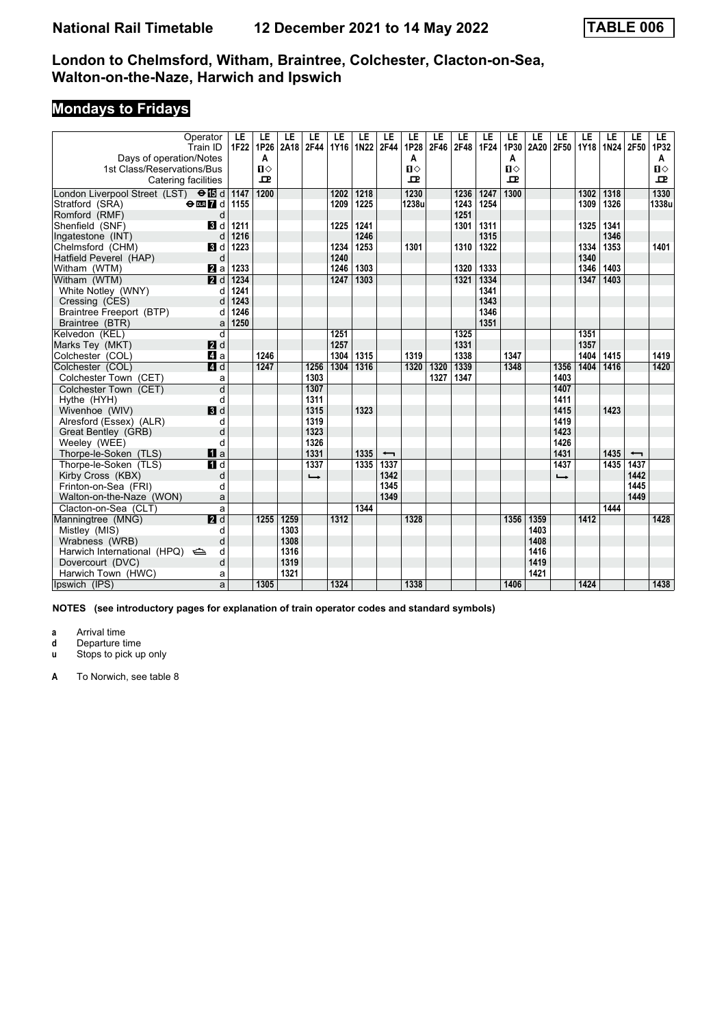# **Mondays to Fridays**

| Operator                                           | LE                      | LE           | LE   | LE            | LE   | LE   | LE                       | LE           | LE   | LE   | LE   | LE           | LE        | LE   | LE   | LE        | LE                       | <b>LE</b>    |
|----------------------------------------------------|-------------------------|--------------|------|---------------|------|------|--------------------------|--------------|------|------|------|--------------|-----------|------|------|-----------|--------------------------|--------------|
| Train ID                                           | 1F22                    | 1P26         | 2A18 | 2F44          | 1Y16 | 1N22 | 2F44                     | 1P28         | 2F46 | 2F48 | 1F24 | 1P30         | 2A20      | 2F50 | 1Y18 | 1N24 2F50 |                          | 1P32         |
| Days of operation/Notes                            |                         | A            |      |               |      |      |                          | A            |      |      |      | A            |           |      |      |           |                          | A            |
| 1st Class/Reservations/Bus                         |                         | $\P$         |      |               |      |      |                          | $\mathbf{u}$ |      |      |      | $\mathbf{u}$ |           |      |      |           |                          | $\mathbf{u}$ |
| Catering facilities                                |                         | $\mathbf{P}$ |      |               |      |      |                          | 모            |      |      |      | $\mathbf{p}$ |           |      |      |           |                          | $\mathbf{p}$ |
| London Liverpool Street (LST) $\Theta$ <b>is</b> d | 1147                    | 1200         |      |               | 1202 | 1218 |                          | 1230         |      | 1236 | 1247 | 1300         |           |      | 1302 | 1318      |                          | 1330         |
| Stratford (SRA)<br>$\Theta$ DIR $\overline{7}$ d   | 1155                    |              |      |               | 1209 | 1225 |                          | 1238u        |      | 1243 | 1254 |              |           |      | 1309 | 1326      |                          | 1338u        |
| Romford (RMF)                                      | d                       |              |      |               |      |      |                          |              |      | 1251 |      |              |           |      |      |           |                          |              |
| Shenfield (SNF)<br><b>3</b> d                      | 1211                    |              |      |               | 1225 | 1241 |                          |              |      | 1301 | 1311 |              |           |      | 1325 | 1341      |                          |              |
| Ingatestone (INT)                                  | 1216<br>d               |              |      |               |      | 1246 |                          |              |      |      | 1315 |              |           |      |      | 1346      |                          |              |
| Chelmsford (CHM)<br>Bid                            | 1223                    |              |      |               | 1234 | 1253 |                          | 1301         |      | 1310 | 1322 |              |           |      | 1334 | 1353      |                          | 1401         |
| Hatfield Peverel (HAP)                             | d                       |              |      |               | 1240 |      |                          |              |      |      |      |              |           |      | 1340 |           |                          |              |
| Witham (WTM)<br><b>Z</b> a                         | 1233                    |              |      |               | 1246 | 1303 |                          |              |      | 1320 | 1333 |              |           |      | 1346 | 1403      |                          |              |
| 2d<br>Witham (WTM)                                 | 1234                    |              |      |               | 1247 | 1303 |                          |              |      | 1321 | 1334 |              |           |      | 1347 | 1403      |                          |              |
| White Notley (WNY)                                 | 1241<br>d               |              |      |               |      |      |                          |              |      |      | 1341 |              |           |      |      |           |                          |              |
| Cressing (CES)                                     | 1243<br>d               |              |      |               |      |      |                          |              |      |      | 1343 |              |           |      |      |           |                          |              |
| Braintree Freeport (BTP)                           | 1246<br>d               |              |      |               |      |      |                          |              |      |      | 1346 |              |           |      |      |           |                          |              |
| Braintree (BTR)                                    | 1250<br>a               |              |      |               |      |      |                          |              |      |      | 1351 |              |           |      |      |           |                          |              |
| Kelvedon (KEL)                                     | $\overline{d}$          |              |      |               | 1251 |      |                          |              |      | 1325 |      |              |           |      | 1351 |           |                          |              |
| 2d<br>Marks Tey (MKT)                              |                         |              |      |               | 1257 |      |                          |              |      | 1331 |      |              |           |      | 1357 |           |                          |              |
| Colchester (COL)<br>ZI a                           |                         | 1246         |      |               | 1304 | 1315 |                          | 1319         |      | 1338 |      | 1347         |           |      | 1404 | 1415      |                          | 1419         |
| Colchester (COL)<br>4d                             |                         | 1247         |      | 1256          | 1304 | 1316 |                          | 1320         | 1320 | 1339 |      | 1348         |           | 1356 | 1404 | 1416      |                          | 1420         |
| Colchester Town (CET)                              | a                       |              |      | 1303          |      |      |                          |              | 1327 | 1347 |      |              |           | 1403 |      |           |                          |              |
| Colchester Town (CET)                              | $\overline{\mathsf{d}}$ |              |      | 1307          |      |      |                          |              |      |      |      |              |           | 1407 |      |           |                          |              |
| Hythe (HYH)                                        | d                       |              |      | 1311          |      |      |                          |              |      |      |      |              |           | 1411 |      |           |                          |              |
| Wivenhoe (WIV)<br><b>B</b> d                       |                         |              |      | 1315          |      | 1323 |                          |              |      |      |      |              |           | 1415 |      | 1423      |                          |              |
| Alresford (Essex) (ALR)                            | d                       |              |      | 1319          |      |      |                          |              |      |      |      |              |           | 1419 |      |           |                          |              |
| Great Bentley (GRB)                                | d                       |              |      | 1323          |      |      |                          |              |      |      |      |              |           | 1423 |      |           |                          |              |
| Weeley (WEE)                                       | d                       |              |      | 1326          |      |      |                          |              |      |      |      |              |           | 1426 |      |           |                          |              |
| Thorpe-le-Soken (TLS)<br>$\blacksquare$ a          |                         |              |      | 1331          |      | 1335 | $\overline{\phantom{0}}$ |              |      |      |      |              |           | 1431 |      | 1435      | $\overline{\phantom{0}}$ |              |
| Thorpe-le-Soken (TLS)<br>$\blacksquare$            |                         |              |      | 1337          |      | 1335 | 1337                     |              |      |      |      |              |           | 1437 |      | 1435      | 1437                     |              |
| Kirby Cross (KBX)                                  | d                       |              |      | $\rightarrow$ |      |      | 1342                     |              |      |      |      |              |           | ┗    |      |           | 1442                     |              |
| Frinton-on-Sea (FRI)                               | d                       |              |      |               |      |      | 1345                     |              |      |      |      |              |           |      |      |           | 1445                     |              |
| Walton-on-the-Naze (WON)                           | a                       |              |      |               |      |      | 1349                     |              |      |      |      |              |           |      |      |           | 1449                     |              |
| Clacton-on-Sea (CLT)                               | a                       |              |      |               |      | 1344 |                          |              |      |      |      |              |           |      |      | 1444      |                          |              |
| $\overline{M}$ d<br>Manningtree (MNG)              |                         | 1255         | 1259 |               | 1312 |      |                          | 1328         |      |      |      |              | 1356 1359 |      | 1412 |           |                          | 1428         |
| Mistley (MIS)                                      | d                       |              | 1303 |               |      |      |                          |              |      |      |      |              | 1403      |      |      |           |                          |              |
| Wrabness (WRB)                                     | d                       |              | 1308 |               |      |      |                          |              |      |      |      |              | 1408      |      |      |           |                          |              |
| Harwich International (HPQ)                        | d                       |              | 1316 |               |      |      |                          |              |      |      |      |              | 1416      |      |      |           |                          |              |
| Dovercourt (DVC)                                   | d                       |              | 1319 |               |      |      |                          |              |      |      |      |              | 1419      |      |      |           |                          |              |
| Harwich Town (HWC)                                 | a                       |              | 1321 |               |      |      |                          |              |      |      |      |              | 1421      |      |      |           |                          |              |
| Ipswich (IPS)                                      | a                       | 1305         |      |               | 1324 |      |                          | 1338         |      |      |      | 1406         |           |      | 1424 |           |                          | 1438         |

**NOTES (see introductory pages for explanation of train operator codes and standard symbols)**

**a** Arrival time<br>**d** Departure t

**d** Departure time

**u** Stops to pick up only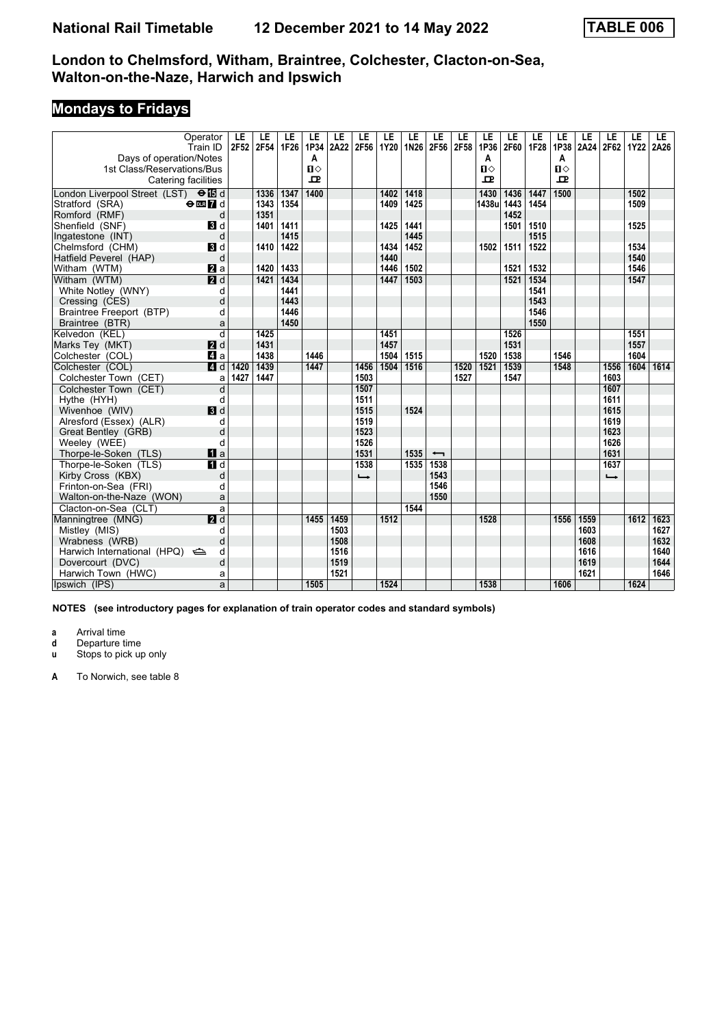# **Mondays to Fridays**

| Operator<br>Train ID                                | LE<br>2F52 | LE<br>2F54   | LE<br>1F26   | LE<br>1P34   | LE<br>2A22 | LE<br>2F56               | LE<br>1Y20   | LE<br>1N26   | LE<br>2F56               | LE<br>2F58 | LE<br>1P36     | LE<br>2F60   | LE<br><b>1F28</b> | LE<br>1P38   | LE<br>2A24 | LE<br>2F62               | LE<br>1Y22   | LE.<br>2A26 |
|-----------------------------------------------------|------------|--------------|--------------|--------------|------------|--------------------------|--------------|--------------|--------------------------|------------|----------------|--------------|-------------------|--------------|------------|--------------------------|--------------|-------------|
| Days of operation/Notes                             |            |              |              | A            |            |                          |              |              |                          |            | A              |              |                   | A            |            |                          |              |             |
| 1st Class/Reservations/Bus                          |            |              |              | $\Pi$        |            |                          |              |              |                          |            | $\P$           |              |                   | $\Pi$        |            |                          |              |             |
| Catering facilities                                 |            |              |              | $\mathbf{p}$ |            |                          |              |              |                          |            | ᇁ              |              |                   | $\mathbf{P}$ |            |                          |              |             |
|                                                     |            |              |              |              |            |                          |              |              |                          |            |                |              |                   |              |            |                          |              |             |
| London Liverpool Street (LST) <b>⊖ is</b> d         |            | 1336         | 1347<br>1354 | 1400         |            |                          | 1402<br>1409 | 1418<br>1425 |                          |            | 1430<br>1438ul | 1436<br>1443 | 1447<br>1454      | 1500         |            |                          | 1502<br>1509 |             |
| Stratford (SRA)<br>$\Theta$ or $\boldsymbol{\Pi}$ d |            | 1343<br>1351 |              |              |            |                          |              |              |                          |            |                | 1452         |                   |              |            |                          |              |             |
| Romford (RMF)<br>d                                  |            |              |              |              |            |                          |              |              |                          |            |                |              |                   |              |            |                          | 1525         |             |
| Shenfield (SNF)<br><b>3</b> d<br>d                  |            | 1401         | 1411<br>1415 |              |            |                          | 1425         | 1441<br>1445 |                          |            |                | 1501         | 1510<br>1515      |              |            |                          |              |             |
| Ingatestone (INT)<br>$\blacksquare$                 |            | 1410         | 1422         |              |            |                          | 1434         | 1452         |                          |            |                |              | 1522              |              |            |                          | 1534         |             |
| Chelmsford (CHM)                                    |            |              |              |              |            |                          | 1440         |              |                          |            | 1502           | 1511         |                   |              |            |                          | 1540         |             |
| Hatfield Peverel (HAP)<br>d                         |            |              |              |              |            |                          |              |              |                          |            |                |              |                   |              |            |                          |              |             |
| Witham (WTM)<br><b>Z</b> a                          |            | 1420         | 1433         |              |            |                          | 1446         | 1502         |                          |            |                | 1521         | 1532              |              |            |                          | 1546         |             |
| $P$ d<br>Witham (WTM)                               |            | 1421         | 1434         |              |            |                          | 1447         | 1503         |                          |            |                | 1521         | 1534              |              |            |                          | 1547         |             |
| White Notley (WNY)<br>d                             |            |              | 1441         |              |            |                          |              |              |                          |            |                |              | 1541              |              |            |                          |              |             |
| d<br>Cressing (CES)                                 |            |              | 1443         |              |            |                          |              |              |                          |            |                |              | 1543              |              |            |                          |              |             |
| Braintree Freeport (BTP)<br>d                       |            |              | 1446         |              |            |                          |              |              |                          |            |                |              | 1546              |              |            |                          |              |             |
| Braintree (BTR)<br>a                                |            |              | 1450         |              |            |                          |              |              |                          |            |                |              | 1550              |              |            |                          |              |             |
| $\overline{d}$<br>Kelvedon (KEL)                    |            | 1425         |              |              |            |                          | 1451         |              |                          |            |                | 1526         |                   |              |            |                          | 1551         |             |
| 2d<br>Marks Tey (MKT)                               |            | 1431         |              |              |            |                          | 1457         |              |                          |            |                | 1531         |                   |              |            |                          | 1557         |             |
| Colchester (COL)<br>$\blacksquare$ a                |            | 1438         |              | 1446         |            |                          | 1504         | 1515         |                          |            | 1520           | 1538         |                   | 1546         |            |                          | 1604         |             |
| Colchester (COL)<br>4d                              | 1420       | 1439         |              | 1447         |            | 1456                     | 1504         | 1516         |                          | 1520       | 1521           | 1539         |                   | 1548         |            | 1556                     | 1604         | 1614        |
| Colchester Town (CET)<br>a                          | 1427       | 1447         |              |              |            | 1503                     |              |              |                          | 1527       |                | 1547         |                   |              |            | 1603                     |              |             |
| d<br>Colchester Town (CET)                          |            |              |              |              |            | 1507                     |              |              |                          |            |                |              |                   |              |            | 1607                     |              |             |
| Hythe (HYH)<br>d                                    |            |              |              |              |            | 1511                     |              |              |                          |            |                |              |                   |              |            | 1611                     |              |             |
| $\blacksquare$<br>Wivenhoe (WIV)                    |            |              |              |              |            | 1515                     |              | 1524         |                          |            |                |              |                   |              |            | 1615                     |              |             |
| Alresford (Essex) (ALR)<br>d                        |            |              |              |              |            | 1519                     |              |              |                          |            |                |              |                   |              |            | 1619                     |              |             |
| d<br>Great Bentley (GRB)                            |            |              |              |              |            | 1523                     |              |              |                          |            |                |              |                   |              |            | 1623                     |              |             |
| Weeley (WEE)<br>d                                   |            |              |              |              |            | 1526                     |              |              |                          |            |                |              |                   |              |            | 1626                     |              |             |
| Thorpe-le-Soken (TLS)<br>$\mathbf{u}$ a             |            |              |              |              |            | 1531                     |              | 1535         | $\overline{\phantom{0}}$ |            |                |              |                   |              |            | 1631                     |              |             |
| Thorpe-le-Soken (TLS)<br>$\blacksquare$             |            |              |              |              |            | 1538                     |              | 1535         | 1538                     |            |                |              |                   |              |            | 1637                     |              |             |
| d<br>Kirby Cross (KBX)                              |            |              |              |              |            | $\overline{\phantom{a}}$ |              |              | 1543                     |            |                |              |                   |              |            | $\overline{\phantom{a}}$ |              |             |
| Frinton-on-Sea (FRI)<br>d                           |            |              |              |              |            |                          |              |              | 1546                     |            |                |              |                   |              |            |                          |              |             |
| Walton-on-the-Naze (WON)<br>a                       |            |              |              |              |            |                          |              |              | 1550                     |            |                |              |                   |              |            |                          |              |             |
| Clacton-on-Sea (CLT)<br>a                           |            |              |              |              |            |                          |              | 1544         |                          |            |                |              |                   |              |            |                          |              |             |
| $\overline{\mathbf{Z}}$ d<br>Manningtree (MNG)      |            |              |              | 1455         | 1459       |                          | 1512         |              |                          |            | 1528           |              |                   | 1556         | 1559       |                          | 1612         | 1623        |
| Mistley (MIS)<br>d                                  |            |              |              |              | 1503       |                          |              |              |                          |            |                |              |                   |              | 1603       |                          |              | 1627        |
| d<br>Wrabness (WRB)                                 |            |              |              |              | 1508       |                          |              |              |                          |            |                |              |                   |              | 1608       |                          |              | 1632        |
| Harwich International (HPQ) <<br>d                  |            |              |              |              | 1516       |                          |              |              |                          |            |                |              |                   |              | 1616       |                          |              | 1640        |
| d<br>Dovercourt (DVC)                               |            |              |              |              | 1519       |                          |              |              |                          |            |                |              |                   |              | 1619       |                          |              | 1644        |
| Harwich Town (HWC)<br>a                             |            |              |              |              | 1521       |                          |              |              |                          |            |                |              |                   |              | 1621       |                          |              | 1646        |
| Ipswich (IPS)<br>a                                  |            |              |              | 1505         |            |                          | 1524         |              |                          |            | 1538           |              |                   | 1606         |            |                          | 1624         |             |

**NOTES (see introductory pages for explanation of train operator codes and standard symbols)**

**a** Arrival time<br>**d** Departure t

**d** Departure time

**u** Stops to pick up only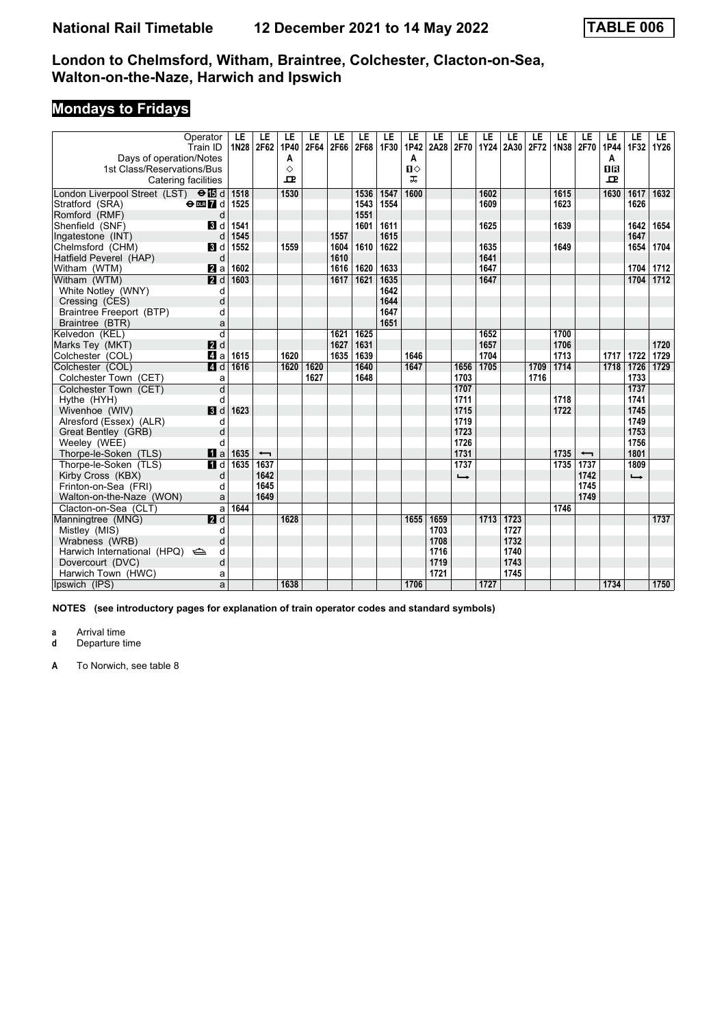# **Mondays to Fridays**

| Operator<br>Train ID                               | LE   | LE<br>1N28 2F62          | LE<br>1P40 | LE<br>2F64 | LE<br>2F66 | LE<br>2F68 | LE<br>1F30 | LE<br>1P42   | LE<br>2A28 | LE<br>2F70    | LE<br>1Y24 | LE<br>2A30 | LE<br>2F72 | LE   | LE<br>1N38 2F70          | LE<br>1P44   | LE<br>1F32    | LE.<br>1Y26 |
|----------------------------------------------------|------|--------------------------|------------|------------|------------|------------|------------|--------------|------------|---------------|------------|------------|------------|------|--------------------------|--------------|---------------|-------------|
| Days of operation/Notes                            |      |                          | A          |            |            |            |            | A            |            |               |            |            |            |      |                          | A            |               |             |
| 1st Class/Reservations/Bus                         |      |                          | ♦          |            |            |            |            | $\mathbf{u}$ |            |               |            |            |            |      |                          | <b>OR</b>    |               |             |
| Catering facilities                                |      |                          | ᅭ          |            |            |            |            | ᠼ            |            |               |            |            |            |      |                          | $\mathbf{p}$ |               |             |
| London Liverpool Street (LST) $\Theta$ <b>IE</b> d | 1518 |                          | 1530       |            |            | 1536       | 1547       | 1600         |            |               | 1602       |            |            | 1615 |                          | 1630         | 1617          | 1632        |
| Stratford (SRA)<br>$\Theta$ DLR $\overline{7}$ d   | 1525 |                          |            |            |            | 1543       | 1554       |              |            |               | 1609       |            |            | 1623 |                          |              | 1626          |             |
| Romford (RMF)<br>d                                 |      |                          |            |            |            | 1551       |            |              |            |               |            |            |            |      |                          |              |               |             |
| Shenfield (SNF)<br><b>3</b> d                      | 1541 |                          |            |            |            | 1601       | 1611       |              |            |               | 1625       |            |            | 1639 |                          |              | 1642          | 1654        |
| Ingatestone (INT)<br>d                             | 1545 |                          |            |            | 1557       |            | 1615       |              |            |               |            |            |            |      |                          |              | 1647          |             |
| Chelmsford (CHM)<br>BI d                           | 1552 |                          | 1559       |            | 1604       | 1610       | 1622       |              |            |               | 1635       |            |            | 1649 |                          |              | 1654          | 1704        |
| Hatfield Peverel (HAP)<br>d                        |      |                          |            |            | 1610       |            |            |              |            |               | 1641       |            |            |      |                          |              |               |             |
| Witham (WTM)<br><b>Z</b> a                         | 1602 |                          |            |            | 1616       | 1620       | 1633       |              |            |               | 1647       |            |            |      |                          |              | 1704          | 1712        |
| Witham (WTM)<br>2d                                 | 1603 |                          |            |            | 1617       | 1621       | 1635       |              |            |               | 1647       |            |            |      |                          |              | 1704          | 1712        |
| White Notley (WNY)<br>d                            |      |                          |            |            |            |            | 1642       |              |            |               |            |            |            |      |                          |              |               |             |
| d<br>Cressing (CES)                                |      |                          |            |            |            |            | 1644       |              |            |               |            |            |            |      |                          |              |               |             |
| Braintree Freeport (BTP)<br>d                      |      |                          |            |            |            |            | 1647       |              |            |               |            |            |            |      |                          |              |               |             |
| Braintree (BTR)<br>a                               |      |                          |            |            |            |            | 1651       |              |            |               |            |            |            |      |                          |              |               |             |
| $\overline{d}$<br>Kelvedon (KEL)                   |      |                          |            |            | 1621       | 1625       |            |              |            |               | 1652       |            |            | 1700 |                          |              |               |             |
| 2d<br>Marks Tey (MKT)                              |      |                          |            |            | 1627       | 1631       |            |              |            |               | 1657       |            |            | 1706 |                          |              |               | 1720        |
| Colchester (COL)<br>41 a                           | 1615 |                          | 1620       |            | 1635       | 1639       |            | 1646         |            |               | 1704       |            |            | 1713 |                          | 1717         | 1722          | 1729        |
| Colchester (COL)<br><b>4</b> d                     | 1616 |                          | 1620       | 1620       |            | 1640       |            | 1647         |            | 1656          | 1705       |            | 1709       | 1714 |                          | 1718         | 1726          | 1729        |
| Colchester Town (CET)<br>a                         |      |                          |            | 1627       |            | 1648       |            |              |            | 1703          |            |            | 1716       |      |                          |              | 1733          |             |
| $\overline{d}$<br>Colchester Town (CET)            |      |                          |            |            |            |            |            |              |            | 1707          |            |            |            |      |                          |              | 1737          |             |
| Hythe (HYH)<br>d                                   |      |                          |            |            |            |            |            |              |            | 1711          |            |            |            | 1718 |                          |              | 1741          |             |
| $\blacksquare$<br>Wivenhoe (WIV)                   | 1623 |                          |            |            |            |            |            |              |            | 1715          |            |            |            | 1722 |                          |              | 1745          |             |
| Alresford (Essex) (ALR)<br>d                       |      |                          |            |            |            |            |            |              |            | 1719          |            |            |            |      |                          |              | 1749          |             |
| Great Bentley (GRB)<br>d                           |      |                          |            |            |            |            |            |              |            | 1723          |            |            |            |      |                          |              | 1753          |             |
| Weeley (WEE)<br>d                                  |      |                          |            |            |            |            |            |              |            | 1726          |            |            |            |      |                          |              | 1756          |             |
| Thorpe-le-Soken (TLS)<br>$\mathbf{u}$ a            | 1635 | $\overline{\phantom{0}}$ |            |            |            |            |            |              |            | 1731          |            |            |            | 1735 | $\overline{\phantom{0}}$ |              | 1801          |             |
| Thorpe-le-Soken (TLS)<br>$\blacksquare$            | 1635 | 1637                     |            |            |            |            |            |              |            | 1737          |            |            |            | 1735 | 1737                     |              | 1809          |             |
| Kirby Cross (KBX)<br>d                             |      | 1642                     |            |            |            |            |            |              |            | $\rightarrow$ |            |            |            |      | 1742                     |              | $\rightarrow$ |             |
| Frinton-on-Sea (FRI)<br>d                          |      | 1645                     |            |            |            |            |            |              |            |               |            |            |            |      | 1745                     |              |               |             |
| Walton-on-the-Naze (WON)<br>a                      |      | 1649                     |            |            |            |            |            |              |            |               |            |            |            |      | 1749                     |              |               |             |
| a<br>Clacton-on-Sea (CLT)                          | 1644 |                          |            |            |            |            |            |              |            |               |            |            |            | 1746 |                          |              |               |             |
| 2d<br>Manningtree (MNG)                            |      |                          | 1628       |            |            |            |            | 1655         | 1659       |               | 1713       | 1723       |            |      |                          |              |               | 1737        |
| Mistley (MIS)<br>d                                 |      |                          |            |            |            |            |            |              | 1703       |               |            | 1727       |            |      |                          |              |               |             |
| d<br>Wrabness (WRB)                                |      |                          |            |            |            |            |            |              | 1708       |               |            | 1732       |            |      |                          |              |               |             |
| Harwich International (HPQ) <<br>d                 |      |                          |            |            |            |            |            |              | 1716       |               |            | 1740       |            |      |                          |              |               |             |
| d<br>Dovercourt (DVC)                              |      |                          |            |            |            |            |            |              | 1719       |               |            | 1743       |            |      |                          |              |               |             |
| Harwich Town (HWC)<br>a                            |      |                          |            |            |            |            |            |              | 1721       |               |            | 1745       |            |      |                          |              |               |             |
| Ipswich (IPS)<br>a                                 |      |                          | 1638       |            |            |            |            | 1706         |            |               | 1727       |            |            |      |                          | 1734         |               | 1750        |

**NOTES (see introductory pages for explanation of train operator codes and standard symbols)**

**a** Arrival time<br>**d** Departure t

**d** Departure time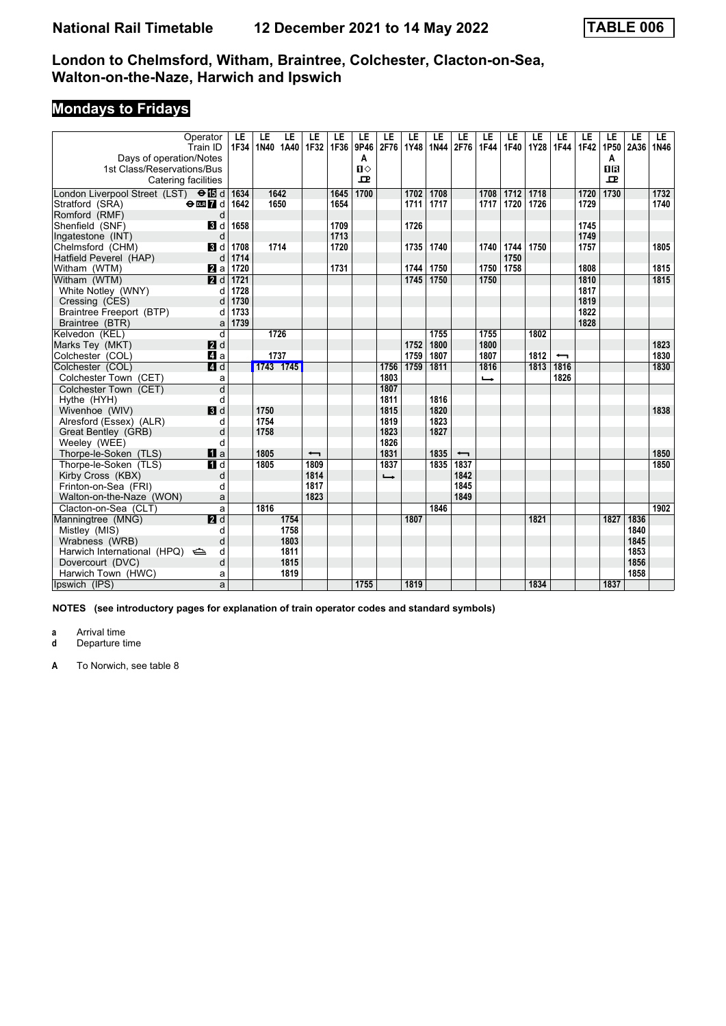# **Mondays to Fridays**

| Operator<br>Train ID                       | LE<br>1F34 | LE<br>LE<br>1N40 1A40 | LE<br>1F32               | LE<br>1F36 | LE<br>9P46   | LE<br>2F76    | LE<br>1Y48 | LE<br>1N44 | LE<br>2F76               | LE<br>1F44    | LE<br>1F40 | LE<br>1Y28 | LE<br>1F44               | LE<br>1F42 | LE<br>1P50 | LE<br> 2A36 | LE.<br>1N46 |
|--------------------------------------------|------------|-----------------------|--------------------------|------------|--------------|---------------|------------|------------|--------------------------|---------------|------------|------------|--------------------------|------------|------------|-------------|-------------|
| Days of operation/Notes                    |            |                       |                          |            | A            |               |            |            |                          |               |            |            |                          |            | A          |             |             |
| 1st Class/Reservations/Bus                 |            |                       |                          |            | $\mathbf{u}$ |               |            |            |                          |               |            |            |                          |            | <b>DR</b>  |             |             |
| Catering facilities                        |            |                       |                          |            | 모            |               |            |            |                          |               |            |            |                          |            | 모          |             |             |
| London Liverpool Street (LST) <b>OII</b> d | 1634       | 1642                  |                          | 1645       | 1700         |               | 1702       | 1708       |                          | 1708          | 1712       | 1718       |                          | 1720       | 1730       |             | 1732        |
| $e$ <sub>m</sub> $7d$<br>Stratford (SRA)   | 1642       | 1650                  |                          | 1654       |              |               | 1711       | 1717       |                          | 1717          | 1720       | 1726       |                          | 1729       |            |             | 1740        |
| Romford (RMF)<br>d                         |            |                       |                          |            |              |               |            |            |                          |               |            |            |                          |            |            |             |             |
| Shenfield (SNF)<br><b>B</b> Id             | 1658       |                       |                          | 1709       |              |               | 1726       |            |                          |               |            |            |                          | 1745       |            |             |             |
| Ingatestone (INT)<br>d                     |            |                       |                          | 1713       |              |               |            |            |                          |               |            |            |                          | 1749       |            |             |             |
| Chelmsford (CHM)<br>3 d                    | 1708       | 1714                  |                          | 1720       |              |               | 1735       | 1740       |                          | 1740          | 1744       | 1750       |                          | 1757       |            |             | 1805        |
| Hatfield Peverel (HAP)<br>d                | 1714       |                       |                          |            |              |               |            |            |                          |               | 1750       |            |                          |            |            |             |             |
| Witham (WTM)<br><b>Z</b> a                 | 1720       |                       |                          | 1731       |              |               | 1744       | 1750       |                          | 1750          | 1758       |            |                          | 1808       |            |             | 1815        |
| Witham (WTM)<br><b>2</b> d                 | 1721       |                       |                          |            |              |               | 1745       | 1750       |                          | 1750          |            |            |                          | 1810       |            |             | 1815        |
| White Notley (WNY)<br>d                    | 1728       |                       |                          |            |              |               |            |            |                          |               |            |            |                          | 1817       |            |             |             |
| Cressing (CES)<br>d                        | 1730       |                       |                          |            |              |               |            |            |                          |               |            |            |                          | 1819       |            |             |             |
| Braintree Freeport (BTP)<br>d              | 1733       |                       |                          |            |              |               |            |            |                          |               |            |            |                          | 1822       |            |             |             |
| Braintree (BTR)<br>a                       | 1739       |                       |                          |            |              |               |            |            |                          |               |            |            |                          | 1828       |            |             |             |
| $\overline{d}$<br>Kelvedon (KEL)           |            | 1726                  |                          |            |              |               |            | 1755       |                          | 1755          |            | 1802       |                          |            |            |             |             |
| 2d<br>Marks Tey (MKT)                      |            |                       |                          |            |              |               | 1752       | 1800       |                          | 1800          |            |            |                          |            |            |             | 1823        |
| Colchester (COL)<br>ZI a                   |            | 1737                  |                          |            |              |               | 1759       | 1807       |                          | 1807          |            | 1812       | $\overline{\phantom{0}}$ |            |            |             | 1830        |
| Colchester (COL)<br>4d                     |            | 1743 1745             |                          |            |              | 1756          | 1759       | 1811       |                          | 1816          |            | 1813       | 1816                     |            |            |             | 1830        |
| Colchester Town (CET)<br>a                 |            |                       |                          |            |              | 1803          |            |            |                          | $\rightarrow$ |            |            | 1826                     |            |            |             |             |
| $\overline{d}$<br>Colchester Town (CET)    |            |                       |                          |            |              | 1807          |            |            |                          |               |            |            |                          |            |            |             |             |
| Hythe (HYH)<br>d                           |            |                       |                          |            |              | 1811          |            | 1816       |                          |               |            |            |                          |            |            |             |             |
| Wivenhoe (WIV)<br>$\blacksquare$           |            | 1750                  |                          |            |              | 1815          |            | 1820       |                          |               |            |            |                          |            |            |             | 1838        |
| Alresford (Essex) (ALR)<br>d               |            | 1754                  |                          |            |              | 1819          |            | 1823       |                          |               |            |            |                          |            |            |             |             |
| Great Bentley (GRB)<br>d                   |            | 1758                  |                          |            |              | 1823          |            | 1827       |                          |               |            |            |                          |            |            |             |             |
| Weeley (WEE)<br>d                          |            |                       |                          |            |              | 1826          |            |            |                          |               |            |            |                          |            |            |             |             |
| Thorpe-le-Soken (TLS)<br>$\mathbf{u}$ a    |            | 1805                  | $\overline{\phantom{0}}$ |            |              | 1831          |            | 1835       | $\overline{\phantom{0}}$ |               |            |            |                          |            |            |             | 1850        |
| Thorpe-le-Soken (TLS)<br>$\blacksquare$    |            | 1805                  | 1809                     |            |              | 1837          |            | 1835       | 1837                     |               |            |            |                          |            |            |             | 1850        |
| Kirby Cross (KBX)<br>d                     |            |                       | 1814                     |            |              | $\rightarrow$ |            |            | 1842                     |               |            |            |                          |            |            |             |             |
| Frinton-on-Sea (FRI)<br>d                  |            |                       | 1817                     |            |              |               |            |            | 1845                     |               |            |            |                          |            |            |             |             |
| Walton-on-the-Naze (WON)<br>a              |            |                       | 1823                     |            |              |               |            |            | 1849                     |               |            |            |                          |            |            |             |             |
| a<br>Clacton-on-Sea (CLT)                  |            | 1816                  |                          |            |              |               |            | 1846       |                          |               |            |            |                          |            |            |             | 1902        |
| 2d<br>Manningtree (MNG)                    |            | 1754                  |                          |            |              |               | 1807       |            |                          |               |            | 1821       |                          |            | 1827       | 1836        |             |
| Mistley (MIS)<br>d                         |            | 1758                  |                          |            |              |               |            |            |                          |               |            |            |                          |            |            | 1840        |             |
| Wrabness (WRB)<br>d                        |            | 1803                  |                          |            |              |               |            |            |                          |               |            |            |                          |            |            | 1845        |             |
| Harwich International (HPQ) <<br>d         |            | 1811                  |                          |            |              |               |            |            |                          |               |            |            |                          |            |            | 1853        |             |
| d<br>Dovercourt (DVC)                      |            | 1815                  |                          |            |              |               |            |            |                          |               |            |            |                          |            |            | 1856        |             |
| Harwich Town (HWC)<br>a                    |            | 1819                  |                          |            |              |               |            |            |                          |               |            |            |                          |            |            | 1858        |             |
| Ipswich (IPS)<br>a                         |            |                       |                          |            | 1755         |               | 1819       |            |                          |               |            | 1834       |                          |            | 1837       |             |             |

**NOTES (see introductory pages for explanation of train operator codes and standard symbols)**

**a** Arrival time<br>**d** Departure t

**d** Departure time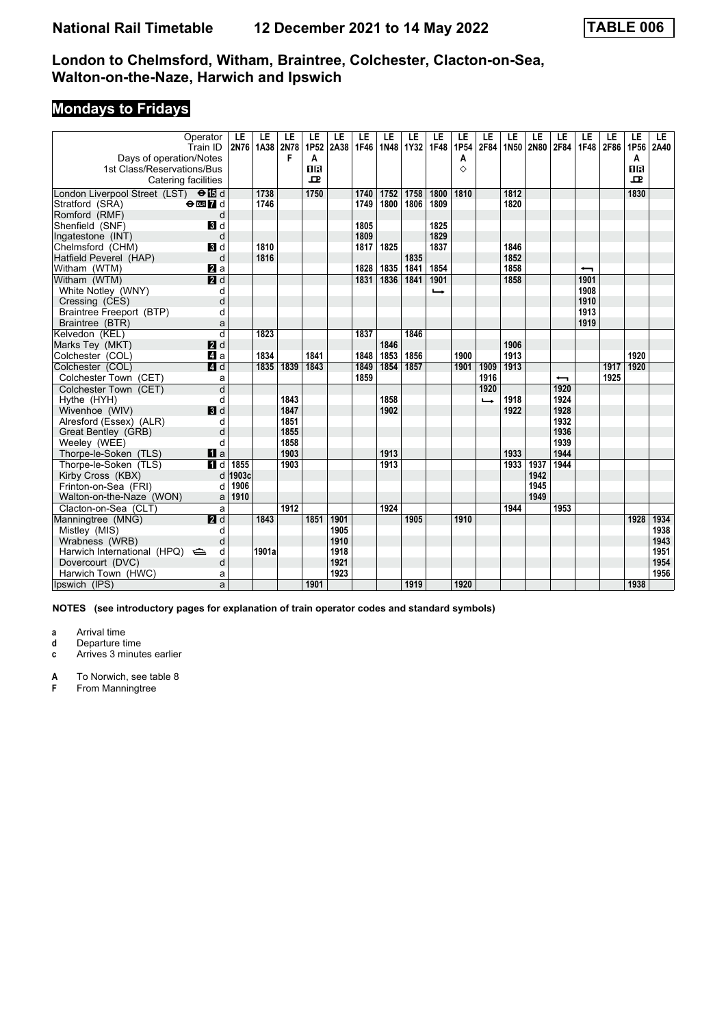# **Mondays to Fridays**

| Operator                                    | Train ID                         | LE      | LE<br>2N76 1A38 | LE<br><b>2N78</b> | LE<br>1P <sub>52</sub> | LE<br>2A38 | LE<br>1F46 | LE<br>1N48 | LE<br>1Y32 | LE<br><b>1F48</b> | LE<br>1P54 | LE<br>2F84    | LE   | LE<br>1N50 2N80 2F84 | LE                       | LE<br>1F48 2F86          | LE   | LE<br>1P56 | LE.<br>2A40 |
|---------------------------------------------|----------------------------------|---------|-----------------|-------------------|------------------------|------------|------------|------------|------------|-------------------|------------|---------------|------|----------------------|--------------------------|--------------------------|------|------------|-------------|
| Days of operation/Notes                     |                                  |         |                 | F                 | A                      |            |            |            |            |                   | A          |               |      |                      |                          |                          |      | A          |             |
| 1st Class/Reservations/Bus                  |                                  |         |                 |                   | ПR                     |            |            |            |            |                   | ♦          |               |      |                      |                          |                          |      | <b>OR</b>  |             |
| Catering facilities                         |                                  |         |                 |                   | $\mathbf{p}$           |            |            |            |            |                   |            |               |      |                      |                          |                          |      | ᅭ          |             |
| London Liverpool Street (LST) $\Theta$ is d |                                  |         | 1738            |                   | 1750                   |            | 1740       | 1752       | 1758       | 1800              | 1810       |               | 1812 |                      |                          |                          |      | 1830       |             |
| Stratford (SRA)                             | $\Theta$ or $\boldsymbol{\Pi}$ d |         | 1746            |                   |                        |            | 1749       | 1800       | 1806       | 1809              |            |               | 1820 |                      |                          |                          |      |            |             |
| Romford (RMF)                               | d                                |         |                 |                   |                        |            |            |            |            |                   |            |               |      |                      |                          |                          |      |            |             |
| Shenfield (SNF)                             | <b>3</b> d                       |         |                 |                   |                        |            | 1805       |            |            | 1825              |            |               |      |                      |                          |                          |      |            |             |
| Ingatestone (INT)                           | d                                |         |                 |                   |                        |            | 1809       |            |            | 1829              |            |               |      |                      |                          |                          |      |            |             |
| Chelmsford (CHM)                            | $\mathbf{B}$ d                   |         | 1810            |                   |                        |            | 1817       | 1825       |            | 1837              |            |               | 1846 |                      |                          |                          |      |            |             |
| Hatfield Peverel (HAP)                      | d                                |         | 1816            |                   |                        |            |            |            | 1835       |                   |            |               | 1852 |                      |                          |                          |      |            |             |
| Witham (WTM)                                | <b>Z</b> a                       |         |                 |                   |                        |            | 1828       | 1835       | 1841       | 1854              |            |               | 1858 |                      |                          | $\overline{\phantom{0}}$ |      |            |             |
| Witham (WTM)                                | $\overline{\mathbf{Z}}$ d        |         |                 |                   |                        |            | 1831       | 1836       | 1841       | 1901              |            |               | 1858 |                      |                          | 1901                     |      |            |             |
| White Notley (WNY)                          | d                                |         |                 |                   |                        |            |            |            |            | $\rightarrow$     |            |               |      |                      |                          | 1908                     |      |            |             |
| Cressing (CES)                              | d                                |         |                 |                   |                        |            |            |            |            |                   |            |               |      |                      |                          | 1910                     |      |            |             |
| Braintree Freeport (BTP)                    | d                                |         |                 |                   |                        |            |            |            |            |                   |            |               |      |                      |                          | 1913                     |      |            |             |
| Braintree (BTR)                             | a                                |         |                 |                   |                        |            |            |            |            |                   |            |               |      |                      |                          | 1919                     |      |            |             |
| Kelvedon (KEL)                              | $\overline{d}$                   |         | 1823            |                   |                        |            | 1837       |            | 1846       |                   |            |               |      |                      |                          |                          |      |            |             |
| Marks Tey (MKT)                             | 2d                               |         |                 |                   |                        |            |            | 1846       |            |                   |            |               | 1906 |                      |                          |                          |      |            |             |
| Colchester (COL)                            | ZI a                             |         | 1834            |                   | 1841                   |            | 1848       | 1853       | 1856       |                   | 1900       |               | 1913 |                      |                          |                          |      | 1920       |             |
| Colchester (COL)                            | 4d                               |         | 1835            | 1839              | 1843                   |            | 1849       | 1854       | 1857       |                   | 1901       | 1909          | 1913 |                      |                          |                          | 1917 | 1920       |             |
| Colchester Town (CET)                       | a                                |         |                 |                   |                        |            | 1859       |            |            |                   |            | 1916          |      |                      | $\overline{\phantom{0}}$ |                          | 1925 |            |             |
| Colchester Town (CET)                       | $\overline{\mathsf{d}}$          |         |                 |                   |                        |            |            |            |            |                   |            | 1920          |      |                      | 1920                     |                          |      |            |             |
| Hythe (HYH)                                 | d                                |         |                 | 1843              |                        |            |            | 1858       |            |                   |            | $\rightarrow$ | 1918 |                      | 1924                     |                          |      |            |             |
| Wivenhoe (WIV)                              | $\blacksquare$                   |         |                 | 1847              |                        |            |            | 1902       |            |                   |            |               | 1922 |                      | 1928                     |                          |      |            |             |
| Alresford (Essex) (ALR)                     | d                                |         |                 | 1851              |                        |            |            |            |            |                   |            |               |      |                      | 1932                     |                          |      |            |             |
| Great Bentley (GRB)                         | d                                |         |                 | 1855              |                        |            |            |            |            |                   |            |               |      |                      | 1936                     |                          |      |            |             |
| Weeley (WEE)                                | d                                |         |                 | 1858              |                        |            |            |            |            |                   |            |               |      |                      | 1939                     |                          |      |            |             |
| Thorpe-le-Soken (TLS)                       | $\blacksquare$ a                 |         |                 | 1903              |                        |            |            | 1913       |            |                   |            |               | 1933 |                      | 1944                     |                          |      |            |             |
| Thorpe-le-Soken (TLS)                       | $\blacksquare$                   | 1855    |                 | 1903              |                        |            |            | 1913       |            |                   |            |               | 1933 | 1937                 | 1944                     |                          |      |            |             |
| Kirby Cross (KBX)                           |                                  | d 1903c |                 |                   |                        |            |            |            |            |                   |            |               |      | 1942                 |                          |                          |      |            |             |
| Frinton-on-Sea (FRI)                        | d                                | 1906    |                 |                   |                        |            |            |            |            |                   |            |               |      | 1945                 |                          |                          |      |            |             |
| Walton-on-the-Naze (WON)                    | a                                | 1910    |                 |                   |                        |            |            |            |            |                   |            |               |      | 1949                 |                          |                          |      |            |             |
| Clacton-on-Sea (CLT)                        | a                                |         |                 | 1912              |                        |            |            | 1924       |            |                   |            |               | 1944 |                      | 1953                     |                          |      |            |             |
| Manningtree (MNG)                           | 2d                               |         | 1843            |                   | 1851                   | 1901       |            |            | 1905       |                   | 1910       |               |      |                      |                          |                          |      | 1928       | 1934        |
| Mistley (MIS)                               | d                                |         |                 |                   |                        | 1905       |            |            |            |                   |            |               |      |                      |                          |                          |      |            | 1938        |
| Wrabness (WRB)                              | d                                |         |                 |                   |                        | 1910       |            |            |            |                   |            |               |      |                      |                          |                          |      |            | 1943        |
| Harwich International (HPQ)                 | d                                |         | 1901a           |                   |                        | 1918       |            |            |            |                   |            |               |      |                      |                          |                          |      |            | 1951        |
| Dovercourt (DVC)                            | d                                |         |                 |                   |                        | 1921       |            |            |            |                   |            |               |      |                      |                          |                          |      |            | 1954        |
| Harwich Town (HWC)                          | a                                |         |                 |                   |                        | 1923       |            |            |            |                   |            |               |      |                      |                          |                          |      |            | 1956        |
| Ipswich (IPS)                               | a                                |         |                 |                   | 1901                   |            |            |            | 1919       |                   | 1920       |               |      |                      |                          |                          |      | 1938       |             |

**NOTES (see introductory pages for explanation of train operator codes and standard symbols)**

- **a** Arrival time<br>**d** Departure t
- **d** Departure time
- **c** Arrives 3 minutes earlier

**A** To Norwich, see table 8<br>**F** From Manningtree **F** From Manningtree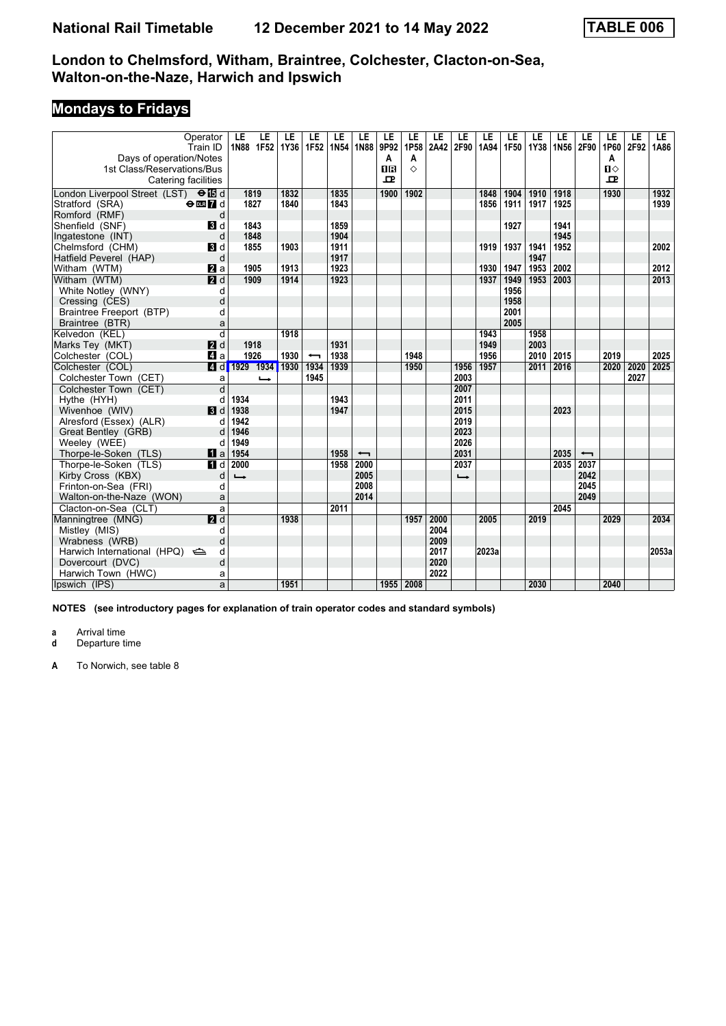# **Mondays to Fridays**

|                                             | Operator<br>Train ID         | LE                       | LE<br>1N88 1F52 | LE<br>1Y36 | LE<br><b>1F52</b>        | LE<br><b>1N54</b> | LE<br><b>1N88</b>        | LE<br>9P92 | LE<br>1P58 | LE<br>2A42   | LE<br>2F90    | LE<br>1A94 | LE<br>1F50 | LE<br>1Y38 | LE   | LE<br>1N56 2F90          | LE<br>1P60   | LE<br> 2F92 | LE.<br>1A86 |
|---------------------------------------------|------------------------------|--------------------------|-----------------|------------|--------------------------|-------------------|--------------------------|------------|------------|--------------|---------------|------------|------------|------------|------|--------------------------|--------------|-------------|-------------|
| Days of operation/Notes                     |                              |                          |                 |            |                          |                   |                          | Α          | A          |              |               |            |            |            |      |                          | A            |             |             |
| 1st Class/Reservations/Bus                  |                              |                          |                 |            |                          |                   |                          | 08         | ♦          |              |               |            |            |            |      |                          | $\mathbf{u}$ |             |             |
| Catering facilities                         |                              |                          |                 |            |                          |                   |                          | 모          |            |              |               |            |            |            |      |                          | 묘            |             |             |
| London Liverpool Street (LST) $\Theta$ is d |                              | 1819                     |                 | 1832       |                          | 1835              |                          | 1900       | 1902       |              |               | 1848       | 1904       | 1910       | 1918 |                          | 1930         |             | 1932        |
| Stratford (SRA)                             | $\Theta$ DE $\overline{7}$ d | 1827                     |                 | 1840       |                          | 1843              |                          |            |            |              |               | 1856       | 1911       | 1917       | 1925 |                          |              |             | 1939        |
| Romford (RMF)                               | d                            |                          |                 |            |                          |                   |                          |            |            |              |               |            |            |            |      |                          |              |             |             |
| Shenfield (SNF)                             | <b>B</b> Id                  |                          | 1843            |            |                          | 1859              |                          |            |            |              |               |            | 1927       |            | 1941 |                          |              |             |             |
| Ingatestone (INT)                           | d                            | 1848                     |                 |            |                          | 1904              |                          |            |            |              |               |            |            |            | 1945 |                          |              |             |             |
| Chelmsford (CHM)                            | $\blacksquare$               | 1855                     |                 | 1903       |                          | 1911              |                          |            |            |              |               | 1919       | 1937       | 1941       | 1952 |                          |              |             | 2002        |
| Hatfield Peverel (HAP)                      | d                            |                          |                 |            |                          | 1917              |                          |            |            |              |               |            |            | 1947       |      |                          |              |             |             |
| Witham (WTM)                                | <b>Z</b> a                   | 1905                     |                 | 1913       |                          | 1923              |                          |            |            |              |               | 1930       | 1947       | 1953       | 2002 |                          |              |             | 2012        |
| Witham (WTM)                                | $\overline{\mathbf{Z}}$ d    | 1909                     |                 | 1914       |                          | 1923              |                          |            |            |              |               | 1937       | 1949       | 1953       | 2003 |                          |              |             | 2013        |
| White Notley (WNY)                          | d                            |                          |                 |            |                          |                   |                          |            |            |              |               |            | 1956       |            |      |                          |              |             |             |
| Cressing (CES)                              | d                            |                          |                 |            |                          |                   |                          |            |            |              |               |            | 1958       |            |      |                          |              |             |             |
| Braintree Freeport (BTP)                    | d                            |                          |                 |            |                          |                   |                          |            |            |              |               |            | 2001       |            |      |                          |              |             |             |
| Braintree (BTR)                             | a                            |                          |                 |            |                          |                   |                          |            |            |              |               |            | 2005       |            |      |                          |              |             |             |
| Kelvedon (KEL)                              | $\overline{d}$               |                          |                 | 1918       |                          |                   |                          |            |            |              |               | 1943       |            | 1958       |      |                          |              |             |             |
| Marks Tey (MKT)                             | <b>2</b> d                   | 1918                     |                 |            |                          | 1931              |                          |            |            |              |               | 1949       |            | 2003       |      |                          |              |             |             |
| Colchester (COL)                            | $\blacksquare$ a             | 1926                     |                 | 1930       | $\overline{\phantom{0}}$ | 1938              |                          |            | 1948       |              |               | 1956       |            | 2010       | 2015 |                          | 2019         |             | 2025        |
| Colchester (COL)                            | $A$ d                        | 1929 1934                |                 | 1930       | 1934                     | 1939              |                          |            | 1950       |              | 1956          | 1957       |            | 2011       | 2016 |                          | 2020         | 2020        | 2025        |
| Colchester Town (CET)                       | a                            |                          | $\rightarrow$   |            | 1945                     |                   |                          |            |            |              | 2003          |            |            |            |      |                          |              | 2027        |             |
| Colchester Town (CET)                       | $\overline{\mathsf{d}}$      |                          |                 |            |                          |                   |                          |            |            |              | 2007          |            |            |            |      |                          |              |             |             |
| Hythe (HYH)                                 | d                            | 1934                     |                 |            |                          | 1943              |                          |            |            |              | 2011          |            |            |            |      |                          |              |             |             |
| Wivenhoe (WIV)                              | $\blacksquare$               | 1938                     |                 |            |                          | 1947              |                          |            |            |              | 2015          |            |            |            | 2023 |                          |              |             |             |
| Alresford (Essex) (ALR)                     | d                            | 1942                     |                 |            |                          |                   |                          |            |            |              | 2019          |            |            |            |      |                          |              |             |             |
| Great Bentley (GRB)                         | d                            | 1946                     |                 |            |                          |                   |                          |            |            |              | 2023          |            |            |            |      |                          |              |             |             |
| Weeley (WEE)                                | d                            | 1949                     |                 |            |                          |                   |                          |            |            |              | 2026          |            |            |            |      |                          |              |             |             |
| Thorpe-le-Soken (TLS)                       | $\mathbf{u}$ a               | 1954                     |                 |            |                          | 1958              | $\overline{\phantom{0}}$ |            |            |              | 2031          |            |            |            | 2035 | $\overline{\phantom{0}}$ |              |             |             |
| Thorpe-le-Soken (TLS)                       | $\blacksquare$               | 2000                     |                 |            |                          | 1958              | 2000                     |            |            |              | 2037          |            |            |            | 2035 | 2037                     |              |             |             |
| Kirby Cross (KBX)                           | d                            | $\overline{\phantom{a}}$ |                 |            |                          |                   | 2005                     |            |            |              | $\rightarrow$ |            |            |            |      | 2042                     |              |             |             |
| Frinton-on-Sea (FRI)                        | d                            |                          |                 |            |                          |                   | 2008                     |            |            |              |               |            |            |            |      | 2045                     |              |             |             |
| Walton-on-the-Naze (WON)                    | a                            |                          |                 |            |                          |                   | 2014                     |            |            |              |               |            |            |            |      | 2049                     |              |             |             |
| Clacton-on-Sea (CLT)                        | a                            |                          |                 |            |                          | 2011              |                          |            |            |              |               |            |            |            | 2045 |                          |              |             |             |
| Manningtree (MNG)                           | $\blacksquare$               |                          |                 | 1938       |                          |                   |                          |            | 1957       | 2000         |               | 2005       |            | 2019       |      |                          | 2029         |             | 2034        |
| Mistley (MIS)                               | d                            |                          |                 |            |                          |                   |                          |            |            | 2004         |               |            |            |            |      |                          |              |             |             |
| Wrabness (WRB)                              | d                            |                          |                 |            |                          |                   |                          |            |            | 2009         |               |            |            |            |      |                          |              |             |             |
| Harwich International (HPQ)                 | d<br>d                       |                          |                 |            |                          |                   |                          |            |            | 2017<br>2020 |               | 2023a      |            |            |      |                          |              |             | 2053a       |
| Dovercourt (DVC)<br>Harwich Town (HWC)      |                              |                          |                 |            |                          |                   |                          |            |            | 2022         |               |            |            |            |      |                          |              |             |             |
| Ipswich (IPS)                               | a<br>a                       |                          |                 | 1951       |                          |                   |                          | 1955       | 2008       |              |               |            |            | 2030       |      |                          | 2040         |             |             |
|                                             |                              |                          |                 |            |                          |                   |                          |            |            |              |               |            |            |            |      |                          |              |             |             |

**NOTES (see introductory pages for explanation of train operator codes and standard symbols)**

**a** Arrival time<br>**d** Departure t

**d** Departure time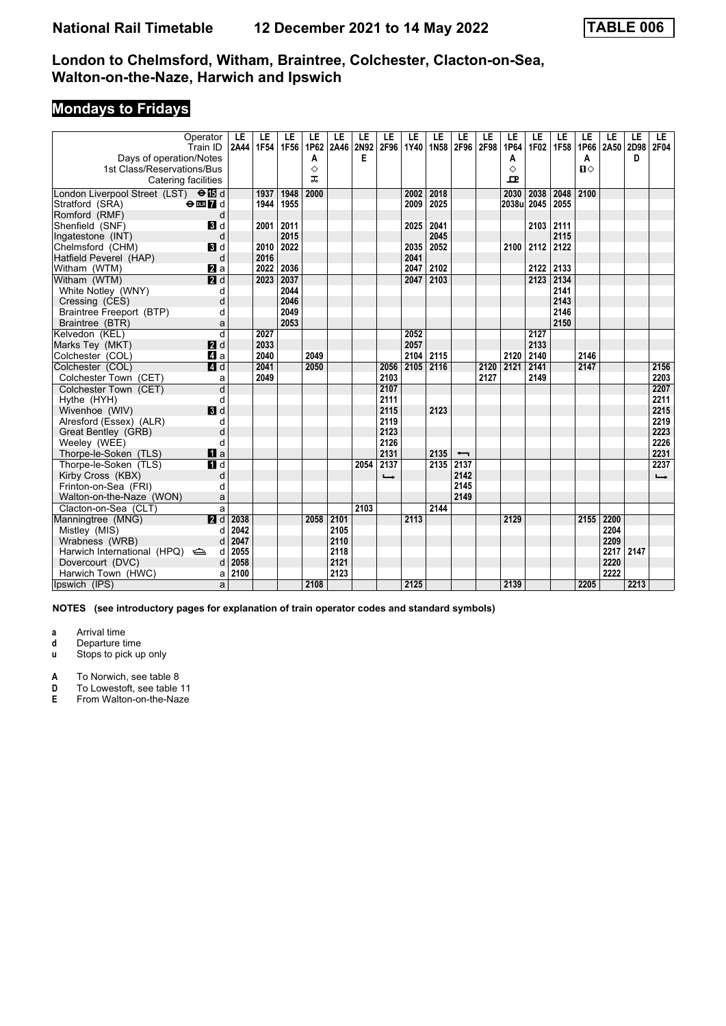# **Mondays to Fridays**

|                                                    | Operator<br>Train ID   | LE<br>2A44 | LE<br><b>1F54</b> | LE<br>1F56 | LE<br>1P62 | LE<br>2A46 | LE<br>2N92 | LE<br>2F96    | LE<br>1Y40 | LE<br><b>1N58</b> | LE<br>2F96               | LE<br>2F98 | LE<br>1P64   | LE<br><b>1F02</b> | LE<br>1F58 | LE           | LE<br>1P66 2A50 2D98 | LE   | LE.<br><b>2F04</b> |
|----------------------------------------------------|------------------------|------------|-------------------|------------|------------|------------|------------|---------------|------------|-------------------|--------------------------|------------|--------------|-------------------|------------|--------------|----------------------|------|--------------------|
| Days of operation/Notes                            |                        |            |                   |            | A          |            | E          |               |            |                   |                          |            | Α            |                   |            | A            |                      | D    |                    |
| 1st Class/Reservations/Bus                         |                        |            |                   |            | ♦          |            |            |               |            |                   |                          |            | ♦            |                   |            | $\mathbf{u}$ |                      |      |                    |
| Catering facilities                                |                        |            |                   |            | ᠼ          |            |            |               |            |                   |                          |            | $\mathbf{P}$ |                   |            |              |                      |      |                    |
| London Liverpool Street (LST) $\Theta$ <b>is</b> d |                        |            | 1937              | 1948       | 2000       |            |            |               | 2002       | 2018              |                          |            | 2030         | 2038              | 2048       | 2100         |                      |      |                    |
| Stratford (SRA)                                    | $\Theta$ or $\bf{Z}$ d |            | 1944              | 1955       |            |            |            |               | 2009       | 2025              |                          |            | 2038ul       | 2045              | 2055       |              |                      |      |                    |
| Romford (RMF)                                      | d                      |            |                   |            |            |            |            |               |            |                   |                          |            |              |                   |            |              |                      |      |                    |
| Shenfield (SNF)                                    | <b>8</b> d             |            | 2001              | 2011       |            |            |            |               | 2025       | 2041              |                          |            |              | 2103              | 2111       |              |                      |      |                    |
| Ingatestone (INT)                                  | d                      |            |                   | 2015       |            |            |            |               |            | 2045              |                          |            |              |                   | 2115       |              |                      |      |                    |
| Chelmsford (CHM)                                   | $\blacksquare$         |            | 2010              | 2022       |            |            |            |               | 2035       | 2052              |                          |            | 2100         | 2112              | 2122       |              |                      |      |                    |
| Hatfield Peverel (HAP)                             | d                      |            | 2016              |            |            |            |            |               | 2041       |                   |                          |            |              |                   |            |              |                      |      |                    |
| Witham (WTM)                                       | $\mathbf{z}$ a         |            | 2022              | 2036       |            |            |            |               | 2047       | 2102              |                          |            |              | 2122              | 2133       |              |                      |      |                    |
| Witham (WTM)                                       | $P$ d                  |            | 2023              | 2037       |            |            |            |               | 2047       | 2103              |                          |            |              | 2123              | 2134       |              |                      |      |                    |
| White Notley (WNY)                                 | d                      |            |                   | 2044       |            |            |            |               |            |                   |                          |            |              |                   | 2141       |              |                      |      |                    |
| Cressing (CES)                                     | d                      |            |                   | 2046       |            |            |            |               |            |                   |                          |            |              |                   | 2143       |              |                      |      |                    |
| Braintree Freeport (BTP)                           | d                      |            |                   | 2049       |            |            |            |               |            |                   |                          |            |              |                   | 2146       |              |                      |      |                    |
| Braintree (BTR)                                    | a                      |            |                   | 2053       |            |            |            |               |            |                   |                          |            |              |                   | 2150       |              |                      |      |                    |
| Kelvedon (KEL)                                     | $\overline{d}$         |            | 2027              |            |            |            |            |               | 2052       |                   |                          |            |              | 2127              |            |              |                      |      |                    |
| Marks Tey (MKT)                                    | <b>2</b> d             |            | 2033              |            |            |            |            |               | 2057       |                   |                          |            |              | 2133              |            |              |                      |      |                    |
| Colchester (COL)                                   | ZI a                   |            | 2040              |            | 2049       |            |            |               | 2104       | 2115              |                          |            | 2120         | 2140              |            | 2146         |                      |      |                    |
| Colchester (COL)                                   | $\blacksquare$         |            | 2041              |            | 2050       |            |            | 2056          | 2105       | 2116              |                          | 2120       | 2121         | 2141              |            | 2147         |                      |      | 2156               |
| Colchester Town (CET)                              | a                      |            | 2049              |            |            |            |            | 2103          |            |                   |                          | 2127       |              | 2149              |            |              |                      |      | 2203               |
| Colchester Town (CET)                              | d                      |            |                   |            |            |            |            | 2107          |            |                   |                          |            |              |                   |            |              |                      |      | 2207               |
| Hythe (HYH)                                        | d                      |            |                   |            |            |            |            | 2111          |            |                   |                          |            |              |                   |            |              |                      |      | 2211               |
| Wivenhoe (WIV)                                     | $\blacksquare$         |            |                   |            |            |            |            | 2115          |            | 2123              |                          |            |              |                   |            |              |                      |      | 2215               |
| Alresford (Essex) (ALR)                            | d                      |            |                   |            |            |            |            | 2119          |            |                   |                          |            |              |                   |            |              |                      |      | 2219               |
| Great Bentley (GRB)                                | d                      |            |                   |            |            |            |            | 2123          |            |                   |                          |            |              |                   |            |              |                      |      | 2223               |
| Weeley (WEE)                                       | d                      |            |                   |            |            |            |            | 2126          |            |                   |                          |            |              |                   |            |              |                      |      | 2226               |
| Thorpe-le-Soken (TLS)                              | $\mathbf{u}$ a         |            |                   |            |            |            |            | 2131          |            | 2135              | $\overline{\phantom{0}}$ |            |              |                   |            |              |                      |      | 2231               |
| Thorpe-le-Soken (TLS)                              | $\P$ d                 |            |                   |            |            |            | 2054       | 2137          |            | 2135              | 2137                     |            |              |                   |            |              |                      |      | 2237               |
| Kirby Cross (KBX)                                  | d                      |            |                   |            |            |            |            | $\rightarrow$ |            |                   | 2142                     |            |              |                   |            |              |                      |      | $\rightarrow$      |
| Frinton-on-Sea (FRI)                               | d                      |            |                   |            |            |            |            |               |            |                   | 2145                     |            |              |                   |            |              |                      |      |                    |
| Walton-on-the-Naze (WON)                           | a                      |            |                   |            |            |            |            |               |            |                   | 2149                     |            |              |                   |            |              |                      |      |                    |
| Clacton-on-Sea (CLT)                               | a                      |            |                   |            |            |            | 2103       |               |            | 2144              |                          |            |              |                   |            |              |                      |      |                    |
| Manningtree (MNG)                                  | 2d                     | 2038       |                   |            | 2058       | 2101       |            |               | 2113       |                   |                          |            | 2129         |                   |            | 2155 2200    |                      |      |                    |
| Mistley (MIS)                                      | d                      | 2042       |                   |            |            | 2105       |            |               |            |                   |                          |            |              |                   |            |              | 2204                 |      |                    |
| Wrabness (WRB)                                     | d                      | 2047       |                   |            |            | 2110       |            |               |            |                   |                          |            |              |                   |            |              | 2209                 |      |                    |
| Harwich International (HPQ) <                      | d                      | 2055       |                   |            |            | 2118       |            |               |            |                   |                          |            |              |                   |            |              | 2217                 | 2147 |                    |
| Dovercourt (DVC)                                   | d                      | 2058       |                   |            |            | 2121       |            |               |            |                   |                          |            |              |                   |            |              | 2220                 |      |                    |
| Harwich Town (HWC)                                 | a                      | 2100       |                   |            |            | 2123       |            |               |            |                   |                          |            |              |                   |            |              | 2222                 |      |                    |
| Ipswich (IPS)                                      | a                      |            |                   |            | 2108       |            |            |               | 2125       |                   |                          |            | 2139         |                   |            | 2205         |                      | 2213 |                    |

**NOTES (see introductory pages for explanation of train operator codes and standard symbols)**

**a** Arrival time<br>**d** Departure t

**d** Departure time

**u** Stops to pick up only

**A** To Norwich, see table 8<br>**D** To Lowestoft, see table

**D** To Lowestoft, see table 11<br>**E** From Walton-on-the-Naze

**From Walton-on-the-Naze**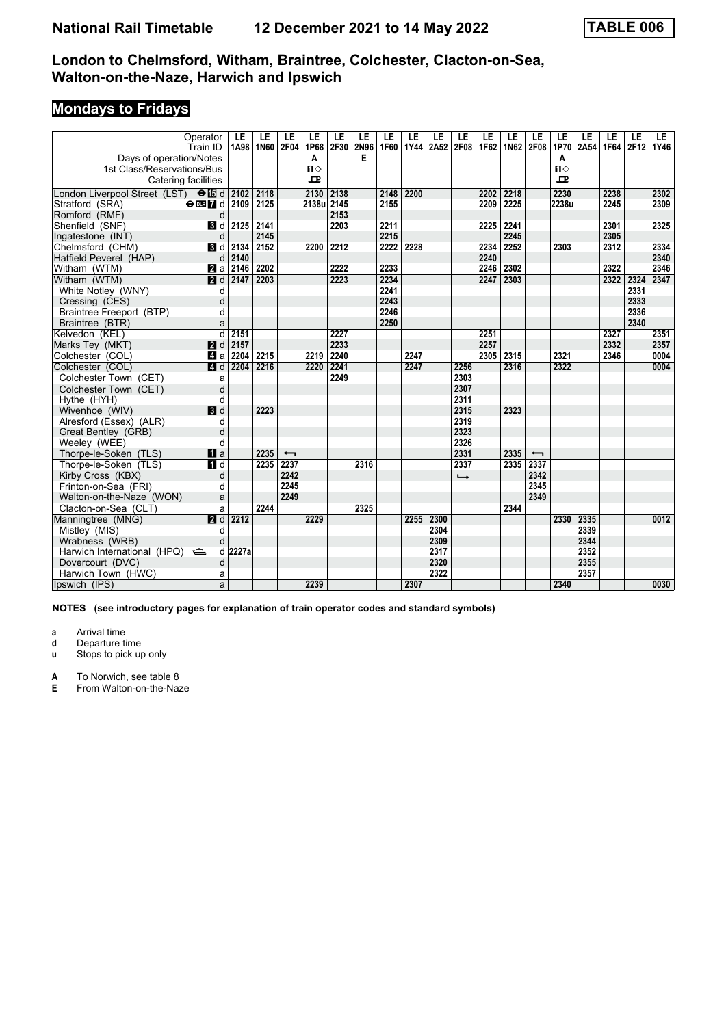# **Mondays to Fridays**

| Operator<br>Train ID                                                                                                                                                                                                                                                                                                                                                                                                                                                                                         | LE<br>1A98                      | LE<br><b>1N60</b> | LE<br>2F04               | LE<br>1P68   | LE<br>2F30 | LE<br>2N96 | LE<br>1F60 | LE<br>1Y44 | LE<br>2A52 | LE<br>2F08    | LE<br>1F62 | LE<br>1N62 | LE<br>2F08               | LE<br>1P70   | LE<br>2A54 | LE<br>1F64 | LE<br>2F12 | LE.<br>1Y46 |
|--------------------------------------------------------------------------------------------------------------------------------------------------------------------------------------------------------------------------------------------------------------------------------------------------------------------------------------------------------------------------------------------------------------------------------------------------------------------------------------------------------------|---------------------------------|-------------------|--------------------------|--------------|------------|------------|------------|------------|------------|---------------|------------|------------|--------------------------|--------------|------------|------------|------------|-------------|
| Days of operation/Notes                                                                                                                                                                                                                                                                                                                                                                                                                                                                                      |                                 |                   |                          | A            |            | Е          |            |            |            |               |            |            |                          | A            |            |            |            |             |
| 1st Class/Reservations/Bus                                                                                                                                                                                                                                                                                                                                                                                                                                                                                   |                                 |                   |                          | $\mathbf{u}$ |            |            |            |            |            |               |            |            |                          | $\mathbf{u}$ |            |            |            |             |
| Catering facilities                                                                                                                                                                                                                                                                                                                                                                                                                                                                                          |                                 |                   |                          | $\mathbf{P}$ |            |            |            |            |            |               |            |            |                          | ᇁ            |            |            |            |             |
| London Liverpool Street (LST) $\Theta$ <b>is</b> d 2102                                                                                                                                                                                                                                                                                                                                                                                                                                                      |                                 | 2118              |                          | 2130         | 2138       |            | 2148       | 2200       |            |               | 2202       | 2218       |                          | 2230         |            | 2238       |            | 2302        |
| Stratford (SRA)<br>$\Theta$ $\blacksquare$ $\blacksquare$ $\blacksquare$ $\blacksquare$ $\blacksquare$ $\blacksquare$ $\blacksquare$ $\blacksquare$ $\blacksquare$ $\blacksquare$ $\blacksquare$ $\blacksquare$ $\blacksquare$ $\blacksquare$ $\blacksquare$ $\blacksquare$ $\blacksquare$ $\blacksquare$ $\blacksquare$ $\blacksquare$ $\blacksquare$ $\blacksquare$ $\blacksquare$ $\blacksquare$ $\blacksquare$ $\blacksquare$ $\blacksquare$ $\blacksquare$ $\blacksquare$ $\blacksquare$ $\blacksquare$ |                                 | 2125              |                          | 2138u        | 2145       |            | 2155       |            |            |               | 2209       | 2225       |                          | 2238u        |            | 2245       |            | 2309        |
| Romford (RMF)                                                                                                                                                                                                                                                                                                                                                                                                                                                                                                | d                               |                   |                          |              | 2153       |            |            |            |            |               |            |            |                          |              |            |            |            |             |
| Shenfield (SNF)<br>BI d                                                                                                                                                                                                                                                                                                                                                                                                                                                                                      | 2125                            | 2141              |                          |              | 2203       |            | 2211       |            |            |               | 2225       | 2241       |                          |              |            | 2301       |            | 2325        |
| Ingatestone (INT)                                                                                                                                                                                                                                                                                                                                                                                                                                                                                            | d                               | 2145              |                          |              |            |            | 2215       |            |            |               |            | 2245       |                          |              |            | 2305       |            |             |
| Chelmsford (CHM)<br><b>B</b> Id                                                                                                                                                                                                                                                                                                                                                                                                                                                                              | 2134                            | 2152              |                          | 2200         | 2212       |            | 2222       | 2228       |            |               | 2234       | 2252       |                          | 2303         |            | 2312       |            | 2334        |
| Hatfield Peverel (HAP)                                                                                                                                                                                                                                                                                                                                                                                                                                                                                       | $d$ 2140                        |                   |                          |              |            |            |            |            |            |               | 2240       |            |                          |              |            |            |            | 2340        |
| Witham (WTM)                                                                                                                                                                                                                                                                                                                                                                                                                                                                                                 | <b>2</b> a 2146                 | 2202              |                          |              | 2222       |            | 2233       |            |            |               | 2246       | 2302       |                          |              |            | 2322       |            | 2346        |
| Witham (WTM)<br><b>2</b> d                                                                                                                                                                                                                                                                                                                                                                                                                                                                                   | 2147                            | 2203              |                          |              | 2223       |            | 2234       |            |            |               | 2247       | 2303       |                          |              |            | 2322       | 2324       | 2347        |
| White Notley (WNY)                                                                                                                                                                                                                                                                                                                                                                                                                                                                                           | d                               |                   |                          |              |            |            | 2241       |            |            |               |            |            |                          |              |            |            | 2331       |             |
| Cressing (CES)                                                                                                                                                                                                                                                                                                                                                                                                                                                                                               | d                               |                   |                          |              |            |            | 2243       |            |            |               |            |            |                          |              |            |            | 2333       |             |
| Braintree Freeport (BTP)                                                                                                                                                                                                                                                                                                                                                                                                                                                                                     | d                               |                   |                          |              |            |            | 2246       |            |            |               |            |            |                          |              |            |            | 2336       |             |
| Braintree (BTR)                                                                                                                                                                                                                                                                                                                                                                                                                                                                                              | a                               |                   |                          |              |            |            | 2250       |            |            |               |            |            |                          |              |            |            | 2340       |             |
| Kelvedon (KEL)                                                                                                                                                                                                                                                                                                                                                                                                                                                                                               | $\overline{\mathsf{d}}$<br>2151 |                   |                          |              | 2227       |            |            |            |            |               | 2251       |            |                          |              |            | 2327       |            | 2351        |
| Marks Tey (MKT)                                                                                                                                                                                                                                                                                                                                                                                                                                                                                              | $21$ d $2157$                   |                   |                          |              | 2233       |            |            |            |            |               | 2257       |            |                          |              |            | 2332       |            | 2357        |
| Colchester (COL)                                                                                                                                                                                                                                                                                                                                                                                                                                                                                             | $\blacksquare$ a 2204           | 2215              |                          | 2219         | 2240       |            |            | 2247       |            |               | 2305       | 2315       |                          | 2321         |            | 2346       |            | 0004        |
| Colchester (COL)<br>$\blacksquare$ d                                                                                                                                                                                                                                                                                                                                                                                                                                                                         | 2204                            | 2216              |                          | 2220         | 2241       |            |            | 2247       |            | 2256          |            | 2316       |                          | 2322         |            |            |            | 0004        |
| Colchester Town (CET)                                                                                                                                                                                                                                                                                                                                                                                                                                                                                        | a                               |                   |                          |              | 2249       |            |            |            |            | 2303          |            |            |                          |              |            |            |            |             |
| Colchester Town (CET)                                                                                                                                                                                                                                                                                                                                                                                                                                                                                        | $\overline{d}$                  |                   |                          |              |            |            |            |            |            | 2307          |            |            |                          |              |            |            |            |             |
| Hythe (HYH)                                                                                                                                                                                                                                                                                                                                                                                                                                                                                                  | d                               |                   |                          |              |            |            |            |            |            | 2311          |            |            |                          |              |            |            |            |             |
| $\blacksquare$<br>Wivenhoe (WIV)                                                                                                                                                                                                                                                                                                                                                                                                                                                                             |                                 | 2223              |                          |              |            |            |            |            |            | 2315          |            | 2323       |                          |              |            |            |            |             |
| Alresford (Essex) (ALR)                                                                                                                                                                                                                                                                                                                                                                                                                                                                                      | d                               |                   |                          |              |            |            |            |            |            | 2319          |            |            |                          |              |            |            |            |             |
| Great Bentley (GRB)                                                                                                                                                                                                                                                                                                                                                                                                                                                                                          | d                               |                   |                          |              |            |            |            |            |            | 2323          |            |            |                          |              |            |            |            |             |
| Weeley (WEE)                                                                                                                                                                                                                                                                                                                                                                                                                                                                                                 | d                               |                   |                          |              |            |            |            |            |            | 2326          |            |            |                          |              |            |            |            |             |
| Thorpe-le-Soken (TLS)<br>$\mathbf{u}$ a                                                                                                                                                                                                                                                                                                                                                                                                                                                                      |                                 | 2235              | $\overline{\phantom{0}}$ |              |            |            |            |            |            | 2331          |            | 2335       | $\overline{\phantom{0}}$ |              |            |            |            |             |
| Thorpe-le-Soken (TLS)<br>$\blacksquare$                                                                                                                                                                                                                                                                                                                                                                                                                                                                      |                                 | 2235              | 2237                     |              |            | 2316       |            |            |            | 2337          |            | 2335       | 2337                     |              |            |            |            |             |
| Kirby Cross (KBX)                                                                                                                                                                                                                                                                                                                                                                                                                                                                                            | d                               |                   | 2242                     |              |            |            |            |            |            | $\rightarrow$ |            |            | 2342                     |              |            |            |            |             |
| Frinton-on-Sea (FRI)                                                                                                                                                                                                                                                                                                                                                                                                                                                                                         | d                               |                   | 2245                     |              |            |            |            |            |            |               |            |            | 2345                     |              |            |            |            |             |
| Walton-on-the-Naze (WON)                                                                                                                                                                                                                                                                                                                                                                                                                                                                                     | a                               |                   | 2249                     |              |            |            |            |            |            |               |            |            | 2349                     |              |            |            |            |             |
| Clacton-on-Sea (CLT)                                                                                                                                                                                                                                                                                                                                                                                                                                                                                         | a                               | 2244              |                          |              |            | 2325       |            |            |            |               |            | 2344       |                          |              |            |            |            |             |
| 2d<br>Manningtree (MNG)                                                                                                                                                                                                                                                                                                                                                                                                                                                                                      | 2212                            |                   |                          | 2229         |            |            |            | 2255       | 2300       |               |            |            |                          | 2330         | 2335       |            |            | 0012        |
| Mistley (MIS)                                                                                                                                                                                                                                                                                                                                                                                                                                                                                                | d                               |                   |                          |              |            |            |            |            | 2304       |               |            |            |                          |              | 2339       |            |            |             |
| Wrabness (WRB)                                                                                                                                                                                                                                                                                                                                                                                                                                                                                               | d                               |                   |                          |              |            |            |            |            | 2309       |               |            |            |                          |              | 2344       |            |            |             |
| Harwich International (HPQ)                                                                                                                                                                                                                                                                                                                                                                                                                                                                                  | 2227a<br>d                      |                   |                          |              |            |            |            |            | 2317       |               |            |            |                          |              | 2352       |            |            |             |
| Dovercourt (DVC)                                                                                                                                                                                                                                                                                                                                                                                                                                                                                             | d                               |                   |                          |              |            |            |            |            | 2320       |               |            |            |                          |              | 2355       |            |            |             |
| Harwich Town (HWC)                                                                                                                                                                                                                                                                                                                                                                                                                                                                                           | a                               |                   |                          |              |            |            |            |            | 2322       |               |            |            |                          |              | 2357       |            |            |             |
| Ipswich (IPS)                                                                                                                                                                                                                                                                                                                                                                                                                                                                                                | a                               |                   |                          | 2239         |            |            |            | 2307       |            |               |            |            |                          | 2340         |            |            |            | 0030        |

**NOTES (see introductory pages for explanation of train operator codes and standard symbols)**

**a** Arrival time<br>**d** Departure t

**d** Departure time

**u** Stops to pick up only

**A** To Norwich, see table 8<br>**E** From Walton-on-the-Na: **From Walton-on-the-Naze**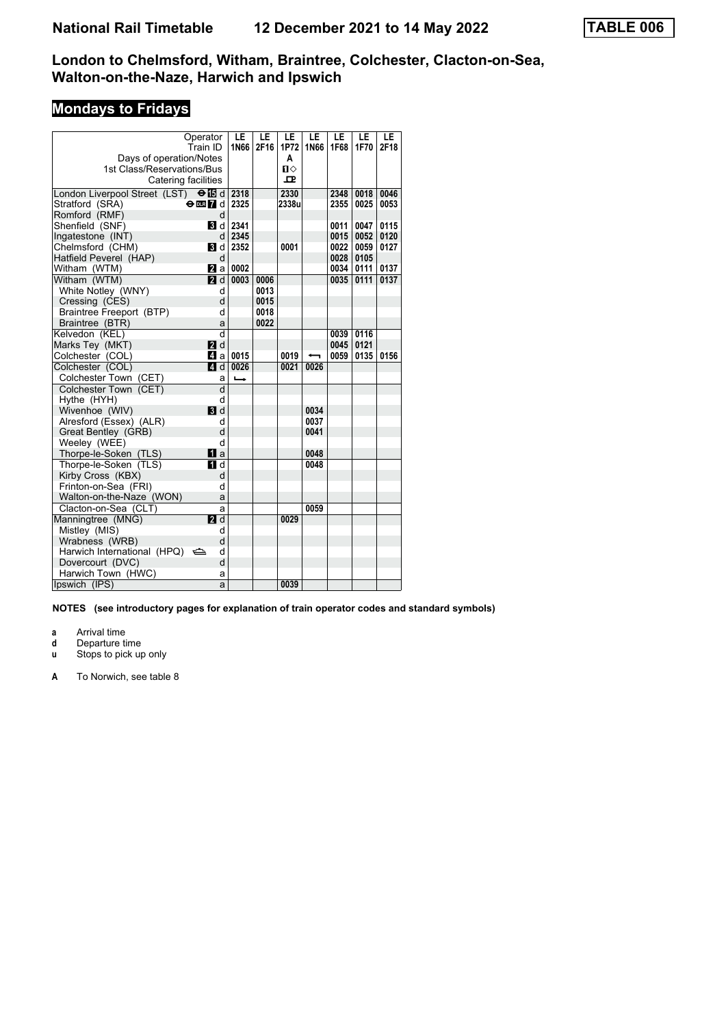# **Mondays to Fridays**

| Operator                                            |                | LE.                             | <b>LE</b> | LE           | LE   | LE   | LE   | LE.  |
|-----------------------------------------------------|----------------|---------------------------------|-----------|--------------|------|------|------|------|
| Train ID                                            |                | 1N66                            | 2F16      | 1P72         | 1N66 | 1F68 | 1F70 | 2F18 |
| Days of operation/Notes                             |                |                                 |           | A            |      |      |      |      |
| 1st Class/Reservations/Bus                          |                |                                 |           | $\mathbf{u}$ |      |      |      |      |
| Catering facilities                                 |                |                                 |           | ᅭ            |      |      |      |      |
| London Liverpool Street (LST)                       |                | $\Theta$ $\overline{15}$ d 2318 |           | 2330         |      | 2348 | 0018 | 0046 |
| Stratford (SRA)<br>$\Theta$ on $\boldsymbol{\Pi}$ d |                | 2325                            |           | 2338u        |      | 2355 | 0025 | 0053 |
| Romford (RMF)                                       | d              |                                 |           |              |      |      |      |      |
| Shenfield (SNF)<br><b>Bi</b> d                      |                | 2341                            |           |              |      | 0011 | 0047 | 0115 |
| Ingatestone (INT)                                   | d              | 2345                            |           |              |      | 0015 | 0052 | 0120 |
| Chelmsford (CHM)<br>BI d                            |                | 2352                            |           | 0001         |      | 0022 | 0059 | 0127 |
| Hatfield Peverel (HAP)                              | d              |                                 |           |              |      | 0028 | 0105 |      |
| Witham (WTM)<br><b>Z</b> la                         |                | 0002                            |           |              |      | 0034 | 0111 | 0137 |
| $\overline{M}$ d<br>Witham (WTM)                    |                | 0003                            | 0006      |              |      | 0035 | 0111 | 0137 |
| White Notley (WNY)                                  | d              |                                 | 0013      |              |      |      |      |      |
| Cressing (CES)                                      | d              |                                 | 0015      |              |      |      |      |      |
| Braintree Freeport (BTP)                            | d              |                                 | 0018      |              |      |      |      |      |
| Braintree (BTR)                                     | a              |                                 | 0022      |              |      |      |      |      |
| Kelvedon (KEL)                                      | d              |                                 |           |              |      | 0039 | 0116 |      |
| 2d<br>Marks Tey (MKT)                               |                |                                 |           |              |      | 0045 | 0121 |      |
| 41 a<br>Colchester (COL)                            |                | 0015                            |           | 0019         |      | 0059 | 0135 | 0156 |
| Colchester (COL)<br>ZI d                            |                | 0026                            |           | 0021         | 0026 |      |      |      |
| Colchester Town (CET)                               | a              | $\rightarrow$                   |           |              |      |      |      |      |
| Colchester Town (CET)                               | $\overline{d}$ |                                 |           |              |      |      |      |      |
| Hythe (HYH)                                         | d              |                                 |           |              |      |      |      |      |
| Wivenhoe (WIV)<br><b>B</b> d                        |                |                                 |           |              | 0034 |      |      |      |
| Alresford (Essex) (ALR)                             | d              |                                 |           |              | 0037 |      |      |      |
| Great Bentley (GRB)                                 | d              |                                 |           |              | 0041 |      |      |      |
| Weeley (WEE)                                        | d              |                                 |           |              |      |      |      |      |
| Thorpe-le-Soken (TLS)<br>$\blacksquare$ a           |                |                                 |           |              | 0048 |      |      |      |
| Thorpe-le-Soken (TLS)<br>$\P$ d                     |                |                                 |           |              | 0048 |      |      |      |
| Kirby Cross (KBX)                                   | d              |                                 |           |              |      |      |      |      |
| Frinton-on-Sea (FRI)                                | d              |                                 |           |              |      |      |      |      |
| Walton-on-the-Naze (WON)                            | a              |                                 |           |              |      |      |      |      |
| Clacton-on-Sea (CLT)                                | a              |                                 |           |              | 0059 |      |      |      |
| Manningtree (MNG)<br>2d                             |                |                                 |           | 0029         |      |      |      |      |
| Mistley (MIS)                                       | d              |                                 |           |              |      |      |      |      |
| Wrabness (WRB)                                      | d              |                                 |           |              |      |      |      |      |
| Harwich International (HPQ)                         | d              |                                 |           |              |      |      |      |      |
| Dovercourt (DVC)                                    | d              |                                 |           |              |      |      |      |      |
| Harwich Town (HWC)                                  | a              |                                 |           |              |      |      |      |      |
| Ipswich (IPS)                                       | a              |                                 |           | 0039         |      |      |      |      |

**NOTES (see introductory pages for explanation of train operator codes and standard symbols)**

**a** Arrival time<br>**d** Departure t

**d** Departure time

**u** Stops to pick up only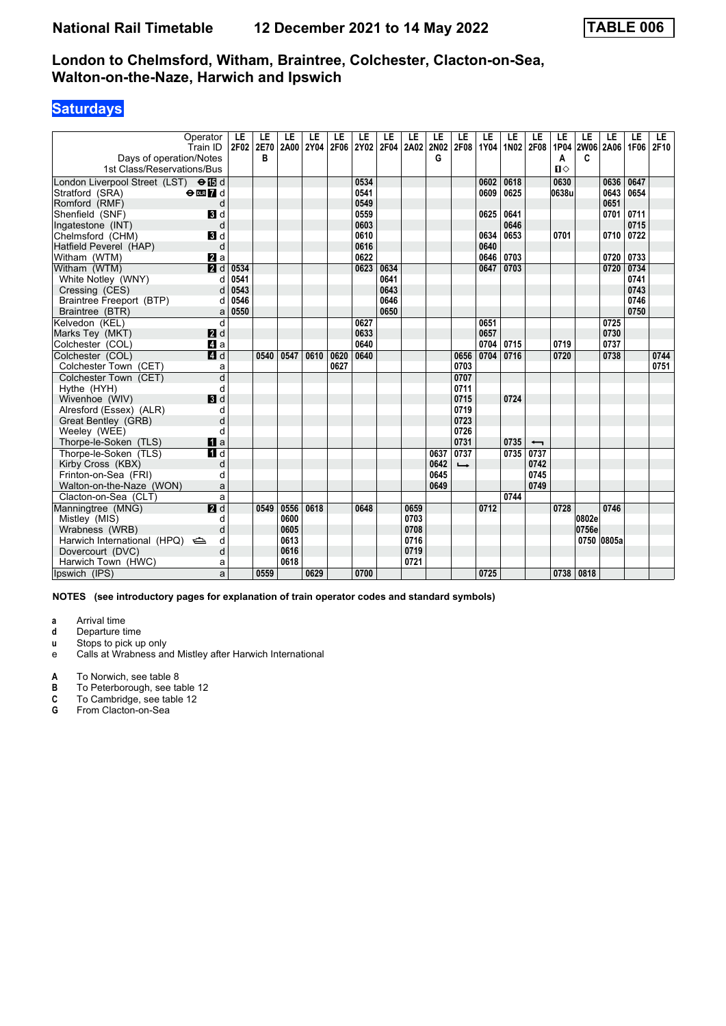# **Saturdays**

| Operator<br>Train ID                                  | LE<br>2F02 | LE<br>2E70 | LE<br>2A00 | LE<br><b>2Y04</b> | LE<br>2F06 | LE<br>2Y02 | LE   | LE<br>2F04 2A02 | LE<br>2N02 | LE<br>2F08    | LE<br>1Y04 | LE<br>1N02 | LE<br>2F08               | LE<br>1P04        | LE<br><b>2W06</b> | LE<br>2A06 | LE<br>1F06 | LE<br>2F10 |
|-------------------------------------------------------|------------|------------|------------|-------------------|------------|------------|------|-----------------|------------|---------------|------------|------------|--------------------------|-------------------|-------------------|------------|------------|------------|
| Days of operation/Notes<br>1st Class/Reservations/Bus |            | в          |            |                   |            |            |      |                 | G          |               |            |            |                          | A<br>$\mathbf{u}$ | C                 |            |            |            |
|                                                       |            |            |            |                   |            |            |      |                 |            |               |            |            |                          |                   |                   |            |            |            |
| London Liverpool Street (LST) <b>⊖ ID</b> d           |            |            |            |                   |            | 0534       |      |                 |            |               | 0602       | 0618       |                          | 0630              |                   | 0636       | 0647       |            |
| Stratford (SRA)<br>$\Theta$ DLR $\overline{7}$ d      |            |            |            |                   |            | 0541       |      |                 |            |               | 0609       | 0625       |                          | 0638u             |                   | 0643       | 0654       |            |
| Romford (RMF)<br>d                                    |            |            |            |                   |            | 0549       |      |                 |            |               |            |            |                          |                   |                   | 0651       |            |            |
| Shenfield (SNF)<br>3d                                 |            |            |            |                   |            | 0559       |      |                 |            |               | 0625       | 0641       |                          |                   |                   | 0701       | 0711       |            |
| Ingatestone (INT)<br>d                                |            |            |            |                   |            | 0603       |      |                 |            |               |            | 0646       |                          |                   |                   |            | 0715       |            |
| Chelmsford (CHM)<br>$\mathbf{3}$ d                    |            |            |            |                   |            | 0610       |      |                 |            |               | 0634       | 0653       |                          | 0701              |                   | 0710       | 0722       |            |
| Hatfield Peverel (HAP)<br>d                           |            |            |            |                   |            | 0616       |      |                 |            |               | 0640       |            |                          |                   |                   |            |            |            |
| Witham (WTM)<br>$\mathbf{z}$ a                        |            |            |            |                   |            | 0622       |      |                 |            |               | 0646       | 0703       |                          |                   |                   | 0720       | 0733       |            |
| 2d<br>Witham (WTM)                                    | 0534       |            |            |                   |            | 0623       | 0634 |                 |            |               | 0647       | 0703       |                          |                   |                   | 0720       | 0734       |            |
| White Notley (WNY)<br>d                               | 0541       |            |            |                   |            |            | 0641 |                 |            |               |            |            |                          |                   |                   |            | 0741       |            |
| Cressing (CES)<br>d                                   | 0543       |            |            |                   |            |            | 0643 |                 |            |               |            |            |                          |                   |                   |            | 0743       |            |
| Braintree Freeport (BTP)<br>d                         | 0546       |            |            |                   |            |            | 0646 |                 |            |               |            |            |                          |                   |                   |            | 0746       |            |
| Braintree (BTR)<br>a                                  | 0550       |            |            |                   |            |            | 0650 |                 |            |               |            |            |                          |                   |                   |            | 0750       |            |
| d<br>Kelvedon (KEL)                                   |            |            |            |                   |            | 0627       |      |                 |            |               | 0651       |            |                          |                   |                   | 0725       |            |            |
| Marks Tey (MKT)<br><b>2</b> d                         |            |            |            |                   |            | 0633       |      |                 |            |               | 0657       |            |                          |                   |                   | 0730       |            |            |
| $\blacksquare$ a<br>Colchester (COL)                  |            |            |            |                   |            | 0640       |      |                 |            |               | 0704       | 0715       |                          | 0719              |                   | 0737       |            |            |
| Colchester (COL)<br>4d                                |            | 0540       | 0547       | 0610              | 0620       | 0640       |      |                 |            | 0656          | 0704       | 0716       |                          | 0720              |                   | 0738       |            | 0744       |
| Colchester Town (CET)<br>a                            |            |            |            |                   | 0627       |            |      |                 |            | 0703          |            |            |                          |                   |                   |            |            | 0751       |
| d<br>Colchester Town (CET)                            |            |            |            |                   |            |            |      |                 |            | 0707          |            |            |                          |                   |                   |            |            |            |
| Hythe (HYH)<br>d                                      |            |            |            |                   |            |            |      |                 |            | 0711          |            |            |                          |                   |                   |            |            |            |
| <b>B</b> d<br>Wivenhoe (WIV)                          |            |            |            |                   |            |            |      |                 |            | 0715          |            | 0724       |                          |                   |                   |            |            |            |
| Alresford (Essex) (ALR)<br>d                          |            |            |            |                   |            |            |      |                 |            | 0719          |            |            |                          |                   |                   |            |            |            |
| Great Bentley (GRB)<br>d                              |            |            |            |                   |            |            |      |                 |            | 0723          |            |            |                          |                   |                   |            |            |            |
| Weeley (WEE)<br>d                                     |            |            |            |                   |            |            |      |                 |            | 0726          |            |            |                          |                   |                   |            |            |            |
| Thorpe-le-Soken (TLS)<br>$\mathbf{u}$ a               |            |            |            |                   |            |            |      |                 |            | 0731          |            | 0735       | $\overline{\phantom{0}}$ |                   |                   |            |            |            |
| Thorpe-le-Soken (TLS)<br>$\overline{\mathbf{H}}$ d    |            |            |            |                   |            |            |      |                 | 0637       | 0737          |            | 0735       | 0737                     |                   |                   |            |            |            |
| Kirby Cross (KBX)<br>d                                |            |            |            |                   |            |            |      |                 | 0642       | $\rightarrow$ |            |            | 0742                     |                   |                   |            |            |            |
| Frinton-on-Sea (FRI)<br>d                             |            |            |            |                   |            |            |      |                 | 0645       |               |            |            | 0745                     |                   |                   |            |            |            |
| Walton-on-the-Naze (WON)<br>a                         |            |            |            |                   |            |            |      |                 | 0649       |               |            |            | 0749                     |                   |                   |            |            |            |
| Clacton-on-Sea (CLT)<br>a                             |            |            |            |                   |            |            |      |                 |            |               |            | 0744       |                          |                   |                   |            |            |            |
| Manningtree (MNG)<br>2d                               |            | 0549       | 0556       | 0618              |            | 0648       |      | 0659            |            |               | 0712       |            |                          | 0728              |                   | 0746       |            |            |
| Mistley (MIS)<br>d                                    |            |            | 0600       |                   |            |            |      | 0703            |            |               |            |            |                          |                   | 0802e             |            |            |            |
| Wrabness (WRB)<br>d                                   |            |            | 0605       |                   |            |            |      | 0708            |            |               |            |            |                          |                   | 0756e             |            |            |            |
| Harwich International (HPQ)<br>d                      |            |            | 0613       |                   |            |            |      | 0716            |            |               |            |            |                          |                   |                   | 0750 0805a |            |            |
| d<br>Dovercourt (DVC)                                 |            |            | 0616       |                   |            |            |      | 0719            |            |               |            |            |                          |                   |                   |            |            |            |
| Harwich Town (HWC)<br>a                               |            |            | 0618       |                   |            |            |      | 0721            |            |               |            |            |                          |                   |                   |            |            |            |
| Ipswich (IPS)<br>a                                    |            | 0559       |            | 0629              |            | 0700       |      |                 |            |               | 0725       |            |                          |                   | 0738   0818       |            |            |            |

**NOTES (see introductory pages for explanation of train operator codes and standard symbols)**

**a** Arrival time<br>**d** Departure ti

**d** Departure time

- **x** Stops to pick up only
- e Calls at Wrabness and Mistley after Harwich International

**A** To Norwich, see table 8<br>**B** To Peterborough, see ta

- **B** To Peterborough, see table 12<br>**C** To Cambridge, see table 12<br>**G** From Clacton-on-Sea
- To Cambridge, see table 12

**\*** From Clacton-on-Sea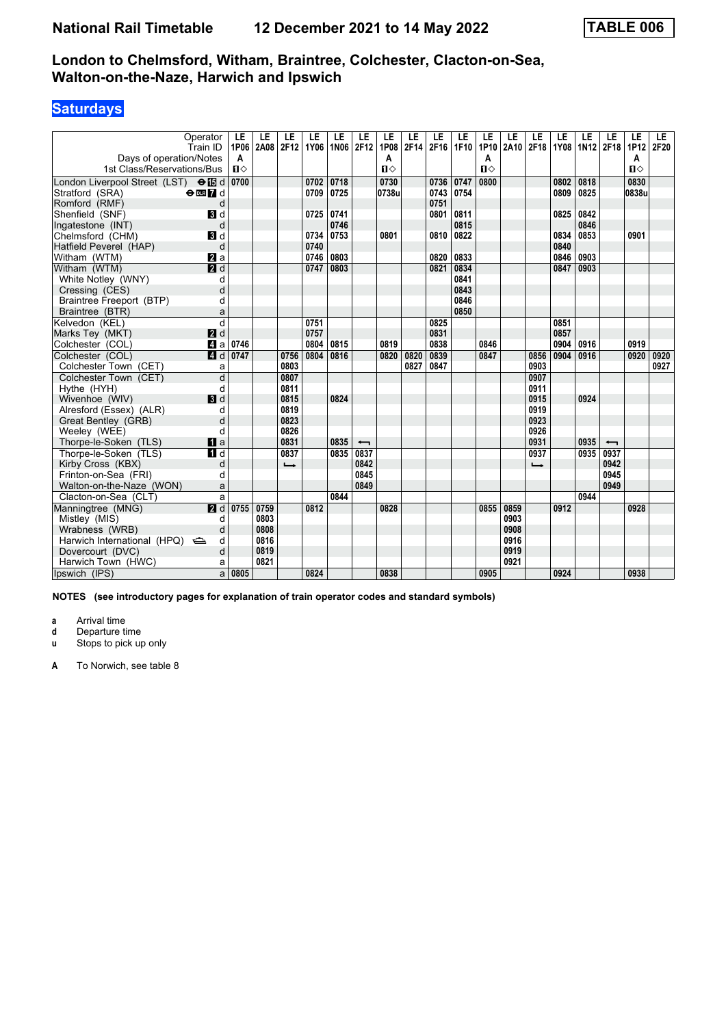# **Saturdays**

|                                             | Operator                     | LE           | LE   | LE            | LE   | LE   | LE                       | LE           | LE   | LE   | LE   | LE           | LE   | LE            | LE   | LE             | LE                       | LE           | LE.  |
|---------------------------------------------|------------------------------|--------------|------|---------------|------|------|--------------------------|--------------|------|------|------|--------------|------|---------------|------|----------------|--------------------------|--------------|------|
|                                             | Train ID                     | 1P06         | 2A08 | 2F12          | 1Y06 | 1N06 | 2F12                     | 1P08         | 2F14 | 2F16 | 1F10 | 1P10         | 2A10 | 2F18          |      | 1Y08 1N12 2F18 |                          | 1P12         | 2F20 |
| Days of operation/Notes                     |                              | A            |      |               |      |      |                          | A            |      |      |      | A            |      |               |      |                |                          | A            |      |
| 1st Class/Reservations/Bus                  |                              | $\mathbf{u}$ |      |               |      |      |                          | $\mathbf{u}$ |      |      |      | $\mathbf{u}$ |      |               |      |                |                          | $\mathbf{u}$ |      |
| London Liverpool Street (LST) <b>⊖ iB</b> d |                              | 0700         |      |               | 0702 | 0718 |                          | 0730         |      | 0736 | 0747 | 0800         |      |               | 0802 | 0818           |                          | 0830         |      |
| Stratford (SRA)                             | $\Theta$ DE $\overline{7}$ d |              |      |               | 0709 | 0725 |                          | 0738u        |      | 0743 | 0754 |              |      |               | 0809 | 0825           |                          | 0838u        |      |
| Romford (RMF)                               | d                            |              |      |               |      |      |                          |              |      | 0751 |      |              |      |               |      |                |                          |              |      |
| Shenfield (SNF)                             | $\mathbf{B}$ d               |              |      |               | 0725 | 0741 |                          |              |      | 0801 | 0811 |              |      |               | 0825 | 0842           |                          |              |      |
| Ingatestone (INT)                           | d                            |              |      |               |      | 0746 |                          |              |      |      | 0815 |              |      |               |      | 0846           |                          |              |      |
| Chelmsford (CHM)                            | $\mathbf{B}$ d               |              |      |               | 0734 | 0753 |                          | 0801         |      | 0810 | 0822 |              |      |               | 0834 | 0853           |                          | 0901         |      |
| Hatfield Peverel (HAP)                      | d                            |              |      |               | 0740 |      |                          |              |      |      |      |              |      |               | 0840 |                |                          |              |      |
| Witham (WTM)                                | <b>Z</b> a                   |              |      |               | 0746 | 0803 |                          |              |      | 0820 | 0833 |              |      |               | 0846 | 0903           |                          |              |      |
| Witham (WTM)                                | $\overline{a}$ d             |              |      |               | 0747 | 0803 |                          |              |      | 0821 | 0834 |              |      |               | 0847 | 0903           |                          |              |      |
| White Notley (WNY)                          | d                            |              |      |               |      |      |                          |              |      |      | 0841 |              |      |               |      |                |                          |              |      |
| Cressing (CES)                              | d                            |              |      |               |      |      |                          |              |      |      | 0843 |              |      |               |      |                |                          |              |      |
| Braintree Freeport (BTP)                    | d                            |              |      |               |      |      |                          |              |      |      | 0846 |              |      |               |      |                |                          |              |      |
| Braintree (BTR)                             | a                            |              |      |               |      |      |                          |              |      |      | 0850 |              |      |               |      |                |                          |              |      |
| Kelvedon (KEL)                              | d                            |              |      |               | 0751 |      |                          |              |      | 0825 |      |              |      |               | 0851 |                |                          |              |      |
| Marks Tey (MKT)                             | 2d                           |              |      |               | 0757 |      |                          |              |      | 0831 |      |              |      |               | 0857 |                |                          |              |      |
| Colchester (COL)                            | $\blacksquare$ a             | 0746         |      |               | 0804 | 0815 |                          | 0819         |      | 0838 |      | 0846         |      |               | 0904 | 0916           |                          | 0919         |      |
| Colchester (COL)                            | $\blacksquare$               | 0747         |      | 0756          | 0804 | 0816 |                          | 0820         | 0820 | 0839 |      | 0847         |      | 0856          | 0904 | 0916           |                          | 0920         | 0920 |
| Colchester Town (CET)                       | a                            |              |      | 0803          |      |      |                          |              | 0827 | 0847 |      |              |      | 0903          |      |                |                          |              | 0927 |
| Colchester Town (CET)                       | d                            |              |      | 0807          |      |      |                          |              |      |      |      |              |      | 0907          |      |                |                          |              |      |
| Hythe (HYH)                                 | d                            |              |      | 0811          |      |      |                          |              |      |      |      |              |      | 0911          |      |                |                          |              |      |
| Wivenhoe (WIV)                              | $\blacksquare$               |              |      | 0815          |      | 0824 |                          |              |      |      |      |              |      | 0915          |      | 0924           |                          |              |      |
| Alresford (Essex) (ALR)                     | d                            |              |      | 0819          |      |      |                          |              |      |      |      |              |      | 0919          |      |                |                          |              |      |
| Great Bentley (GRB)                         | d                            |              |      | 0823          |      |      |                          |              |      |      |      |              |      | 0923          |      |                |                          |              |      |
| Weeley (WEE)                                | d                            |              |      | 0826          |      |      |                          |              |      |      |      |              |      | 0926          |      |                |                          |              |      |
| Thorpe-le-Soken (TLS)                       | $\mathbf{u}$ a               |              |      | 0831          |      | 0835 | $\overline{\phantom{0}}$ |              |      |      |      |              |      | 0931          |      | 0935           | $\overline{\phantom{0}}$ |              |      |
| Thorpe-le-Soken (TLS)                       | $\blacksquare$               |              |      | 0837          |      | 0835 | 0837                     |              |      |      |      |              |      | 0937          |      | 0935           | 0937                     |              |      |
| Kirby Cross (KBX)                           | d                            |              |      | $\rightarrow$ |      |      | 0842                     |              |      |      |      |              |      | $\rightarrow$ |      |                | 0942                     |              |      |
| Frinton-on-Sea (FRI)                        | d                            |              |      |               |      |      | 0845                     |              |      |      |      |              |      |               |      |                | 0945                     |              |      |
| Walton-on-the-Naze (WON)                    | a                            |              |      |               |      |      | 0849                     |              |      |      |      |              |      |               |      |                | 0949                     |              |      |
| Clacton-on-Sea (CLT)                        | a                            |              |      |               |      | 0844 |                          |              |      |      |      |              |      |               |      | 0944           |                          |              |      |
| Manningtree (MNG)                           | $\overline{M}$ d             | 0755         | 0759 |               | 0812 |      |                          | 0828         |      |      |      | 0855         | 0859 |               | 0912 |                |                          | 0928         |      |
| Mistley (MIS)                               | d                            |              | 0803 |               |      |      |                          |              |      |      |      |              | 0903 |               |      |                |                          |              |      |
| Wrabness (WRB)                              | d                            |              | 0808 |               |      |      |                          |              |      |      |      |              | 0908 |               |      |                |                          |              |      |
| Harwich International (HPQ)                 | d                            |              | 0816 |               |      |      |                          |              |      |      |      |              | 0916 |               |      |                |                          |              |      |
| Dovercourt (DVC)                            | d                            |              | 0819 |               |      |      |                          |              |      |      |      |              | 0919 |               |      |                |                          |              |      |
| Harwich Town (HWC)                          | a                            |              | 0821 |               |      |      |                          |              |      |      |      |              | 0921 |               |      |                |                          |              |      |
| Ipswich (IPS)                               | a                            | 0805         |      |               | 0824 |      |                          | 0838         |      |      |      | 0905         |      |               | 0924 |                |                          | 0938         |      |

**NOTES (see introductory pages for explanation of train operator codes and standard symbols)**

**a** Arrival time<br>**d** Departure ti

**d** Departure time

**u** Stops to pick up only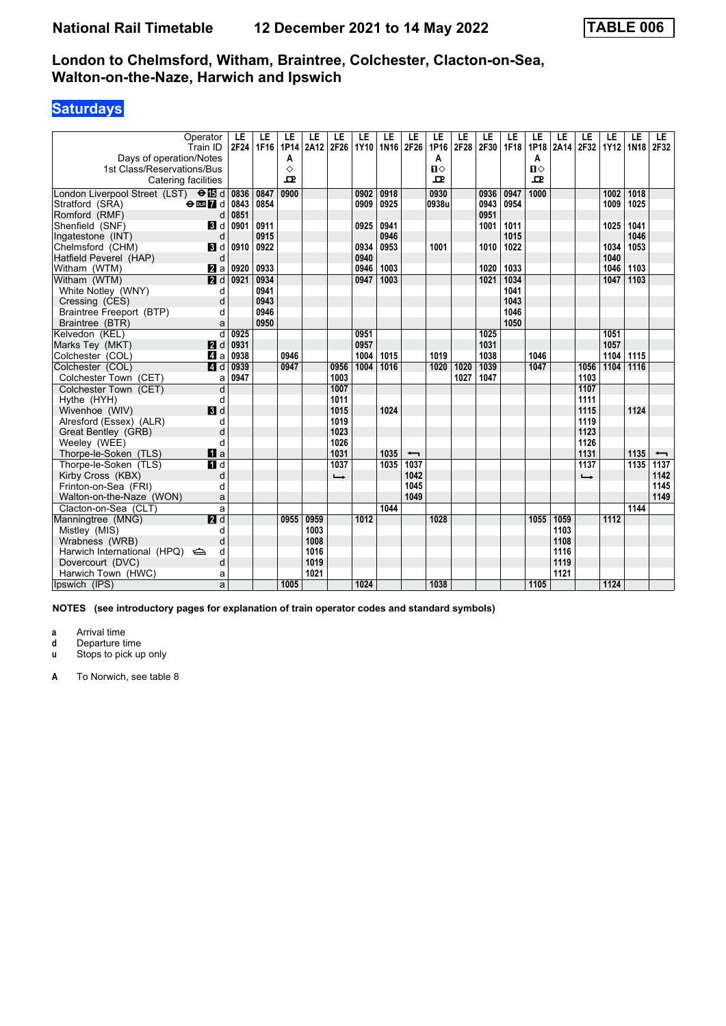# **Saturdays**

| 2F24<br>2F26<br>2F28<br>2F30<br>1F16<br>1P14<br>2A12<br>1Y10<br>1N16 2F26<br>1P16<br>1F18<br>1P18<br>2F32 1Y12<br>1N <sub>18</sub><br>2F32<br>Train ID<br><b>2A14</b><br>Days of operation/Notes<br>Α<br>A<br>A<br>♦<br>$\mathbf{u}$<br>$\mathbf{u}$<br>1st Class/Reservations/Bus<br>Catering facilities<br>ᇁ<br>모<br>ᇁ<br>London Liverpool Street (LST) $\Theta$ I d<br>0900<br>0930<br>0918<br>0936<br>0947<br>1000<br>1002<br>1018<br>0836<br>0847<br>0902<br>0843<br>0854<br>0938u<br>0954<br>1009<br>1025<br>Stratford (SRA)<br>$\Theta$ or $\overline{A}$ d<br>0909<br>0925<br>0943<br>0851<br>0951<br>Romford (RMF)<br>d<br>Shenfield (SNF)<br>0901<br>0911<br>0925<br>0941<br>1001<br>1011<br>1025<br>1041<br><b>3</b> d<br>0915<br>0946<br>1015<br>1046<br>Ingatestone (INT)<br>d<br>Chelmsford (CHM)<br>0910<br>0922<br>0953<br>1010<br>1022<br>1034<br>1053<br>BI d<br>0934<br>1001<br>d<br>Hatfield Peverel (HAP)<br>0940<br>1040<br>1033<br>Witham (WTM)<br><b>Z</b> a<br>0920<br>0933<br>0946<br>1003<br>1020<br>1046<br>1103 |
|----------------------------------------------------------------------------------------------------------------------------------------------------------------------------------------------------------------------------------------------------------------------------------------------------------------------------------------------------------------------------------------------------------------------------------------------------------------------------------------------------------------------------------------------------------------------------------------------------------------------------------------------------------------------------------------------------------------------------------------------------------------------------------------------------------------------------------------------------------------------------------------------------------------------------------------------------------------------------------------------------------------------------------------------|
|                                                                                                                                                                                                                                                                                                                                                                                                                                                                                                                                                                                                                                                                                                                                                                                                                                                                                                                                                                                                                                              |
|                                                                                                                                                                                                                                                                                                                                                                                                                                                                                                                                                                                                                                                                                                                                                                                                                                                                                                                                                                                                                                              |
|                                                                                                                                                                                                                                                                                                                                                                                                                                                                                                                                                                                                                                                                                                                                                                                                                                                                                                                                                                                                                                              |
|                                                                                                                                                                                                                                                                                                                                                                                                                                                                                                                                                                                                                                                                                                                                                                                                                                                                                                                                                                                                                                              |
|                                                                                                                                                                                                                                                                                                                                                                                                                                                                                                                                                                                                                                                                                                                                                                                                                                                                                                                                                                                                                                              |
|                                                                                                                                                                                                                                                                                                                                                                                                                                                                                                                                                                                                                                                                                                                                                                                                                                                                                                                                                                                                                                              |
|                                                                                                                                                                                                                                                                                                                                                                                                                                                                                                                                                                                                                                                                                                                                                                                                                                                                                                                                                                                                                                              |
|                                                                                                                                                                                                                                                                                                                                                                                                                                                                                                                                                                                                                                                                                                                                                                                                                                                                                                                                                                                                                                              |
|                                                                                                                                                                                                                                                                                                                                                                                                                                                                                                                                                                                                                                                                                                                                                                                                                                                                                                                                                                                                                                              |
|                                                                                                                                                                                                                                                                                                                                                                                                                                                                                                                                                                                                                                                                                                                                                                                                                                                                                                                                                                                                                                              |
|                                                                                                                                                                                                                                                                                                                                                                                                                                                                                                                                                                                                                                                                                                                                                                                                                                                                                                                                                                                                                                              |
|                                                                                                                                                                                                                                                                                                                                                                                                                                                                                                                                                                                                                                                                                                                                                                                                                                                                                                                                                                                                                                              |
| 1034<br>Witham (WTM)<br>2d<br>0921<br>0934<br>0947<br>1021<br>1047<br>1003<br>1103                                                                                                                                                                                                                                                                                                                                                                                                                                                                                                                                                                                                                                                                                                                                                                                                                                                                                                                                                           |
| White Notley (WNY)<br>0941<br>1041<br>d                                                                                                                                                                                                                                                                                                                                                                                                                                                                                                                                                                                                                                                                                                                                                                                                                                                                                                                                                                                                      |
| d<br>0943<br>1043<br>Cressing (CES)                                                                                                                                                                                                                                                                                                                                                                                                                                                                                                                                                                                                                                                                                                                                                                                                                                                                                                                                                                                                          |
| Braintree Freeport (BTP)<br>0946<br>1046<br>d<br>0950<br>1050                                                                                                                                                                                                                                                                                                                                                                                                                                                                                                                                                                                                                                                                                                                                                                                                                                                                                                                                                                                |
| Braintree (BTR)<br>a<br>d<br>0925<br>0951<br>1025<br>1051                                                                                                                                                                                                                                                                                                                                                                                                                                                                                                                                                                                                                                                                                                                                                                                                                                                                                                                                                                                    |
| Kelvedon (KEL)<br>0931<br>0957<br>1031<br>1057                                                                                                                                                                                                                                                                                                                                                                                                                                                                                                                                                                                                                                                                                                                                                                                                                                                                                                                                                                                               |
| Marks Tey (MKT)<br><b>2</b> d<br>0946<br>Colchester (COL)<br>0938<br>1004<br>1015<br>1019<br>1038<br>1046<br>1104<br>1115                                                                                                                                                                                                                                                                                                                                                                                                                                                                                                                                                                                                                                                                                                                                                                                                                                                                                                                    |
| 4a<br>0939<br>1020<br>1039<br>1104<br>Colchester (COL)<br>0947<br>0956<br>1004<br>1016<br>1020<br>1047<br>1056<br>1116                                                                                                                                                                                                                                                                                                                                                                                                                                                                                                                                                                                                                                                                                                                                                                                                                                                                                                                       |
| 4d<br>Colchester Town (CET)<br>0947<br>1003<br>1027<br>1047<br>1103                                                                                                                                                                                                                                                                                                                                                                                                                                                                                                                                                                                                                                                                                                                                                                                                                                                                                                                                                                          |
| a<br>$\overline{d}$<br>1107<br>Colchester Town (CET)<br>1007                                                                                                                                                                                                                                                                                                                                                                                                                                                                                                                                                                                                                                                                                                                                                                                                                                                                                                                                                                                 |
| 1111<br>d<br>1011                                                                                                                                                                                                                                                                                                                                                                                                                                                                                                                                                                                                                                                                                                                                                                                                                                                                                                                                                                                                                            |
| Hythe (HYH)<br>3d<br>1024<br>1115<br>Wivenhoe (WIV)<br>1015<br>1124                                                                                                                                                                                                                                                                                                                                                                                                                                                                                                                                                                                                                                                                                                                                                                                                                                                                                                                                                                          |
| 1119<br>Alresford (Essex) (ALR)<br>1019<br>d                                                                                                                                                                                                                                                                                                                                                                                                                                                                                                                                                                                                                                                                                                                                                                                                                                                                                                                                                                                                 |
| 1123<br>d<br>1023<br>Great Bentley (GRB)                                                                                                                                                                                                                                                                                                                                                                                                                                                                                                                                                                                                                                                                                                                                                                                                                                                                                                                                                                                                     |
| Weeley (WEE)<br>1026<br>1126<br>d                                                                                                                                                                                                                                                                                                                                                                                                                                                                                                                                                                                                                                                                                                                                                                                                                                                                                                                                                                                                            |
| 1035<br>Thorpe-le-Soken (TLS)<br>1031<br>1131<br>1135<br>$\mathbf{u}$ a<br>$\overline{\phantom{0}}$<br>$\overline{\phantom{0}}$                                                                                                                                                                                                                                                                                                                                                                                                                                                                                                                                                                                                                                                                                                                                                                                                                                                                                                              |
| Thorpe-le-Soken (TLS)<br>1037<br>1137<br>1135<br>1137<br><b>FI</b> d<br>1037<br>1035                                                                                                                                                                                                                                                                                                                                                                                                                                                                                                                                                                                                                                                                                                                                                                                                                                                                                                                                                         |
| 1042<br>1142<br>Kirby Cross (KBX)<br>d<br>$\rightarrow$<br>$\rightarrow$                                                                                                                                                                                                                                                                                                                                                                                                                                                                                                                                                                                                                                                                                                                                                                                                                                                                                                                                                                     |
| Frinton-on-Sea (FRI)<br>1045<br>1145<br>d                                                                                                                                                                                                                                                                                                                                                                                                                                                                                                                                                                                                                                                                                                                                                                                                                                                                                                                                                                                                    |
| 1149<br>1049<br>Walton-on-the-Naze (WON)<br>a                                                                                                                                                                                                                                                                                                                                                                                                                                                                                                                                                                                                                                                                                                                                                                                                                                                                                                                                                                                                |
| 1144<br>Clacton-on-Sea (CLT)<br>1044<br>a                                                                                                                                                                                                                                                                                                                                                                                                                                                                                                                                                                                                                                                                                                                                                                                                                                                                                                                                                                                                    |
| $\overline{M}$ d<br>1059<br>1112<br>Manningtree (MNG)<br>0955<br>0959<br>1012<br>1055<br>1028                                                                                                                                                                                                                                                                                                                                                                                                                                                                                                                                                                                                                                                                                                                                                                                                                                                                                                                                                |
| 1103<br>Mistley (MIS)<br>1003<br>d                                                                                                                                                                                                                                                                                                                                                                                                                                                                                                                                                                                                                                                                                                                                                                                                                                                                                                                                                                                                           |
| 1108<br>1008<br>Wrabness (WRB)<br>d                                                                                                                                                                                                                                                                                                                                                                                                                                                                                                                                                                                                                                                                                                                                                                                                                                                                                                                                                                                                          |
| 1016<br>1116<br>Harwich International (HPQ)<br>d                                                                                                                                                                                                                                                                                                                                                                                                                                                                                                                                                                                                                                                                                                                                                                                                                                                                                                                                                                                             |
| d<br>1019<br>1119<br>Dovercourt (DVC)                                                                                                                                                                                                                                                                                                                                                                                                                                                                                                                                                                                                                                                                                                                                                                                                                                                                                                                                                                                                        |
| 1121<br>Harwich Town (HWC)<br>1021<br>a                                                                                                                                                                                                                                                                                                                                                                                                                                                                                                                                                                                                                                                                                                                                                                                                                                                                                                                                                                                                      |
| Ipswich (IPS)<br>1024<br>1038<br>1124<br>1005<br>1105<br>a                                                                                                                                                                                                                                                                                                                                                                                                                                                                                                                                                                                                                                                                                                                                                                                                                                                                                                                                                                                   |

**NOTES (see introductory pages for explanation of train operator codes and standard symbols)**

**a** Arrival time<br>**d** Departure t

**d** Departure time

**u** Stops to pick up only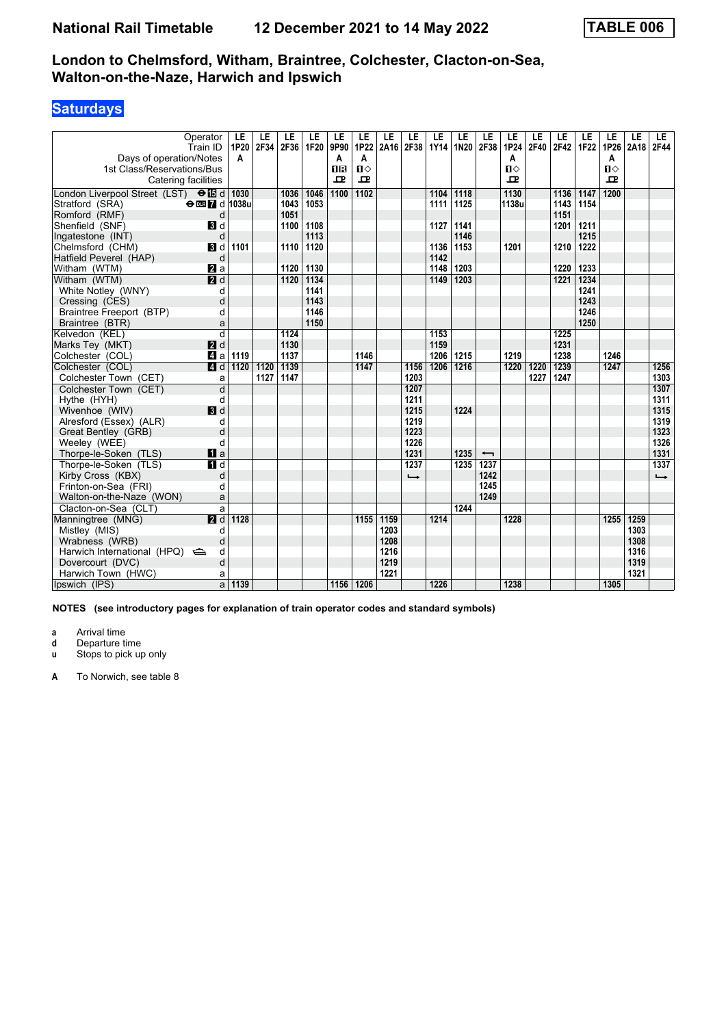# **Saturdays**

| Operator<br>Train ID                                   | LE<br>1P20 | LE<br>2F34 | LE<br>2F36 | LE<br>1F20 | LE<br>9P90 | LE<br>1P22   | LE<br>2A16 | LE<br>2F38    | LE<br>1Y14 | LE<br>1N20 | LE<br>2F38               | LE<br>1P24      | LE<br>2F40 | LE<br>2F42 | LE<br>1F22 | LE<br>1P26   | LE<br>2A18 | LE.<br>2F44   |
|--------------------------------------------------------|------------|------------|------------|------------|------------|--------------|------------|---------------|------------|------------|--------------------------|-----------------|------------|------------|------------|--------------|------------|---------------|
| Days of operation/Notes                                | A          |            |            |            | A          | A            |            |               |            |            |                          | A               |            |            |            | A            |            |               |
| 1st Class/Reservations/Bus                             |            |            |            |            | <b>OR</b>  | $\Pi$        |            |               |            |            |                          | $\P$ $\Diamond$ |            |            |            | $\mathbf{u}$ |            |               |
| Catering facilities                                    |            |            |            |            | 모          | $\mathbf{P}$ |            |               |            |            |                          | ᇁ               |            |            |            | $\mathbf{p}$ |            |               |
|                                                        |            |            |            |            |            |              |            |               |            |            |                          |                 |            |            |            |              |            |               |
| London Liverpool Street (LST) $\Theta$ <b>IE</b> d     | 1030       |            | 1036       | 1046       | 1100       | 1102         |            |               | 1104       | 1118       |                          | 1130            |            | 1136       | 1147       | 1200         |            |               |
| Stratford (SRA)<br>$\Theta$ DIE $\blacksquare$ d 1038u |            |            | 1043       | 1053       |            |              |            |               | 1111       | 1125       |                          | 1138u           |            | 1143       | 1154       |              |            |               |
| Romford (RMF)<br>d                                     |            |            | 1051       |            |            |              |            |               |            |            |                          |                 |            | 1151       |            |              |            |               |
| Shenfield (SNF)<br><b>B</b> Id                         |            |            | 1100       | 1108       |            |              |            |               | 1127       | 1141       |                          |                 |            | 1201       | 1211       |              |            |               |
| d<br>Ingatestone (INT)                                 |            |            |            | 1113       |            |              |            |               |            | 1146       |                          |                 |            |            | 1215       |              |            |               |
| Chelmsford (CHM)<br>3 d                                | 1101       |            | 1110       | 1120       |            |              |            |               | 1136       | 1153       |                          | 1201            |            | 1210       | 1222       |              |            |               |
| d<br>Hatfield Peverel (HAP)                            |            |            |            |            |            |              |            |               | 1142       |            |                          |                 |            |            |            |              |            |               |
| Witham (WTM)<br>$\mathbf{z}$ a                         |            |            | 1120       | 1130       |            |              |            |               | 1148       | 1203       |                          |                 |            | 1220       | 1233       |              |            |               |
| 2d<br>Witham (WTM)                                     |            |            | 1120       | 1134       |            |              |            |               | 1149       | 1203       |                          |                 |            | 1221       | 1234       |              |            |               |
| White Notley (WNY)<br>d                                |            |            |            | 1141       |            |              |            |               |            |            |                          |                 |            |            | 1241       |              |            |               |
| d<br>Cressing (CES)                                    |            |            |            | 1143       |            |              |            |               |            |            |                          |                 |            |            | 1243       |              |            |               |
| Braintree Freeport (BTP)<br>d                          |            |            |            | 1146       |            |              |            |               |            |            |                          |                 |            |            | 1246       |              |            |               |
| Braintree (BTR)<br>a                                   |            |            |            | 1150       |            |              |            |               |            |            |                          |                 |            |            | 1250       |              |            |               |
| $\overline{d}$<br>Kelvedon (KEL)                       |            |            | 1124       |            |            |              |            |               | 1153       |            |                          |                 |            | 1225       |            |              |            |               |
| 2d<br>Marks Tey (MKT)                                  |            |            | 1130       |            |            |              |            |               | 1159       |            |                          |                 |            | 1231       |            |              |            |               |
| Colchester (COL)<br>$\mathbf{A}$ a                     | 1119       |            | 1137       |            |            | 1146         |            |               | 1206       | 1215       |                          | 1219            |            | 1238       |            | 1246         |            |               |
| Colchester (COL)<br>4 d                                | 1120       | 1120       | 1139       |            |            | 1147         |            | 1156          | 1206       | 1216       |                          | 1220            | 1220       | 1239       |            | 1247         |            | 1256          |
| Colchester Town (CET)<br>a                             |            | 1127       | 1147       |            |            |              |            | 1203          |            |            |                          |                 | 1227       | 1247       |            |              |            | 1303          |
| $\overline{d}$<br>Colchester Town (CET)                |            |            |            |            |            |              |            | 1207          |            |            |                          |                 |            |            |            |              |            | 1307          |
| Hythe (HYH)<br>d                                       |            |            |            |            |            |              |            | 1211          |            |            |                          |                 |            |            |            |              |            | 1311          |
| Wivenhoe (WIV)<br>$\blacksquare$                       |            |            |            |            |            |              |            | 1215          |            | 1224       |                          |                 |            |            |            |              |            | 1315          |
| Alresford (Essex) (ALR)<br>d                           |            |            |            |            |            |              |            | 1219          |            |            |                          |                 |            |            |            |              |            | 1319          |
| d<br>Great Bentley (GRB)                               |            |            |            |            |            |              |            | 1223          |            |            |                          |                 |            |            |            |              |            | 1323          |
| Weeley (WEE)<br>d                                      |            |            |            |            |            |              |            | 1226          |            |            |                          |                 |            |            |            |              |            | 1326          |
| Thorpe-le-Soken (TLS)<br>$\mathbf{u}$ a                |            |            |            |            |            |              |            | 1231          |            | 1235       | $\overline{\phantom{0}}$ |                 |            |            |            |              |            | 1331          |
| Thorpe-le-Soken (TLS)<br>$\P$ d                        |            |            |            |            |            |              |            | 1237          |            | 1235       | 1237                     |                 |            |            |            |              |            | 1337          |
| Kirby Cross (KBX)<br>d                                 |            |            |            |            |            |              |            | $\rightarrow$ |            |            | 1242                     |                 |            |            |            |              |            | $\rightarrow$ |
| Frinton-on-Sea (FRI)<br>d                              |            |            |            |            |            |              |            |               |            |            | 1245                     |                 |            |            |            |              |            |               |
| Walton-on-the-Naze (WON)<br>a                          |            |            |            |            |            |              |            |               |            |            | 1249                     |                 |            |            |            |              |            |               |
| a<br>Clacton-on-Sea (CLT)                              |            |            |            |            |            |              |            |               |            | 1244       |                          |                 |            |            |            |              |            |               |
| 2d<br>Manningtree (MNG)                                | 1128       |            |            |            |            | 1155         | 1159       |               | 1214       |            |                          | 1228            |            |            |            | 1255         | 1259       |               |
| Mistley (MIS)<br>d                                     |            |            |            |            |            |              | 1203       |               |            |            |                          |                 |            |            |            |              | 1303       |               |
| Wrabness (WRB)<br>d                                    |            |            |            |            |            |              | 1208       |               |            |            |                          |                 |            |            |            |              | 1308       |               |
| Harwich International (HPQ)<br>d                       |            |            |            |            |            |              | 1216       |               |            |            |                          |                 |            |            |            |              | 1316       |               |
| d<br>Dovercourt (DVC)                                  |            |            |            |            |            |              | 1219       |               |            |            |                          |                 |            |            |            |              | 1319       |               |
| Harwich Town (HWC)<br>a                                |            |            |            |            |            |              | 1221       |               |            |            |                          |                 |            |            |            |              | 1321       |               |
| Ipswich (IPS)<br>a                                     | 1139       |            |            |            | 1156       | 1206         |            |               | 1226       |            |                          | 1238            |            |            |            | 1305         |            |               |

**NOTES (see introductory pages for explanation of train operator codes and standard symbols)**

**a** Arrival time<br>**d** Departure t

**d** Departure time

**u** Stops to pick up only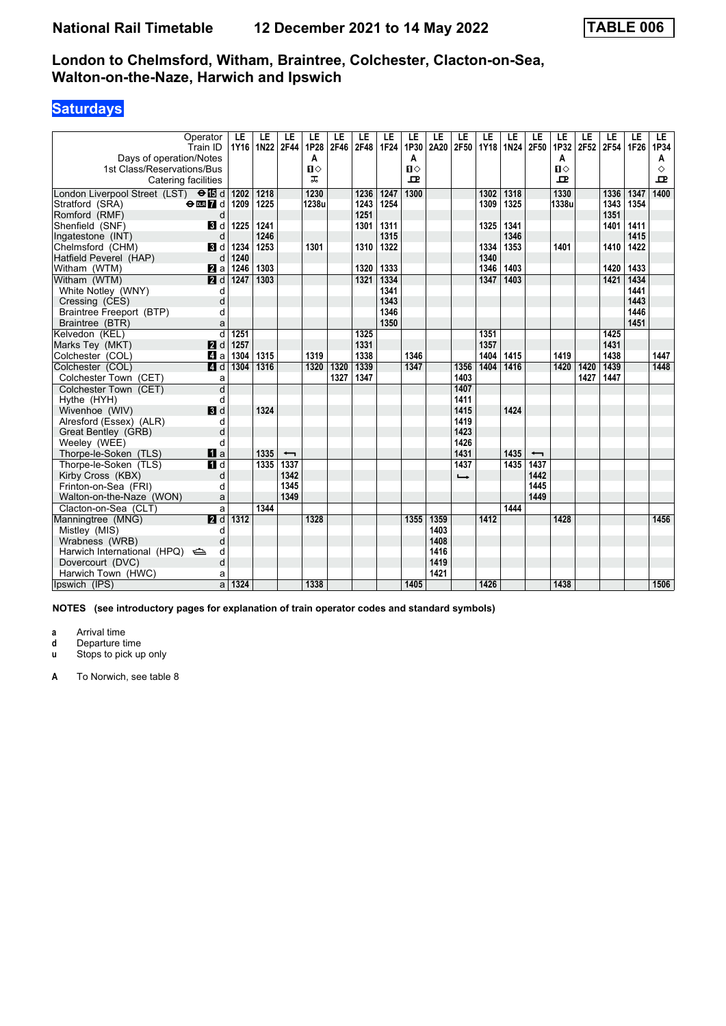# **Saturdays**

| Operator<br>Train ID                             | LE<br>1Y16             | LE<br>1N22 | LE<br>2F44               | LE<br>1P28 | LE<br>2F46 | LE<br>2F48 | LE<br>1F24 | LE<br>1P30   | LE<br>2A20 | LE<br>2F50    | LE<br><b>1Y18</b> | LE<br>1N24 | LE<br>2F50               | LE<br>1P32   | LE<br>2F52 | LE<br>2F54 | LE<br>1F26 | LE<br>1P34   |
|--------------------------------------------------|------------------------|------------|--------------------------|------------|------------|------------|------------|--------------|------------|---------------|-------------------|------------|--------------------------|--------------|------------|------------|------------|--------------|
| Days of operation/Notes                          |                        |            |                          | A          |            |            |            | A            |            |               |                   |            |                          | A            |            |            |            | A            |
| 1st Class/Reservations/Bus                       |                        |            |                          | $\Pi$      |            |            |            | $\mathbf{u}$ |            |               |                   |            |                          | $\mathbf{u}$ |            |            |            | ♦            |
| Catering facilities                              |                        |            |                          | ᠼ          |            |            |            | $\mathbf{p}$ |            |               |                   |            |                          | ᇁ            |            |            |            | $\mathbf{p}$ |
| London Liverpool Street (LST) $\Theta$ is d      | 1202                   | 1218       |                          | 1230       |            | 1236       | 1247       | 1300         |            |               | 1302              | 1318       |                          | 1330         |            | 1336       | 1347       | 1400         |
| Stratford (SRA)<br>$\Theta$ DIR $\overline{7}$ d | 1209                   | 1225       |                          | 1238u      |            | 1243       | 1254       |              |            |               | 1309              | 1325       |                          | 1338u        |            | 1343       | 1354       |              |
| Romford (RMF)                                    | d                      |            |                          |            |            | 1251       |            |              |            |               |                   |            |                          |              |            | 1351       |            |              |
| Shenfield (SNF)<br><b>B</b> Id                   | 1225                   | 1241       |                          |            |            | 1301       | 1311       |              |            |               | 1325              | 1341       |                          |              |            | 1401       | 1411       |              |
| Ingatestone (INT)                                | d                      | 1246       |                          |            |            |            | 1315       |              |            |               |                   | 1346       |                          |              |            |            | 1415       |              |
| Chelmsford (CHM)<br><b>3</b> d                   | 1234                   | 1253       |                          | 1301       |            | 1310       | 1322       |              |            |               | 1334              | 1353       |                          | 1401         |            | 1410       | 1422       |              |
| Hatfield Peverel (HAP)                           | 1240<br>d              |            |                          |            |            |            |            |              |            |               | 1340              |            |                          |              |            |            |            |              |
| Witham (WTM)<br><b>Z</b> a                       | 1246                   | 1303       |                          |            |            | 1320       | 1333       |              |            |               | 1346              | 1403       |                          |              |            | 1420       | 1433       |              |
| 2d<br>Witham (WTM)                               | 1247                   | 1303       |                          |            |            | 1321       | 1334       |              |            |               | 1347              | 1403       |                          |              |            | 1421       | 1434       |              |
| White Notley (WNY)                               | d                      |            |                          |            |            |            | 1341       |              |            |               |                   |            |                          |              |            |            | 1441       |              |
| Cressing (CES)                                   | d                      |            |                          |            |            |            | 1343       |              |            |               |                   |            |                          |              |            |            | 1443       |              |
| Braintree Freeport (BTP)                         | d                      |            |                          |            |            |            | 1346       |              |            |               |                   |            |                          |              |            |            | 1446       |              |
| Braintree (BTR)                                  | a                      |            |                          |            |            |            | 1350       |              |            |               |                   |            |                          |              |            |            | 1451       |              |
| Kelvedon (KEL)                                   | $\overline{d}$<br>1251 |            |                          |            |            | 1325       |            |              |            |               | 1351              |            |                          |              |            | 1425       |            |              |
| 2d<br>Marks Tey (MKT)                            | 1257                   |            |                          |            |            | 1331       |            |              |            |               | 1357              |            |                          |              |            | 1431       |            |              |
| Colchester (COL)<br>ZI a                         | 1304                   | 1315       |                          | 1319       |            | 1338       |            | 1346         |            |               | 1404              | 1415       |                          | 1419         |            | 1438       |            | 1447         |
| Colchester (COL)<br>ZI d                         | 1304                   | 1316       |                          | 1320       | 1320       | 1339       |            | 1347         |            | 1356          | 1404              | 1416       |                          | 1420         | 1420       | 1439       |            | 1448         |
| Colchester Town (CET)                            | a                      |            |                          |            | 1327       | 1347       |            |              |            | 1403          |                   |            |                          |              | 1427       | 1447       |            |              |
| Colchester Town (CET)                            | $\overline{d}$         |            |                          |            |            |            |            |              |            | 1407          |                   |            |                          |              |            |            |            |              |
| Hythe (HYH)                                      | d                      |            |                          |            |            |            |            |              |            | 1411          |                   |            |                          |              |            |            |            |              |
| Wivenhoe (WIV)<br><b>B</b> d                     |                        | 1324       |                          |            |            |            |            |              |            | 1415          |                   | 1424       |                          |              |            |            |            |              |
| Alresford (Essex) (ALR)                          | d                      |            |                          |            |            |            |            |              |            | 1419          |                   |            |                          |              |            |            |            |              |
| Great Bentley (GRB)                              | d                      |            |                          |            |            |            |            |              |            | 1423          |                   |            |                          |              |            |            |            |              |
| Weeley (WEE)                                     | d                      |            |                          |            |            |            |            |              |            | 1426          |                   |            |                          |              |            |            |            |              |
| Thorpe-le-Soken (TLS)<br>$\mathbf{u}$ a          |                        | 1335       | $\overline{\phantom{0}}$ |            |            |            |            |              |            | 1431          |                   | 1435       | $\overline{\phantom{0}}$ |              |            |            |            |              |
| Thorpe-le-Soken (TLS)<br>$\P$ d                  |                        | 1335       | 1337                     |            |            |            |            |              |            | 1437          |                   | 1435       | 1437                     |              |            |            |            |              |
| Kirby Cross (KBX)                                | d                      |            | 1342                     |            |            |            |            |              |            | $\rightarrow$ |                   |            | 1442                     |              |            |            |            |              |
| Frinton-on-Sea (FRI)                             | d                      |            | 1345                     |            |            |            |            |              |            |               |                   |            | 1445                     |              |            |            |            |              |
| Walton-on-the-Naze (WON)                         | a                      |            | 1349                     |            |            |            |            |              |            |               |                   |            | 1449                     |              |            |            |            |              |
| Clacton-on-Sea (CLT)                             | a                      | 1344       |                          |            |            |            |            |              |            |               |                   | 1444       |                          |              |            |            |            |              |
| 2d<br>Manningtree (MNG)                          | 1312                   |            |                          | 1328       |            |            |            | 1355         | 1359       |               | 1412              |            |                          | 1428         |            |            |            | 1456         |
| Mistley (MIS)                                    | d                      |            |                          |            |            |            |            |              | 1403       |               |                   |            |                          |              |            |            |            |              |
| Wrabness (WRB)                                   | d                      |            |                          |            |            |            |            |              | 1408       |               |                   |            |                          |              |            |            |            |              |
| Harwich International (HPQ)                      | d                      |            |                          |            |            |            |            |              | 1416       |               |                   |            |                          |              |            |            |            |              |
| Dovercourt (DVC)                                 | d                      |            |                          |            |            |            |            |              | 1419       |               |                   |            |                          |              |            |            |            |              |
| Harwich Town (HWC)                               | a                      |            |                          |            |            |            |            |              | 1421       |               |                   |            |                          |              |            |            |            |              |
| Ipswich (IPS)                                    | 1324<br>a              |            |                          | 1338       |            |            |            | 1405         |            |               | 1426              |            |                          | 1438         |            |            |            | 1506         |

**NOTES (see introductory pages for explanation of train operator codes and standard symbols)**

**a** Arrival time<br>**d** Departure t

**d** Departure time

**u** Stops to pick up only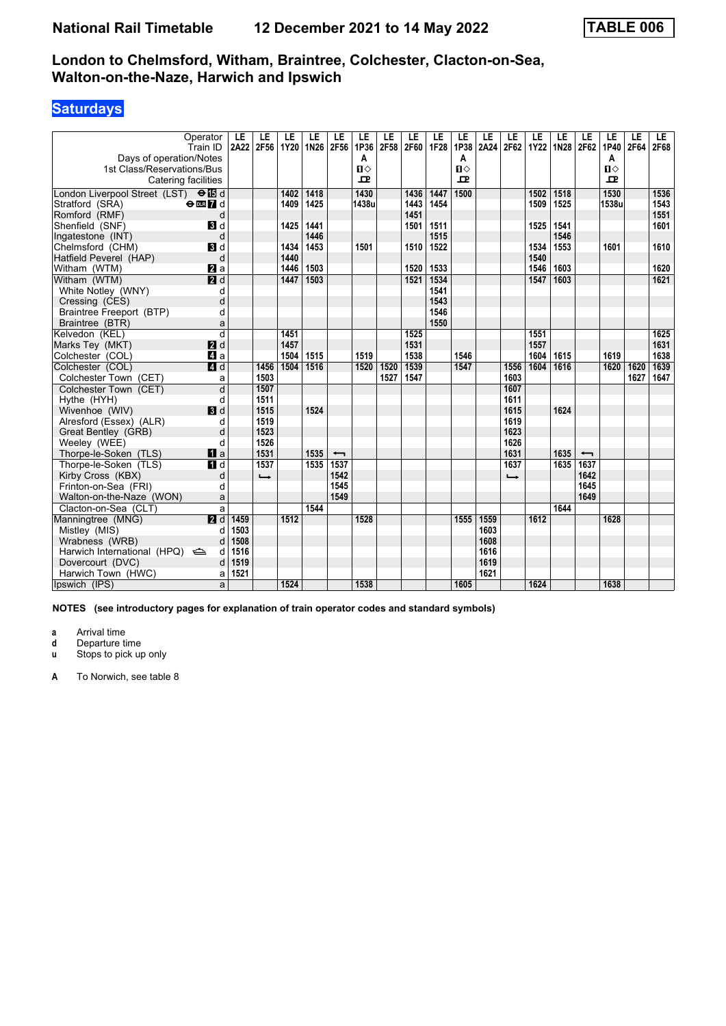# **Saturdays**

|                                             | Operator<br>Train ID          | LE<br>2A22 | LE<br>2F56               | LE<br>1Y20 | LE<br>1N26 | LE<br>2F56               | LE<br>1P36   | LE<br>2F58 | LE<br>2F60 | LE<br>1F28 | LE<br>1P38   | LE<br>2A24 | LE<br>2F62    | LE<br><b>1Y22</b> | LE<br>1N28 | LE<br>2F62               | LE<br>1P40   | LE<br> 2F64 | LE.<br>2F68 |
|---------------------------------------------|-------------------------------|------------|--------------------------|------------|------------|--------------------------|--------------|------------|------------|------------|--------------|------------|---------------|-------------------|------------|--------------------------|--------------|-------------|-------------|
| Days of operation/Notes                     |                               |            |                          |            |            |                          | A            |            |            |            | A            |            |               |                   |            |                          | A            |             |             |
| 1st Class/Reservations/Bus                  |                               |            |                          |            |            |                          | $\mathbf{u}$ |            |            |            | $\Pi$        |            |               |                   |            |                          | $\mathbf{u}$ |             |             |
| Catering facilities                         |                               |            |                          |            |            |                          | ᇁ            |            |            |            | $\mathbf{p}$ |            |               |                   |            |                          | ᇁ            |             |             |
| London Liverpool Street (LST) $\Theta$ is d |                               |            |                          | 1402       | 1418       |                          | 1430         |            | 1436       | 1447       | 1500         |            |               | 1502              | 1518       |                          | 1530         |             | 1536        |
| Stratford (SRA)                             | $\Theta$ DLR $\overline{7}$ d |            |                          | 1409       | 1425       |                          | 1438u        |            | 1443       | 1454       |              |            |               | 1509              | 1525       |                          | 1538u        |             | 1543        |
| Romford (RMF)                               | d                             |            |                          |            |            |                          |              |            | 1451       |            |              |            |               |                   |            |                          |              |             | 1551        |
| Shenfield (SNF)                             | <b>B</b> Id                   |            |                          | 1425       | 1441       |                          |              |            | 1501       | 1511       |              |            |               | 1525              | 1541       |                          |              |             | 1601        |
| Ingatestone (INT)                           | d                             |            |                          |            | 1446       |                          |              |            |            | 1515       |              |            |               |                   | 1546       |                          |              |             |             |
| Chelmsford (CHM)                            | $\blacksquare$                |            |                          | 1434       | 1453       |                          | 1501         |            | 1510       | 1522       |              |            |               | 1534              | 1553       |                          | 1601         |             | 1610        |
| Hatfield Peverel (HAP)                      | d                             |            |                          | 1440       |            |                          |              |            |            |            |              |            |               | 1540              |            |                          |              |             |             |
| Witham (WTM)                                | <b>Z</b> a                    |            |                          | 1446       | 1503       |                          |              |            | 1520       | 1533       |              |            |               | 1546              | 1603       |                          |              |             | 1620        |
| Witham (WTM)                                | 2d                            |            |                          | 1447       | 1503       |                          |              |            | 1521       | 1534       |              |            |               | 1547              | 1603       |                          |              |             | 1621        |
| White Notley (WNY)                          | d                             |            |                          |            |            |                          |              |            |            | 1541       |              |            |               |                   |            |                          |              |             |             |
| Cressing (CES)                              | d                             |            |                          |            |            |                          |              |            |            | 1543       |              |            |               |                   |            |                          |              |             |             |
| Braintree Freeport (BTP)                    | d                             |            |                          |            |            |                          |              |            |            | 1546       |              |            |               |                   |            |                          |              |             |             |
| Braintree (BTR)                             | a                             |            |                          |            |            |                          |              |            |            | 1550       |              |            |               |                   |            |                          |              |             |             |
| Kelvedon (KEL)                              | $\overline{d}$                |            |                          | 1451       |            |                          |              |            | 1525       |            |              |            |               | 1551              |            |                          |              |             | 1625        |
| Marks Tey (MKT)                             | 2d                            |            |                          | 1457       |            |                          |              |            | 1531       |            |              |            |               | 1557              |            |                          |              |             | 1631        |
| Colchester (COL)                            | $\blacksquare$ a              |            |                          | 1504       | 1515       |                          | 1519         |            | 1538       |            | 1546         |            |               | 1604              | 1615       |                          | 1619         |             | 1638        |
| Colchester (COL)                            | 4d                            |            | 1456                     | 1504       | 1516       |                          | 1520         | 1520       | 1539       |            | 1547         |            | 1556          | 1604              | 1616       |                          | 1620         | 1620        | 1639        |
| Colchester Town (CET)                       | a                             |            | 1503                     |            |            |                          |              | 1527       | 1547       |            |              |            | 1603          |                   |            |                          |              | 1627        | 1647        |
| Colchester Town (CET)                       | $\overline{d}$                |            | 1507                     |            |            |                          |              |            |            |            |              |            | 1607          |                   |            |                          |              |             |             |
| Hythe (HYH)                                 | d                             |            | 1511                     |            |            |                          |              |            |            |            |              |            | 1611          |                   |            |                          |              |             |             |
| Wivenhoe (WIV)                              | $\blacksquare$                |            | 1515                     |            | 1524       |                          |              |            |            |            |              |            | 1615          |                   | 1624       |                          |              |             |             |
| Alresford (Essex) (ALR)                     | d                             |            | 1519                     |            |            |                          |              |            |            |            |              |            | 1619          |                   |            |                          |              |             |             |
| Great Bentley (GRB)                         | d                             |            | 1523                     |            |            |                          |              |            |            |            |              |            | 1623          |                   |            |                          |              |             |             |
| Weeley (WEE)                                | d                             |            | 1526                     |            |            |                          |              |            |            |            |              |            | 1626          |                   |            |                          |              |             |             |
| Thorpe-le-Soken (TLS)                       | $\mathbf{u}$ a                |            | 1531                     |            | 1535       | $\overline{\phantom{0}}$ |              |            |            |            |              |            | 1631          |                   | 1635       | $\overline{\phantom{0}}$ |              |             |             |
| Thorpe-le-Soken (TLS)                       | $\P$ d                        |            | 1537                     |            | 1535       | 1537                     |              |            |            |            |              |            | 1637          |                   | 1635       | 1637                     |              |             |             |
| Kirby Cross (KBX)                           | d                             |            | $\overline{\phantom{a}}$ |            |            | 1542                     |              |            |            |            |              |            | $\rightarrow$ |                   |            | 1642                     |              |             |             |
| Frinton-on-Sea (FRI)                        | d                             |            |                          |            |            | 1545                     |              |            |            |            |              |            |               |                   |            | 1645                     |              |             |             |
| Walton-on-the-Naze (WON)                    | a                             |            |                          |            |            | 1549                     |              |            |            |            |              |            |               |                   |            | 1649                     |              |             |             |
| Clacton-on-Sea (CLT)                        | a                             |            |                          |            | 1544       |                          |              |            |            |            |              |            |               |                   | 1644       |                          |              |             |             |
| Manningtree (MNG)                           | q d                           | 1459       |                          | 1512       |            |                          | 1528         |            |            |            | 1555         | 1559       |               | 1612              |            |                          | 1628         |             |             |
| Mistley (MIS)                               | d                             | 1503       |                          |            |            |                          |              |            |            |            |              | 1603       |               |                   |            |                          |              |             |             |
| Wrabness (WRB)                              | d                             | 1508       |                          |            |            |                          |              |            |            |            |              | 1608       |               |                   |            |                          |              |             |             |
| Harwich International (HPQ)                 | d                             | 1516       |                          |            |            |                          |              |            |            |            |              | 1616       |               |                   |            |                          |              |             |             |
| Dovercourt (DVC)                            | d                             | 1519       |                          |            |            |                          |              |            |            |            |              | 1619       |               |                   |            |                          |              |             |             |
| Harwich Town (HWC)                          | a                             | 1521       |                          |            |            |                          |              |            |            |            |              | 1621       |               |                   |            |                          |              |             |             |
| Ipswich (IPS)                               | a                             |            |                          | 1524       |            |                          | 1538         |            |            |            | 1605         |            |               | 1624              |            |                          | 1638         |             |             |

**NOTES (see introductory pages for explanation of train operator codes and standard symbols)**

**a** Arrival time<br>**d** Departure t

**d** Departure time

**u** Stops to pick up only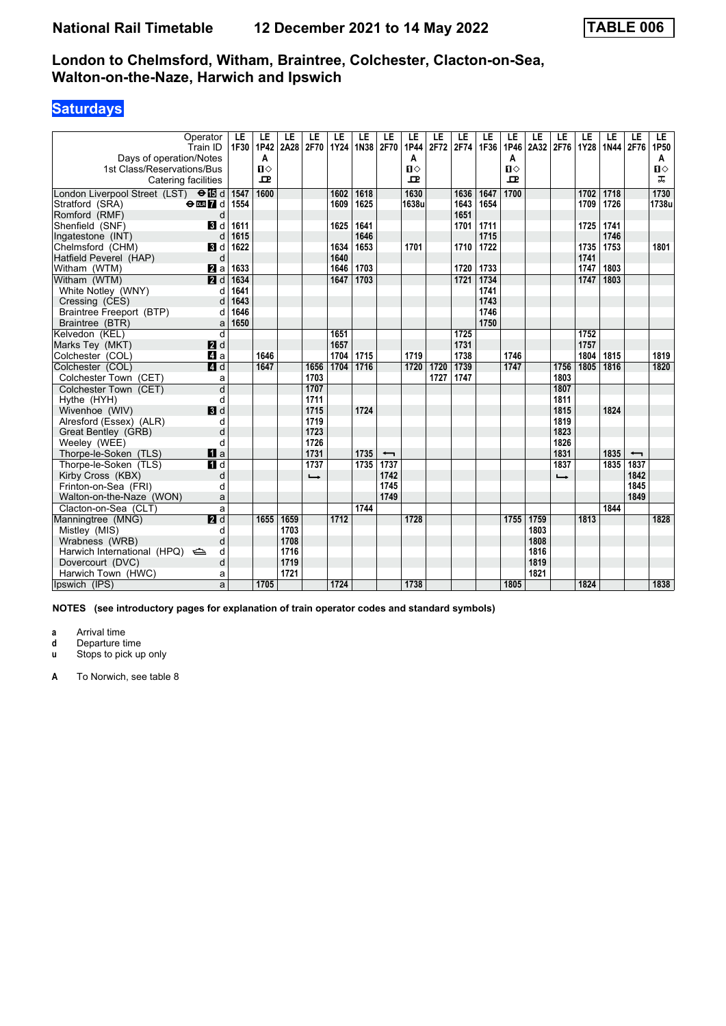# **Saturdays**

| Operator                                           | LE<br>1F30     | LE<br>1P42   | LE<br>2A28 | LE<br>2F70    | LE<br><b>1Y24</b> | LE<br>1N38 | LE<br>2F70               | LE<br>1P44   | LE<br>2F72 | LE<br>2F74 | LE<br>1F36 | LE<br>1P46   | LE<br>2A32 | LE<br>2F76 | LE<br><b>1Y28</b> | LE<br>1N44 2F76 | LE                       | LE<br>1P50   |
|----------------------------------------------------|----------------|--------------|------------|---------------|-------------------|------------|--------------------------|--------------|------------|------------|------------|--------------|------------|------------|-------------------|-----------------|--------------------------|--------------|
| Train ID<br>Days of operation/Notes                |                | A            |            |               |                   |            |                          | A            |            |            |            | A            |            |            |                   |                 |                          | A            |
| 1st Class/Reservations/Bus                         |                | $\mathbf{u}$ |            |               |                   |            |                          | $\mathbf{u}$ |            |            |            | $\Pi$        |            |            |                   |                 |                          | $\mathbf{u}$ |
| Catering facilities                                |                | $\mathbf{P}$ |            |               |                   |            |                          | $\mathbf{P}$ |            |            |            | $\mathbf{P}$ |            |            |                   |                 |                          | ᠼ            |
|                                                    |                |              |            |               |                   |            |                          |              |            |            |            |              |            |            |                   |                 |                          |              |
| London Liverpool Street (LST) $\Theta$ <b>is</b> d | 1547           | 1600         |            |               | 1602              | 1618       |                          | 1630         |            | 1636       | 1647       | 1700         |            |            | 1702              | 1718            |                          | 1730         |
| Stratford (SRA)<br>$\Theta$ DLR $\overline{7}$ d   | 1554           |              |            |               | 1609              | 1625       |                          | 1638u        |            | 1643       | 1654       |              |            |            | 1709              | 1726            |                          | 1738u        |
| Romford (RMF)                                      | d              |              |            |               |                   |            |                          |              |            | 1651       |            |              |            |            |                   |                 |                          |              |
| Shenfield (SNF)<br><b>B</b> Id                     | 1611           |              |            |               | 1625              | 1641       |                          |              |            | 1701       | 1711       |              |            |            | 1725              | 1741            |                          |              |
| Ingatestone (INT)                                  | d<br>1615      |              |            |               |                   | 1646       |                          |              |            |            | 1715       |              |            |            |                   | 1746            |                          |              |
| Chelmsford (CHM)<br>BI d                           | 1622           |              |            |               | 1634              | 1653       |                          | 1701         |            | 1710       | 1722       |              |            |            | 1735              | 1753            |                          | 1801         |
| Hatfield Peverel (HAP)                             | d              |              |            |               | 1640              |            |                          |              |            |            |            |              |            |            | 1741              |                 |                          |              |
| Witham (WTM)<br><b>Z</b> a                         | 1633           |              |            |               | 1646              | 1703       |                          |              |            | 1720       | 1733       |              |            |            | 1747              | 1803            |                          |              |
| Witham (WTM)<br><b>2</b> d                         | 1634           |              |            |               | 1647              | 1703       |                          |              |            | 1721       | 1734       |              |            |            | 1747              | 1803            |                          |              |
| White Notley (WNY)                                 | 1641<br>d      |              |            |               |                   |            |                          |              |            |            | 1741       |              |            |            |                   |                 |                          |              |
| Cressing (CES)                                     | 1643<br>d      |              |            |               |                   |            |                          |              |            |            | 1743       |              |            |            |                   |                 |                          |              |
| Braintree Freeport (BTP)                           | 1646<br>d      |              |            |               |                   |            |                          |              |            |            | 1746       |              |            |            |                   |                 |                          |              |
| Braintree (BTR)                                    | 1650<br>a      |              |            |               |                   |            |                          |              |            |            | 1750       |              |            |            |                   |                 |                          |              |
| Kelvedon (KEL)                                     | d              |              |            |               | 1651              |            |                          |              |            | 1725       |            |              |            |            | 1752              |                 |                          |              |
| 2d<br>Marks Tey (MKT)                              |                |              |            |               | 1657              |            |                          |              |            | 1731       |            |              |            |            | 1757              |                 |                          |              |
| Colchester (COL)<br>$\blacksquare$ a               |                | 1646         |            |               | 1704              | 1715       |                          | 1719         |            | 1738       |            | 1746         |            |            | 1804              | 1815            |                          | 1819         |
| Colchester (COL)<br>4d                             |                | 1647         |            | 1656          | 1704              | 1716       |                          | 1720         | 1720       | 1739       |            | 1747         |            | 1756       | 1805              | 1816            |                          | 1820         |
| Colchester Town (CET)                              | a              |              |            | 1703          |                   |            |                          |              | 1727       | 1747       |            |              |            | 1803       |                   |                 |                          |              |
| Colchester Town (CET)                              | $\overline{d}$ |              |            | 1707          |                   |            |                          |              |            |            |            |              |            | 1807       |                   |                 |                          |              |
| Hythe (HYH)                                        | d              |              |            | 1711          |                   |            |                          |              |            |            |            |              |            | 1811       |                   |                 |                          |              |
| H d<br>Wivenhoe (WIV)                              |                |              |            | 1715          |                   | 1724       |                          |              |            |            |            |              |            | 1815       |                   | 1824            |                          |              |
| Alresford (Essex) (ALR)                            | d              |              |            | 1719          |                   |            |                          |              |            |            |            |              |            | 1819       |                   |                 |                          |              |
| Great Bentley (GRB)                                | d              |              |            | 1723          |                   |            |                          |              |            |            |            |              |            | 1823       |                   |                 |                          |              |
| Weeley (WEE)                                       | d              |              |            | 1726          |                   |            |                          |              |            |            |            |              |            | 1826       |                   |                 |                          |              |
| Thorpe-le-Soken (TLS)<br>$\mathbf{u}$ a            |                |              |            | 1731          |                   | 1735       | $\overline{\phantom{0}}$ |              |            |            |            |              |            | 1831       |                   | 1835            | $\overline{\phantom{0}}$ |              |
| Thorpe-le-Soken (TLS)<br>$\blacksquare$            |                |              |            | 1737          |                   | 1735       | 1737                     |              |            |            |            |              |            | 1837       |                   | 1835            | 1837                     |              |
| Kirby Cross (KBX)                                  | d              |              |            | $\rightarrow$ |                   |            | 1742                     |              |            |            |            |              |            | ┗          |                   |                 | 1842                     |              |
| Frinton-on-Sea (FRI)                               | d              |              |            |               |                   |            | 1745                     |              |            |            |            |              |            |            |                   |                 | 1845                     |              |
| Walton-on-the-Naze (WON)                           | a              |              |            |               |                   |            | 1749                     |              |            |            |            |              |            |            |                   |                 | 1849                     |              |
| Clacton-on-Sea (CLT)                               | a              |              |            |               |                   | 1744       |                          |              |            |            |            |              |            |            |                   | 1844            |                          |              |
| $\overline{M}$ d<br>Manningtree (MNG)              |                | 1655         | 1659       |               | 1712              |            |                          | 1728         |            |            |            |              | 1755 1759  |            | 1813              |                 |                          | 1828         |
| Mistley (MIS)                                      | d              |              | 1703       |               |                   |            |                          |              |            |            |            |              | 1803       |            |                   |                 |                          |              |
| Wrabness (WRB)                                     | d              |              | 1708       |               |                   |            |                          |              |            |            |            |              | 1808       |            |                   |                 |                          |              |
| Harwich International (HPQ)                        | d              |              | 1716       |               |                   |            |                          |              |            |            |            |              | 1816       |            |                   |                 |                          |              |
| Dovercourt (DVC)                                   | d              |              | 1719       |               |                   |            |                          |              |            |            |            |              | 1819       |            |                   |                 |                          |              |
| Harwich Town (HWC)                                 | a              |              | 1721       |               |                   |            |                          |              |            |            |            |              | 1821       |            |                   |                 |                          |              |
| Ipswich (IPS)                                      | a              | 1705         |            |               | 1724              |            |                          | 1738         |            |            |            | 1805         |            |            | 1824              |                 |                          | 1838         |

**NOTES (see introductory pages for explanation of train operator codes and standard symbols)**

**a** Arrival time<br>**d** Departure t

**d** Departure time

**u** Stops to pick up only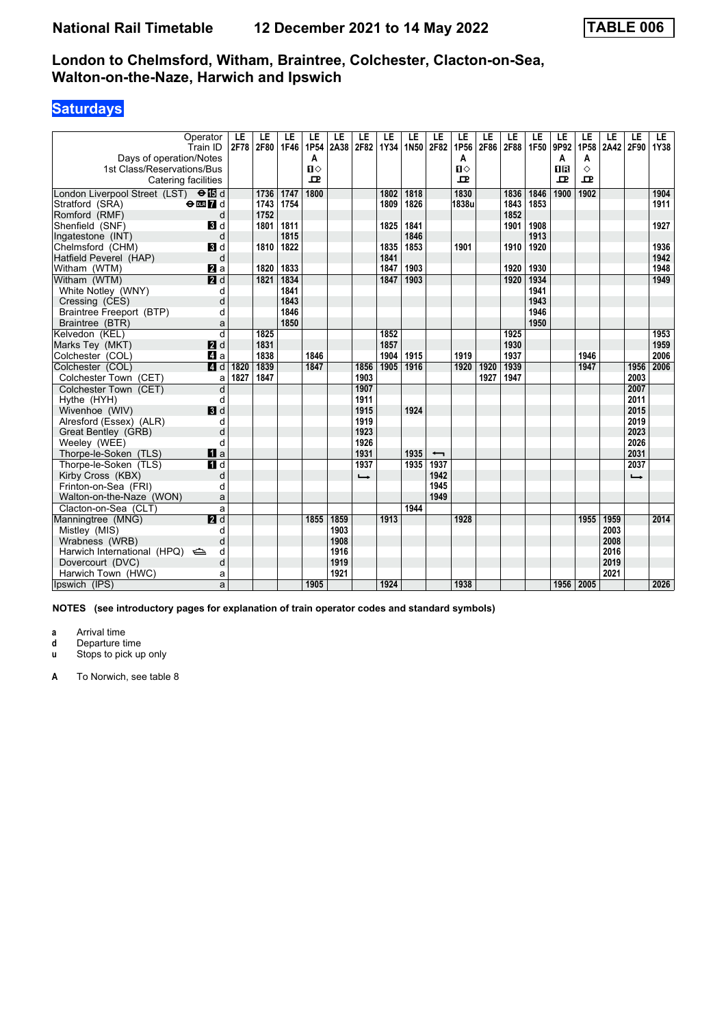# **Saturdays**

| Operator<br>Train ID                               | LE<br>2F78 | LE<br>2F80 | LE<br>1F46 | LE<br>1P54   | LE<br>2A38 | LE<br>2F82               | LE<br>1Y34 | LE<br>1N50 | LE<br>2F82               | LE<br>1P56   | LE<br>2F86 | LE<br>2F88 | LE<br>1F50 | LE<br>9P92 | LE<br>1P58  | LE<br>2A42 2F90 | LE            | LE.<br>1Y38 |
|----------------------------------------------------|------------|------------|------------|--------------|------------|--------------------------|------------|------------|--------------------------|--------------|------------|------------|------------|------------|-------------|-----------------|---------------|-------------|
| Days of operation/Notes                            |            |            |            | A            |            |                          |            |            |                          | A            |            |            |            | A          | A           |                 |               |             |
| 1st Class/Reservations/Bus                         |            |            |            | $\P$         |            |                          |            |            |                          | $\Pi$        |            |            |            | <b>DR</b>  | ♦           |                 |               |             |
| Catering facilities                                |            |            |            | $\mathbf{P}$ |            |                          |            |            |                          | $\mathbf{p}$ |            |            |            | 고          | ᅭ           |                 |               |             |
| London Liverpool Street (LST) $\Theta$ is d        |            | 1736       | 1747       | 1800         |            |                          | 1802       | 1818       |                          | 1830         |            | 1836       | 1846       | 1900       | 1902        |                 |               | 1904        |
| Stratford (SRA)<br>$\Theta$ DE $\overline{7}$ d    |            | 1743       | 1754       |              |            |                          | 1809       | 1826       |                          | 1838u        |            | 1843       | 1853       |            |             |                 |               | 1911        |
| Romford (RMF)<br>d                                 |            | 1752       |            |              |            |                          |            |            |                          |              |            | 1852       |            |            |             |                 |               |             |
| Shenfield (SNF)<br><b>B</b> Id                     |            | 1801       | 1811       |              |            |                          | 1825       | 1841       |                          |              |            | 1901       | 1908       |            |             |                 |               | 1927        |
| Ingatestone (INT)<br>d                             |            |            | 1815       |              |            |                          |            | 1846       |                          |              |            |            | 1913       |            |             |                 |               |             |
| Chelmsford (CHM)<br>$\blacksquare$                 |            | 1810       | 1822       |              |            |                          | 1835       | 1853       |                          | 1901         |            | 1910       | 1920       |            |             |                 |               | 1936        |
| Hatfield Peverel (HAP)<br>d                        |            |            |            |              |            |                          | 1841       |            |                          |              |            |            |            |            |             |                 |               | 1942        |
| Witham (WTM)<br><b>Z</b> a                         |            | 1820       | 1833       |              |            |                          | 1847       | 1903       |                          |              |            | 1920       | 1930       |            |             |                 |               | 1948        |
| $\overline{\mathbf{Z}}$ d<br>Witham (WTM)          |            | 1821       | 1834       |              |            |                          | 1847       | 1903       |                          |              |            | 1920       | 1934       |            |             |                 |               | 1949        |
| White Notley (WNY)<br>d                            |            |            | 1841       |              |            |                          |            |            |                          |              |            |            | 1941       |            |             |                 |               |             |
| d<br>Cressing (CES)                                |            |            | 1843       |              |            |                          |            |            |                          |              |            |            | 1943       |            |             |                 |               |             |
| Braintree Freeport (BTP)<br>d                      |            |            | 1846       |              |            |                          |            |            |                          |              |            |            | 1946       |            |             |                 |               |             |
| Braintree (BTR)<br>a                               |            |            | 1850       |              |            |                          |            |            |                          |              |            |            | 1950       |            |             |                 |               |             |
| $\overline{d}$<br>Kelvedon (KEL)                   |            | 1825       |            |              |            |                          | 1852       |            |                          |              |            | 1925       |            |            |             |                 |               | 1953        |
| 2d<br>Marks Tey (MKT)                              |            | 1831       |            |              |            |                          | 1857       |            |                          |              |            | 1930       |            |            |             |                 |               | 1959        |
| Colchester (COL)<br>44 a                           |            | 1838       |            | 1846         |            |                          | 1904       | 1915       |                          | 1919         |            | 1937       |            |            | 1946        |                 |               | 2006        |
| 4 d<br>Colchester (COL)                            | 1820       | 1839       |            | 1847         |            | 1856                     | 1905       | 1916       |                          | 1920         | 1920       | 1939       |            |            | 1947        |                 | 1956          | 2006        |
| Colchester Town (CET)<br>a                         | 1827       | 1847       |            |              |            | 1903                     |            |            |                          |              | 1927       | 1947       |            |            |             |                 | 2003          |             |
| $\overline{d}$<br>Colchester Town (CET)            |            |            |            |              |            | 1907                     |            |            |                          |              |            |            |            |            |             |                 | 2007          |             |
| Hythe (HYH)<br>d                                   |            |            |            |              |            | 1911                     |            |            |                          |              |            |            |            |            |             |                 | 2011          |             |
| $\blacksquare$<br>Wivenhoe (WIV)                   |            |            |            |              |            | 1915                     |            | 1924       |                          |              |            |            |            |            |             |                 | 2015          |             |
| Alresford (Essex) (ALR)<br>d                       |            |            |            |              |            | 1919                     |            |            |                          |              |            |            |            |            |             |                 | 2019          |             |
| d<br>Great Bentley (GRB)                           |            |            |            |              |            | 1923                     |            |            |                          |              |            |            |            |            |             |                 | 2023          |             |
| Weeley (WEE)<br>d                                  |            |            |            |              |            | 1926                     |            |            |                          |              |            |            |            |            |             |                 | 2026          |             |
| Thorpe-le-Soken (TLS)<br>$\mathbf{u}$ a            |            |            |            |              |            | 1931                     |            | 1935       | $\overline{\phantom{0}}$ |              |            |            |            |            |             |                 | 2031          |             |
| Thorpe-le-Soken (TLS)<br>$\overline{\mathbf{H}}$ d |            |            |            |              |            | 1937                     |            | 1935       | 1937                     |              |            |            |            |            |             |                 | 2037          |             |
| Kirby Cross (KBX)<br>d                             |            |            |            |              |            | $\overline{\phantom{a}}$ |            |            | 1942                     |              |            |            |            |            |             |                 | $\rightarrow$ |             |
| Frinton-on-Sea (FRI)<br>d                          |            |            |            |              |            |                          |            |            | 1945                     |              |            |            |            |            |             |                 |               |             |
| Walton-on-the-Naze (WON)<br>a                      |            |            |            |              |            |                          |            |            | 1949                     |              |            |            |            |            |             |                 |               |             |
| Clacton-on-Sea (CLT)<br>a                          |            |            |            |              |            |                          |            | 1944       |                          |              |            |            |            |            |             |                 |               |             |
| Manningtree (MNG)<br>$\overline{a}$ d              |            |            |            | 1855         | 1859       |                          | 1913       |            |                          | 1928         |            |            |            |            | 1955        | 1959            |               | 2014        |
| Mistley (MIS)<br>d                                 |            |            |            |              | 1903       |                          |            |            |                          |              |            |            |            |            |             | 2003            |               |             |
| Wrabness (WRB)<br>d                                |            |            |            |              | 1908       |                          |            |            |                          |              |            |            |            |            |             | 2008            |               |             |
| Harwich International (HPQ) <<br>d                 |            |            |            |              | 1916       |                          |            |            |                          |              |            |            |            |            |             | 2016            |               |             |
| d<br>Dovercourt (DVC)                              |            |            |            |              | 1919       |                          |            |            |                          |              |            |            |            |            |             | 2019            |               |             |
| Harwich Town (HWC)<br>a                            |            |            |            |              | 1921       |                          |            |            |                          |              |            |            |            |            |             | 2021            |               |             |
| Ipswich (IPS)<br>a                                 |            |            |            | 1905         |            |                          | 1924       |            |                          | 1938         |            |            |            |            | 1956   2005 |                 |               | 2026        |

**NOTES (see introductory pages for explanation of train operator codes and standard symbols)**

**a** Arrival time<br>**d** Departure t

**d** Departure time

**u** Stops to pick up only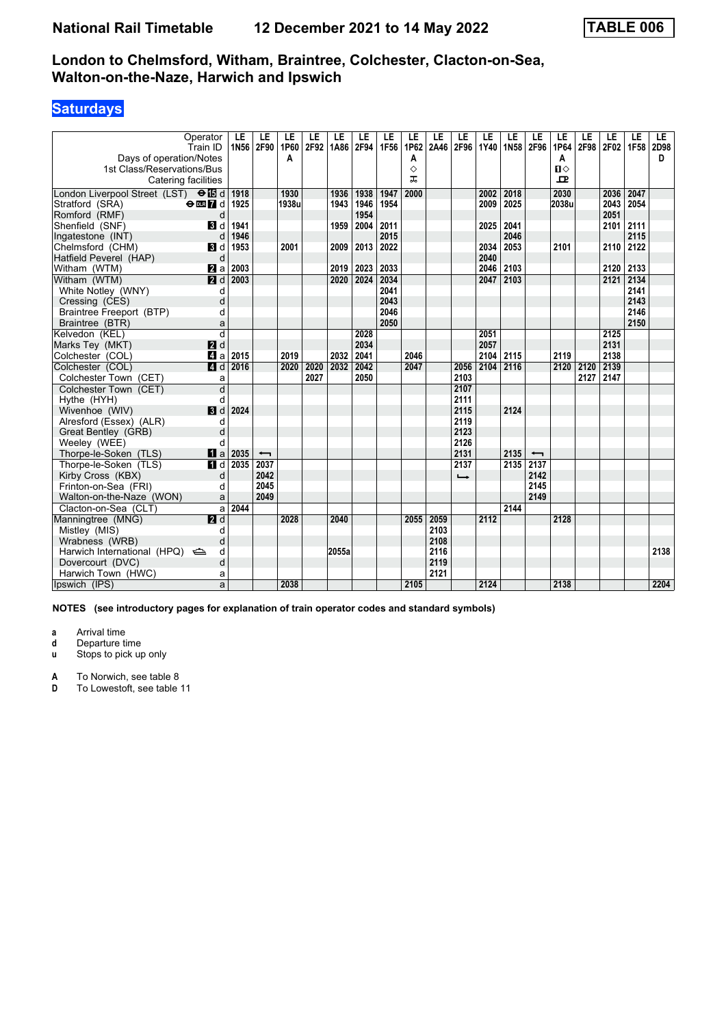# **Saturdays**

| Operator                                              | LE   | LE                       | LE    | LE   | LE    | LE   | LE   | LE     | LE   | LE                       | LE   | LE          | LE                       | LE         | LE     | LE   | LE   | LE.  |
|-------------------------------------------------------|------|--------------------------|-------|------|-------|------|------|--------|------|--------------------------|------|-------------|--------------------------|------------|--------|------|------|------|
| Train ID                                              | 1N56 | 2F90                     | 1P60  | 2F92 | 1A86  | 2F94 | 1F56 | 1P62   | 2A46 | 2F96                     | 1Y40 | <b>1N58</b> | 2F96                     | 1P64       | 2F98   | 2F02 | 1F58 | 2D98 |
| Days of operation/Notes<br>1st Class/Reservations/Bus |      |                          | A     |      |       |      |      | A<br>♦ |      |                          |      |             |                          | A<br>$\Pi$ |        |      |      | D    |
| Catering facilities                                   |      |                          |       |      |       |      |      | ᅚ      |      |                          |      |             |                          | 모          |        |      |      |      |
|                                                       |      |                          |       |      |       |      |      |        |      |                          |      |             |                          |            |        |      |      |      |
| London Liverpool Street (LST) <b>OI</b> d             | 1918 |                          | 1930  |      | 1936  | 1938 | 1947 | 2000   |      |                          | 2002 | 2018        |                          | 2030       |        | 2036 | 2047 |      |
| Stratford (SRA)<br>$\Theta$ DER $\blacksquare$ d      | 1925 |                          | 1938u |      | 1943  | 1946 | 1954 |        |      |                          | 2009 | 2025        |                          | 2038u      |        | 2043 | 2054 |      |
| Romford (RMF)<br>d                                    |      |                          |       |      |       | 1954 |      |        |      |                          |      |             |                          |            |        | 2051 |      |      |
| Shenfield (SNF)<br><b>B</b> Id                        | 1941 |                          |       |      | 1959  | 2004 | 2011 |        |      |                          | 2025 | 2041        |                          |            |        | 2101 | 2111 |      |
| Ingatestone (INT)<br>d                                | 1946 |                          |       |      |       |      | 2015 |        |      |                          |      | 2046        |                          |            |        |      | 2115 |      |
| Chelmsford (CHM)<br>BI d                              | 1953 |                          | 2001  |      | 2009  | 2013 | 2022 |        |      |                          | 2034 | 2053        |                          | 2101       |        | 2110 | 2122 |      |
| d<br>Hatfield Peverel (HAP)                           |      |                          |       |      |       |      |      |        |      |                          | 2040 |             |                          |            |        |      |      |      |
| Witham (WTM)<br><b>Z</b> a                            | 2003 |                          |       |      | 2019  | 2023 | 2033 |        |      |                          | 2046 | 2103        |                          |            |        | 2120 | 2133 |      |
| <b>2</b> d<br>Witham (WTM)                            | 2003 |                          |       |      | 2020  | 2024 | 2034 |        |      |                          | 2047 | 2103        |                          |            |        | 2121 | 2134 |      |
| White Notley (WNY)<br>d                               |      |                          |       |      |       |      | 2041 |        |      |                          |      |             |                          |            |        |      | 2141 |      |
| d<br>Cressing (CES)                                   |      |                          |       |      |       |      | 2043 |        |      |                          |      |             |                          |            |        |      | 2143 |      |
| Braintree Freeport (BTP)<br>d                         |      |                          |       |      |       |      | 2046 |        |      |                          |      |             |                          |            |        |      | 2146 |      |
| Braintree (BTR)<br>a                                  |      |                          |       |      |       |      | 2050 |        |      |                          |      |             |                          |            |        |      | 2150 |      |
| $\overline{d}$<br>Kelvedon (KEL)                      |      |                          |       |      |       | 2028 |      |        |      |                          | 2051 |             |                          |            |        | 2125 |      |      |
| <b>2</b> d<br>Marks Tev (MKT)                         |      |                          |       |      |       | 2034 |      |        |      |                          | 2057 |             |                          |            |        | 2131 |      |      |
| Colchester (COL)<br>ZI a                              | 2015 |                          | 2019  |      | 2032  | 2041 |      | 2046   |      |                          | 2104 | 2115        |                          | 2119       |        | 2138 |      |      |
| Colchester (COL)<br>ZI d                              | 2016 |                          | 2020  | 2020 | 2032  | 2042 |      | 2047   |      | 2056                     | 2104 | 2116        |                          | 2120       | $2120$ | 2139 |      |      |
| Colchester Town (CET)<br>a                            |      |                          |       | 2027 |       | 2050 |      |        |      | 2103                     |      |             |                          |            | 2127   | 2147 |      |      |
| $\overline{d}$<br>Colchester Town (CET)               |      |                          |       |      |       |      |      |        |      | 2107                     |      |             |                          |            |        |      |      |      |
| Hythe (HYH)<br>d                                      |      |                          |       |      |       |      |      |        |      | 2111                     |      |             |                          |            |        |      |      |      |
| 3d<br>Wivenhoe (WIV)                                  | 2024 |                          |       |      |       |      |      |        |      | 2115                     |      | 2124        |                          |            |        |      |      |      |
| Alresford (Essex) (ALR)<br>d                          |      |                          |       |      |       |      |      |        |      | 2119                     |      |             |                          |            |        |      |      |      |
| Great Bentley (GRB)<br>d                              |      |                          |       |      |       |      |      |        |      | 2123                     |      |             |                          |            |        |      |      |      |
| Weeley (WEE)<br>d                                     |      |                          |       |      |       |      |      |        |      | 2126                     |      |             |                          |            |        |      |      |      |
| Thorpe-le-Soken (TLS)<br>$\blacksquare$ a             | 2035 | $\overline{\phantom{0}}$ |       |      |       |      |      |        |      | 2131                     |      | 2135        | $\overline{\phantom{0}}$ |            |        |      |      |      |
| Thorpe-le-Soken (TLS)<br>$\blacksquare$               | 2035 | 2037                     |       |      |       |      |      |        |      | 2137                     |      | 2135        | 2137                     |            |        |      |      |      |
| Kirby Cross (KBX)<br>d                                |      | 2042                     |       |      |       |      |      |        |      | $\overline{\phantom{a}}$ |      |             | 2142                     |            |        |      |      |      |
| Frinton-on-Sea (FRI)<br>d                             |      | 2045                     |       |      |       |      |      |        |      |                          |      |             | 2145                     |            |        |      |      |      |
| Walton-on-the-Naze (WON)<br>a                         |      | 2049                     |       |      |       |      |      |        |      |                          |      |             | 2149                     |            |        |      |      |      |
| a<br>Clacton-on-Sea (CLT)                             | 2044 |                          |       |      |       |      |      |        |      |                          |      | 2144        |                          |            |        |      |      |      |
| Manningtree (MNG)<br><b>2</b> d                       |      |                          | 2028  |      | 2040  |      |      | 2055   | 2059 |                          | 2112 |             |                          | 2128       |        |      |      |      |
| Mistley (MIS)<br>d                                    |      |                          |       |      |       |      |      |        | 2103 |                          |      |             |                          |            |        |      |      |      |
| d<br>Wrabness (WRB)                                   |      |                          |       |      |       |      |      |        | 2108 |                          |      |             |                          |            |        |      |      |      |
| Harwich International (HPQ)<br>d                      |      |                          |       |      | 2055a |      |      |        | 2116 |                          |      |             |                          |            |        |      |      | 2138 |
| d<br>Dovercourt (DVC)                                 |      |                          |       |      |       |      |      |        | 2119 |                          |      |             |                          |            |        |      |      |      |
| Harwich Town (HWC)<br>a                               |      |                          |       |      |       |      |      |        | 2121 |                          |      |             |                          |            |        |      |      |      |
| Ipswich (IPS)<br>a                                    |      |                          | 2038  |      |       |      |      | 2105   |      |                          | 2124 |             |                          | 2138       |        |      |      | 2204 |

**NOTES (see introductory pages for explanation of train operator codes and standard symbols)**

**a** Arrival time<br>**d** Departure t

**d** Departure time

**u** Stops to pick up only

**A** To Norwich, see table 8<br>**D** To Lowestoft, see table To Lowestoft, see table 11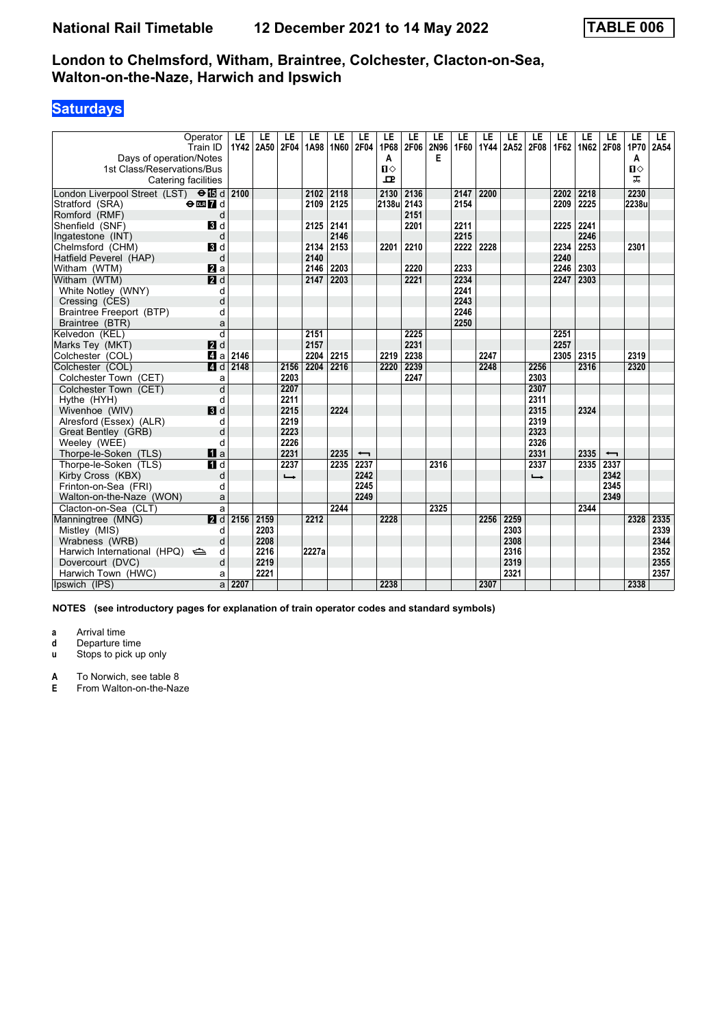# **Saturdays**

| Operator                                              | LE             | LE   | LE            | LE    | LE          | LE                       | LE                | LE   | LE        | LE   | LE   | LE   | LE                       | LE   | LE        | LE                       | LE        | LE.  |
|-------------------------------------------------------|----------------|------|---------------|-------|-------------|--------------------------|-------------------|------|-----------|------|------|------|--------------------------|------|-----------|--------------------------|-----------|------|
| Train ID                                              | 1Y42           | 2A50 | 2F04          | 1A98  | <b>1N60</b> | 2F04                     | 1P68              | 2F06 | 2N96<br>Е | 1F60 | 1Y44 | 2A52 | 2F08                     | 1F62 | 1N62 2F08 |                          | 1P70      | 2A54 |
| Days of operation/Notes<br>1st Class/Reservations/Bus |                |      |               |       |             |                          | A<br>$\mathbf{u}$ |      |           |      |      |      |                          |      |           |                          | A<br>$\P$ |      |
| Catering facilities                                   |                |      |               |       |             |                          | $\mathbf{p}$      |      |           |      |      |      |                          |      |           |                          | ᅚ         |      |
|                                                       |                |      |               |       |             |                          |                   |      |           |      |      |      |                          |      |           |                          |           |      |
| London Liverpool Street (LST) <b>OII</b> d            | 2100           |      |               | 2102  | 2118        |                          | 2130              | 2136 |           | 2147 | 2200 |      |                          | 2202 | 2218      |                          | 2230      |      |
| Stratford (SRA)<br>$\Theta$ or $\blacksquare$ d       |                |      |               | 2109  | 2125        |                          | 2138u 2143        |      |           | 2154 |      |      |                          | 2209 | 2225      |                          | 2238u     |      |
| Romford (RMF)                                         | d              |      |               |       |             |                          |                   | 2151 |           |      |      |      |                          |      |           |                          |           |      |
| Shenfield (SNF)<br><b>B</b> Id                        |                |      |               | 2125  | 2141        |                          |                   | 2201 |           | 2211 |      |      |                          | 2225 | 2241      |                          |           |      |
| Ingatestone (INT)                                     | d              |      |               |       | 2146        |                          |                   |      |           | 2215 |      |      |                          |      | 2246      |                          |           |      |
| Chelmsford (CHM)<br>$\blacksquare$                    |                |      |               | 2134  | 2153        |                          | 2201              | 2210 |           | 2222 | 2228 |      |                          | 2234 | 2253      |                          | 2301      |      |
| Hatfield Peverel (HAP)                                | d              |      |               | 2140  |             |                          |                   |      |           |      |      |      |                          | 2240 |           |                          |           |      |
| Witham (WTM)<br><b>Z</b> a                            |                |      |               | 2146  | 2203        |                          |                   | 2220 |           | 2233 |      |      |                          | 2246 | 2303      |                          |           |      |
| $\overline{a}$ d<br>Witham (WTM)                      |                |      |               | 2147  | 2203        |                          |                   | 2221 |           | 2234 |      |      |                          | 2247 | 2303      |                          |           |      |
| White Notley (WNY)                                    | d              |      |               |       |             |                          |                   |      |           | 2241 |      |      |                          |      |           |                          |           |      |
| Cressing (CES)                                        | d              |      |               |       |             |                          |                   |      |           | 2243 |      |      |                          |      |           |                          |           |      |
| Braintree Freeport (BTP)                              | d              |      |               |       |             |                          |                   |      |           | 2246 |      |      |                          |      |           |                          |           |      |
| Braintree (BTR)                                       | a              |      |               |       |             |                          |                   |      |           | 2250 |      |      |                          |      |           |                          |           |      |
| Kelvedon (KEL)                                        | d              |      |               | 2151  |             |                          |                   | 2225 |           |      |      |      |                          | 2251 |           |                          |           |      |
| 2d<br>Marks Tey (MKT)                                 |                |      |               | 2157  |             |                          |                   | 2231 |           |      |      |      |                          | 2257 |           |                          |           |      |
| Colchester (COL)<br>ZI a                              | 2146           |      |               | 2204  | 2215        |                          | 2219              | 2238 |           |      | 2247 |      |                          | 2305 | 2315      |                          | 2319      |      |
| 4d<br>Colchester (COL)                                | 2148           |      | 2156          | 2204  | 2216        |                          | 2220              | 2239 |           |      | 2248 |      | 2256                     |      | 2316      |                          | 2320      |      |
| Colchester Town (CET)                                 | a              |      | 2203          |       |             |                          |                   | 2247 |           |      |      |      | 2303                     |      |           |                          |           |      |
| Colchester Town (CET)                                 | $\overline{d}$ |      | 2207          |       |             |                          |                   |      |           |      |      |      | 2307                     |      |           |                          |           |      |
| Hythe (HYH)                                           | d              |      | 2211          |       |             |                          |                   |      |           |      |      |      | 2311                     |      |           |                          |           |      |
| $\blacksquare$<br>Wivenhoe (WIV)                      |                |      | 2215          |       | 2224        |                          |                   |      |           |      |      |      | 2315                     |      | 2324      |                          |           |      |
| Alresford (Essex) (ALR)                               | d              |      | 2219          |       |             |                          |                   |      |           |      |      |      | 2319                     |      |           |                          |           |      |
| Great Bentley (GRB)                                   | d              |      | 2223          |       |             |                          |                   |      |           |      |      |      | 2323                     |      |           |                          |           |      |
| Weeley (WEE)                                          | d              |      | 2226          |       |             |                          |                   |      |           |      |      |      | 2326                     |      |           |                          |           |      |
| Thorpe-le-Soken (TLS)<br>$\blacksquare$ a             |                |      | 2231          |       | 2235        | $\overline{\phantom{0}}$ |                   |      |           |      |      |      | 2331                     |      | 2335      | $\overline{\phantom{0}}$ |           |      |
| Thorpe-le-Soken (TLS)<br><b>n</b> d                   |                |      | 2237          |       | 2235        | 2237                     |                   |      | 2316      |      |      |      | 2337                     |      | 2335      | 2337                     |           |      |
| Kirby Cross (KBX)                                     | d              |      | $\rightarrow$ |       |             | 2242                     |                   |      |           |      |      |      | $\overline{\phantom{a}}$ |      |           | 2342                     |           |      |
| Frinton-on-Sea (FRI)                                  | d              |      |               |       |             | 2245                     |                   |      |           |      |      |      |                          |      |           | 2345                     |           |      |
| Walton-on-the-Naze (WON)                              | a              |      |               |       |             | 2249                     |                   |      |           |      |      |      |                          |      |           | 2349                     |           |      |
| Clacton-on-Sea (CLT)                                  | a              |      |               |       | 2244        |                          |                   |      | 2325      |      |      |      |                          |      | 2344      |                          |           |      |
| 2d<br>Manningtree (MNG)                               | 2156           | 2159 |               | 2212  |             |                          | 2228              |      |           |      | 2256 | 2259 |                          |      |           |                          | 2328      | 2335 |
| Mistley (MIS)                                         | d              | 2203 |               |       |             |                          |                   |      |           |      |      | 2303 |                          |      |           |                          |           | 2339 |
| Wrabness (WRB)                                        | d              | 2208 |               |       |             |                          |                   |      |           |      |      | 2308 |                          |      |           |                          |           | 2344 |
| Harwich International (HPQ)                           | d              | 2216 |               | 2227a |             |                          |                   |      |           |      |      | 2316 |                          |      |           |                          |           | 2352 |
| Dovercourt (DVC)                                      | d              | 2219 |               |       |             |                          |                   |      |           |      |      | 2319 |                          |      |           |                          |           | 2355 |
| Harwich Town (HWC)                                    | a              | 2221 |               |       |             |                          |                   |      |           |      |      | 2321 |                          |      |           |                          |           | 2357 |
| Ipswich (IPS)                                         | 2207<br>a      |      |               |       |             |                          | 2238              |      |           |      | 2307 |      |                          |      |           |                          | 2338      |      |

**NOTES (see introductory pages for explanation of train operator codes and standard symbols)**

**a** Arrival time<br>**d** Departure t

**d** Departure time

**u** Stops to pick up only

**A** To Norwich, see table 8<br>**E** From Walton-on-the-Na: **From Walton-on-the-Naze**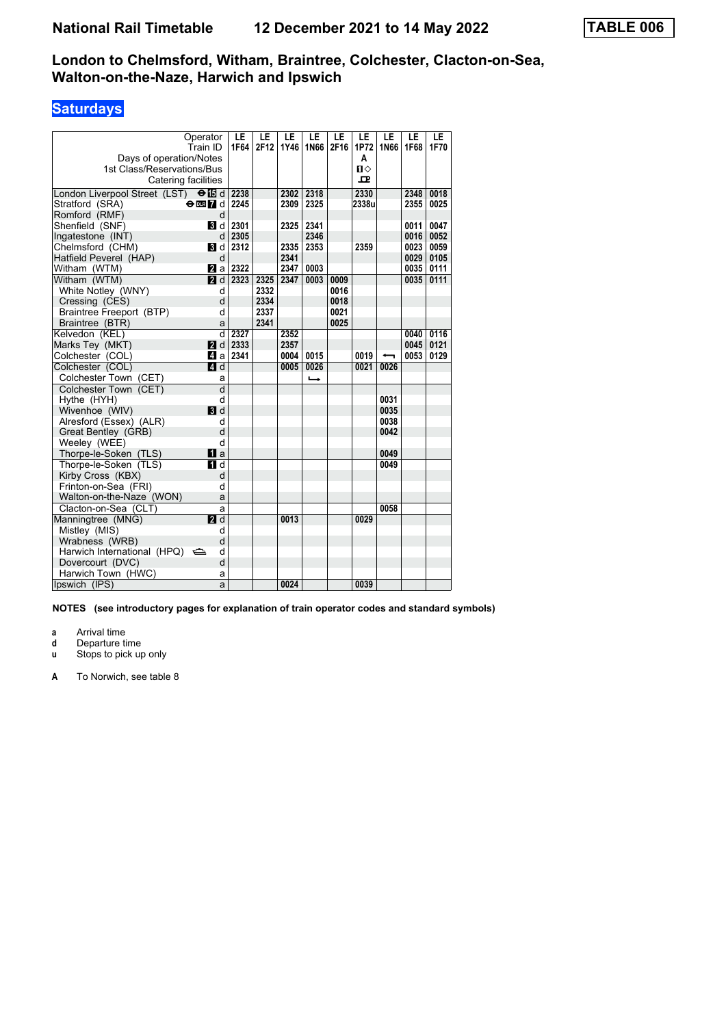# **Saturdays**

| Operator                                                   |                | LE.  | LE   | LE.  | LE   | LE   | LE             | LE   | LE        | īΕ.  |
|------------------------------------------------------------|----------------|------|------|------|------|------|----------------|------|-----------|------|
| Train ID                                                   |                | 1F64 | 2F12 | 1Y46 | 1N66 | 2F16 | 1P72           | 1N66 | 1F68      | 1F70 |
| Days of operation/Notes                                    |                |      |      |      |      |      | A              |      |           |      |
| 1st Class/Reservations/Bus                                 |                |      |      |      |      |      | $\blacksquare$ |      |           |      |
| Catering facilities                                        |                |      |      |      |      |      | ᇁ              |      |           |      |
| London Liverpool Street (LST) $\Theta$ is d                |                | 2238 |      | 2302 | 2318 |      | 2330           |      | 2348      | 0018 |
| Stratford (SRA)<br>$\Theta$ on $\boldsymbol{\mathsf{Z}}$ d |                | 2245 |      | 2309 | 2325 |      | 2338u          |      | 2355      | 0025 |
| Romford (RMF)                                              | d              |      |      |      |      |      |                |      |           |      |
| Shenfield (SNF)<br><b>Bi</b> d                             |                | 2301 |      | 2325 | 2341 |      |                |      | 0011      | 0047 |
| Ingatestone (INT)                                          | d              | 2305 |      |      | 2346 |      |                |      | 0016      | 0052 |
| Chelmsford (CHM)<br><b>3</b> d                             |                | 2312 |      | 2335 | 2353 |      | 2359           |      | 0023      | 0059 |
| Hatfield Peverel (HAP)                                     | d              |      |      | 2341 |      |      |                |      | 0029 0105 |      |
| $\mathbf{z}$ all<br>Witham (WTM)                           |                | 2322 |      | 2347 | 0003 |      |                |      | 0035 0111 |      |
| $P$ d<br>Witham (WTM)                                      |                | 2323 | 2325 | 2347 | 0003 | 0009 |                |      | 0035      | 0111 |
| White Notley (WNY)                                         | d              |      | 2332 |      |      | 0016 |                |      |           |      |
| Cressing (CES)                                             | d              |      | 2334 |      |      | 0018 |                |      |           |      |
| Braintree Freeport (BTP)                                   | d              |      | 2337 |      |      | 0021 |                |      |           |      |
| Braintree (BTR)                                            | a              |      | 2341 |      |      | 0025 |                |      |           |      |
| Kelvedon (KEL)                                             | d              | 2327 |      | 2352 |      |      |                |      | 0040      | 0116 |
| 2d<br>Marks Tey (MKT)                                      |                | 2333 |      | 2357 |      |      |                |      | 0045      | 0121 |
| Colchester (COL)<br>41 a                                   |                | 2341 |      | 0004 | 0015 |      | 0019           |      | 0053      | 0129 |
| Colchester (COL)<br>4 d                                    |                |      |      | 0005 | 0026 |      | 0021           | 0026 |           |      |
| Colchester Town (CET)                                      | a              |      |      |      | ⊷    |      |                |      |           |      |
| Colchester Town (CET)                                      | $\overline{d}$ |      |      |      |      |      |                |      |           |      |
| Hythe (HYH)                                                | d              |      |      |      |      |      |                | 0031 |           |      |
| 3d<br>Wivenhoe (WIV)                                       |                |      |      |      |      |      |                | 0035 |           |      |
| Alresford (Essex) (ALR)                                    | d              |      |      |      |      |      |                | 0038 |           |      |
| Great Bentley (GRB)                                        | d              |      |      |      |      |      |                | 0042 |           |      |
| Weeley (WEE)                                               | d              |      |      |      |      |      |                |      |           |      |
| Thorpe-le-Soken (TLS)<br>$\blacksquare$ a                  |                |      |      |      |      |      |                | 0049 |           |      |
| Thorpe-le-Soken (TLS)<br>$\P$ d                            |                |      |      |      |      |      |                | 0049 |           |      |
| Kirby Cross (KBX)                                          | d              |      |      |      |      |      |                |      |           |      |
| Frinton-on-Sea (FRI)                                       | d              |      |      |      |      |      |                |      |           |      |
| Walton-on-the-Naze (WON)                                   | a              |      |      |      |      |      |                |      |           |      |
| Clacton-on-Sea (CLT)                                       | a              |      |      |      |      |      |                | 0058 |           |      |
| Manningtree (MNG)<br><b>Zd</b>                             |                |      |      | 0013 |      |      | 0029           |      |           |      |
| Mistley (MIS)                                              | d              |      |      |      |      |      |                |      |           |      |
| Wrabness (WRB)                                             | d              |      |      |      |      |      |                |      |           |      |
| Harwich International (HPQ)                                | d              |      |      |      |      |      |                |      |           |      |
| Dovercourt (DVC)                                           | d              |      |      |      |      |      |                |      |           |      |
| Harwich Town (HWC)                                         | a              |      |      |      |      |      |                |      |           |      |
| Ipswich (IPS)                                              | a              |      |      | 0024 |      |      | 0039           |      |           |      |

**NOTES (see introductory pages for explanation of train operator codes and standard symbols)**

**a** Arrival time<br>**d** Departure t

**d** Departure time

**u** Stops to pick up only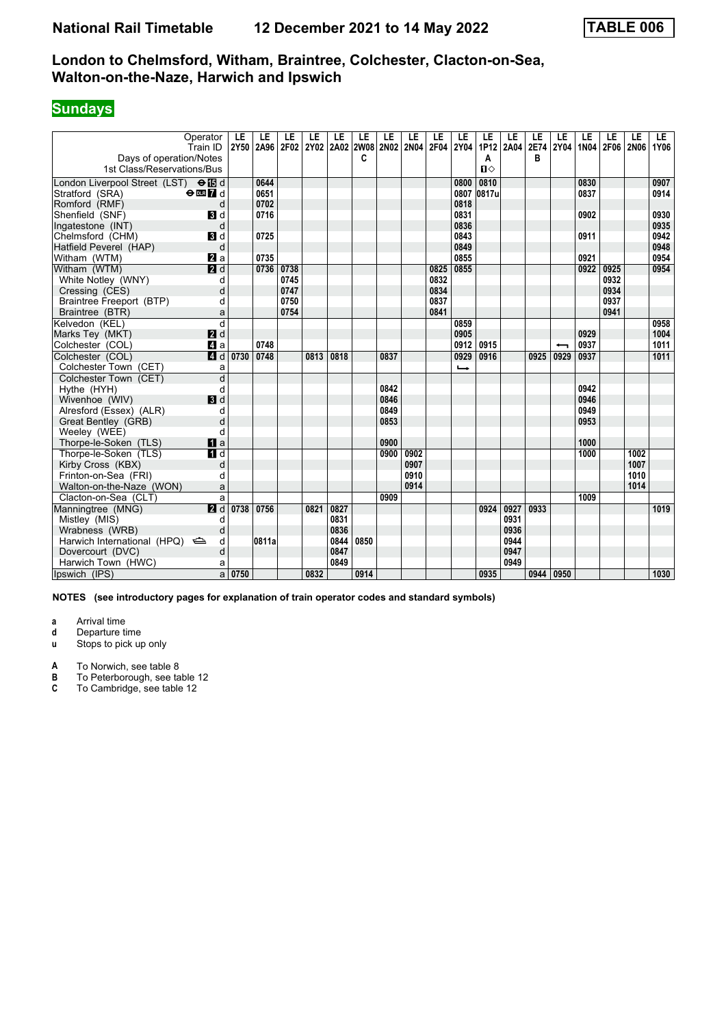# **Sundays**

| Operator<br>2Y50<br>2N02<br>2A96<br>2F02<br>2Y02<br>2A02 2W08<br><b>2N04</b><br><b>2F04</b><br>2Y04<br>1P12<br>2A04<br>2E74<br><b>2Y04</b><br><b>1N04</b><br>2F06<br><b>2N06</b><br>Train ID<br>1Y06<br>Days of operation/Notes<br>в<br>C<br>Α<br>$\mathbf{u}$<br>1st Class/Reservations/Bus<br>London Liverpool Street (LST) $\Theta$ is d<br>0810<br>0830<br>0907<br>0644<br>0800<br>0651<br>0807 0817u<br>0837<br>0914<br>Stratford (SRA)<br>$\Theta$ or $\blacksquare$ d<br>0818<br>Romford (RMF)<br>0702<br>d<br>0831<br>0930<br>Shenfield (SNF)<br>$\blacksquare$<br>0716<br>0902<br>0836<br>0935<br>Ingatestone (INT)<br>d<br>0843<br>0942<br>Chelmsford (CHM)<br>3d<br>0725<br>0911<br>0849<br>0948<br>Hatfield Peverel (HAP)<br>d<br>0855<br>0735<br>0921<br>0954<br>Witham (WTM)<br>a<br>$P$ d<br>0736<br>0738<br>0855<br>0922<br>0925<br>0954<br>Witham (WTM)<br>0825<br>White Notley (WNY)<br>0932<br>0745<br>0832<br>d<br>0934<br>0747<br>0834<br>Cressing (CES)<br>d<br>0837<br>0937<br>0750<br>Braintree Freeport (BTP)<br>d<br>0754<br>0841<br>0941<br>Braintree (BTR)<br>a<br>d<br>0958<br>Kelvedon (KEL)<br>0859<br>1004<br>Marks Tey (MKT)<br>2d<br>0905<br>0929<br>ZI a<br>0748<br>0912<br>0915<br>0937<br>1011<br>Colchester (COL)<br>╼<br>4d<br>Colchester (COL)<br>0748<br>0730<br>0813<br>0818<br>0837<br>0929<br>0925<br>0929<br>0937<br>0916<br>Colchester Town (CET)<br>a<br>$\overline{\phantom{a}}$<br>d<br>Colchester Town (CET)<br>0842<br>Hythe (HYH)<br>0942<br>d<br>0846<br>0946<br>Wivenhoe (WIV)<br>$\blacksquare$<br>0849<br>0949<br>Alresford (Essex) (ALR)<br>d<br>0853<br>0953<br>Great Bentley (GRB)<br>d<br>Weeley (WEE)<br>d<br>$\mathbf{u}$ a<br>0900<br>Thorpe-le-Soken (TLS)<br>1000<br>$\overline{\mathbf{H}}$ d<br>Thorpe-le-Soken (TLS)<br>0900<br>0902<br>1000<br>1002<br>0907<br>1007<br>Kirby Cross (KBX)<br>d<br>Frinton-on-Sea (FRI)<br>0910<br>1010<br>d<br>0914<br>1014<br>Walton-on-the-Naze (WON)<br>a<br>a<br>0909<br>Clacton-on-Sea (CLT)<br>1009<br>2d<br>Manningtree (MNG)<br>0738<br>0756<br>0827<br>0924<br>0927<br>0933<br>0821<br>0831<br>0931<br>Mistley (MIS)<br>d<br>0936<br>Wrabness (WRB)<br>0836<br>d<br>Harwich International (HPQ)<br>0811a<br>0844<br>0850<br>0944<br>d<br>d<br>0847<br>0947<br>Dovercourt (DVC)<br>0849<br>0949<br>Harwich Town (HWC)<br>a<br>0944 0950 |               |   |      |    |    |      |    |      |    |    |    |    |      |    |    |    |    |    |    |      |
|-----------------------------------------------------------------------------------------------------------------------------------------------------------------------------------------------------------------------------------------------------------------------------------------------------------------------------------------------------------------------------------------------------------------------------------------------------------------------------------------------------------------------------------------------------------------------------------------------------------------------------------------------------------------------------------------------------------------------------------------------------------------------------------------------------------------------------------------------------------------------------------------------------------------------------------------------------------------------------------------------------------------------------------------------------------------------------------------------------------------------------------------------------------------------------------------------------------------------------------------------------------------------------------------------------------------------------------------------------------------------------------------------------------------------------------------------------------------------------------------------------------------------------------------------------------------------------------------------------------------------------------------------------------------------------------------------------------------------------------------------------------------------------------------------------------------------------------------------------------------------------------------------------------------------------------------------------------------------------------------------------------------------------------------------------------------------------------------------------------------------------------------------------------------------------------------------------------------------------------------------------------------------------------------------------------------------------------------------------|---------------|---|------|----|----|------|----|------|----|----|----|----|------|----|----|----|----|----|----|------|
|                                                                                                                                                                                                                                                                                                                                                                                                                                                                                                                                                                                                                                                                                                                                                                                                                                                                                                                                                                                                                                                                                                                                                                                                                                                                                                                                                                                                                                                                                                                                                                                                                                                                                                                                                                                                                                                                                                                                                                                                                                                                                                                                                                                                                                                                                                                                                     |               |   | LE   | LE | LE | LE   | LE | LE   | LE | LE | LE | LE | LE   | LE | LE | LE | LE | LE | LE | LE . |
|                                                                                                                                                                                                                                                                                                                                                                                                                                                                                                                                                                                                                                                                                                                                                                                                                                                                                                                                                                                                                                                                                                                                                                                                                                                                                                                                                                                                                                                                                                                                                                                                                                                                                                                                                                                                                                                                                                                                                                                                                                                                                                                                                                                                                                                                                                                                                     |               |   |      |    |    |      |    |      |    |    |    |    |      |    |    |    |    |    |    |      |
|                                                                                                                                                                                                                                                                                                                                                                                                                                                                                                                                                                                                                                                                                                                                                                                                                                                                                                                                                                                                                                                                                                                                                                                                                                                                                                                                                                                                                                                                                                                                                                                                                                                                                                                                                                                                                                                                                                                                                                                                                                                                                                                                                                                                                                                                                                                                                     |               |   |      |    |    |      |    |      |    |    |    |    |      |    |    |    |    |    |    |      |
|                                                                                                                                                                                                                                                                                                                                                                                                                                                                                                                                                                                                                                                                                                                                                                                                                                                                                                                                                                                                                                                                                                                                                                                                                                                                                                                                                                                                                                                                                                                                                                                                                                                                                                                                                                                                                                                                                                                                                                                                                                                                                                                                                                                                                                                                                                                                                     |               |   |      |    |    |      |    |      |    |    |    |    |      |    |    |    |    |    |    |      |
|                                                                                                                                                                                                                                                                                                                                                                                                                                                                                                                                                                                                                                                                                                                                                                                                                                                                                                                                                                                                                                                                                                                                                                                                                                                                                                                                                                                                                                                                                                                                                                                                                                                                                                                                                                                                                                                                                                                                                                                                                                                                                                                                                                                                                                                                                                                                                     |               |   |      |    |    |      |    |      |    |    |    |    |      |    |    |    |    |    |    |      |
|                                                                                                                                                                                                                                                                                                                                                                                                                                                                                                                                                                                                                                                                                                                                                                                                                                                                                                                                                                                                                                                                                                                                                                                                                                                                                                                                                                                                                                                                                                                                                                                                                                                                                                                                                                                                                                                                                                                                                                                                                                                                                                                                                                                                                                                                                                                                                     |               |   |      |    |    |      |    |      |    |    |    |    |      |    |    |    |    |    |    |      |
|                                                                                                                                                                                                                                                                                                                                                                                                                                                                                                                                                                                                                                                                                                                                                                                                                                                                                                                                                                                                                                                                                                                                                                                                                                                                                                                                                                                                                                                                                                                                                                                                                                                                                                                                                                                                                                                                                                                                                                                                                                                                                                                                                                                                                                                                                                                                                     |               |   |      |    |    |      |    |      |    |    |    |    |      |    |    |    |    |    |    |      |
|                                                                                                                                                                                                                                                                                                                                                                                                                                                                                                                                                                                                                                                                                                                                                                                                                                                                                                                                                                                                                                                                                                                                                                                                                                                                                                                                                                                                                                                                                                                                                                                                                                                                                                                                                                                                                                                                                                                                                                                                                                                                                                                                                                                                                                                                                                                                                     |               |   |      |    |    |      |    |      |    |    |    |    |      |    |    |    |    |    |    |      |
|                                                                                                                                                                                                                                                                                                                                                                                                                                                                                                                                                                                                                                                                                                                                                                                                                                                                                                                                                                                                                                                                                                                                                                                                                                                                                                                                                                                                                                                                                                                                                                                                                                                                                                                                                                                                                                                                                                                                                                                                                                                                                                                                                                                                                                                                                                                                                     |               |   |      |    |    |      |    |      |    |    |    |    |      |    |    |    |    |    |    |      |
|                                                                                                                                                                                                                                                                                                                                                                                                                                                                                                                                                                                                                                                                                                                                                                                                                                                                                                                                                                                                                                                                                                                                                                                                                                                                                                                                                                                                                                                                                                                                                                                                                                                                                                                                                                                                                                                                                                                                                                                                                                                                                                                                                                                                                                                                                                                                                     |               |   |      |    |    |      |    |      |    |    |    |    |      |    |    |    |    |    |    |      |
|                                                                                                                                                                                                                                                                                                                                                                                                                                                                                                                                                                                                                                                                                                                                                                                                                                                                                                                                                                                                                                                                                                                                                                                                                                                                                                                                                                                                                                                                                                                                                                                                                                                                                                                                                                                                                                                                                                                                                                                                                                                                                                                                                                                                                                                                                                                                                     |               |   |      |    |    |      |    |      |    |    |    |    |      |    |    |    |    |    |    |      |
|                                                                                                                                                                                                                                                                                                                                                                                                                                                                                                                                                                                                                                                                                                                                                                                                                                                                                                                                                                                                                                                                                                                                                                                                                                                                                                                                                                                                                                                                                                                                                                                                                                                                                                                                                                                                                                                                                                                                                                                                                                                                                                                                                                                                                                                                                                                                                     |               |   |      |    |    |      |    |      |    |    |    |    |      |    |    |    |    |    |    |      |
| 1011<br>1019                                                                                                                                                                                                                                                                                                                                                                                                                                                                                                                                                                                                                                                                                                                                                                                                                                                                                                                                                                                                                                                                                                                                                                                                                                                                                                                                                                                                                                                                                                                                                                                                                                                                                                                                                                                                                                                                                                                                                                                                                                                                                                                                                                                                                                                                                                                                        |               |   |      |    |    |      |    |      |    |    |    |    |      |    |    |    |    |    |    |      |
|                                                                                                                                                                                                                                                                                                                                                                                                                                                                                                                                                                                                                                                                                                                                                                                                                                                                                                                                                                                                                                                                                                                                                                                                                                                                                                                                                                                                                                                                                                                                                                                                                                                                                                                                                                                                                                                                                                                                                                                                                                                                                                                                                                                                                                                                                                                                                     |               |   |      |    |    |      |    |      |    |    |    |    |      |    |    |    |    |    |    |      |
|                                                                                                                                                                                                                                                                                                                                                                                                                                                                                                                                                                                                                                                                                                                                                                                                                                                                                                                                                                                                                                                                                                                                                                                                                                                                                                                                                                                                                                                                                                                                                                                                                                                                                                                                                                                                                                                                                                                                                                                                                                                                                                                                                                                                                                                                                                                                                     |               |   |      |    |    |      |    |      |    |    |    |    |      |    |    |    |    |    |    |      |
|                                                                                                                                                                                                                                                                                                                                                                                                                                                                                                                                                                                                                                                                                                                                                                                                                                                                                                                                                                                                                                                                                                                                                                                                                                                                                                                                                                                                                                                                                                                                                                                                                                                                                                                                                                                                                                                                                                                                                                                                                                                                                                                                                                                                                                                                                                                                                     |               |   |      |    |    |      |    |      |    |    |    |    |      |    |    |    |    |    |    |      |
|                                                                                                                                                                                                                                                                                                                                                                                                                                                                                                                                                                                                                                                                                                                                                                                                                                                                                                                                                                                                                                                                                                                                                                                                                                                                                                                                                                                                                                                                                                                                                                                                                                                                                                                                                                                                                                                                                                                                                                                                                                                                                                                                                                                                                                                                                                                                                     |               |   |      |    |    |      |    |      |    |    |    |    |      |    |    |    |    |    |    |      |
|                                                                                                                                                                                                                                                                                                                                                                                                                                                                                                                                                                                                                                                                                                                                                                                                                                                                                                                                                                                                                                                                                                                                                                                                                                                                                                                                                                                                                                                                                                                                                                                                                                                                                                                                                                                                                                                                                                                                                                                                                                                                                                                                                                                                                                                                                                                                                     |               |   |      |    |    |      |    |      |    |    |    |    |      |    |    |    |    |    |    |      |
|                                                                                                                                                                                                                                                                                                                                                                                                                                                                                                                                                                                                                                                                                                                                                                                                                                                                                                                                                                                                                                                                                                                                                                                                                                                                                                                                                                                                                                                                                                                                                                                                                                                                                                                                                                                                                                                                                                                                                                                                                                                                                                                                                                                                                                                                                                                                                     |               |   |      |    |    |      |    |      |    |    |    |    |      |    |    |    |    |    |    |      |
|                                                                                                                                                                                                                                                                                                                                                                                                                                                                                                                                                                                                                                                                                                                                                                                                                                                                                                                                                                                                                                                                                                                                                                                                                                                                                                                                                                                                                                                                                                                                                                                                                                                                                                                                                                                                                                                                                                                                                                                                                                                                                                                                                                                                                                                                                                                                                     |               |   |      |    |    |      |    |      |    |    |    |    |      |    |    |    |    |    |    |      |
|                                                                                                                                                                                                                                                                                                                                                                                                                                                                                                                                                                                                                                                                                                                                                                                                                                                                                                                                                                                                                                                                                                                                                                                                                                                                                                                                                                                                                                                                                                                                                                                                                                                                                                                                                                                                                                                                                                                                                                                                                                                                                                                                                                                                                                                                                                                                                     |               |   |      |    |    |      |    |      |    |    |    |    |      |    |    |    |    |    |    |      |
|                                                                                                                                                                                                                                                                                                                                                                                                                                                                                                                                                                                                                                                                                                                                                                                                                                                                                                                                                                                                                                                                                                                                                                                                                                                                                                                                                                                                                                                                                                                                                                                                                                                                                                                                                                                                                                                                                                                                                                                                                                                                                                                                                                                                                                                                                                                                                     |               |   |      |    |    |      |    |      |    |    |    |    |      |    |    |    |    |    |    |      |
|                                                                                                                                                                                                                                                                                                                                                                                                                                                                                                                                                                                                                                                                                                                                                                                                                                                                                                                                                                                                                                                                                                                                                                                                                                                                                                                                                                                                                                                                                                                                                                                                                                                                                                                                                                                                                                                                                                                                                                                                                                                                                                                                                                                                                                                                                                                                                     |               |   |      |    |    |      |    |      |    |    |    |    |      |    |    |    |    |    |    |      |
|                                                                                                                                                                                                                                                                                                                                                                                                                                                                                                                                                                                                                                                                                                                                                                                                                                                                                                                                                                                                                                                                                                                                                                                                                                                                                                                                                                                                                                                                                                                                                                                                                                                                                                                                                                                                                                                                                                                                                                                                                                                                                                                                                                                                                                                                                                                                                     |               |   |      |    |    |      |    |      |    |    |    |    |      |    |    |    |    |    |    |      |
|                                                                                                                                                                                                                                                                                                                                                                                                                                                                                                                                                                                                                                                                                                                                                                                                                                                                                                                                                                                                                                                                                                                                                                                                                                                                                                                                                                                                                                                                                                                                                                                                                                                                                                                                                                                                                                                                                                                                                                                                                                                                                                                                                                                                                                                                                                                                                     |               |   |      |    |    |      |    |      |    |    |    |    |      |    |    |    |    |    |    |      |
|                                                                                                                                                                                                                                                                                                                                                                                                                                                                                                                                                                                                                                                                                                                                                                                                                                                                                                                                                                                                                                                                                                                                                                                                                                                                                                                                                                                                                                                                                                                                                                                                                                                                                                                                                                                                                                                                                                                                                                                                                                                                                                                                                                                                                                                                                                                                                     |               |   |      |    |    |      |    |      |    |    |    |    |      |    |    |    |    |    |    |      |
|                                                                                                                                                                                                                                                                                                                                                                                                                                                                                                                                                                                                                                                                                                                                                                                                                                                                                                                                                                                                                                                                                                                                                                                                                                                                                                                                                                                                                                                                                                                                                                                                                                                                                                                                                                                                                                                                                                                                                                                                                                                                                                                                                                                                                                                                                                                                                     |               |   |      |    |    |      |    |      |    |    |    |    |      |    |    |    |    |    |    |      |
|                                                                                                                                                                                                                                                                                                                                                                                                                                                                                                                                                                                                                                                                                                                                                                                                                                                                                                                                                                                                                                                                                                                                                                                                                                                                                                                                                                                                                                                                                                                                                                                                                                                                                                                                                                                                                                                                                                                                                                                                                                                                                                                                                                                                                                                                                                                                                     |               |   |      |    |    |      |    |      |    |    |    |    |      |    |    |    |    |    |    |      |
|                                                                                                                                                                                                                                                                                                                                                                                                                                                                                                                                                                                                                                                                                                                                                                                                                                                                                                                                                                                                                                                                                                                                                                                                                                                                                                                                                                                                                                                                                                                                                                                                                                                                                                                                                                                                                                                                                                                                                                                                                                                                                                                                                                                                                                                                                                                                                     |               |   |      |    |    |      |    |      |    |    |    |    |      |    |    |    |    |    |    |      |
|                                                                                                                                                                                                                                                                                                                                                                                                                                                                                                                                                                                                                                                                                                                                                                                                                                                                                                                                                                                                                                                                                                                                                                                                                                                                                                                                                                                                                                                                                                                                                                                                                                                                                                                                                                                                                                                                                                                                                                                                                                                                                                                                                                                                                                                                                                                                                     |               |   |      |    |    |      |    |      |    |    |    |    |      |    |    |    |    |    |    |      |
|                                                                                                                                                                                                                                                                                                                                                                                                                                                                                                                                                                                                                                                                                                                                                                                                                                                                                                                                                                                                                                                                                                                                                                                                                                                                                                                                                                                                                                                                                                                                                                                                                                                                                                                                                                                                                                                                                                                                                                                                                                                                                                                                                                                                                                                                                                                                                     |               |   |      |    |    |      |    |      |    |    |    |    |      |    |    |    |    |    |    |      |
|                                                                                                                                                                                                                                                                                                                                                                                                                                                                                                                                                                                                                                                                                                                                                                                                                                                                                                                                                                                                                                                                                                                                                                                                                                                                                                                                                                                                                                                                                                                                                                                                                                                                                                                                                                                                                                                                                                                                                                                                                                                                                                                                                                                                                                                                                                                                                     |               |   |      |    |    |      |    |      |    |    |    |    |      |    |    |    |    |    |    |      |
|                                                                                                                                                                                                                                                                                                                                                                                                                                                                                                                                                                                                                                                                                                                                                                                                                                                                                                                                                                                                                                                                                                                                                                                                                                                                                                                                                                                                                                                                                                                                                                                                                                                                                                                                                                                                                                                                                                                                                                                                                                                                                                                                                                                                                                                                                                                                                     |               |   |      |    |    |      |    |      |    |    |    |    |      |    |    |    |    |    |    |      |
|                                                                                                                                                                                                                                                                                                                                                                                                                                                                                                                                                                                                                                                                                                                                                                                                                                                                                                                                                                                                                                                                                                                                                                                                                                                                                                                                                                                                                                                                                                                                                                                                                                                                                                                                                                                                                                                                                                                                                                                                                                                                                                                                                                                                                                                                                                                                                     |               |   |      |    |    |      |    |      |    |    |    |    |      |    |    |    |    |    |    |      |
|                                                                                                                                                                                                                                                                                                                                                                                                                                                                                                                                                                                                                                                                                                                                                                                                                                                                                                                                                                                                                                                                                                                                                                                                                                                                                                                                                                                                                                                                                                                                                                                                                                                                                                                                                                                                                                                                                                                                                                                                                                                                                                                                                                                                                                                                                                                                                     |               |   |      |    |    |      |    |      |    |    |    |    |      |    |    |    |    |    |    |      |
|                                                                                                                                                                                                                                                                                                                                                                                                                                                                                                                                                                                                                                                                                                                                                                                                                                                                                                                                                                                                                                                                                                                                                                                                                                                                                                                                                                                                                                                                                                                                                                                                                                                                                                                                                                                                                                                                                                                                                                                                                                                                                                                                                                                                                                                                                                                                                     |               |   |      |    |    |      |    |      |    |    |    |    |      |    |    |    |    |    |    |      |
|                                                                                                                                                                                                                                                                                                                                                                                                                                                                                                                                                                                                                                                                                                                                                                                                                                                                                                                                                                                                                                                                                                                                                                                                                                                                                                                                                                                                                                                                                                                                                                                                                                                                                                                                                                                                                                                                                                                                                                                                                                                                                                                                                                                                                                                                                                                                                     |               |   |      |    |    |      |    |      |    |    |    |    |      |    |    |    |    |    |    |      |
|                                                                                                                                                                                                                                                                                                                                                                                                                                                                                                                                                                                                                                                                                                                                                                                                                                                                                                                                                                                                                                                                                                                                                                                                                                                                                                                                                                                                                                                                                                                                                                                                                                                                                                                                                                                                                                                                                                                                                                                                                                                                                                                                                                                                                                                                                                                                                     |               |   |      |    |    |      |    |      |    |    |    |    |      |    |    |    |    |    |    |      |
|                                                                                                                                                                                                                                                                                                                                                                                                                                                                                                                                                                                                                                                                                                                                                                                                                                                                                                                                                                                                                                                                                                                                                                                                                                                                                                                                                                                                                                                                                                                                                                                                                                                                                                                                                                                                                                                                                                                                                                                                                                                                                                                                                                                                                                                                                                                                                     |               |   |      |    |    |      |    |      |    |    |    |    |      |    |    |    |    |    |    |      |
|                                                                                                                                                                                                                                                                                                                                                                                                                                                                                                                                                                                                                                                                                                                                                                                                                                                                                                                                                                                                                                                                                                                                                                                                                                                                                                                                                                                                                                                                                                                                                                                                                                                                                                                                                                                                                                                                                                                                                                                                                                                                                                                                                                                                                                                                                                                                                     |               |   |      |    |    |      |    |      |    |    |    |    |      |    |    |    |    |    |    |      |
|                                                                                                                                                                                                                                                                                                                                                                                                                                                                                                                                                                                                                                                                                                                                                                                                                                                                                                                                                                                                                                                                                                                                                                                                                                                                                                                                                                                                                                                                                                                                                                                                                                                                                                                                                                                                                                                                                                                                                                                                                                                                                                                                                                                                                                                                                                                                                     | Ipswich (IPS) | a | 0750 |    |    | 0832 |    | 0914 |    |    |    |    | 0935 |    |    |    |    |    |    | 1030 |

**NOTES (see introductory pages for explanation of train operator codes and standard symbols)**

**a** Arrival time<br>**d** Departure ti

**d** Departure time

**u** Stops to pick up only

**A** To Norwich, see table 8<br>**B** To Peterborough, see ta

- **B** To Peterborough, see table 12<br>**C** To Cambridge, see table 12
- To Cambridge, see table 12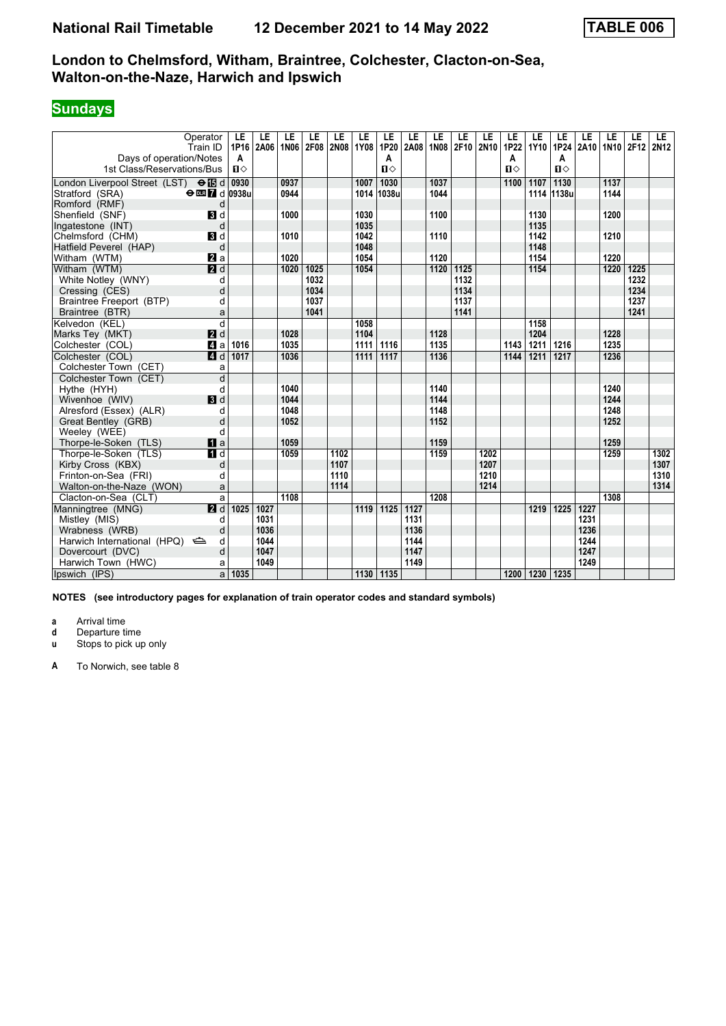# **Sundays**

|                                             | Operator                            | LE           | LE   | LE   | LE   | LE   | LE   | LE           | LE   | LE   | LE               | LE          | LE           | LE          | LE           | LE   | LE        | LE   | LE.              |
|---------------------------------------------|-------------------------------------|--------------|------|------|------|------|------|--------------|------|------|------------------|-------------|--------------|-------------|--------------|------|-----------|------|------------------|
|                                             | Train ID                            | 1P16         | 2A06 | 1N06 | 2F08 | 2N08 | 1Y08 | 1P20         | 2A08 | 1N08 | 2F <sub>10</sub> | <b>2N10</b> | 1P22         | 1Y10        | 1P24         | 2A10 | 1N10 2F12 |      | 2N <sub>12</sub> |
| Days of operation/Notes                     |                                     | A            |      |      |      |      |      | А            |      |      |                  |             | A            |             | A            |      |           |      |                  |
| 1st Class/Reservations/Bus                  |                                     | $\mathbf{u}$ |      |      |      |      |      | $\mathbf{u}$ |      |      |                  |             | $\mathbf{u}$ |             | $\mathbf{u}$ |      |           |      |                  |
| London Liverpool Street (LST) $\Theta$ is d |                                     | 0930         |      | 0937 |      |      | 1007 | 1030         |      | 1037 |                  |             | 1100         | 1107        | 1130         |      | 1137      |      |                  |
| Stratford (SRA)                             | $\Theta$ DIR $\blacksquare$ d 0938u |              |      | 0944 |      |      |      | 1014 1038u   |      | 1044 |                  |             |              |             | 1114 1138u   |      | 1144      |      |                  |
| Romford (RMF)                               | d                                   |              |      |      |      |      |      |              |      |      |                  |             |              |             |              |      |           |      |                  |
| Shenfield (SNF)                             | 3d                                  |              |      | 1000 |      |      | 1030 |              |      | 1100 |                  |             |              | 1130        |              |      | 1200      |      |                  |
| Ingatestone (INT)                           | d                                   |              |      |      |      |      | 1035 |              |      |      |                  |             |              | 1135        |              |      |           |      |                  |
| Chelmsford (CHM)                            | $\overline{\mathbf{3}}$ d           |              |      | 1010 |      |      | 1042 |              |      | 1110 |                  |             |              | 1142        |              |      | 1210      |      |                  |
| Hatfield Peverel (HAP)                      | d                                   |              |      |      |      |      | 1048 |              |      |      |                  |             |              | 1148        |              |      |           |      |                  |
| Witham (WTM)                                | <b>2</b> a                          |              |      | 1020 |      |      | 1054 |              |      | 1120 |                  |             |              | 1154        |              |      | 1220      |      |                  |
| Witham (WTM)                                | 2d                                  |              |      | 1020 | 1025 |      | 1054 |              |      | 1120 | 1125             |             |              | 1154        |              |      | 1220      | 1225 |                  |
| White Notley (WNY)                          | d                                   |              |      |      | 1032 |      |      |              |      |      | 1132             |             |              |             |              |      |           | 1232 |                  |
| Cressing (CES)                              | d                                   |              |      |      | 1034 |      |      |              |      |      | 1134             |             |              |             |              |      |           | 1234 |                  |
| Braintree Freeport (BTP)                    | d                                   |              |      |      | 1037 |      |      |              |      |      | 1137             |             |              |             |              |      |           | 1237 |                  |
| Braintree (BTR)                             | a                                   |              |      |      | 1041 |      |      |              |      |      | 1141             |             |              |             |              |      |           | 1241 |                  |
| Kelvedon (KEL)                              | d                                   |              |      |      |      |      | 1058 |              |      |      |                  |             |              | 1158        |              |      |           |      |                  |
| Marks Tey (MKT)                             | 2d                                  |              |      | 1028 |      |      | 1104 |              |      | 1128 |                  |             |              | 1204        |              |      | 1228      |      |                  |
| Colchester (COL)                            | $\mathbf{a}$                        | 1016         |      | 1035 |      |      | 1111 | 1116         |      | 1135 |                  |             | 1143         | 1211        | 1216         |      | 1235      |      |                  |
| Colchester (COL)                            | 4d                                  | 1017         |      | 1036 |      |      | 1111 | 1117         |      | 1136 |                  |             | 1144         | 1211        | 1217         |      | 1236      |      |                  |
| Colchester Town (CET)                       | a                                   |              |      |      |      |      |      |              |      |      |                  |             |              |             |              |      |           |      |                  |
| Colchester Town (CET)                       | d                                   |              |      |      |      |      |      |              |      |      |                  |             |              |             |              |      |           |      |                  |
| Hythe (HYH)                                 | d                                   |              |      | 1040 |      |      |      |              |      | 1140 |                  |             |              |             |              |      | 1240      |      |                  |
| Wivenhoe (WIV)                              | $\blacksquare$                      |              |      | 1044 |      |      |      |              |      | 1144 |                  |             |              |             |              |      | 1244      |      |                  |
| Alresford (Essex) (ALR)                     | d                                   |              |      | 1048 |      |      |      |              |      | 1148 |                  |             |              |             |              |      | 1248      |      |                  |
| Great Bentley (GRB)                         | d                                   |              |      | 1052 |      |      |      |              |      | 1152 |                  |             |              |             |              |      | 1252      |      |                  |
| Weeley (WEE)                                | d                                   |              |      |      |      |      |      |              |      |      |                  |             |              |             |              |      |           |      |                  |
| Thorpe-le-Soken (TLS)                       | $\mathbf{u}$ a                      |              |      | 1059 |      |      |      |              |      | 1159 |                  |             |              |             |              |      | 1259      |      |                  |
| Thorpe-le-Soken (TLS)                       | $\overline{\mathbf{H}}$ d           |              |      | 1059 |      | 1102 |      |              |      | 1159 |                  | 1202        |              |             |              |      | 1259      |      | 1302             |
| Kirby Cross (KBX)                           | d                                   |              |      |      |      | 1107 |      |              |      |      |                  | 1207        |              |             |              |      |           |      | 1307             |
| Frinton-on-Sea (FRI)                        | d                                   |              |      |      |      | 1110 |      |              |      |      |                  | 1210        |              |             |              |      |           |      | 1310             |
| Walton-on-the-Naze (WON)                    | a                                   |              |      |      |      | 1114 |      |              |      |      |                  | 1214        |              |             |              |      |           |      | 1314             |
| Clacton-on-Sea (CLT)                        | a                                   |              |      | 1108 |      |      |      |              |      | 1208 |                  |             |              |             |              |      | 1308      |      |                  |
| Manningtree (MNG)                           | 2d                                  | 1025         | 1027 |      |      |      | 1119 | 1125         | 1127 |      |                  |             |              | 1219        | 1225         | 1227 |           |      |                  |
| Mistley (MIS)                               | d                                   |              | 1031 |      |      |      |      |              | 1131 |      |                  |             |              |             |              | 1231 |           |      |                  |
| Wrabness (WRB)                              | d                                   |              | 1036 |      |      |      |      |              | 1136 |      |                  |             |              |             |              | 1236 |           |      |                  |
| Harwich International (HPQ)                 | d                                   |              | 1044 |      |      |      |      |              | 1144 |      |                  |             |              |             |              | 1244 |           |      |                  |
| Dovercourt (DVC)                            | d                                   |              | 1047 |      |      |      |      |              | 1147 |      |                  |             |              |             |              | 1247 |           |      |                  |
| Harwich Town (HWC)                          | a                                   |              | 1049 |      |      |      |      |              | 1149 |      |                  |             |              |             |              | 1249 |           |      |                  |
| Ipswich (IPS)                               | a                                   | 1035         |      |      |      |      |      | 1130   1135  |      |      |                  |             |              | 1200   1230 | 1235         |      |           |      |                  |

**NOTES (see introductory pages for explanation of train operator codes and standard symbols)**

**a** Arrival time<br>**d** Departure ti

**d** Departure time

**u** Stops to pick up only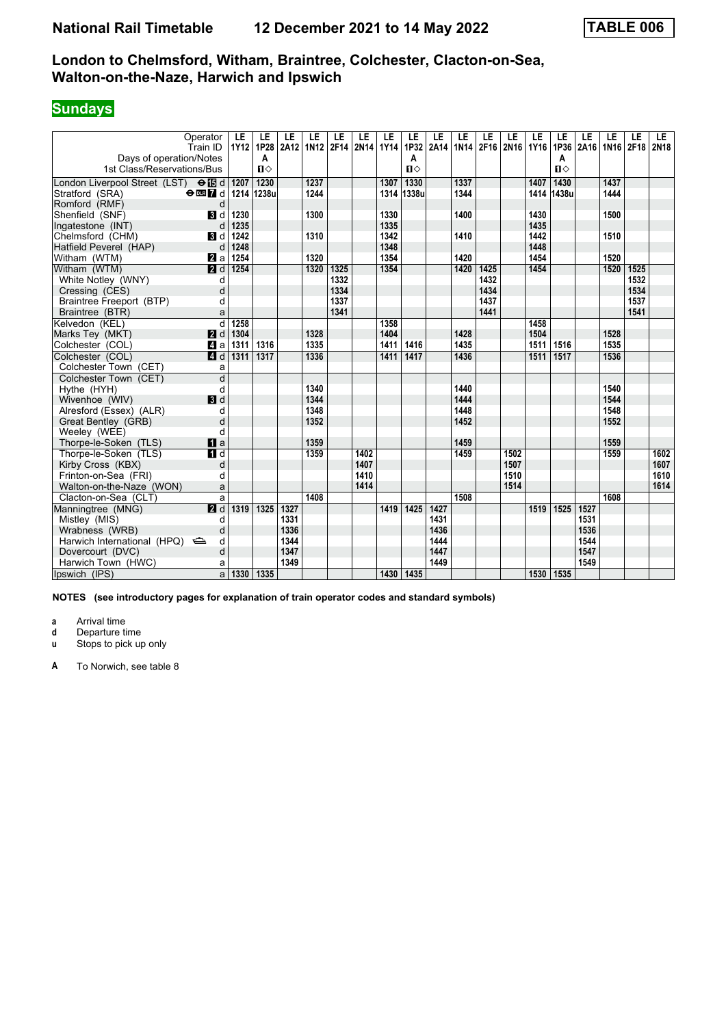# **Sundays**

|                                                      | Operator<br>Train ID                        | LE<br><b>1Y12</b> | LE<br>1P28       | LE<br>2A12 | LE   | LE<br>1N12 2F14 | LE<br>2N <sub>14</sub> | LE<br><b>1Y14</b> | LE           | LE<br>1P32 2A14 | LE   | LE   | LE<br>1N14 2F16 2N16 1Y16 | LE   | LE<br>1P36   | LE<br> 2A16 | LE<br>1N16 2F18 | LE   | LE.<br><b>2N18</b> |
|------------------------------------------------------|---------------------------------------------|-------------------|------------------|------------|------|-----------------|------------------------|-------------------|--------------|-----------------|------|------|---------------------------|------|--------------|-------------|-----------------|------|--------------------|
| Days of operation/Notes                              |                                             |                   | A                |            |      |                 |                        |                   | A            |                 |      |      |                           |      | A            |             |                 |      |                    |
| 1st Class/Reservations/Bus                           |                                             |                   | $\mathbf{u}$     |            |      |                 |                        |                   | $\mathbf{u}$ |                 |      |      |                           |      | $\mathbf{u}$ |             |                 |      |                    |
| London Liverpool Street (LST) $\Theta$ $\Box$ d 1207 |                                             |                   | 1230             |            | 1237 |                 |                        | 1307              | 1330         |                 | 1337 |      |                           | 1407 | 1430         |             | 1437            |      |                    |
| Stratford (SRA)                                      | $\Theta$ DE $\blacksquare$ d   1214   1238u |                   |                  |            | 1244 |                 |                        |                   | 1314 1338u   |                 | 1344 |      |                           |      | 1414 1438u   |             | 1444            |      |                    |
| Romford (RMF)                                        | d                                           |                   |                  |            |      |                 |                        |                   |              |                 |      |      |                           |      |              |             |                 |      |                    |
| Shenfield (SNF)                                      | $\blacksquare$                              | 1230              |                  |            | 1300 |                 |                        | 1330              |              |                 | 1400 |      |                           | 1430 |              |             | 1500            |      |                    |
| Ingatestone (INT)                                    | d                                           | 1235              |                  |            |      |                 |                        | 1335              |              |                 |      |      |                           | 1435 |              |             |                 |      |                    |
| Chelmsford (CHM)                                     | <b>3</b> d                                  | 1242              |                  |            | 1310 |                 |                        | 1342              |              |                 | 1410 |      |                           | 1442 |              |             | 1510            |      |                    |
| Hatfield Peverel (HAP)                               | d                                           | 1248              |                  |            |      |                 |                        | 1348              |              |                 |      |      |                           | 1448 |              |             |                 |      |                    |
| Witham (WTM)                                         | 2a                                          | 1254              |                  |            | 1320 |                 |                        | 1354              |              |                 | 1420 |      |                           | 1454 |              |             | 1520            |      |                    |
| Witham (WTM)                                         | 2d                                          | 1254              |                  |            | 1320 | 1325            |                        | 1354              |              |                 | 1420 | 1425 |                           | 1454 |              |             | 1520            | 1525 |                    |
| White Notley (WNY)                                   | d                                           |                   |                  |            |      | 1332            |                        |                   |              |                 |      | 1432 |                           |      |              |             |                 | 1532 |                    |
| Cressing (CES)                                       | d                                           |                   |                  |            |      | 1334            |                        |                   |              |                 |      | 1434 |                           |      |              |             |                 | 1534 |                    |
| Braintree Freeport (BTP)                             | d                                           |                   |                  |            |      | 1337            |                        |                   |              |                 |      | 1437 |                           |      |              |             |                 | 1537 |                    |
| Braintree (BTR)                                      | a                                           |                   |                  |            |      | 1341            |                        |                   |              |                 |      | 1441 |                           |      |              |             |                 | 1541 |                    |
| Kelvedon (KEL)                                       | d                                           | 1258              |                  |            |      |                 |                        | 1358              |              |                 |      |      |                           | 1458 |              |             |                 |      |                    |
| Marks Tey (MKT)                                      | 2d                                          | 1304              |                  |            | 1328 |                 |                        | 1404              |              |                 | 1428 |      |                           | 1504 |              |             | 1528            |      |                    |
| Colchester (COL)                                     | 41 a                                        | 1311              | 1316             |            | 1335 |                 |                        | 1411              | 1416         |                 | 1435 |      |                           | 1511 | 1516         |             | 1535            |      |                    |
| Colchester (COL)                                     | 4d                                          | 1311              | $\frac{1317}{2}$ |            | 1336 |                 |                        | 1411              | 1417         |                 | 1436 |      |                           | 1511 | 1517         |             | 1536            |      |                    |
| Colchester Town (CET)                                | a                                           |                   |                  |            |      |                 |                        |                   |              |                 |      |      |                           |      |              |             |                 |      |                    |
| Colchester Town (CET)                                | d                                           |                   |                  |            |      |                 |                        |                   |              |                 |      |      |                           |      |              |             |                 |      |                    |
| Hythe (HYH)                                          | d                                           |                   |                  |            | 1340 |                 |                        |                   |              |                 | 1440 |      |                           |      |              |             | 1540            |      |                    |
| Wivenhoe (WIV)                                       | $\blacksquare$                              |                   |                  |            | 1344 |                 |                        |                   |              |                 | 1444 |      |                           |      |              |             | 1544            |      |                    |
| Alresford (Essex) (ALR)                              | d                                           |                   |                  |            | 1348 |                 |                        |                   |              |                 | 1448 |      |                           |      |              |             | 1548            |      |                    |
| Great Bentley (GRB)                                  | d                                           |                   |                  |            | 1352 |                 |                        |                   |              |                 | 1452 |      |                           |      |              |             | 1552            |      |                    |
| Weeley (WEE)                                         | d                                           |                   |                  |            |      |                 |                        |                   |              |                 |      |      |                           |      |              |             |                 |      |                    |
| Thorpe-le-Soken (TLS)                                | $\mathbf{u}$ a                              |                   |                  |            | 1359 |                 |                        |                   |              |                 | 1459 |      |                           |      |              |             | 1559            |      |                    |
| Thorpe-le-Soken (TLS)                                | $\blacksquare$                              |                   |                  |            | 1359 |                 | 1402                   |                   |              |                 | 1459 |      | 1502                      |      |              |             | 1559            |      | 1602               |
| Kirby Cross (KBX)                                    | d                                           |                   |                  |            |      |                 | 1407                   |                   |              |                 |      |      | 1507                      |      |              |             |                 |      | 1607               |
| Frinton-on-Sea (FRI)                                 | d                                           |                   |                  |            |      |                 | 1410                   |                   |              |                 |      |      | 1510                      |      |              |             |                 |      | 1610               |
| Walton-on-the-Naze (WON)                             | a                                           |                   |                  |            |      |                 | 1414                   |                   |              |                 |      |      | 1514                      |      |              |             |                 |      | 1614               |
| Clacton-on-Sea (CLT)                                 | a                                           |                   |                  |            | 1408 |                 |                        |                   |              |                 | 1508 |      |                           |      |              |             | 1608            |      |                    |
| Manningtree (MNG)                                    | $\overline{a}$                              | 1319              | 1325             | 1327       |      |                 |                        | 1419              | 1425         | 1427            |      |      |                           | 1519 | 1525         | 1527        |                 |      |                    |
| Mistley (MIS)                                        | d                                           |                   |                  | 1331       |      |                 |                        |                   |              | 1431            |      |      |                           |      |              | 1531        |                 |      |                    |
| Wrabness (WRB)                                       | d                                           |                   |                  | 1336       |      |                 |                        |                   |              | 1436            |      |      |                           |      |              | 1536        |                 |      |                    |
| Harwich International (HPQ)                          | d                                           |                   |                  | 1344       |      |                 |                        |                   |              | 1444            |      |      |                           |      |              | 1544        |                 |      |                    |
| Dovercourt (DVC)                                     | d                                           |                   |                  | 1347       |      |                 |                        |                   |              | 1447            |      |      |                           |      |              | 1547        |                 |      |                    |
| Harwich Town (HWC)                                   | a                                           |                   |                  | 1349       |      |                 |                        |                   |              | 1449            |      |      |                           |      |              | 1549        |                 |      |                    |
| Ipswich (IPS)                                        | a                                           | 1330              | 1335             |            |      |                 |                        | 1430              | 1435         |                 |      |      |                           | 1530 | 1535         |             |                 |      |                    |

**NOTES (see introductory pages for explanation of train operator codes and standard symbols)**

**a** Arrival time<br>**d** Departure ti

**d** Departure time

**u** Stops to pick up only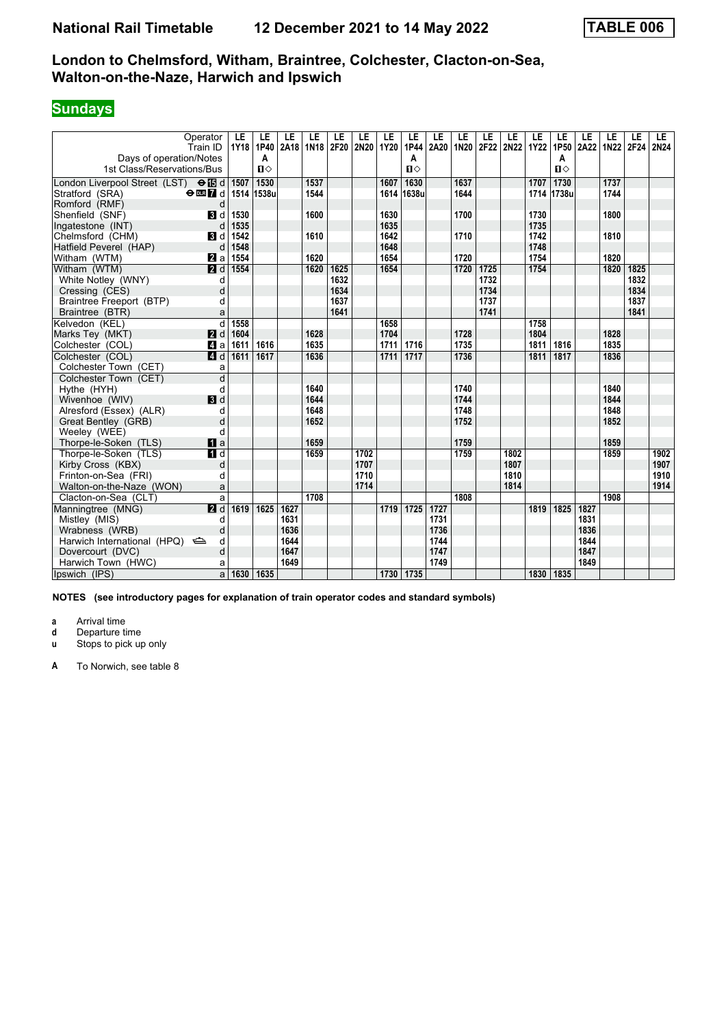# **Sundays**

| Operator                                         |                           | LE          | LE           | LE   | LE          | LE   | LE   | LE   | LE           | LE   | LE   | LE   | LE   | LE        | LE           | LE   | LE        | LE   | LE.         |
|--------------------------------------------------|---------------------------|-------------|--------------|------|-------------|------|------|------|--------------|------|------|------|------|-----------|--------------|------|-----------|------|-------------|
| Train ID                                         |                           | <b>1Y18</b> | 1P40         | 2A18 | <b>1N18</b> | 2F20 | 2N20 | 1Y20 | 1P44         | 2A20 | 1N20 | 2F22 |      | 2N22 1Y22 | 1P50         | 2A22 | 1N22 2F24 |      | <b>2N24</b> |
| Days of operation/Notes                          |                           |             | A            |      |             |      |      |      | A            |      |      |      |      |           | A            |      |           |      |             |
| 1st Class/Reservations/Bus                       |                           |             | $\mathbf{u}$ |      |             |      |      |      | $\mathbf{u}$ |      |      |      |      |           | $\mathbf{u}$ |      |           |      |             |
| London Liverpool Street (LST) <b>⊖ iB</b> d      |                           | 1507        | 1530         |      | 1537        |      |      | 1607 | 1630         |      | 1637 |      |      | 1707      | 1730         |      | 1737      |      |             |
| Stratford (SRA)<br>$\Theta$ DER $\overline{Z}$ d |                           |             | 1514 1538u   |      | 1544        |      |      |      | 1614 1638u   |      | 1644 |      |      |           | 1714 1738u   |      | 1744      |      |             |
| Romford (RMF)                                    | d                         |             |              |      |             |      |      |      |              |      |      |      |      |           |              |      |           |      |             |
| Shenfield (SNF)                                  | 3d                        | 1530        |              |      | 1600        |      |      | 1630 |              |      | 1700 |      |      | 1730      |              |      | 1800      |      |             |
| Ingatestone (INT)                                | d                         | 1535        |              |      |             |      |      | 1635 |              |      |      |      |      | 1735      |              |      |           |      |             |
| Chelmsford (CHM)                                 | <b>3</b> d                | 1542        |              |      | 1610        |      |      | 1642 |              |      | 1710 |      |      | 1742      |              |      | 1810      |      |             |
| Hatfield Peverel (HAP)                           | d                         | 1548        |              |      |             |      |      | 1648 |              |      |      |      |      | 1748      |              |      |           |      |             |
| Witham (WTM)                                     | 2a                        | 1554        |              |      | 1620        |      |      | 1654 |              |      | 1720 |      |      | 1754      |              |      | 1820      |      |             |
| Witham (WTM)                                     | 2d                        | 1554        |              |      | 1620        | 1625 |      | 1654 |              |      | 1720 | 1725 |      | 1754      |              |      | 1820      | 1825 |             |
| White Notley (WNY)                               | d                         |             |              |      |             | 1632 |      |      |              |      |      | 1732 |      |           |              |      |           | 1832 |             |
| Cressing (CES)                                   | d                         |             |              |      |             | 1634 |      |      |              |      |      | 1734 |      |           |              |      |           | 1834 |             |
| Braintree Freeport (BTP)                         | d                         |             |              |      |             | 1637 |      |      |              |      |      | 1737 |      |           |              |      |           | 1837 |             |
| Braintree (BTR)                                  | a                         |             |              |      |             | 1641 |      |      |              |      |      | 1741 |      |           |              |      |           | 1841 |             |
| Kelvedon (KEL)                                   | d                         | 1558        |              |      |             |      |      | 1658 |              |      |      |      |      | 1758      |              |      |           |      |             |
| Marks Tey (MKT)                                  | 2d                        | 1604        |              |      | 1628        |      |      | 1704 |              |      | 1728 |      |      | 1804      |              |      | 1828      |      |             |
| Colchester (COL)                                 | 4a                        | 1611        | 1616         |      | 1635        |      |      | 1711 | 1716         |      | 1735 |      |      | 1811      | 1816         |      | 1835      |      |             |
| Colchester (COL)                                 | 4d                        | 1611        | 1617         |      | 1636        |      |      | 1711 | 1717         |      | 1736 |      |      | 1811      | 1817         |      | 1836      |      |             |
| Colchester Town (CET)                            | a                         |             |              |      |             |      |      |      |              |      |      |      |      |           |              |      |           |      |             |
| Colchester Town (CET)                            | d                         |             |              |      |             |      |      |      |              |      |      |      |      |           |              |      |           |      |             |
| Hythe (HYH)                                      | d                         |             |              |      | 1640        |      |      |      |              |      | 1740 |      |      |           |              |      | 1840      |      |             |
| Wivenhoe (WIV)                                   | $\blacksquare$            |             |              |      | 1644        |      |      |      |              |      | 1744 |      |      |           |              |      | 1844      |      |             |
| Alresford (Essex) (ALR)                          | d                         |             |              |      | 1648        |      |      |      |              |      | 1748 |      |      |           |              |      | 1848      |      |             |
| Great Bentley (GRB)                              | d                         |             |              |      | 1652        |      |      |      |              |      | 1752 |      |      |           |              |      | 1852      |      |             |
| Weeley (WEE)                                     | d                         |             |              |      |             |      |      |      |              |      |      |      |      |           |              |      |           |      |             |
| Thorpe-le-Soken (TLS)                            | $\mathbf{u}$ a            |             |              |      | 1659        |      |      |      |              |      | 1759 |      |      |           |              |      | 1859      |      |             |
| Thorpe-le-Soken (TLS)                            | $\overline{\mathbf{H}}$ d |             |              |      | 1659        |      | 1702 |      |              |      | 1759 |      | 1802 |           |              |      | 1859      |      | 1902        |
| Kirby Cross (KBX)                                | d                         |             |              |      |             |      | 1707 |      |              |      |      |      | 1807 |           |              |      |           |      | 1907        |
| Frinton-on-Sea (FRI)                             | d                         |             |              |      |             |      | 1710 |      |              |      |      |      | 1810 |           |              |      |           |      | 1910        |
| Walton-on-the-Naze (WON)                         | a                         |             |              |      |             |      | 1714 |      |              |      |      |      | 1814 |           |              |      |           |      | 1914        |
| Clacton-on-Sea (CLT)                             | a                         |             |              |      | 1708        |      |      |      |              |      | 1808 |      |      |           |              |      | 1908      |      |             |
| Manningtree (MNG)                                | $\overline{\mathbf{p}}$ d | 1619        | 1625         | 1627 |             |      |      | 1719 | 1725         | 1727 |      |      |      | 1819      | 1825         | 1827 |           |      |             |
| Mistley (MIS)                                    | d                         |             |              | 1631 |             |      |      |      |              | 1731 |      |      |      |           |              | 1831 |           |      |             |
| Wrabness (WRB)                                   | d                         |             |              | 1636 |             |      |      |      |              | 1736 |      |      |      |           |              | 1836 |           |      |             |
| Harwich International (HPQ)                      | d                         |             |              | 1644 |             |      |      |      |              | 1744 |      |      |      |           |              | 1844 |           |      |             |
| Dovercourt (DVC)                                 | d                         |             |              | 1647 |             |      |      |      |              | 1747 |      |      |      |           |              | 1847 |           |      |             |
| Harwich Town (HWC)                               | a                         |             |              | 1649 |             |      |      |      |              | 1749 |      |      |      |           |              | 1849 |           |      |             |
| Ipswich (IPS)                                    | $\overline{a}$            | 1630        | 1635         |      |             |      |      |      | 1730 1735    |      |      |      |      | 1830      | 1835         |      |           |      |             |

**NOTES (see introductory pages for explanation of train operator codes and standard symbols)**

**a** Arrival time<br>**d** Departure ti

**d** Departure time

**u** Stops to pick up only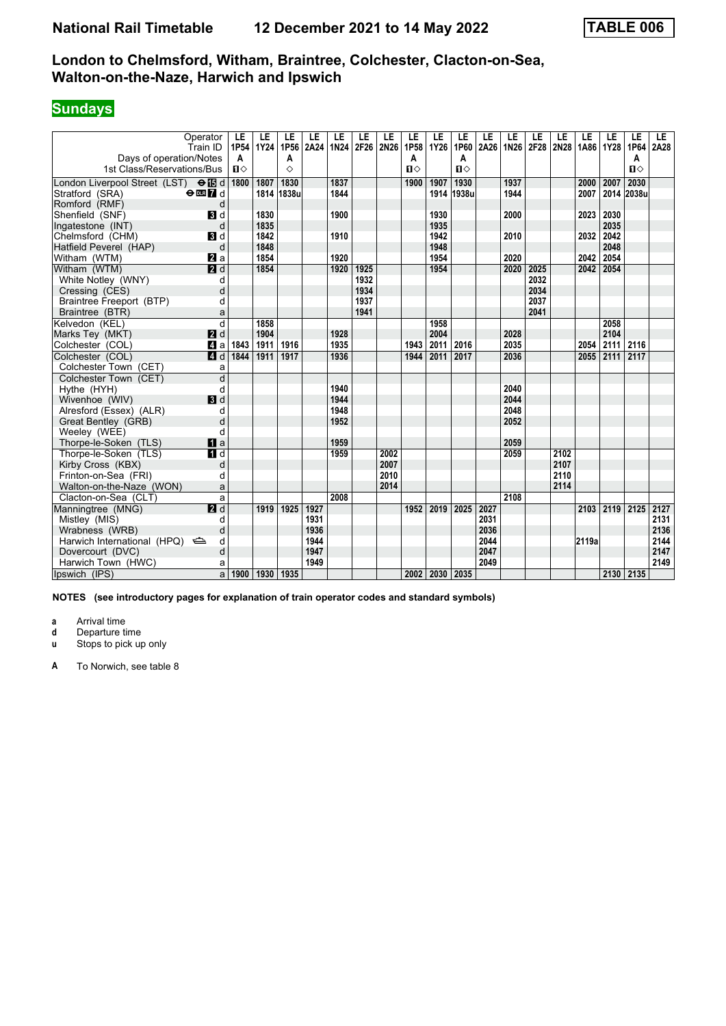# **Sundays**

| Operator                                                   |                           | LE             | LE          | LE         | LE   | LE   | LE   | LE        | LE           | LE          | LE           | LE   | LE   | LE   | LE   | LE                  | LE                | LE           | LE.  |
|------------------------------------------------------------|---------------------------|----------------|-------------|------------|------|------|------|-----------|--------------|-------------|--------------|------|------|------|------|---------------------|-------------------|--------------|------|
| Train ID                                                   |                           | 1P54           | <b>1Y24</b> | 1P56       | 2A24 | 1N24 |      | 2F26 2N26 | 1P58         | 1Y26        | 1P60         | 2A26 | 1N26 |      |      | 2F28 2N28 1A86 1Y28 |                   | 1P64         | 2A28 |
| Days of operation/Notes                                    |                           | A              |             | A          |      |      |      |           | A            |             | A            |      |      |      |      |                     |                   | A            |      |
| 1st Class/Reservations/Bus                                 |                           | $\blacksquare$ |             | ♦          |      |      |      |           | $\mathbf{u}$ |             | $\mathbf{u}$ |      |      |      |      |                     |                   | $\mathbf{u}$ |      |
| London Liverpool Street (LST) $\Theta$ is d                |                           | 1800           | 1807        | 1830       |      | 1837 |      |           | 1900         | 1907        | 1930         |      | 1937 |      |      | 2000                | 2007              | 2030         |      |
| Stratford (SRA)<br>$\Theta$ or $\boldsymbol{\mathsf{Z}}$ d |                           |                |             | 1814 1838u |      | 1844 |      |           |              |             | 1914 1938u   |      | 1944 |      |      | 2007                | 2014              | 2038u        |      |
| Romford (RMF)                                              | d                         |                |             |            |      |      |      |           |              |             |              |      |      |      |      |                     |                   |              |      |
| Shenfield (SNF)                                            | $\blacksquare$            |                | 1830        |            |      | 1900 |      |           |              | 1930        |              |      | 2000 |      |      | 2023                | 2030              |              |      |
| Ingatestone (INT)                                          | d                         |                | 1835        |            |      |      |      |           |              | 1935        |              |      |      |      |      |                     | 2035              |              |      |
| Chelmsford (CHM)                                           | $\mathbf{B}$ d            |                | 1842        |            |      | 1910 |      |           |              | 1942        |              |      | 2010 |      |      | 2032                | 2042              |              |      |
| Hatfield Peverel (HAP)                                     | d                         |                | 1848        |            |      |      |      |           |              | 1948        |              |      |      |      |      |                     | 2048              |              |      |
| Witham (WTM)                                               | <b>Z</b> a                |                | 1854        |            |      | 1920 |      |           |              | 1954        |              |      | 2020 |      |      | 2042                | 2054              |              |      |
| Witham (WTM)                                               | $\overline{\mathbf{Z}}$ d |                | 1854        |            |      | 1920 | 1925 |           |              | 1954        |              |      | 2020 | 2025 |      | 2042                | $\overline{2054}$ |              |      |
| White Notley (WNY)                                         | d                         |                |             |            |      |      | 1932 |           |              |             |              |      |      | 2032 |      |                     |                   |              |      |
| Cressing (CES)                                             | d                         |                |             |            |      |      | 1934 |           |              |             |              |      |      | 2034 |      |                     |                   |              |      |
| Braintree Freeport (BTP)                                   | d                         |                |             |            |      |      | 1937 |           |              |             |              |      |      | 2037 |      |                     |                   |              |      |
| Braintree (BTR)                                            | a                         |                |             |            |      |      | 1941 |           |              |             |              |      |      | 2041 |      |                     |                   |              |      |
| Kelvedon (KEL)                                             | d                         |                | 1858        |            |      |      |      |           |              | 1958        |              |      |      |      |      |                     | 2058              |              |      |
| Marks Tey (MKT)                                            | 2d                        |                | 1904        |            |      | 1928 |      |           |              | 2004        |              |      | 2028 |      |      |                     | 2104              |              |      |
| Colchester (COL)                                           | 41 a                      | 1843           | 1911        | 1916       |      | 1935 |      |           | 1943         | 2011        | 2016         |      | 2035 |      |      | 2054                | 2111              | 2116         |      |
| Colchester (COL)                                           | 4d                        | 1844           | 1911        | 1917       |      | 1936 |      |           | 1944         | 2011        | 2017         |      | 2036 |      |      | 2055                | 2111              | 2117         |      |
| Colchester Town (CET)                                      | a                         |                |             |            |      |      |      |           |              |             |              |      |      |      |      |                     |                   |              |      |
| Colchester Town (CET)                                      | d                         |                |             |            |      |      |      |           |              |             |              |      |      |      |      |                     |                   |              |      |
| Hythe (HYH)                                                | d                         |                |             |            |      | 1940 |      |           |              |             |              |      | 2040 |      |      |                     |                   |              |      |
| Wivenhoe (WIV)                                             | $\blacksquare$            |                |             |            |      | 1944 |      |           |              |             |              |      | 2044 |      |      |                     |                   |              |      |
| Alresford (Essex) (ALR)                                    | d                         |                |             |            |      | 1948 |      |           |              |             |              |      | 2048 |      |      |                     |                   |              |      |
| Great Bentley (GRB)                                        | d                         |                |             |            |      | 1952 |      |           |              |             |              |      | 2052 |      |      |                     |                   |              |      |
| Weeley (WEE)                                               | d                         |                |             |            |      |      |      |           |              |             |              |      |      |      |      |                     |                   |              |      |
| Thorpe-le-Soken (TLS)                                      | $\mathbf{u}$ a            |                |             |            |      | 1959 |      |           |              |             |              |      | 2059 |      |      |                     |                   |              |      |
| Thorpe-le-Soken (TLS)                                      | $\overline{H}$ d          |                |             |            |      | 1959 |      | 2002      |              |             |              |      | 2059 |      | 2102 |                     |                   |              |      |
| Kirby Cross (KBX)                                          | d                         |                |             |            |      |      |      | 2007      |              |             |              |      |      |      | 2107 |                     |                   |              |      |
| Frinton-on-Sea (FRI)                                       | d                         |                |             |            |      |      |      | 2010      |              |             |              |      |      |      | 2110 |                     |                   |              |      |
| Walton-on-the-Naze (WON)                                   | a                         |                |             |            |      |      |      | 2014      |              |             |              |      |      |      | 2114 |                     |                   |              |      |
| Clacton-on-Sea (CLT)                                       | a                         |                |             |            |      | 2008 |      |           |              |             |              |      | 2108 |      |      |                     |                   |              |      |
| Manningtree (MNG)                                          | $\overline{P}$ d          |                | 1919        | 1925       | 1927 |      |      |           |              | 1952 2019   | 2025         | 2027 |      |      |      | 2103                | 2119              | 2125         | 2127 |
| Mistley (MIS)                                              | d                         |                |             |            | 1931 |      |      |           |              |             |              | 2031 |      |      |      |                     |                   |              | 2131 |
| Wrabness (WRB)                                             | d                         |                |             |            | 1936 |      |      |           |              |             |              | 2036 |      |      |      |                     |                   |              | 2136 |
| Harwich International (HPQ)                                | d                         |                |             |            | 1944 |      |      |           |              |             |              | 2044 |      |      |      | 2119a               |                   |              | 2144 |
| Dovercourt (DVC)                                           | d                         |                |             |            | 1947 |      |      |           |              |             |              | 2047 |      |      |      |                     |                   |              | 2147 |
| Harwich Town (HWC)                                         | a                         |                |             |            | 1949 |      |      |           |              |             |              | 2049 |      |      |      |                     |                   |              | 2149 |
| Ipswich (IPS)                                              | a                         | 1900           | 1930        | 1935       |      |      |      |           |              | 2002   2030 | 2035         |      |      |      |      |                     | 2130 2135         |              |      |

**NOTES (see introductory pages for explanation of train operator codes and standard symbols)**

**a** Arrival time<br>**d** Departure ti

**d** Departure time<br>**u** Stops to pick up

**X** Stops to pick up only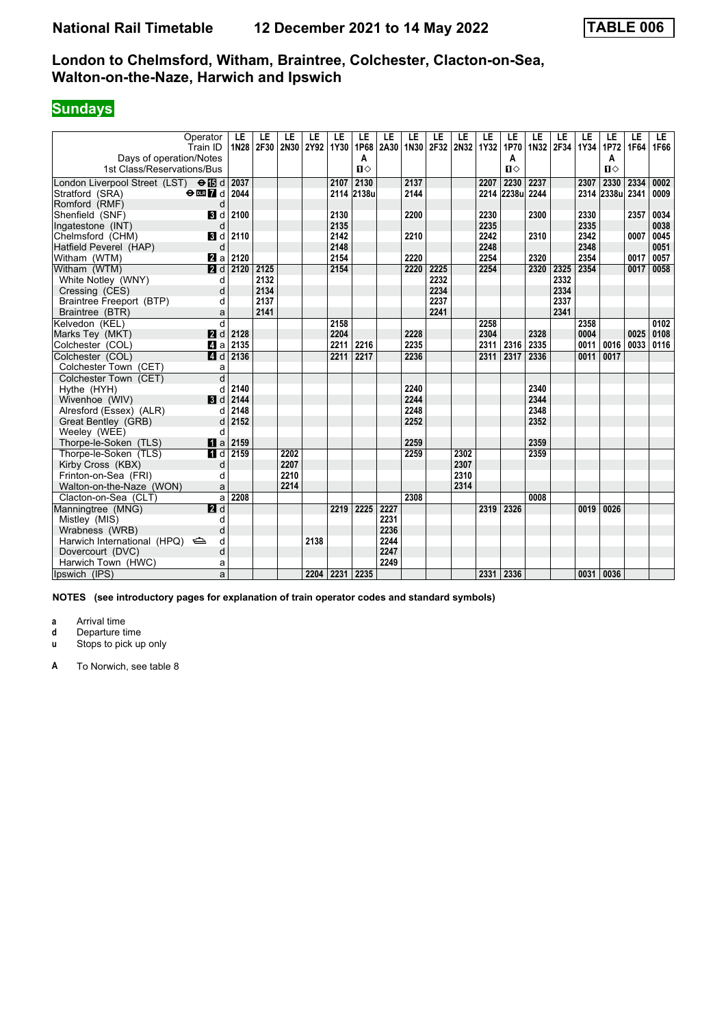# **Sundays**

| Operator                                           |                                   | LE                      | LE        | LE   | LE        | LE   | LE           | LE   | LE   | LE   | LE        | LE          | LE         | LE   | LE        | LE          | LE              | LE   | LE.  |
|----------------------------------------------------|-----------------------------------|-------------------------|-----------|------|-----------|------|--------------|------|------|------|-----------|-------------|------------|------|-----------|-------------|-----------------|------|------|
|                                                    | Train ID                          |                         | 1N28 2F30 | 2N30 | 2Y92 1Y30 |      | 1P68         | 2A30 | 1N30 |      | 2F32 2N32 | <b>1Y32</b> | 1P70       |      | 1N32 2F34 | 1Y34        | 1P72            | 1F64 | 1F66 |
| Days of operation/Notes                            |                                   |                         |           |      |           |      | A            |      |      |      |           |             | A          |      |           |             | A               |      |      |
| 1st Class/Reservations/Bus                         |                                   |                         |           |      |           |      | $\mathbf{u}$ |      |      |      |           |             | $\P$       |      |           |             | $\mathbf{u}$    |      |      |
| London Liverpool Street (LST) $\Theta$ <b>is</b> d |                                   | 2037                    |           |      |           | 2107 | 2130         |      | 2137 |      |           | 2207        | 2230       | 2237 |           | 2307        | 2330            | 2334 | 0002 |
| Stratford (SRA)                                    | $\Theta$ DE $\blacksquare$ d 2044 |                         |           |      |           |      | 2114 2138u   |      | 2144 |      |           | 2214        | 2238u 2244 |      |           |             | 2314 2338u 2341 |      | 0009 |
| Romford (RMF)                                      | d                                 |                         |           |      |           |      |              |      |      |      |           |             |            |      |           |             |                 |      |      |
| Shenfield (SNF)                                    | <b>3</b> d                        | 2100                    |           |      |           | 2130 |              |      | 2200 |      |           | 2230        |            | 2300 |           | 2330        |                 | 2357 | 0034 |
| Ingatestone (INT)                                  | d                                 |                         |           |      |           | 2135 |              |      |      |      |           | 2235        |            |      |           | 2335        |                 |      | 0038 |
| Chelmsford (CHM)                                   |                                   | <b>8</b> d 2110         |           |      |           | 2142 |              |      | 2210 |      |           | 2242        |            | 2310 |           | 2342        |                 | 0007 | 0045 |
| Hatfield Peverel (HAP)                             | d                                 |                         |           |      |           | 2148 |              |      |      |      |           | 2248        |            |      |           | 2348        |                 |      | 0051 |
| Witham (WTM)                                       | <b>Z</b> a                        | 2120                    |           |      |           | 2154 |              |      | 2220 |      |           | 2254        |            | 2320 |           | 2354        |                 | 0017 | 0057 |
| Witham (WTM)                                       | $\overline{M}$ d                  | 2120                    | 2125      |      |           | 2154 |              |      | 2220 | 2225 |           | 2254        |            | 2320 | 2325      | 2354        |                 | 0017 | 0058 |
| White Notley (WNY)                                 | d                                 |                         | 2132      |      |           |      |              |      |      | 2232 |           |             |            |      | 2332      |             |                 |      |      |
| Cressing (CES)                                     | d                                 |                         | 2134      |      |           |      |              |      |      | 2234 |           |             |            |      | 2334      |             |                 |      |      |
| Braintree Freeport (BTP)                           | d                                 |                         | 2137      |      |           |      |              |      |      | 2237 |           |             |            |      | 2337      |             |                 |      |      |
| Braintree (BTR)                                    | a                                 |                         | 2141      |      |           |      |              |      |      | 2241 |           |             |            |      | 2341      |             |                 |      |      |
| Kelvedon (KEL)                                     | d                                 |                         |           |      |           | 2158 |              |      |      |      |           | 2258        |            |      |           | 2358        |                 |      | 0102 |
| Marks Tey (MKT)                                    |                                   | 2 d 2128                |           |      |           | 2204 |              |      | 2228 |      |           | 2304        |            | 2328 |           | 0004        |                 | 0025 | 0108 |
| Colchester (COL)                                   |                                   | <b>4</b> a 2135         |           |      |           | 2211 | 2216         |      | 2235 |      |           |             | 2311 2316  | 2335 |           | 0011        | 0016            | 0033 | 0116 |
| Colchester (COL)                                   | 4d                                | 2136                    |           |      |           | 2211 | 2217         |      | 2236 |      |           | 2311        | 2317       | 2336 |           | 0011        | 0017            |      |      |
| Colchester Town (CET)                              | a                                 |                         |           |      |           |      |              |      |      |      |           |             |            |      |           |             |                 |      |      |
| Colchester Town (CET)                              | d                                 |                         |           |      |           |      |              |      |      |      |           |             |            |      |           |             |                 |      |      |
| Hythe (HYH)                                        | d                                 | 2140                    |           |      |           |      |              |      | 2240 |      |           |             |            | 2340 |           |             |                 |      |      |
| Wivenhoe (WIV)                                     | $\blacksquare$                    | 2144                    |           |      |           |      |              |      | 2244 |      |           |             |            | 2344 |           |             |                 |      |      |
| Alresford (Essex) (ALR)                            | d                                 | 2148                    |           |      |           |      |              |      | 2248 |      |           |             |            | 2348 |           |             |                 |      |      |
| Great Bentley (GRB)                                | d                                 | 2152                    |           |      |           |      |              |      | 2252 |      |           |             |            | 2352 |           |             |                 |      |      |
| Weeley (WEE)                                       | d                                 |                         |           |      |           |      |              |      |      |      |           |             |            |      |           |             |                 |      |      |
| Thorpe-le-Soken (TLS)                              |                                   | $\blacksquare$ a   2159 |           |      |           |      |              |      | 2259 |      |           |             |            | 2359 |           |             |                 |      |      |
| Thorpe-le-Soken (TLS)                              |                                   | $\blacksquare$ d 2159   |           | 2202 |           |      |              |      | 2259 |      | 2302      |             |            | 2359 |           |             |                 |      |      |
| Kirby Cross (KBX)                                  | d                                 |                         |           | 2207 |           |      |              |      |      |      | 2307      |             |            |      |           |             |                 |      |      |
| Frinton-on-Sea (FRI)                               | d                                 |                         |           | 2210 |           |      |              |      |      |      | 2310      |             |            |      |           |             |                 |      |      |
| Walton-on-the-Naze (WON)                           | a                                 |                         |           | 2214 |           |      |              |      |      |      | 2314      |             |            |      |           |             |                 |      |      |
| Clacton-on-Sea (CLT)                               | a                                 | 2208                    |           |      |           |      |              |      | 2308 |      |           |             |            | 0008 |           |             |                 |      |      |
| Manningtree (MNG)                                  | 2d                                |                         |           |      |           | 2219 | 2225         | 2227 |      |      |           |             | 2319 2326  |      |           | 0019   0026 |                 |      |      |
| Mistley (MIS)                                      | d                                 |                         |           |      |           |      |              | 2231 |      |      |           |             |            |      |           |             |                 |      |      |
| Wrabness (WRB)                                     | d                                 |                         |           |      |           |      |              | 2236 |      |      |           |             |            |      |           |             |                 |      |      |
| Harwich International (HPQ)                        | d                                 |                         |           |      | 2138      |      |              | 2244 |      |      |           |             |            |      |           |             |                 |      |      |
| Dovercourt (DVC)                                   | d                                 |                         |           |      |           |      |              | 2247 |      |      |           |             |            |      |           |             |                 |      |      |
| Harwich Town (HWC)                                 | a                                 |                         |           |      |           |      |              | 2249 |      |      |           |             |            |      |           |             |                 |      |      |
| Ipswich (IPS)                                      | a                                 |                         |           |      | 2204      | 2231 | 2235         |      |      |      |           |             | 2331 2336  |      |           | 0031   0036 |                 |      |      |

**NOTES (see introductory pages for explanation of train operator codes and standard symbols)**

**a** Arrival time<br>**d** Departure ti

**d** Departure time

**u** Stops to pick up only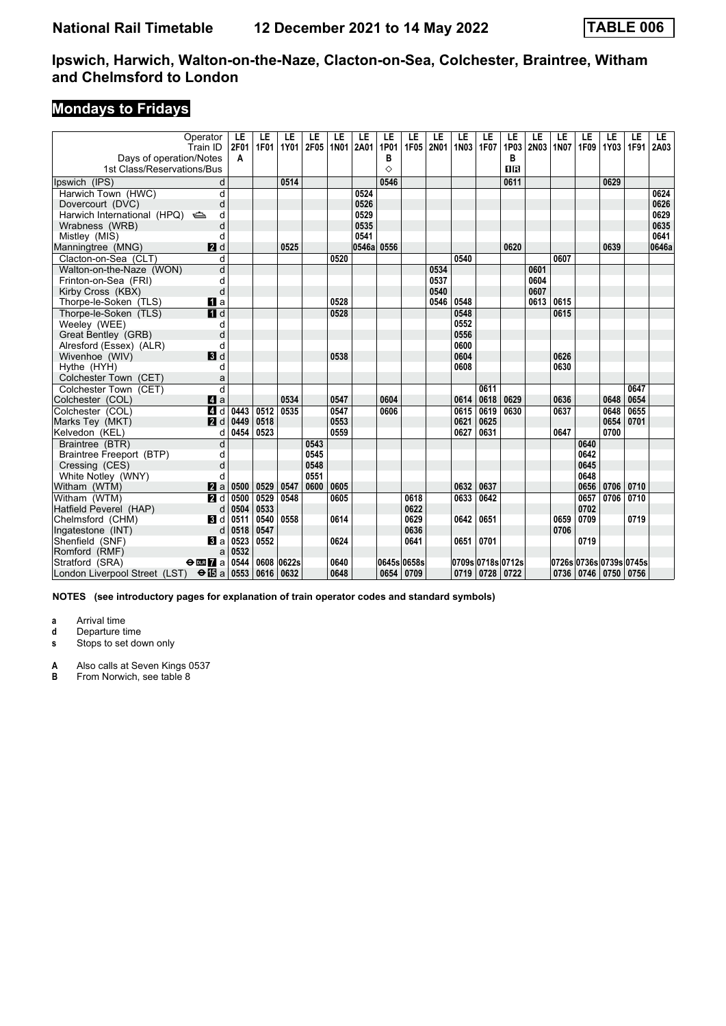# **Mondays to Fridays**

|                                                         | Operator<br>Train ID          | LE<br>2F01 | LE<br>1F01 | LE<br>1Y01 | LE<br>2F05 | LE<br><b>1N01</b> | LE<br>2A01 | LE<br>1P01  | LE<br>1F05 | LE<br>2N01 | LE<br>1N03 | LE<br>1F07        | LE<br>1P03 | LE<br>2N03 | LE<br><b>1N07</b> | LE<br>1F09 | LE<br>1Y03              | LE<br>1F91 | LE.<br>2A03 |
|---------------------------------------------------------|-------------------------------|------------|------------|------------|------------|-------------------|------------|-------------|------------|------------|------------|-------------------|------------|------------|-------------------|------------|-------------------------|------------|-------------|
| Days of operation/Notes                                 |                               | A          |            |            |            |                   |            | в           |            |            |            |                   | B          |            |                   |            |                         |            |             |
| 1st Class/Reservations/Bus                              |                               |            |            |            |            |                   |            | ♦           |            |            |            |                   | <b>DR</b>  |            |                   |            |                         |            |             |
| Ipswich (IPS)                                           | d                             |            |            | 0514       |            |                   |            | 0546        |            |            |            |                   | 0611       |            |                   |            | 0629                    |            |             |
| Harwich Town (HWC)                                      | d                             |            |            |            |            |                   | 0524       |             |            |            |            |                   |            |            |                   |            |                         |            | 0624        |
| Dovercourt (DVC)                                        | d                             |            |            |            |            |                   | 0526       |             |            |            |            |                   |            |            |                   |            |                         |            | 0626        |
| Harwich International (HPQ)                             | d                             |            |            |            |            |                   | 0529       |             |            |            |            |                   |            |            |                   |            |                         |            | 0629        |
| Wrabness (WRB)                                          | d                             |            |            |            |            |                   | 0535       |             |            |            |            |                   |            |            |                   |            |                         |            | 0635        |
| Mistley (MIS)                                           | d                             |            |            |            |            |                   | 0541       |             |            |            |            |                   |            |            |                   |            |                         |            | 0641        |
| Manningtree (MNG)                                       | <b>2</b> d                    |            |            | 0525       |            |                   | 0546a      | 0556        |            |            |            |                   | 0620       |            |                   |            | 0639                    |            | 0646a       |
| Clacton-on-Sea (CLT)                                    | d                             |            |            |            |            | 0520              |            |             |            |            | 0540       |                   |            |            | 0607              |            |                         |            |             |
| Walton-on-the-Naze (WON)                                | d                             |            |            |            |            |                   |            |             |            | 0534       |            |                   |            | 0601       |                   |            |                         |            |             |
| Frinton-on-Sea (FRI)                                    | d                             |            |            |            |            |                   |            |             |            | 0537       |            |                   |            | 0604       |                   |            |                         |            |             |
| Kirby Cross (KBX)                                       | d                             |            |            |            |            |                   |            |             |            | 0540       |            |                   |            | 0607       |                   |            |                         |            |             |
| Thorpe-le-Soken (TLS)                                   | $\blacksquare$ a              |            |            |            |            | 0528              |            |             |            | 0546       | 0548       |                   |            | 0613       | 0615              |            |                         |            |             |
| Thorpe-le-Soken (TLS)                                   | $\overline{\mathbf{H}}$ d     |            |            |            |            | 0528              |            |             |            |            | 0548       |                   |            |            | 0615              |            |                         |            |             |
| Weeley (WEE)                                            | d                             |            |            |            |            |                   |            |             |            |            | 0552       |                   |            |            |                   |            |                         |            |             |
| Great Bentley (GRB)                                     | d                             |            |            |            |            |                   |            |             |            |            | 0556       |                   |            |            |                   |            |                         |            |             |
| Alresford (Essex) (ALR)                                 | d                             |            |            |            |            |                   |            |             |            |            | 0600       |                   |            |            |                   |            |                         |            |             |
| Wivenhoe (WIV)                                          | $\blacksquare$                |            |            |            |            | 0538              |            |             |            |            | 0604       |                   |            |            | 0626              |            |                         |            |             |
| Hythe (HYH)                                             | d                             |            |            |            |            |                   |            |             |            |            | 0608       |                   |            |            | 0630              |            |                         |            |             |
| Colchester Town (CET)                                   | a                             |            |            |            |            |                   |            |             |            |            |            |                   |            |            |                   |            |                         |            |             |
| Colchester Town (CET)                                   | d                             |            |            |            |            |                   |            |             |            |            |            | 0611              |            |            |                   |            |                         | 0647       |             |
| Colchester (COL)                                        | $\blacksquare$ a              |            |            | 0534       |            | 0547              |            | 0604        |            |            | 0614       | 0618              | 0629       |            | 0636              |            | 0648                    | 0654       |             |
| Colchester (COL)                                        | 4 d                           | 0443       | 0512       | 0535       |            | 0547              |            | 0606        |            |            | 0615       | 0619              | 0630       |            | 0637              |            | 0648                    | 0655       |             |
| Marks Tey (MKT)                                         | 2d                            | 0449       | 0518       |            |            | 0553              |            |             |            |            | 0621       | 0625              |            |            |                   |            | 0654                    | 0701       |             |
| Kelvedon (KEL)                                          | d                             | 0454       | 0523       |            |            | 0559              |            |             |            |            | 0627       | 0631              |            |            | 0647              |            | 0700                    |            |             |
| Braintree (BTR)                                         | d                             |            |            |            | 0543       |                   |            |             |            |            |            |                   |            |            |                   | 0640       |                         |            |             |
| Braintree Freeport (BTP)                                | d                             |            |            |            | 0545       |                   |            |             |            |            |            |                   |            |            |                   | 0642       |                         |            |             |
| Cressing (CES)                                          | d                             |            |            |            | 0548       |                   |            |             |            |            |            |                   |            |            |                   | 0645       |                         |            |             |
| White Notley (WNY)                                      | d                             |            |            |            | 0551       |                   |            |             |            |            |            |                   |            |            |                   | 0648       |                         |            |             |
| Witham (WTM)                                            | 2a                            | 0500       | 0529       | 0547       | 0600       | 0605              |            |             |            |            | 0632       | 0637              |            |            |                   | 0656       | 0706                    | 0710       |             |
| Witham (WTM)                                            | $q_d$                         | 0500       | 0529       | 0548       |            | 0605              |            |             | 0618       |            | 0633       | 0642              |            |            |                   | 0657       | 0706                    | 0710       |             |
| Hatfield Peverel (HAP)                                  | d                             | 0504       | 0533       |            |            |                   |            |             | 0622       |            |            |                   |            |            |                   | 0702       |                         |            |             |
| Chelmsford (CHM)                                        | BI d                          | 0511       | 0540       | 0558       |            | 0614              |            |             | 0629       |            | 0642       | 0651              |            |            | 0659              | 0709       |                         | 0719       |             |
| Ingatestone (INT)                                       | d                             | 0518       | 0547       |            |            |                   |            |             | 0636       |            |            |                   |            |            | 0706              |            |                         |            |             |
| Shenfield (SNF)                                         | <b>B</b> la                   | 0523       | 0552       |            |            | 0624              |            |             | 0641       |            | 0651       | 0701              |            |            |                   | 0719       |                         |            |             |
| Romford (RMF)                                           | a                             | 0532       |            |            |            |                   |            |             |            |            |            |                   |            |            |                   |            |                         |            |             |
| Stratford (SRA)                                         | $\Theta$ <b>EE</b> $\Gamma$ a | 0544       |            | 0608 0622s |            | 0640              |            | 0645s 0658s |            |            |            | 0709s 0718s 0712s |            |            |                   |            | 0726s 0736s 0739s 0745s |            |             |
| London Liverpool Street (LST) $\Theta$ <b>is</b> a 0553 |                               |            | 0616       | 0632       |            | 0648              |            | 0654        | 0709       |            |            | $0719$ 0728 0722  |            |            | 0736              | 0746       | 0750                    | 0756       |             |

**NOTES (see introductory pages for explanation of train operator codes and standard symbols)**

**a** Arrival time<br>**d** Departure ti

**d** Departure time

**s** Stops to set down only

**A** Also calls at Seven Kings 0537<br>**B** From Norwich, see table 8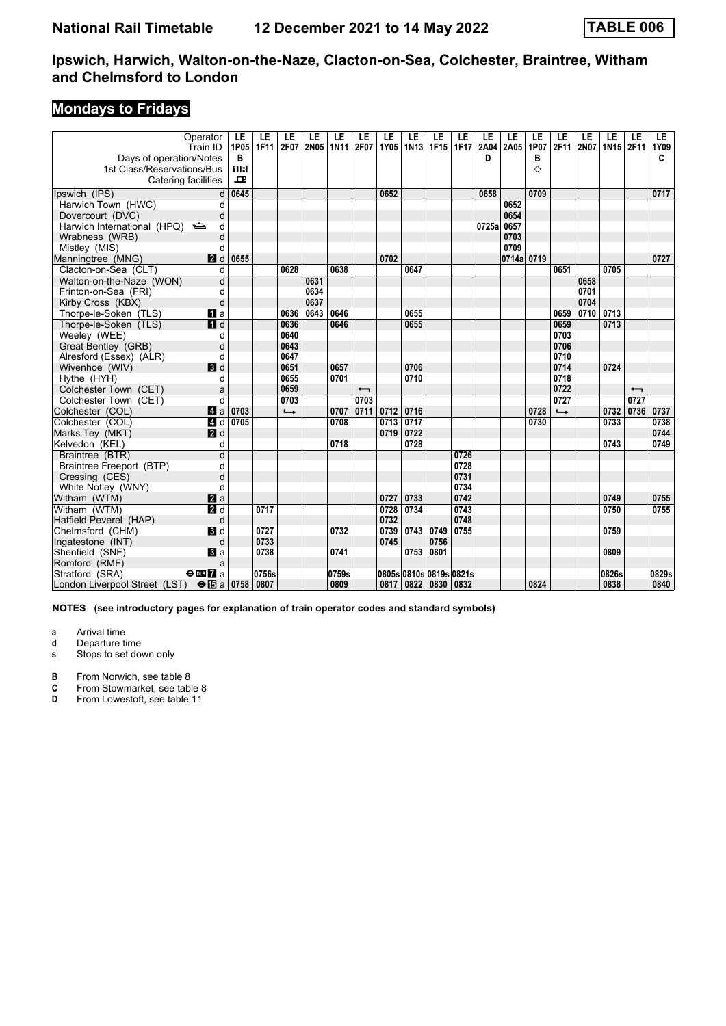# **Mondays to Fridays**

| Operator<br>Train ID                                         | LE<br>1P05   | LE<br>1F11 | LE<br>2F07    | LE<br>2N05 | LE<br><b>1N11</b> | LE<br>2F07 | LE<br>1Y05              | LE<br>1N <sub>13</sub> | LE<br><b>1F15</b> | LE<br>1F17 | LE<br>2A04 | LE<br>2A05 | LE<br>1P07 | LE<br>2F11    | LE<br>2N07 | LE<br>1N15 | LE<br><b>2F11</b> | LE<br>1Y09 |
|--------------------------------------------------------------|--------------|------------|---------------|------------|-------------------|------------|-------------------------|------------------------|-------------------|------------|------------|------------|------------|---------------|------------|------------|-------------------|------------|
| Days of operation/Notes                                      | в            |            |               |            |                   |            |                         |                        |                   |            | D          |            | B          |               |            |            |                   | C          |
| 1st Class/Reservations/Bus                                   | 0 B          |            |               |            |                   |            |                         |                        |                   |            |            |            | ♦          |               |            |            |                   |            |
| Catering facilities                                          | $\mathbf{p}$ |            |               |            |                   |            |                         |                        |                   |            |            |            |            |               |            |            |                   |            |
| Ipswich (IPS)<br>d                                           | 0645         |            |               |            |                   |            | 0652                    |                        |                   |            | 0658       |            | 0709       |               |            |            |                   | 0717       |
| Harwich Town (HWC)<br>d                                      |              |            |               |            |                   |            |                         |                        |                   |            |            | 0652       |            |               |            |            |                   |            |
| d<br>Dovercourt (DVC)                                        |              |            |               |            |                   |            |                         |                        |                   |            |            | 0654       |            |               |            |            |                   |            |
| Harwich International (HPQ)<br>d                             |              |            |               |            |                   |            |                         |                        |                   |            | 0725a 0657 |            |            |               |            |            |                   |            |
| d<br>Wrabness (WRB)                                          |              |            |               |            |                   |            |                         |                        |                   |            |            | 0703       |            |               |            |            |                   |            |
| Mistley (MIS)<br>d                                           |              |            |               |            |                   |            |                         |                        |                   |            |            | 0709       |            |               |            |            |                   |            |
| 2d<br>Manningtree (MNG)                                      | 0655         |            |               |            |                   |            | 0702                    |                        |                   |            |            | 0714a 0719 |            |               |            |            |                   | 0727       |
| Clacton-on-Sea (CLT)<br>d                                    |              |            | 0628          |            | 0638              |            |                         | 0647                   |                   |            |            |            |            | 0651          |            | 0705       |                   |            |
| Walton-on-the-Naze (WON)<br>d                                |              |            |               | 0631       |                   |            |                         |                        |                   |            |            |            |            |               | 0658       |            |                   |            |
| Frinton-on-Sea (FRI)<br>d                                    |              |            |               | 0634       |                   |            |                         |                        |                   |            |            |            |            |               | 0701       |            |                   |            |
| d<br>Kirby Cross (KBX)                                       |              |            |               | 0637       |                   |            |                         |                        |                   |            |            |            |            |               | 0704       |            |                   |            |
| Thorpe-le-Soken (TLS)<br>$\mathbf{u}$ a                      |              |            | 0636          | 0643       | 0646              |            |                         | 0655                   |                   |            |            |            |            | 0659          | 0710       | 0713       |                   |            |
| I<br>Thorpe-le-Soken (TLS)                                   |              |            | 0636          |            | 0646              |            |                         | 0655                   |                   |            |            |            |            | 0659          |            | 0713       |                   |            |
| Weeley (WEE)<br>d                                            |              |            | 0640          |            |                   |            |                         |                        |                   |            |            |            |            | 0703          |            |            |                   |            |
| d<br>Great Bentley (GRB)                                     |              |            | 0643          |            |                   |            |                         |                        |                   |            |            |            |            | 0706          |            |            |                   |            |
| Alresford (Essex) (ALR)<br>d                                 |              |            | 0647          |            |                   |            |                         |                        |                   |            |            |            |            | 0710          |            |            |                   |            |
| $\blacksquare$<br>Wivenhoe (WIV)                             |              |            | 0651          |            | 0657              |            |                         | 0706                   |                   |            |            |            |            | 0714          |            | 0724       |                   |            |
| Hythe (HYH)<br>d                                             |              |            | 0655          |            | 0701              |            |                         | 0710                   |                   |            |            |            |            | 0718          |            |            |                   |            |
| Colchester Town (CET)<br>a                                   |              |            | 0659          |            |                   |            |                         |                        |                   |            |            |            |            | 0722          |            |            | ↽                 |            |
| $\overline{\mathsf{d}}$<br>Colchester Town (CET)             |              |            | 0703          |            |                   | 0703       |                         |                        |                   |            |            |            |            | 0727          |            |            | 0727              |            |
| $\blacksquare$ a<br>Colchester (COL)                         | 0703         |            | $\rightarrow$ |            | 0707              | 0711       | 0712                    | 0716                   |                   |            |            |            | 0728       | $\rightarrow$ |            | 0732       | 0736              | 0737       |
| Colchester (COL)<br>4d                                       | 0705         |            |               |            | 0708              |            | 0713                    | 0717                   |                   |            |            |            | 0730       |               |            | 0733       |                   | 0738       |
| 2d<br>Marks Tey (MKT)                                        |              |            |               |            |                   |            | 0719                    | 0722                   |                   |            |            |            |            |               |            |            |                   | 0744       |
| Kelvedon (KEL)<br>d                                          |              |            |               |            | 0718              |            |                         | 0728                   |                   |            |            |            |            |               |            | 0743       |                   | 0749       |
| $\overline{\mathsf{d}}$<br>Braintree (BTR)                   |              |            |               |            |                   |            |                         |                        |                   | 0726       |            |            |            |               |            |            |                   |            |
| Braintree Freeport (BTP)<br>d                                |              |            |               |            |                   |            |                         |                        |                   | 0728       |            |            |            |               |            |            |                   |            |
| d<br>Cressing (CES)                                          |              |            |               |            |                   |            |                         |                        |                   | 0731       |            |            |            |               |            |            |                   |            |
| White Notley (WNY)<br>d                                      |              |            |               |            |                   |            |                         |                        |                   | 0734       |            |            |            |               |            |            |                   |            |
| Witham (WTM)<br>$\mathbf{z}$ a                               |              |            |               |            |                   |            | 0727                    | 0733                   |                   | 0742       |            |            |            |               |            | 0749       |                   | 0755       |
| $\overline{\mathbf{p}}$ d<br>Witham (WTM)                    |              | 0717       |               |            |                   |            | 0728                    | 0734                   |                   | 0743       |            |            |            |               |            | 0750       |                   | 0755       |
| d<br>Hatfield Peverel (HAP)                                  |              |            |               |            |                   |            | 0732                    |                        |                   | 0748       |            |            |            |               |            |            |                   |            |
| Chelmsford (CHM)<br><b>3</b> d                               |              | 0727       |               |            | 0732              |            | 0739                    | 0743                   | 0749              | 0755       |            |            |            |               |            | 0759       |                   |            |
| d<br>Ingatestone (INT)                                       |              | 0733       |               |            |                   |            | 0745                    |                        | 0756              |            |            |            |            |               |            |            |                   |            |
| Shenfield (SNF)<br><b>B</b> la                               |              | 0738       |               |            | 0741              |            |                         | 0753                   | 0801              |            |            |            |            |               |            | 0809       |                   |            |
| Romford (RMF)<br>a                                           |              |            |               |            |                   |            |                         |                        |                   |            |            |            |            |               |            |            |                   |            |
| Stratford (SRA)<br>$\Theta$ DLR $\overline{\mathbf{Z}}$ a    |              | 0756s      |               |            | 0759s             |            | 0805s 0810s 0819s 0821s |                        |                   |            |            |            |            |               |            | 0826s      |                   | 0829s      |
| London Liverpool Street (LST) $\Theta$ $\boxed{13}$ a   0758 |              | 0807       |               |            | 0809              |            | 0817                    |                        | 0822 0830 0832    |            |            |            | 0824       |               |            | 0838       |                   | 0840       |

**NOTES (see introductory pages for explanation of train operator codes and standard symbols)**

**a** Arrival time<br>**d** Departure t

**d** Departure time

**s** Stops to set down only

**B** From Norwich, see table 8<br>**C** From Stowmarket, see table **C** From Stowmarket, see table 8<br>**D** From Lowestoft, see table 11

**Prom Lowestoft, see table 11**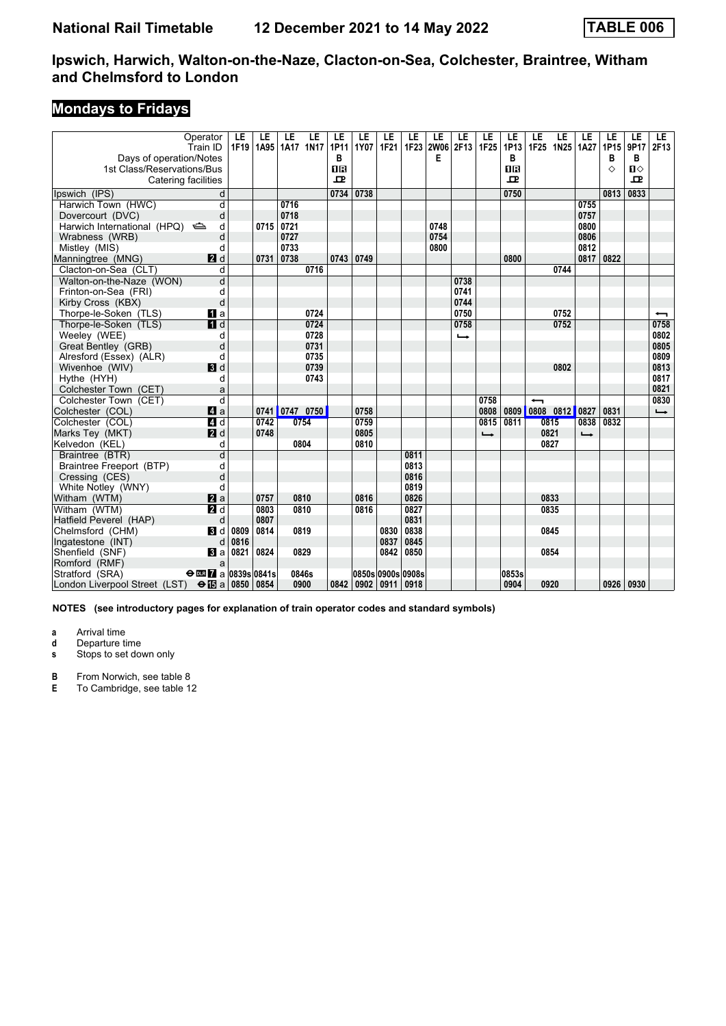# **Mondays to Fridays**

| Operator<br>Train ID                                       | LE<br>1F19 | LE<br>1A95 | LE<br>LE<br>1A17 1N17 | LE<br>1P11   | LE<br>1Y07 | LE<br>1F21        | LE   | LE<br>1F23 2W06 | LE<br>2F13    | LE<br>1F <sub>25</sub> | LE<br>1P13 | LE                       | LE<br>1F25 1N25 1A27 | LE            | LE<br>1P15 | LE<br>9P17   | LE<br>2F13               |
|------------------------------------------------------------|------------|------------|-----------------------|--------------|------------|-------------------|------|-----------------|---------------|------------------------|------------|--------------------------|----------------------|---------------|------------|--------------|--------------------------|
| Days of operation/Notes                                    |            |            |                       | в            |            |                   |      | Е               |               |                        | в          |                          |                      |               | в          | B            |                          |
| 1st Class/Reservations/Bus                                 |            |            |                       | 08           |            |                   |      |                 |               |                        | <b>08</b>  |                          |                      |               | ♦          | $\mathbf{u}$ |                          |
| Catering facilities                                        |            |            |                       | $\mathbf{p}$ |            |                   |      |                 |               |                        | ᅭ          |                          |                      |               |            | ᅭ            |                          |
| Ipswich (IPS)<br>d                                         |            |            |                       | 0734         | 0738       |                   |      |                 |               |                        | 0750       |                          |                      |               | 0813       | 0833         |                          |
| Harwich Town (HWC)<br>d                                    |            |            | 0716                  |              |            |                   |      |                 |               |                        |            |                          |                      | 0755          |            |              |                          |
| d<br>Dovercourt (DVC)                                      |            |            | 0718                  |              |            |                   |      |                 |               |                        |            |                          |                      | 0757          |            |              |                          |
| Harwich International (HPQ)<br>d                           |            | 0715       | 0721                  |              |            |                   |      | 0748            |               |                        |            |                          |                      | 0800          |            |              |                          |
| Wrabness (WRB)<br>d                                        |            |            | 0727                  |              |            |                   |      | 0754            |               |                        |            |                          |                      | 0806          |            |              |                          |
| Mistley (MIS)<br>d                                         |            |            | 0733                  |              |            |                   |      | 0800            |               |                        |            |                          |                      | 0812          |            |              |                          |
| 2d<br>Manningtree (MNG)                                    |            | 0731       | 0738                  | 0743         | 0749       |                   |      |                 |               |                        | 0800       |                          |                      | 0817          | 0822       |              |                          |
| Clacton-on-Sea (CLT)<br>d                                  |            |            | 0716                  |              |            |                   |      |                 |               |                        |            |                          | 0744                 |               |            |              |                          |
| $\overline{\mathsf{d}}$<br>Walton-on-the-Naze (WON)        |            |            |                       |              |            |                   |      |                 | 0738          |                        |            |                          |                      |               |            |              |                          |
| Frinton-on-Sea (FRI)<br>d                                  |            |            |                       |              |            |                   |      |                 | 0741          |                        |            |                          |                      |               |            |              |                          |
| d<br>Kirby Cross (KBX)                                     |            |            |                       |              |            |                   |      |                 | 0744          |                        |            |                          |                      |               |            |              |                          |
| Thorpe-le-Soken (TLS)<br>$\mathbf{u}$ a                    |            |            | 0724                  |              |            |                   |      |                 | 0750          |                        |            |                          | 0752                 |               |            |              | $\overline{\phantom{0}}$ |
| $\blacksquare$<br>Thorpe-le-Soken (TLS)                    |            |            | 0724                  |              |            |                   |      |                 | 0758          |                        |            |                          | 0752                 |               |            |              | 0758                     |
| Weeley (WEE)<br>d                                          |            |            | 0728                  |              |            |                   |      |                 | $\rightarrow$ |                        |            |                          |                      |               |            |              | 0802                     |
| d<br>Great Bentley (GRB)                                   |            |            | 0731                  |              |            |                   |      |                 |               |                        |            |                          |                      |               |            |              | 0805                     |
| Alresford (Essex) (ALR)<br>d                               |            |            | 0735                  |              |            |                   |      |                 |               |                        |            |                          |                      |               |            |              | 0809                     |
| $\blacksquare$<br>Wivenhoe (WIV)                           |            |            | 0739                  |              |            |                   |      |                 |               |                        |            |                          | 0802                 |               |            |              | 0813                     |
| Hythe (HYH)<br>d                                           |            |            | 0743                  |              |            |                   |      |                 |               |                        |            |                          |                      |               |            |              | 0817                     |
| Colchester Town (CET)<br>a                                 |            |            |                       |              |            |                   |      |                 |               |                        |            |                          |                      |               |            |              | 0821                     |
| $\overline{\mathsf{d}}$<br>Colchester Town (CET)           |            |            |                       |              |            |                   |      |                 |               | 0758                   |            | $\overline{\phantom{0}}$ |                      |               |            |              | 0830                     |
| ZI a<br>Colchester (COL)                                   |            |            | 0741 0747 0750        |              | 0758       |                   |      |                 |               | 0808                   |            | 0809 0808 0812 0827      |                      |               | 0831       |              | $\rightarrow$            |
| 4d<br>Colchester (COL)                                     |            | 0742       | 0754                  |              | 0759       |                   |      |                 |               | 0815                   | 0811       | 0815                     |                      | 0838          | 0832       |              |                          |
| 2d<br>Marks Tey (MKT)                                      |            | 0748       |                       |              | 0805       |                   |      |                 |               | $\rightarrow$          |            | 0821                     |                      | $\rightarrow$ |            |              |                          |
| Kelvedon (KEL)<br>d                                        |            |            | 0804                  |              | 0810       |                   |      |                 |               |                        |            | 0827                     |                      |               |            |              |                          |
| $\overline{d}$<br>Braintree (BTR)                          |            |            |                       |              |            |                   | 0811 |                 |               |                        |            |                          |                      |               |            |              |                          |
| d<br>Braintree Freeport (BTP)                              |            |            |                       |              |            |                   | 0813 |                 |               |                        |            |                          |                      |               |            |              |                          |
| d<br>Cressing (CES)                                        |            |            |                       |              |            |                   | 0816 |                 |               |                        |            |                          |                      |               |            |              |                          |
| White Notley (WNY)<br>d                                    |            |            |                       |              |            |                   | 0819 |                 |               |                        |            |                          |                      |               |            |              |                          |
| <b>2</b> a<br>Witham (WTM)                                 |            | 0757       | 0810                  |              | 0816       |                   | 0826 |                 |               |                        |            | 0833                     |                      |               |            |              |                          |
| Witham (WTM)<br>2d                                         |            | 0803       | 0810                  |              | 0816       |                   | 0827 |                 |               |                        |            | 0835                     |                      |               |            |              |                          |
| Hatfield Peverel (HAP)<br>d                                |            | 0807       |                       |              |            |                   | 0831 |                 |               |                        |            |                          |                      |               |            |              |                          |
| Chelmsford (CHM)<br>3d                                     | 0809       | 0814       | 0819                  |              |            | 0830              | 0838 |                 |               |                        |            | 0845                     |                      |               |            |              |                          |
| Ingatestone (INT)<br>d                                     | 0816       |            |                       |              |            | 0837              | 0845 |                 |               |                        |            |                          |                      |               |            |              |                          |
| Shenfield (SNF)<br>$\mathbf{B}$ a                          | 0821       | 0824       | 0829                  |              |            | 0842              | 0850 |                 |               |                        |            | 0854                     |                      |               |            |              |                          |
| Romford (RMF)<br>a                                         |            |            |                       |              |            |                   |      |                 |               |                        |            |                          |                      |               |            |              |                          |
| $\Theta$ DE <b>7</b> a 0839s 0841s<br>Stratford (SRA)      |            |            | 0846s                 |              |            | 0850s 0900s 0908s |      |                 |               |                        | 0853s      |                          |                      |               |            |              |                          |
| London Liverpool Street (LST) $\Theta$ $\mathbb{E}$ a 0850 |            | 0854       | 0900                  | 0842         | 0902       | 0911              | 0918 |                 |               |                        | 0904       | 0920                     |                      |               | 0926       | 0930         |                          |

**NOTES (see introductory pages for explanation of train operator codes and standard symbols)**

**a** Arrival time<br>**d** Departure t

**d** Departure time

**s** Stops to set down only

**B** From Norwich, see table 8<br>**E** To Cambridge, see table 1 To Cambridge, see table 12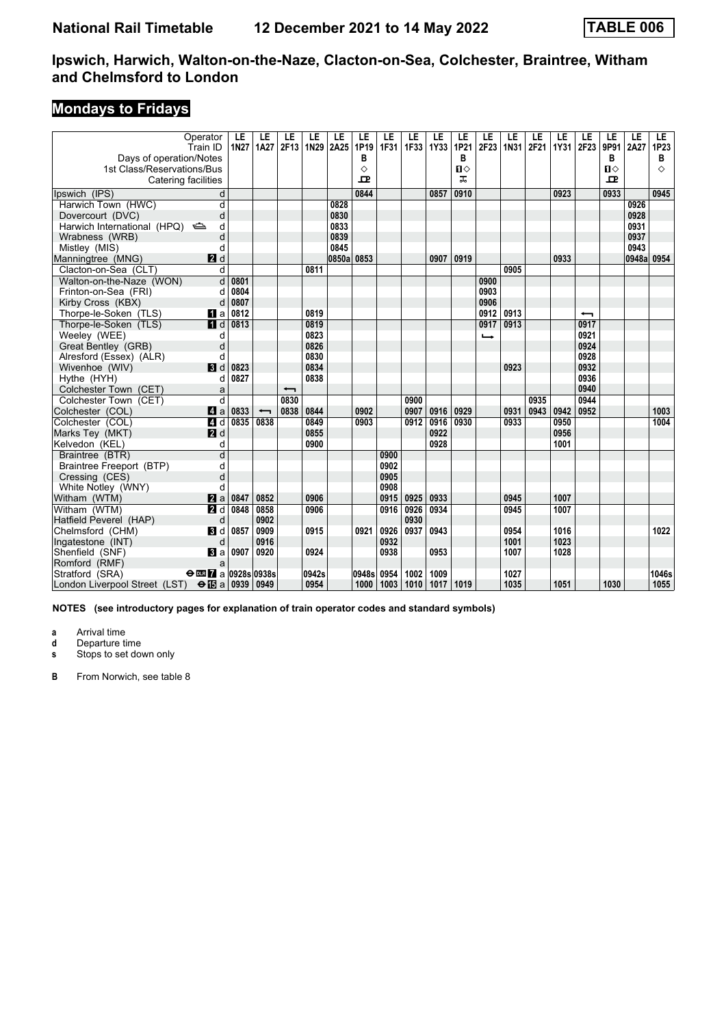# **Mondays to Fridays**

| Operator<br>Train ID                                    | LE<br><b>1N27</b>       | LE<br>1A27               | LE<br>2F13               | LE<br>1N29 | LE<br>2A25 | LE<br>1P19 | LE<br>1F31 | LE<br>1F33 | LE<br>1Y33 | LE<br>1P21   | LE<br>2F23    | LE<br>1N31 | LE<br>2F21 | LE<br><b>1Y31</b> | LE<br>2F23 | LE<br>9P91   | LE<br>2A27 | LE.<br>1P23 |
|---------------------------------------------------------|-------------------------|--------------------------|--------------------------|------------|------------|------------|------------|------------|------------|--------------|---------------|------------|------------|-------------------|------------|--------------|------------|-------------|
| Days of operation/Notes                                 |                         |                          |                          |            |            | в          |            |            |            | В            |               |            |            |                   |            | в            |            | в           |
| 1st Class/Reservations/Bus                              |                         |                          |                          |            |            | ♦          |            |            |            | $\mathbf{u}$ |               |            |            |                   |            | $\mathbf{u}$ |            | ♦           |
| Catering facilities                                     |                         |                          |                          |            |            | ᇁ          |            |            |            | ᠼ            |               |            |            |                   |            | ᇁ            |            |             |
| Ipswich (IPS)                                           | d                       |                          |                          |            |            | 0844       |            |            | 0857       | 0910         |               |            |            | 0923              |            | 0933         |            | 0945        |
| Harwich Town (HWC)                                      | d                       |                          |                          |            | 0828       |            |            |            |            |              |               |            |            |                   |            |              | 0926       |             |
| Dovercourt (DVC)                                        | d                       |                          |                          |            | 0830       |            |            |            |            |              |               |            |            |                   |            |              | 0928       |             |
| Harwich International (HPQ)                             | d                       |                          |                          |            | 0833       |            |            |            |            |              |               |            |            |                   |            |              | 0931       |             |
| Wrabness (WRB)                                          | d                       |                          |                          |            | 0839       |            |            |            |            |              |               |            |            |                   |            |              | 0937       |             |
| Mistley (MIS)                                           | d                       |                          |                          |            | 0845       |            |            |            |            |              |               |            |            |                   |            |              | 0943       |             |
| 2d<br>Manningtree (MNG)                                 |                         |                          |                          |            | 0850a      | 0853       |            |            | 0907       | 0919         |               |            |            | 0933              |            |              | 0948a 0954 |             |
| Clacton-on-Sea (CLT)                                    | d                       |                          |                          | 0811       |            |            |            |            |            |              |               | 0905       |            |                   |            |              |            |             |
| Walton-on-the-Naze (WON)                                | d<br>0801               |                          |                          |            |            |            |            |            |            |              | 0900          |            |            |                   |            |              |            |             |
| Frinton-on-Sea (FRI)                                    | 0804<br>d               |                          |                          |            |            |            |            |            |            |              | 0903          |            |            |                   |            |              |            |             |
| Kirby Cross (KBX)                                       | 0807<br>d               |                          |                          |            |            |            |            |            |            |              | 0906          |            |            |                   |            |              |            |             |
| Thorpe-le-Soken (TLS)<br>$\blacksquare$ a               | 0812                    |                          |                          | 0819       |            |            |            |            |            |              | 0912          | 0913       |            |                   | ↽          |              |            |             |
| Thorpe-le-Soken (TLS)<br>$\blacksquare$                 | 0813                    |                          |                          | 0819       |            |            |            |            |            |              | 0917          | 0913       |            |                   | 0917       |              |            |             |
| Weeley (WEE)                                            | d                       |                          |                          | 0823       |            |            |            |            |            |              | $\rightarrow$ |            |            |                   | 0921       |              |            |             |
| Great Bentley (GRB)                                     | d                       |                          |                          | 0826       |            |            |            |            |            |              |               |            |            |                   | 0924       |              |            |             |
| Alresford (Essex) (ALR)                                 | d                       |                          |                          | 0830       |            |            |            |            |            |              |               |            |            |                   | 0928       |              |            |             |
| $\blacksquare$<br>Wivenhoe (WIV)                        | 0823                    |                          |                          | 0834       |            |            |            |            |            |              |               | 0923       |            |                   | 0932       |              |            |             |
| Hythe (HYH)                                             | 0827<br>d               |                          |                          | 0838       |            |            |            |            |            |              |               |            |            |                   | 0936       |              |            |             |
| Colchester Town (CET)                                   | a                       |                          | $\overline{\phantom{0}}$ |            |            |            |            |            |            |              |               |            |            |                   | 0940       |              |            |             |
| Colchester Town (CET)                                   | $\overline{d}$          |                          | 0830                     |            |            |            |            | 0900       |            |              |               |            | 0935       |                   | 0944       |              |            |             |
| 4a<br>Colchester (COL)                                  | 0833                    | $\overline{\phantom{0}}$ | 0838                     | 0844       |            | 0902       |            | 0907       | 0916       | 0929         |               | 0931       | 0943       | 0942              | 0952       |              |            | 1003        |
| Colchester (COL)<br>4 d                                 | 0835                    | 0838                     |                          | 0849       |            | 0903       |            | 0912       | 0916       | 0930         |               | 0933       |            | 0950              |            |              |            | 1004        |
| Marks Tey (MKT)<br>2d                                   |                         |                          |                          | 0855       |            |            |            |            | 0922       |              |               |            |            | 0956              |            |              |            |             |
| Kelvedon (KEL)                                          | d                       |                          |                          | 0900       |            |            |            |            | 0928       |              |               |            |            | 1001              |            |              |            |             |
| Braintree (BTR)                                         | $\overline{\mathsf{d}}$ |                          |                          |            |            |            | 0900       |            |            |              |               |            |            |                   |            |              |            |             |
| Braintree Freeport (BTP)                                | d                       |                          |                          |            |            |            | 0902       |            |            |              |               |            |            |                   |            |              |            |             |
| Cressing (CES)                                          | d                       |                          |                          |            |            |            | 0905       |            |            |              |               |            |            |                   |            |              |            |             |
| White Notley (WNY)                                      | d                       |                          |                          |            |            |            | 0908       |            |            |              |               |            |            |                   |            |              |            |             |
| Witham (WTM)<br>$\mathbf{z}$ a                          | 0847                    | 0852                     |                          | 0906       |            |            | 0915       | 0925       | 0933       |              |               | 0945       |            | 1007              |            |              |            |             |
| Witham (WTM)<br>2d                                      | 0848                    | 0858                     |                          | 0906       |            |            | 0916       | 0926       | 0934       |              |               | 0945       |            | 1007              |            |              |            |             |
| Hatfield Peverel (HAP)                                  | d                       | 0902                     |                          |            |            |            |            | 0930       |            |              |               |            |            |                   |            |              |            |             |
| Chelmsford (CHM)<br><b>B</b> Id                         | 0857                    | 0909                     |                          | 0915       |            | 0921       | 0926       | 0937       | 0943       |              |               | 0954       |            | 1016              |            |              |            | 1022        |
| Ingatestone (INT)                                       | d                       | 0916                     |                          |            |            |            | 0932       |            |            |              |               | 1001       |            | 1023              |            |              |            |             |
| Shenfield (SNF)<br>$\bf{B}$ a                           | 0907                    | 0920                     |                          | 0924       |            |            | 0938       |            | 0953       |              |               | 1007       |            | 1028              |            |              |            |             |
| Romford (RMF)                                           | a                       |                          |                          |            |            |            |            |            |            |              |               |            |            |                   |            |              |            |             |
| Stratford (SRA)<br>$\Theta$ DE <b>7</b> a 0928s 0938s   |                         |                          |                          | 0942s      |            | 0948s      | 0954       | 1002       | 1009       |              |               | 1027       |            |                   |            |              |            | 1046s       |
| London Liverpool Street (LST) $\Theta$ <b>is</b> a 0939 |                         | 0949                     |                          | 0954       |            | 1000       | 1003       | 1010       | 1017       | 1019         |               | 1035       |            | 1051              |            | 1030         |            | 1055        |

**NOTES (see introductory pages for explanation of train operator codes and standard symbols)**

**a** Arrival time<br>**d** Departure t

**d** Departure time

**s** Stops to set down only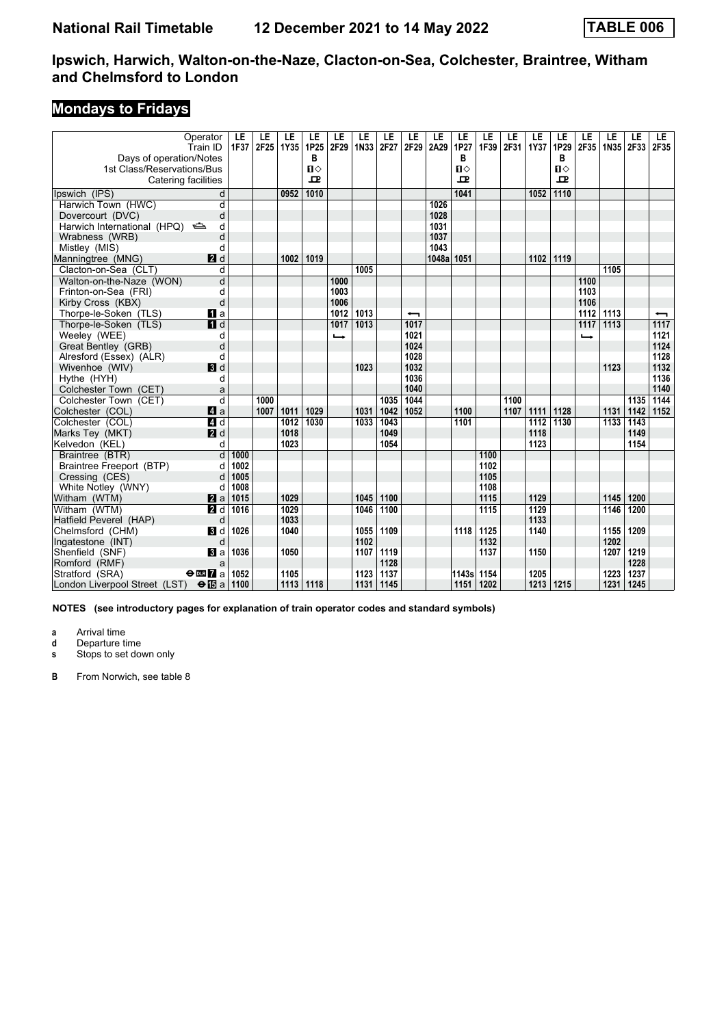# **Mondays to Fridays**

| Operator<br>Train ID                            | LE<br>1F37 | LE<br>2F25 | LE<br>1Y35 | LE<br>1P25   | LE<br>2F29 | LE<br>1N33 | LE<br>2F27 | LE<br>2F29               | LE<br>2A29 | LE<br>1P27 | LE<br>1F39 | LE<br>2F31 | LE<br>1Y37 | LE<br>1P29   | LE<br>2F35               | LE<br>1N35 | LE<br>2F33 | LE<br>2F35               |
|-------------------------------------------------|------------|------------|------------|--------------|------------|------------|------------|--------------------------|------------|------------|------------|------------|------------|--------------|--------------------------|------------|------------|--------------------------|
| Days of operation/Notes                         |            |            |            | В            |            |            |            |                          |            | в          |            |            |            | в            |                          |            |            |                          |
| 1st Class/Reservations/Bus                      |            |            |            | $\mathbf{u}$ |            |            |            |                          |            | п⇔         |            |            |            | $\mathbf{u}$ |                          |            |            |                          |
| Catering facilities                             |            |            |            | 묘            |            |            |            |                          |            | ᇁ          |            |            |            | 묘            |                          |            |            |                          |
| Ipswich (IPS)<br>d                              |            |            | 0952       | 1010         |            |            |            |                          |            | 1041       |            |            | 1052       | 1110         |                          |            |            |                          |
| Harwich Town (HWC)<br>d                         |            |            |            |              |            |            |            |                          | 1026       |            |            |            |            |              |                          |            |            |                          |
| d<br>Dovercourt (DVC)                           |            |            |            |              |            |            |            |                          | 1028       |            |            |            |            |              |                          |            |            |                          |
| Harwich International (HPQ)<br>d                |            |            |            |              |            |            |            |                          | 1031       |            |            |            |            |              |                          |            |            |                          |
| Wrabness (WRB)<br>d                             |            |            |            |              |            |            |            |                          | 1037       |            |            |            |            |              |                          |            |            |                          |
| Mistley (MIS)<br>d                              |            |            |            |              |            |            |            |                          | 1043       |            |            |            |            |              |                          |            |            |                          |
| $P$ d<br>Manningtree (MNG)                      |            |            | 1002       | 1019         |            |            |            |                          | 1048a      | 1051       |            |            | 1102       | 1119         |                          |            |            |                          |
| Clacton-on-Sea (CLT)<br>d                       |            |            |            |              |            | 1005       |            |                          |            |            |            |            |            |              |                          | 1105       |            |                          |
| d<br>Walton-on-the-Naze (WON)                   |            |            |            |              | 1000       |            |            |                          |            |            |            |            |            |              | 1100                     |            |            |                          |
| Frinton-on-Sea (FRI)<br>d                       |            |            |            |              | 1003       |            |            |                          |            |            |            |            |            |              | 1103                     |            |            |                          |
| d<br>Kirby Cross (KBX)                          |            |            |            |              | 1006       |            |            |                          |            |            |            |            |            |              | 1106                     |            |            |                          |
| Thorpe-le-Soken (TLS)<br><b>FI</b> a            |            |            |            |              | 1012       | 1013       |            | $\overline{\phantom{0}}$ |            |            |            |            |            |              | 1112                     | 1113       |            | $\overline{\phantom{0}}$ |
| $\blacksquare$<br>Thorpe-le-Soken (TLS)         |            |            |            |              | 1017       | 1013       |            | 1017                     |            |            |            |            |            |              | 1117                     | 1113       |            | 1117                     |
| Weeley (WEE)<br>d                               |            |            |            |              | ↳          |            |            | 1021                     |            |            |            |            |            |              | $\overline{\phantom{a}}$ |            |            | 1121                     |
| d<br>Great Bentley (GRB)                        |            |            |            |              |            |            |            | 1024                     |            |            |            |            |            |              |                          |            |            | 1124                     |
| Alresford (Essex) (ALR)<br>d                    |            |            |            |              |            |            |            | 1028                     |            |            |            |            |            |              |                          |            |            | 1128                     |
| $\blacksquare$<br>Wivenhoe (WIV)                |            |            |            |              |            | 1023       |            | 1032                     |            |            |            |            |            |              |                          | 1123       |            | 1132                     |
| Hythe (HYH)<br>d                                |            |            |            |              |            |            |            | 1036                     |            |            |            |            |            |              |                          |            |            | 1136                     |
| Colchester Town (CET)<br>a                      |            |            |            |              |            |            |            | 1040                     |            |            |            |            |            |              |                          |            |            | 1140                     |
| Colchester Town (CET)<br>d                      |            | 1000       |            |              |            |            | 1035       | 1044                     |            |            |            | 1100       |            |              |                          |            | 1135       | 1144                     |
| ZI a<br>Colchester (COL)                        |            | 1007       | 1011       | 1029         |            | 1031       | 1042       | 1052                     |            | 1100       |            | 1107       | 1111       | 1128         |                          | 1131       | 1142       | 1152                     |
| $\overline{4}$ d<br>Colchester (COL)            |            |            | 1012       | 1030         |            | 1033       | 1043       |                          |            | 1101       |            |            | 1112       | 1130         |                          | 1133       | 1143       |                          |
| 2d<br>Marks Tey (MKT)                           |            |            | 1018       |              |            |            | 1049       |                          |            |            |            |            | 1118       |              |                          |            | 1149       |                          |
| Kelvedon (KEL)<br>d                             |            |            | 1023       |              |            |            | 1054       |                          |            |            |            |            | 1123       |              |                          |            | 1154       |                          |
| $\overline{d}$<br>Braintree (BTR)               | 1000       |            |            |              |            |            |            |                          |            |            | 1100       |            |            |              |                          |            |            |                          |
| Braintree Freeport (BTP)<br>d                   | 1002       |            |            |              |            |            |            |                          |            |            | 1102       |            |            |              |                          |            |            |                          |
| Cressing (CES)<br>d                             | 1005       |            |            |              |            |            |            |                          |            |            | 1105       |            |            |              |                          |            |            |                          |
| White Notley (WNY)<br>d                         | 1008       |            |            |              |            |            |            |                          |            |            | 1108       |            |            |              |                          |            |            |                          |
| Witham (WTM)<br>$\mathbf{z}$ a                  | 1015       |            | 1029       |              |            | 1045       | 1100       |                          |            |            | 1115       |            | 1129       |              |                          | 1145       | 1200       |                          |
| Witham (WTM)<br>$\mathbf{p}$ d                  | 1016       |            | 1029       |              |            | 1046       | 1100       |                          |            |            | 1115       |            | 1129       |              |                          | 1146       | 1200       |                          |
| d<br>Hatfield Peverel (HAP)                     |            |            | 1033       |              |            |            |            |                          |            |            |            |            | 1133       |              |                          |            |            |                          |
| Chelmsford (CHM)<br><b>3</b> d                  | 1026       |            | 1040       |              |            | 1055       | 1109       |                          |            | 1118       | 1125       |            | 1140       |              |                          | 1155       | 1209       |                          |
| d<br>Ingatestone (INT)                          |            |            |            |              |            | 1102       |            |                          |            |            | 1132       |            |            |              |                          | 1202       |            |                          |
| Shenfield (SNF)<br>$\mathbf{B}$ a               | 1036       |            | 1050       |              |            | 1107       | 1119       |                          |            |            | 1137       |            | 1150       |              |                          | 1207       | 1219       |                          |
| Romford (RMF)<br>a                              |            |            |            |              |            |            | 1128       |                          |            |            |            |            |            |              |                          |            | 1228       |                          |
| Stratford (SRA)<br>$\Theta$ or $\overline{A}$ a | 1052       |            | 1105       |              |            | 1123       | 1137       |                          |            | 1143s 1154 |            |            | 1205       |              |                          | 1223       | 1237       |                          |
| London Liverpool Street (LST) <b>⊖ IB</b> a     | 1100       |            | 1113       | 1118         |            | 1131       | 1145       |                          |            | 1151       | 1202       |            | 1213       | 1215         |                          | 1231       | 1245       |                          |

**NOTES (see introductory pages for explanation of train operator codes and standard symbols)**

**a** Arrival time<br>**d** Departure t

**d** Departure time

**s** Stops to set down only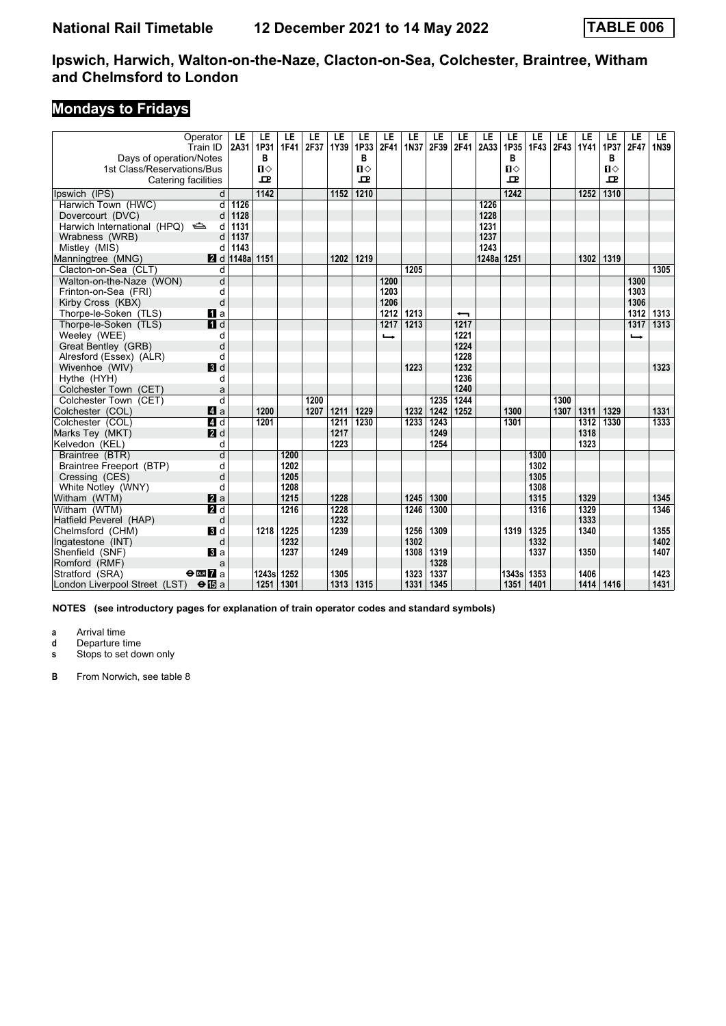# **Mondays to Fridays**

| Operator<br>Train ID                                      | LE<br>2A31 | LE<br>1P31 | LE<br>1F41 | LE<br>2F37 | LE<br>1Y39 | LE<br>1P33        | LE<br>2F41    | LE<br>1N37 | LE<br>2F39 | LE<br>2F41        | LE<br>2A33 | LE<br>1P35           | LE<br>1F43 | LE<br>2F43 | LE<br><b>1Y41</b> | LE<br>1P37        | LE<br>2F47    | LE.<br>1N39 |
|-----------------------------------------------------------|------------|------------|------------|------------|------------|-------------------|---------------|------------|------------|-------------------|------------|----------------------|------------|------------|-------------------|-------------------|---------------|-------------|
| Days of operation/Notes<br>1st Class/Reservations/Bus     |            | в<br>$\P$  |            |            |            | в<br>$\mathbf{u}$ |               |            |            |                   |            | в<br>$\P$ $\Diamond$ |            |            |                   | в<br>$\mathbf{u}$ |               |             |
| Catering facilities                                       |            | 모          |            |            |            | $\mathbf{P}$      |               |            |            |                   |            | $\mathbf{P}$         |            |            |                   | $\mathbf{p}$      |               |             |
| Ipswich (IPS)<br>d                                        |            | 1142       |            |            | 1152       | 1210              |               |            |            |                   |            | 1242                 |            |            | 1252              | 1310              |               |             |
| Harwich Town (HWC)<br>$\overline{d}$                      | 1126       |            |            |            |            |                   |               |            |            |                   | 1226       |                      |            |            |                   |                   |               |             |
| Dovercourt (DVC)<br>d                                     | 1128       |            |            |            |            |                   |               |            |            |                   | 1228       |                      |            |            |                   |                   |               |             |
| Harwich International (HPQ)<br>d                          | 1131       |            |            |            |            |                   |               |            |            |                   | 1231       |                      |            |            |                   |                   |               |             |
| Wrabness (WRB)<br>d                                       | 1137       |            |            |            |            |                   |               |            |            |                   | 1237       |                      |            |            |                   |                   |               |             |
| Mistley (MIS)<br>d                                        | 1143       |            |            |            |            |                   |               |            |            |                   | 1243       |                      |            |            |                   |                   |               |             |
| 2d<br>Manningtree (MNG)                                   | 1148a      | 1151       |            |            | 1202       | 1219              |               |            |            |                   | 1248a 1251 |                      |            |            | 1302              | 1319              |               |             |
| Clacton-on-Sea (CLT)<br>d                                 |            |            |            |            |            |                   |               | 1205       |            |                   |            |                      |            |            |                   |                   |               | 1305        |
| $\overline{\mathsf{d}}$<br>Walton-on-the-Naze (WON)       |            |            |            |            |            |                   | 1200          |            |            |                   |            |                      |            |            |                   |                   | 1300          |             |
| Frinton-on-Sea (FRI)<br>d                                 |            |            |            |            |            |                   | 1203          |            |            |                   |            |                      |            |            |                   |                   | 1303          |             |
| d<br>Kirby Cross (KBX)                                    |            |            |            |            |            |                   | 1206          |            |            |                   |            |                      |            |            |                   |                   | 1306          |             |
| Thorpe-le-Soken (TLS)<br>$\mathbf{u}$ a                   |            |            |            |            |            |                   | 1212          | 1213       |            | ↽                 |            |                      |            |            |                   |                   | 1312          | 1313        |
| $\overline{H}$ d<br>Thorpe-le-Soken (TLS)                 |            |            |            |            |            |                   | 1217          | 1213       |            | $\overline{1217}$ |            |                      |            |            |                   |                   | 1317          | 1313        |
| Weeley (WEE)<br>d                                         |            |            |            |            |            |                   | $\rightarrow$ |            |            | 1221              |            |                      |            |            |                   |                   | $\rightarrow$ |             |
| d<br>Great Bentley (GRB)                                  |            |            |            |            |            |                   |               |            |            | 1224              |            |                      |            |            |                   |                   |               |             |
| Alresford (Essex) (ALR)<br>d                              |            |            |            |            |            |                   |               |            |            | 1228              |            |                      |            |            |                   |                   |               |             |
| Wivenhoe (WIV)<br>$\blacksquare$                          |            |            |            |            |            |                   |               | 1223       |            | 1232              |            |                      |            |            |                   |                   |               | 1323        |
| Hythe (HYH)<br>d                                          |            |            |            |            |            |                   |               |            |            | 1236              |            |                      |            |            |                   |                   |               |             |
| Colchester Town (CET)<br>a                                |            |            |            |            |            |                   |               |            |            | 1240              |            |                      |            |            |                   |                   |               |             |
| Colchester Town (CET)<br>d                                |            |            |            | 1200       |            |                   |               |            | 1235       | 1244              |            |                      |            | 1300       |                   |                   |               |             |
| Colchester (COL)<br>$\mathbf{A}$ a                        |            | 1200       |            | 1207       | 1211       | 1229              |               | 1232       | 1242       | 1252              |            | 1300                 |            | 1307       | 1311              | 1329              |               | 1331        |
| 4d<br>Colchester (COL)                                    |            | 1201       |            |            | 1211       | 1230              |               | 1233       | 1243       |                   |            | 1301                 |            |            | 1312              | 1330              |               | 1333        |
| Marks Tey (MKT)<br>2d                                     |            |            |            |            | 1217       |                   |               |            | 1249       |                   |            |                      |            |            | 1318              |                   |               |             |
| Kelvedon (KEL)<br>d                                       |            |            |            |            | 1223       |                   |               |            | 1254       |                   |            |                      |            |            | 1323              |                   |               |             |
| $\overline{\mathsf{d}}$<br>Braintree (BTR)                |            |            | 1200       |            |            |                   |               |            |            |                   |            |                      | 1300       |            |                   |                   |               |             |
| Braintree Freeport (BTP)<br>d                             |            |            | 1202       |            |            |                   |               |            |            |                   |            |                      | 1302       |            |                   |                   |               |             |
| d<br>Cressing (CES)                                       |            |            | 1205       |            |            |                   |               |            |            |                   |            |                      | 1305       |            |                   |                   |               |             |
| White Notley (WNY)<br>d                                   |            |            | 1208       |            |            |                   |               |            |            |                   |            |                      | 1308       |            |                   |                   |               |             |
| Witham (WTM)<br>$\mathbf{z}$ a                            |            |            | 1215       |            | 1228       |                   |               | 1245       | 1300       |                   |            |                      | 1315       |            | 1329              |                   |               | 1345        |
| Witham (WTM)<br>$\blacksquare$                            |            |            | 1216       |            | 1228       |                   |               | 1246       | 1300       |                   |            |                      | 1316       |            | 1329              |                   |               | 1346        |
| Hatfield Peverel (HAP)<br>d                               |            |            |            |            | 1232       |                   |               |            |            |                   |            |                      |            |            | 1333              |                   |               |             |
| Chelmsford (CHM)<br>$\blacksquare$                        |            | 1218       | 1225       |            | 1239       |                   |               | 1256       | 1309       |                   |            | 1319                 | 1325       |            | 1340              |                   |               | 1355        |
| d<br>Ingatestone (INT)                                    |            |            | 1232       |            |            |                   |               | 1302       |            |                   |            |                      | 1332       |            |                   |                   |               | 1402        |
| Shenfield (SNF)<br>$\mathbf{B}$ a                         |            |            | 1237       |            | 1249       |                   |               | 1308       | 1319       |                   |            |                      | 1337       |            | 1350              |                   |               | 1407        |
| a<br>Romford (RMF)                                        |            |            |            |            |            |                   |               |            | 1328       |                   |            |                      |            |            |                   |                   |               |             |
| Stratford (SRA)<br>$\Theta$ DLR $\overline{\mathbf{Z}}$ a |            | 1243s      | 1252       |            | 1305       |                   |               | 1323       | 1337       |                   |            | 1343s                | 1353       |            | 1406              |                   |               | 1423        |
| London Liverpool Street (LST) $\Theta$ <b>is</b> a        |            | 1251       | 1301       |            | 1313       | 1315              |               | 1331       | 1345       |                   |            | 1351                 | 1401       |            | 1414   1416       |                   |               | 1431        |

**NOTES (see introductory pages for explanation of train operator codes and standard symbols)**

**a** Arrival time<br>**d** Departure t

**d** Departure time

**s** Stops to set down only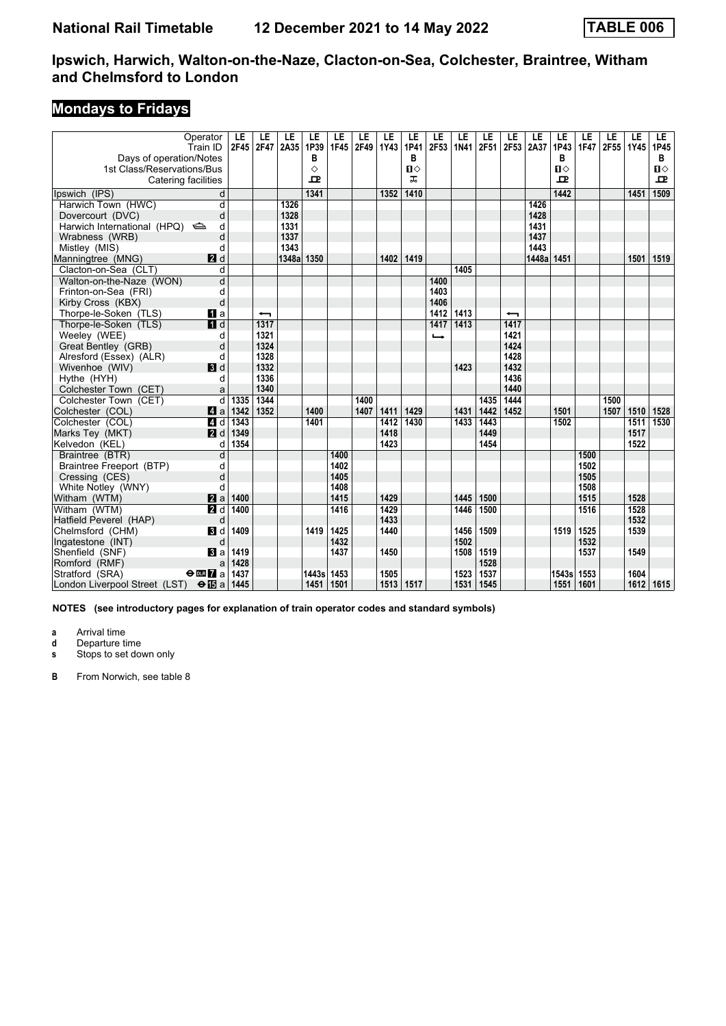# **Mondays to Fridays**

| Operator<br>Train ID                                     | LE<br>2F45 | LE<br>2F47               | LE<br>2A35 | LE<br>1P39 | LE<br>1F45 | LE<br>2F49 | LE<br>1Y43 | LE<br>1P41   | LE<br>2F53 | LE<br>1N41 | LE<br>2F51 | LE<br>2F53               | LE<br>2A37 | LE<br>1P43 | LE<br><b>1F47</b> | LE<br>2F55 | LE<br>1Y45 | <b>LE</b><br>1P45 |
|----------------------------------------------------------|------------|--------------------------|------------|------------|------------|------------|------------|--------------|------------|------------|------------|--------------------------|------------|------------|-------------------|------------|------------|-------------------|
| Days of operation/Notes                                  |            |                          |            | в          |            |            |            | в            |            |            |            |                          |            | B          |                   |            |            | в                 |
| 1st Class/Reservations/Bus                               |            |                          |            | ◇          |            |            |            | $\mathbf{u}$ |            |            |            |                          |            | п⇔         |                   |            |            | $\mathbf{u}$      |
| Catering facilities                                      |            |                          |            | ᇁ          |            |            |            | ᠼ            |            |            |            |                          |            | ᇁ          |                   |            |            | 모                 |
| Ipswich (IPS)<br>d                                       |            |                          |            | 1341       |            |            | 1352       | 1410         |            |            |            |                          |            | 1442       |                   |            | 1451       | 1509              |
| Harwich Town (HWC)<br>d                                  |            |                          | 1326       |            |            |            |            |              |            |            |            |                          | 1426       |            |                   |            |            |                   |
| d<br>Dovercourt (DVC)                                    |            |                          | 1328       |            |            |            |            |              |            |            |            |                          | 1428       |            |                   |            |            |                   |
| Harwich International (HPQ)<br>d                         |            |                          | 1331       |            |            |            |            |              |            |            |            |                          | 1431       |            |                   |            |            |                   |
| Wrabness (WRB)<br>d                                      |            |                          | 1337       |            |            |            |            |              |            |            |            |                          | 1437       |            |                   |            |            |                   |
| Mistley (MIS)<br>d                                       |            |                          | 1343       |            |            |            |            |              |            |            |            |                          | 1443       |            |                   |            |            |                   |
| <b>2</b> d<br>Manningtree (MNG)                          |            |                          | 1348a      | 1350       |            |            | 1402       | 1419         |            |            |            |                          | 1448a      | 1451       |                   |            | 1501       | 1519              |
| Clacton-on-Sea (CLT)<br>d                                |            |                          |            |            |            |            |            |              |            | 1405       |            |                          |            |            |                   |            |            |                   |
| Walton-on-the-Naze (WON)<br>d                            |            |                          |            |            |            |            |            |              | 1400       |            |            |                          |            |            |                   |            |            |                   |
| Frinton-on-Sea (FRI)<br>d                                |            |                          |            |            |            |            |            |              | 1403       |            |            |                          |            |            |                   |            |            |                   |
| d<br>Kirby Cross (KBX)                                   |            |                          |            |            |            |            |            |              | 1406       |            |            |                          |            |            |                   |            |            |                   |
| Thorpe-le-Soken (TLS)<br>$\blacksquare$ a                |            | $\overline{\phantom{0}}$ |            |            |            |            |            |              | 1412       | 1413       |            | $\overline{\phantom{0}}$ |            |            |                   |            |            |                   |
| $\blacksquare$<br>Thorpe-le-Soken (TLS)                  |            | 1317                     |            |            |            |            |            |              | 1417       | 1413       |            | 1417                     |            |            |                   |            |            |                   |
| Weeley (WEE)<br>d                                        |            | 1321                     |            |            |            |            |            |              | ←          |            |            | 1421                     |            |            |                   |            |            |                   |
| d<br>Great Bentley (GRB)                                 |            | 1324                     |            |            |            |            |            |              |            |            |            | 1424                     |            |            |                   |            |            |                   |
| Alresford (Essex) (ALR)<br>d                             |            | 1328                     |            |            |            |            |            |              |            |            |            | 1428                     |            |            |                   |            |            |                   |
| $\mathbf{B}$ d<br>Wivenhoe (WIV)                         |            | 1332                     |            |            |            |            |            |              |            | 1423       |            | 1432                     |            |            |                   |            |            |                   |
| Hythe (HYH)<br>d                                         |            | 1336                     |            |            |            |            |            |              |            |            |            | 1436                     |            |            |                   |            |            |                   |
| Colchester Town (CET)<br>a                               |            | 1340                     |            |            |            |            |            |              |            |            |            | 1440                     |            |            |                   |            |            |                   |
| $\overline{\mathsf{d}}$<br>Colchester Town (CET)         | 1335       | 1344                     |            |            |            | 1400       |            |              |            |            | 1435       | 1444                     |            |            |                   | 1500       |            |                   |
| Colchester (COL)<br>$\blacksquare$ a                     | 1342       | 1352                     |            | 1400       |            | 1407       | 1411       | 1429         |            | 1431       | 1442       | 1452                     |            | 1501       |                   | 1507       | 1510       | 1528              |
| $\overline{a}$ d<br>Colchester (COL)                     | 1343       |                          |            | 1401       |            |            | 1412       | 1430         |            | 1433       | 1443       |                          |            | 1502       |                   |            | 1511       | 1530              |
| 2d<br>Marks Tey (MKT)                                    | 1349       |                          |            |            |            |            | 1418       |              |            |            | 1449       |                          |            |            |                   |            | 1517       |                   |
| Kelvedon (KEL)<br>d                                      | 1354       |                          |            |            |            |            | 1423       |              |            |            | 1454       |                          |            |            |                   |            | 1522       |                   |
| d<br>Braintree (BTR)                                     |            |                          |            |            | 1400       |            |            |              |            |            |            |                          |            |            | 1500              |            |            |                   |
| Braintree Freeport (BTP)<br>d                            |            |                          |            |            | 1402       |            |            |              |            |            |            |                          |            |            | 1502              |            |            |                   |
| d<br>Cressing (CES)                                      |            |                          |            |            | 1405       |            |            |              |            |            |            |                          |            |            | 1505              |            |            |                   |
| White Notley (WNY)<br>d                                  |            |                          |            |            | 1408       |            |            |              |            |            |            |                          |            |            | 1508              |            |            |                   |
| Witham (WTM)<br>$\mathbf{z}$ a                           | 1400       |                          |            |            | 1415       |            | 1429       |              |            | 1445       | 1500       |                          |            |            | 1515              |            | 1528       |                   |
| Witham (WTM)<br>$\blacksquare$                           | 1400       |                          |            |            | 1416       |            | 1429       |              |            | 1446       | 1500       |                          |            |            | 1516              |            | 1528       |                   |
| d<br>Hatfield Peverel (HAP)                              |            |                          |            |            |            |            | 1433       |              |            |            |            |                          |            |            |                   |            | 1532       |                   |
| Chelmsford (CHM)<br><b>B</b> Id                          | 1409       |                          |            | 1419       | 1425       |            | 1440       |              |            | 1456       | 1509       |                          |            | 1519       | 1525              |            | 1539       |                   |
| d<br>Ingatestone (INT)                                   |            |                          |            |            | 1432       |            |            |              |            | 1502       |            |                          |            |            | 1532              |            |            |                   |
| Shenfield (SNF)<br><b>B</b> la                           | 1419       |                          |            |            | 1437       |            | 1450       |              |            | 1508       | 1519       |                          |            |            | 1537              |            | 1549       |                   |
| Romford (RMF)<br>a                                       | 1428       |                          |            |            |            |            |            |              |            |            | 1528       |                          |            |            |                   |            |            |                   |
| Stratford (SRA)<br>$\Theta$ DE $\overline{\mathbf{Z}}$ a | 1437       |                          |            | 1443s      | 1453       |            | 1505       |              |            | 1523       | 1537       |                          |            | 1543s      | 1553              |            | 1604       |                   |
| London Liverpool Street (LST) <b>⊖</b> IB a              | 1445       |                          |            | 1451       | 1501       |            | 1513       | 1517         |            | 1531       | 1545       |                          |            | 1551       | 1601              |            | 1612       | 1615              |

**NOTES (see introductory pages for explanation of train operator codes and standard symbols)**

**a** Arrival time<br>**d** Departure t

**d** Departure time

**s** Stops to set down only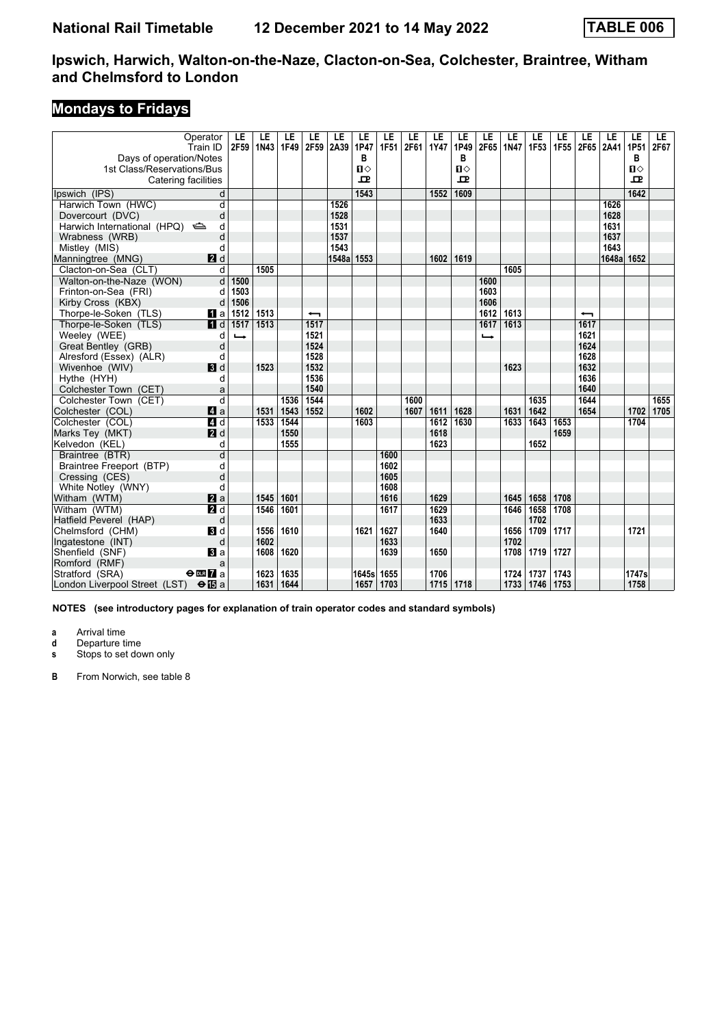# **Mondays to Fridays**

| Operator<br>Train ID                               |                         | LE<br>2F59               | LE<br>1N43 | LE<br>1F49 | LE<br>2F59               | LE<br>2A39 | LE<br><b>1P47</b> | LE<br>1F51 | LE<br>2F61 | LE<br>1Y47 | LE<br>1P49 | LE<br>2F65    | LE<br><b>1N47</b> | LE<br>1F53 | LE<br>1F55 | LE<br>2F65               | LE<br>2A41 | LE<br>1P51   | LE<br>2F67 |
|----------------------------------------------------|-------------------------|--------------------------|------------|------------|--------------------------|------------|-------------------|------------|------------|------------|------------|---------------|-------------------|------------|------------|--------------------------|------------|--------------|------------|
| Days of operation/Notes                            |                         |                          |            |            |                          |            | в                 |            |            |            | в          |               |                   |            |            |                          |            | В            |            |
| 1st Class/Reservations/Bus                         |                         |                          |            |            |                          |            | $\mathbf{u}$      |            |            |            | П⇔         |               |                   |            |            |                          |            | $\mathbf{u}$ |            |
| Catering facilities                                |                         |                          |            |            |                          |            | 모                 |            |            |            | 묘          |               |                   |            |            |                          |            | ᇁ            |            |
| Ipswich (IPS)                                      | d                       |                          |            |            |                          |            | 1543              |            |            | 1552       | 1609       |               |                   |            |            |                          |            | 1642         |            |
| Harwich Town (HWC)                                 | d                       |                          |            |            |                          | 1526       |                   |            |            |            |            |               |                   |            |            |                          | 1626       |              |            |
| Dovercourt (DVC)                                   | d                       |                          |            |            |                          | 1528       |                   |            |            |            |            |               |                   |            |            |                          | 1628       |              |            |
| Harwich International (HPQ)                        | d                       |                          |            |            |                          | 1531       |                   |            |            |            |            |               |                   |            |            |                          | 1631       |              |            |
| Wrabness (WRB)                                     | d                       |                          |            |            |                          | 1537       |                   |            |            |            |            |               |                   |            |            |                          | 1637       |              |            |
| Mistley (MIS)                                      | d                       |                          |            |            |                          | 1543       |                   |            |            |            |            |               |                   |            |            |                          | 1643       |              |            |
| Manningtree (MNG)                                  | $\blacksquare$          |                          |            |            |                          | 1548a      | 1553              |            |            | 1602       | 1619       |               |                   |            |            |                          | 1648a      | 1652         |            |
| Clacton-on-Sea (CLT)                               | d                       |                          | 1505       |            |                          |            |                   |            |            |            |            |               | 1605              |            |            |                          |            |              |            |
| Walton-on-the-Naze (WON)                           | d                       | 1500                     |            |            |                          |            |                   |            |            |            |            | 1600          |                   |            |            |                          |            |              |            |
| Frinton-on-Sea (FRI)                               | d                       | 1503                     |            |            |                          |            |                   |            |            |            |            | 1603          |                   |            |            |                          |            |              |            |
| Kirby Cross (KBX)                                  | d                       | 1506                     |            |            |                          |            |                   |            |            |            |            | 1606          |                   |            |            |                          |            |              |            |
| Thorpe-le-Soken (TLS)                              | $\blacksquare$ a        | 1512                     | 1513       |            | $\overline{\phantom{0}}$ |            |                   |            |            |            |            | 1612          | 1613              |            |            | $\overline{\phantom{0}}$ |            |              |            |
| Thorpe-le-Soken (TLS)                              | $\blacksquare$          | 1517                     | 1513       |            | 1517                     |            |                   |            |            |            |            | 1617          | 1613              |            |            | 1617                     |            |              |            |
| Weeley (WEE)                                       | d                       | $\overline{\phantom{a}}$ |            |            | 1521                     |            |                   |            |            |            |            | $\rightarrow$ |                   |            |            | 1621                     |            |              |            |
| Great Bentley (GRB)                                | d                       |                          |            |            | 1524                     |            |                   |            |            |            |            |               |                   |            |            | 1624                     |            |              |            |
| Alresford (Essex) (ALR)                            | d                       |                          |            |            | 1528                     |            |                   |            |            |            |            |               |                   |            |            | 1628                     |            |              |            |
| Wivenhoe (WIV)                                     | $\blacksquare$          |                          | 1523       |            | 1532                     |            |                   |            |            |            |            |               | 1623              |            |            | 1632                     |            |              |            |
| Hythe (HYH)                                        | d                       |                          |            |            | 1536                     |            |                   |            |            |            |            |               |                   |            |            | 1636                     |            |              |            |
| Colchester Town (CET)                              | a                       |                          |            |            | 1540                     |            |                   |            |            |            |            |               |                   |            |            | 1640                     |            |              |            |
| Colchester Town (CET)                              | $\overline{d}$          |                          |            | 1536       | 1544                     |            |                   |            | 1600       |            |            |               |                   | 1635       |            | 1644                     |            |              | 1655       |
| Colchester (COL)                                   | $\blacksquare$ a        |                          | 1531       | 1543       | 1552                     |            | 1602              |            | 1607       | 1611       | 1628       |               | 1631              | 1642       |            | 1654                     |            | 1702         | 1705       |
| Colchester (COL)                                   | $\blacksquare$          |                          | 1533       | 1544       |                          |            | 1603              |            |            | 1612       | 1630       |               | 1633              | 1643       | 1653       |                          |            | 1704         |            |
| Marks Tey (MKT)                                    | 2d                      |                          |            | 1550       |                          |            |                   |            |            | 1618       |            |               |                   |            | 1659       |                          |            |              |            |
| Kelvedon (KEL)                                     | d                       |                          |            | 1555       |                          |            |                   |            |            | 1623       |            |               |                   | 1652       |            |                          |            |              |            |
| Braintree (BTR)                                    | $\overline{\mathsf{d}}$ |                          |            |            |                          |            |                   | 1600       |            |            |            |               |                   |            |            |                          |            |              |            |
| Braintree Freeport (BTP)                           | d                       |                          |            |            |                          |            |                   | 1602       |            |            |            |               |                   |            |            |                          |            |              |            |
| Cressing (CES)                                     | d                       |                          |            |            |                          |            |                   | 1605       |            |            |            |               |                   |            |            |                          |            |              |            |
| White Notley (WNY)                                 | d                       |                          |            |            |                          |            |                   | 1608       |            |            |            |               |                   |            |            |                          |            |              |            |
| Witham (WTM)                                       | <b>2</b> a              |                          | 1545       | 1601       |                          |            |                   | 1616       |            | 1629       |            |               | 1645              | 1658       | 1708       |                          |            |              |            |
| Witham (WTM)                                       | $\overline{2}$ d        |                          | 1546       | 1601       |                          |            |                   | 1617       |            | 1629       |            |               | 1646              | 1658       | 1708       |                          |            |              |            |
| Hatfield Peverel (HAP)                             | d                       |                          |            |            |                          |            |                   |            |            | 1633       |            |               |                   | 1702       |            |                          |            |              |            |
| Chelmsford (CHM)                                   | <b>B</b> Id             |                          | 1556       | 1610       |                          |            | 1621              | 1627       |            | 1640       |            |               | 1656              | 1709       | 1717       |                          |            | 1721         |            |
| Ingatestone (INT)                                  | d                       |                          | 1602       |            |                          |            |                   | 1633       |            |            |            |               | 1702              |            |            |                          |            |              |            |
| Shenfield (SNF)                                    | $\bf{B}$ a              |                          | 1608       | 1620       |                          |            |                   | 1639       |            | 1650       |            |               | 1708              | 1719       | 1727       |                          |            |              |            |
| Romford (RMF)                                      | a                       |                          |            |            |                          |            |                   |            |            |            |            |               |                   |            |            |                          |            |              |            |
| Stratford (SRA)<br>$\Theta$ <b>ER</b> a            |                         |                          | 1623       | 1635       |                          |            | 1645s             | 1655       |            | 1706       |            |               | 1724              | 1737       | 1743       |                          |            | 1747s        |            |
| London Liverpool Street (LST) $\Theta$ <b>is</b> a |                         |                          | 1631       | 1644       |                          |            | 1657              | 1703       |            | 1715       | 1718       |               | 1733              | 1746       | 1753       |                          |            | 1758         |            |

**NOTES (see introductory pages for explanation of train operator codes and standard symbols)**

**a** Arrival time<br>**d** Departure t

**d** Departure time

**s** Stops to set down only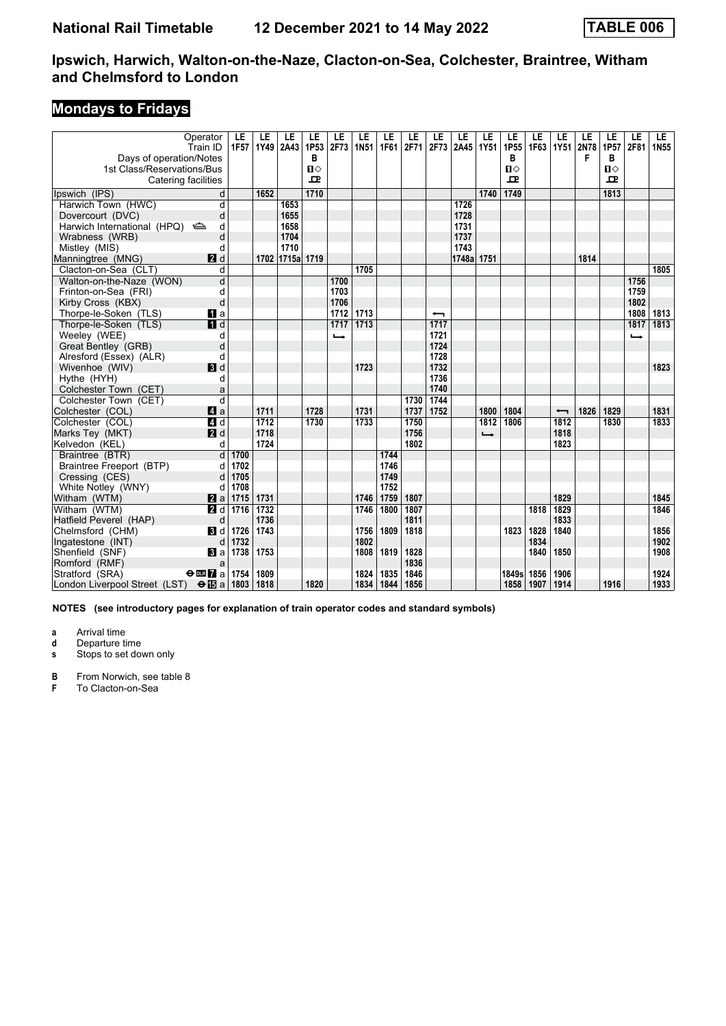# **Mondays to Fridays**

| Operator<br>Train ID                             | LE<br>1F57 | LE<br>1Y49 | LE<br>2A43 | LE<br>1P53 | LE<br>2F73 | LE<br><b>1N51</b> | LE<br>1F61 | LE<br>2F71 | LE<br>2F73               | LE<br>2A45 | LE<br><b>1Y51</b> | LE<br>1P55 | LE<br>1F63 | LE<br><b>1Y51</b>        | LE<br><b>2N78</b> | LE<br>1P57   | LE<br>2F81 | <b>LE</b><br>1N <sub>55</sub> |
|--------------------------------------------------|------------|------------|------------|------------|------------|-------------------|------------|------------|--------------------------|------------|-------------------|------------|------------|--------------------------|-------------------|--------------|------------|-------------------------------|
| Days of operation/Notes                          |            |            |            | В          |            |                   |            |            |                          |            |                   | в          |            |                          | F                 | в            |            |                               |
| 1st Class/Reservations/Bus                       |            |            |            | $\Pi$      |            |                   |            |            |                          |            |                   | П⇔         |            |                          |                   | $\mathbf{u}$ |            |                               |
| Catering facilities                              |            |            |            | ᅭ          |            |                   |            |            |                          |            |                   | 묘          |            |                          |                   | ᇁ            |            |                               |
| Ipswich (IPS)<br>d                               |            | 1652       |            | 1710       |            |                   |            |            |                          |            | 1740              | 1749       |            |                          |                   | 1813         |            |                               |
| Harwich Town (HWC)<br>d                          |            |            | 1653       |            |            |                   |            |            |                          | 1726       |                   |            |            |                          |                   |              |            |                               |
| d<br>Dovercourt (DVC)                            |            |            | 1655       |            |            |                   |            |            |                          | 1728       |                   |            |            |                          |                   |              |            |                               |
| Harwich International (HPQ)<br>d                 |            |            | 1658       |            |            |                   |            |            |                          | 1731       |                   |            |            |                          |                   |              |            |                               |
| d<br>Wrabness (WRB)                              |            |            | 1704       |            |            |                   |            |            |                          | 1737       |                   |            |            |                          |                   |              |            |                               |
| Mistley (MIS)<br>d                               |            |            | 1710       |            |            |                   |            |            |                          | 1743       |                   |            |            |                          |                   |              |            |                               |
| 2d<br>Manningtree (MNG)                          |            |            | 1702 1715a | 1719       |            |                   |            |            |                          | 1748a      | 1751              |            |            |                          | 1814              |              |            |                               |
| Clacton-on-Sea (CLT)<br>d                        |            |            |            |            |            | 1705              |            |            |                          |            |                   |            |            |                          |                   |              |            | 1805                          |
| d<br>Walton-on-the-Naze (WON)                    |            |            |            |            | 1700       |                   |            |            |                          |            |                   |            |            |                          |                   |              | 1756       |                               |
| Frinton-on-Sea (FRI)<br>d                        |            |            |            |            | 1703       |                   |            |            |                          |            |                   |            |            |                          |                   |              | 1759       |                               |
| d<br>Kirby Cross (KBX)                           |            |            |            |            | 1706       |                   |            |            |                          |            |                   |            |            |                          |                   |              | 1802       |                               |
| Thorpe-le-Soken (TLS)<br>$\blacksquare$ a        |            |            |            |            | 1712       | 1713              |            |            | $\overline{\phantom{0}}$ |            |                   |            |            |                          |                   |              | 1808       | 1813                          |
| Thorpe-le-Soken (TLS)<br>$\blacksquare$          |            |            |            |            | 1717       | 1713              |            |            | 1717                     |            |                   |            |            |                          |                   |              | 1817       | 1813                          |
| Weeley (WEE)<br>d                                |            |            |            |            | ↳          |                   |            |            | 1721                     |            |                   |            |            |                          |                   |              | ┕          |                               |
| d<br>Great Bentley (GRB)                         |            |            |            |            |            |                   |            |            | 1724                     |            |                   |            |            |                          |                   |              |            |                               |
| Alresford (Essex) (ALR)<br>d                     |            |            |            |            |            |                   |            |            | 1728                     |            |                   |            |            |                          |                   |              |            |                               |
| $\blacksquare$<br>Wivenhoe (WIV)                 |            |            |            |            |            | 1723              |            |            | 1732                     |            |                   |            |            |                          |                   |              |            | 1823                          |
| Hythe (HYH)<br>d                                 |            |            |            |            |            |                   |            |            | 1736                     |            |                   |            |            |                          |                   |              |            |                               |
| Colchester Town (CET)<br>a                       |            |            |            |            |            |                   |            |            | 1740                     |            |                   |            |            |                          |                   |              |            |                               |
| $\overline{d}$<br>Colchester Town (CET)          |            |            |            |            |            |                   |            | 1730       | 1744                     |            |                   |            |            |                          |                   |              |            |                               |
| $\blacksquare$ a<br>Colchester (COL)             |            | 1711       |            | 1728       |            | 1731              |            | 1737       | 1752                     |            | 1800              | 1804       |            | $\overline{\phantom{0}}$ | 1826              | 1829         |            | 1831                          |
| $\blacksquare$<br>Colchester (COL)               |            | 1712       |            | 1730       |            | 1733              |            | 1750       |                          |            | 1812              | 1806       |            | 1812                     |                   | 1830         |            | 1833                          |
| 2d<br>Marks Tey (MKT)                            |            | 1718       |            |            |            |                   |            | 1756       |                          |            | $\rightarrow$     |            |            | 1818                     |                   |              |            |                               |
| Kelvedon (KEL)<br>d                              |            | 1724       |            |            |            |                   |            | 1802       |                          |            |                   |            |            | 1823                     |                   |              |            |                               |
| d<br>Braintree (BTR)                             | 1700       |            |            |            |            |                   | 1744       |            |                          |            |                   |            |            |                          |                   |              |            |                               |
| Braintree Freeport (BTP)<br>d                    | 1702       |            |            |            |            |                   | 1746       |            |                          |            |                   |            |            |                          |                   |              |            |                               |
| Cressing (CES)<br>d                              | 1705       |            |            |            |            |                   | 1749       |            |                          |            |                   |            |            |                          |                   |              |            |                               |
| White Notley (WNY)<br>d                          | 1708       |            |            |            |            |                   | 1752       |            |                          |            |                   |            |            |                          |                   |              |            |                               |
| Witham (WTM)<br>2a                               | 1715       | 1731       |            |            |            | 1746              | 1759       | 1807       |                          |            |                   |            |            | 1829                     |                   |              |            | 1845                          |
| Witham (WTM)<br><b>2</b> d                       | 1716       | 1732       |            |            |            | 1746              | 1800       | 1807       |                          |            |                   |            | 1818       | 1829                     |                   |              |            | 1846                          |
| Hatfield Peverel (HAP)<br>d                      |            | 1736       |            |            |            |                   |            | 1811       |                          |            |                   |            |            | 1833                     |                   |              |            |                               |
| Chelmsford (CHM)<br><b>3</b> d                   | 1726       | 1743       |            |            |            | 1756              | 1809       | 1818       |                          |            |                   | 1823       | 1828       | 1840                     |                   |              |            | 1856                          |
| Ingatestone (INT)<br>d                           | 1732       |            |            |            |            | 1802              |            |            |                          |            |                   |            | 1834       |                          |                   |              |            | 1902                          |
| Shenfield (SNF)<br><b>B</b> a                    | 1738       | 1753       |            |            |            | 1808              | 1819       | 1828       |                          |            |                   |            | 1840       | 1850                     |                   |              |            | 1908                          |
| Romford (RMF)<br>a                               |            |            |            |            |            |                   |            | 1836       |                          |            |                   |            |            |                          |                   |              |            |                               |
| Stratford (SRA)<br>$\Theta$ <b>EM</b> a          | 1754       | 1809       |            |            |            | 1824              | 1835       | 1846       |                          |            |                   | 1849s      | 1856       | 1906                     |                   |              |            | 1924                          |
| London Liverpool Street (LST) <b>⊖ iB</b> a 1803 |            | 1818       |            | 1820       |            | 1834              | 1844       | 1856       |                          |            |                   | 1858       | 1907       | 1914                     |                   | 1916         |            | 1933                          |

**NOTES (see introductory pages for explanation of train operator codes and standard symbols)**

**a** Arrival time<br>**d** Departure t

**d** Departure time

**s** Stops to set down only

**B** From Norwich, see table 8<br>**F** To Clacton-on-Sea

**F** To Clacton-on-Sea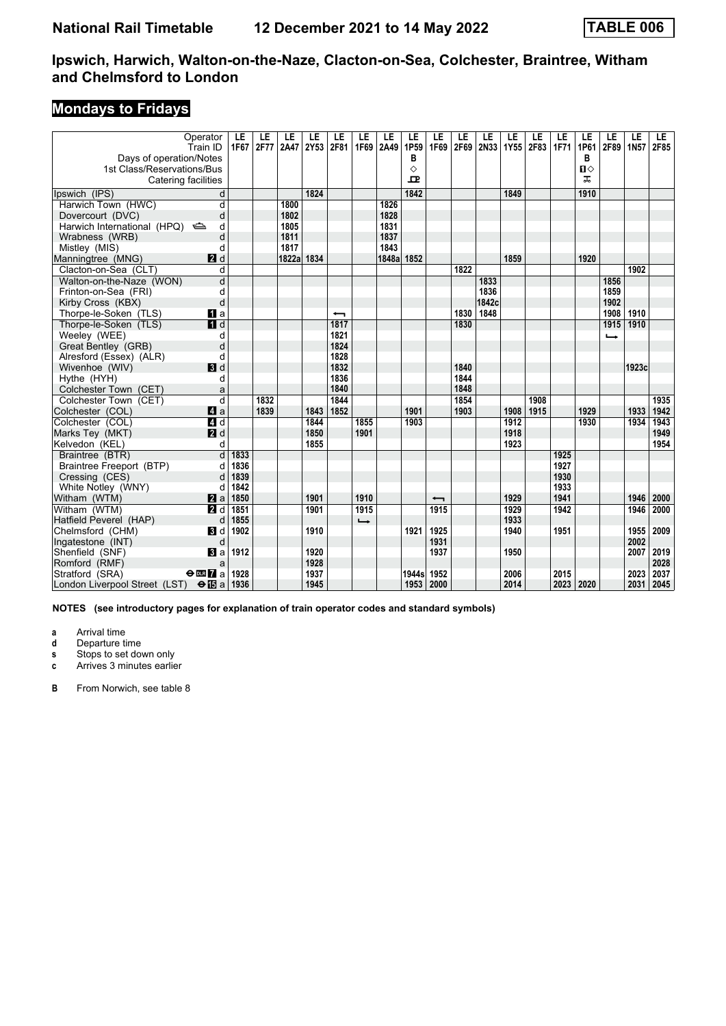# **Mondays to Fridays**

| Operator<br>Train ID<br>Days of operation/Notes         | LE<br>1F67 | LE<br>2F77 | LE<br>2A47 | LE<br>2Y53 | LE<br>2F81 | LE<br>1F69    | LE<br>2A49 | LE<br>1P59<br>в | LE<br>1F69               | LE<br>2F69 | LE<br>2N33 | LE<br>1Y55 | LE<br>2F83 | LE<br><b>1F71</b> | LE<br>1P61<br>в | LE<br>2F89               | LE<br>1N <sub>57</sub> | LE<br>2F85 |
|---------------------------------------------------------|------------|------------|------------|------------|------------|---------------|------------|-----------------|--------------------------|------------|------------|------------|------------|-------------------|-----------------|--------------------------|------------------------|------------|
| 1st Class/Reservations/Bus                              |            |            |            |            |            |               |            | ♦               |                          |            |            |            |            |                   | $\mathbf{u}$    |                          |                        |            |
| Catering facilities                                     |            |            |            |            |            |               |            | 묘               |                          |            |            |            |            |                   | ᠼ               |                          |                        |            |
| Ipswich (IPS)<br>d                                      |            |            |            | 1824       |            |               |            | 1842            |                          |            |            | 1849       |            |                   | 1910            |                          |                        |            |
| Harwich Town (HWC)<br>$\overline{\mathsf{d}}$           |            |            | 1800       |            |            |               | 1826       |                 |                          |            |            |            |            |                   |                 |                          |                        |            |
| d<br>Dovercourt (DVC)                                   |            |            | 1802       |            |            |               | 1828       |                 |                          |            |            |            |            |                   |                 |                          |                        |            |
| Harwich International (HPQ)<br>d                        |            |            | 1805       |            |            |               | 1831       |                 |                          |            |            |            |            |                   |                 |                          |                        |            |
| Wrabness (WRB)<br>d                                     |            |            | 1811       |            |            |               | 1837       |                 |                          |            |            |            |            |                   |                 |                          |                        |            |
| Mistley (MIS)<br>d                                      |            |            | 1817       |            |            |               | 1843       |                 |                          |            |            |            |            |                   |                 |                          |                        |            |
| 2d<br>Manningtree (MNG)                                 |            |            | 1822a      | 1834       |            |               | 1848a      | 1852            |                          |            |            | 1859       |            |                   | 1920            |                          |                        |            |
| Clacton-on-Sea (CLT)<br>d                               |            |            |            |            |            |               |            |                 |                          | 1822       |            |            |            |                   |                 |                          | 1902                   |            |
| Walton-on-the-Naze (WON)<br>d                           |            |            |            |            |            |               |            |                 |                          |            | 1833       |            |            |                   |                 | 1856                     |                        |            |
| Frinton-on-Sea (FRI)<br>d                               |            |            |            |            |            |               |            |                 |                          |            | 1836       |            |            |                   |                 | 1859                     |                        |            |
| d<br>Kirby Cross (KBX)                                  |            |            |            |            |            |               |            |                 |                          |            | 1842c      |            |            |                   |                 | 1902                     |                        |            |
| $\blacksquare$ a<br>Thorpe-le-Soken (TLS)               |            |            |            |            | ↽          |               |            |                 |                          | 1830       | 1848       |            |            |                   |                 | 1908                     | 1910                   |            |
| $\overline{H}$ d<br>Thorpe-le-Soken (TLS)               |            |            |            |            | 1817       |               |            |                 |                          | 1830       |            |            |            |                   |                 | 1915                     | 1910                   |            |
| Weeley (WEE)<br>d                                       |            |            |            |            | 1821       |               |            |                 |                          |            |            |            |            |                   |                 | $\overline{\phantom{a}}$ |                        |            |
| d<br>Great Bentley (GRB)                                |            |            |            |            | 1824       |               |            |                 |                          |            |            |            |            |                   |                 |                          |                        |            |
| Alresford (Essex) (ALR)<br>d                            |            |            |            |            | 1828       |               |            |                 |                          |            |            |            |            |                   |                 |                          |                        |            |
| $\blacksquare$<br>Wivenhoe (WIV)                        |            |            |            |            | 1832       |               |            |                 |                          | 1840       |            |            |            |                   |                 |                          | 1923c                  |            |
| Hythe (HYH)<br>d                                        |            |            |            |            | 1836       |               |            |                 |                          | 1844       |            |            |            |                   |                 |                          |                        |            |
| Colchester Town (CET)<br>a                              |            |            |            |            | 1840       |               |            |                 |                          | 1848       |            |            |            |                   |                 |                          |                        |            |
| $\overline{d}$<br>Colchester Town (CET)                 |            | 1832       |            |            | 1844       |               |            |                 |                          | 1854       |            |            | 1908       |                   |                 |                          |                        | 1935       |
| $\blacksquare$ a<br>Colchester (COL)                    |            | 1839       |            | 1843       | 1852       |               |            | 1901            |                          | 1903       |            | 1908       | 1915       |                   | 1929            |                          | 1933                   | 1942       |
| $\blacksquare$<br>Colchester (COL)                      |            |            |            | 1844       |            | 1855          |            | 1903            |                          |            |            | 1912       |            |                   | 1930            |                          | 1934                   | 1943       |
| 2d<br>Marks Tey (MKT)                                   |            |            |            | 1850       |            | 1901          |            |                 |                          |            |            | 1918       |            |                   |                 |                          |                        | 1949       |
| Kelvedon (KEL)<br>d                                     |            |            |            | 1855       |            |               |            |                 |                          |            |            | 1923       |            |                   |                 |                          |                        | 1954       |
| d<br>Braintree (BTR)                                    | 1833       |            |            |            |            |               |            |                 |                          |            |            |            |            | 1925              |                 |                          |                        |            |
| Braintree Freeport (BTP)<br>d                           | 1836       |            |            |            |            |               |            |                 |                          |            |            |            |            | 1927              |                 |                          |                        |            |
| d<br>Cressing (CES)                                     | 1839       |            |            |            |            |               |            |                 |                          |            |            |            |            | 1930              |                 |                          |                        |            |
| White Notley (WNY)<br>d                                 | 1842       |            |            |            |            |               |            |                 |                          |            |            |            |            | 1933              |                 |                          |                        |            |
| Witham (WTM)<br>2a                                      | 1850       |            |            | 1901       |            | 1910          |            |                 | $\overline{\phantom{0}}$ |            |            | 1929       |            | 1941              |                 |                          | 1946                   | 2000       |
| Witham (WTM)<br><b>2</b> d                              | 1851       |            |            | 1901       |            | 1915          |            |                 | 1915                     |            |            | 1929       |            | 1942              |                 |                          | 1946                   | 2000       |
| Hatfield Peverel (HAP)<br>d                             | 1855       |            |            |            |            | $\rightarrow$ |            |                 |                          |            |            | 1933       |            |                   |                 |                          |                        |            |
| Chelmsford (CHM)<br>BI d                                | 1902       |            |            | 1910       |            |               |            | 1921            | 1925                     |            |            | 1940       |            | 1951              |                 |                          | 1955                   | 2009       |
| Ingatestone (INT)<br>d                                  |            |            |            |            |            |               |            |                 | 1931                     |            |            |            |            |                   |                 |                          | 2002                   |            |
| Shenfield (SNF)<br>a                                    | 1912       |            |            | 1920       |            |               |            |                 | 1937                     |            |            | 1950       |            |                   |                 |                          | 2007                   | 2019       |
| Romford (RMF)<br>a                                      |            |            |            | 1928       |            |               |            |                 |                          |            |            |            |            |                   |                 |                          |                        | 2028       |
| Stratford (SRA)<br>$\Theta$ DE $\overline{7}$ a         | 1928       |            |            | 1937       |            |               |            | 1944s           | 1952                     |            |            | 2006       |            | 2015              |                 |                          | 2023                   | 2037       |
| London Liverpool Street (LST) $\Theta$ <b>IS</b> a 1936 |            |            |            | 1945       |            |               |            | 1953            | 2000                     |            |            | 2014       |            | 2023   2020       |                 |                          | 2031                   | 2045       |

**NOTES (see introductory pages for explanation of train operator codes and standard symbols)**

**a** Arrival time<br>**d** Departure t

**d** Departure time

**s** Stops to set down only

**c** Arrives 3 minutes earlier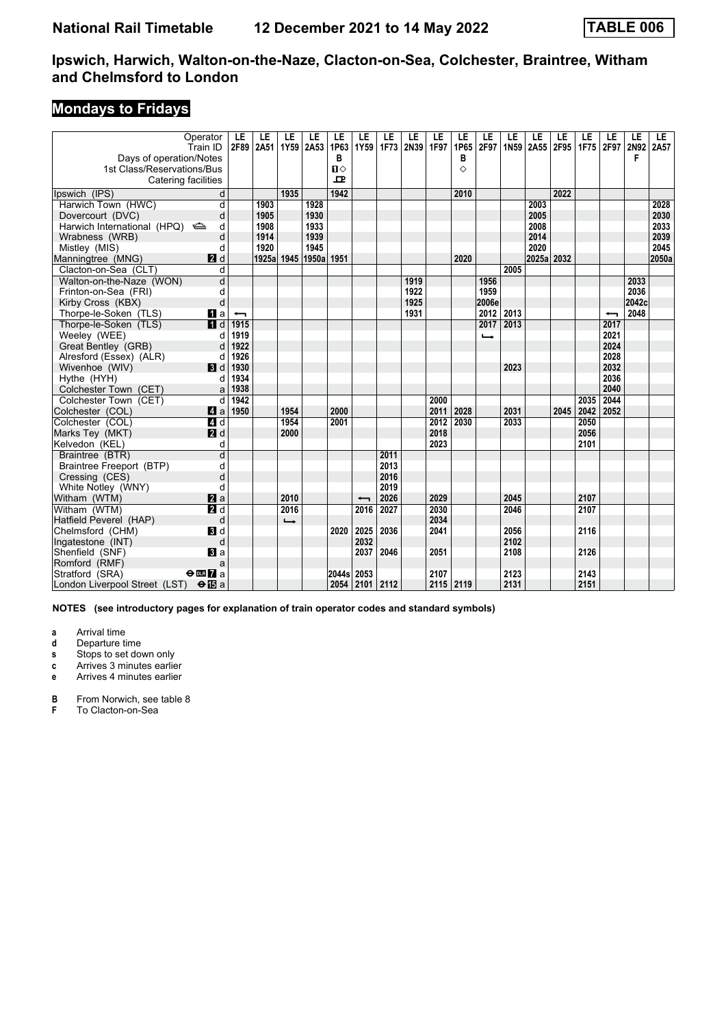# **Mondays to Fridays**

| Operator<br>Train ID                        |                         | LE<br>2F89               | LE<br><b>2A51</b> | LE<br>1Y59    | LE<br>2A53 | LE<br>1P63 | LE<br>1Y59               | LE<br>1F73 | LE<br>2N39 | LE<br>1F97 | LE<br>1P65 | LE<br>2F97    | LE<br>1N59 | LE<br>2A55 | LE<br>2F95 | LE<br>1F75 | LE<br>2F97               | LE<br>2N92 | LE<br>2A57 |
|---------------------------------------------|-------------------------|--------------------------|-------------------|---------------|------------|------------|--------------------------|------------|------------|------------|------------|---------------|------------|------------|------------|------------|--------------------------|------------|------------|
| Days of operation/Notes                     |                         |                          |                   |               |            | в          |                          |            |            |            | в          |               |            |            |            |            |                          | F          |            |
| 1st Class/Reservations/Bus                  |                         |                          |                   |               |            | П⇔         |                          |            |            |            | ♦          |               |            |            |            |            |                          |            |            |
| Catering facilities                         |                         |                          |                   |               |            | ᇁ          |                          |            |            |            |            |               |            |            |            |            |                          |            |            |
| Ipswich (IPS)                               | d                       |                          |                   | 1935          |            | 1942       |                          |            |            |            | 2010       |               |            |            | 2022       |            |                          |            |            |
| Harwich Town (HWC)                          | d                       |                          | 1903              |               | 1928       |            |                          |            |            |            |            |               |            | 2003       |            |            |                          |            | 2028       |
| Dovercourt (DVC)                            | d                       |                          | 1905              |               | 1930       |            |                          |            |            |            |            |               |            | 2005       |            |            |                          |            | 2030       |
| Harwich International (HPQ)                 | d                       |                          | 1908              |               | 1933       |            |                          |            |            |            |            |               |            | 2008       |            |            |                          |            | 2033       |
| Wrabness (WRB)                              | d                       |                          | 1914              |               | 1939       |            |                          |            |            |            |            |               |            | 2014       |            |            |                          |            | 2039       |
| Mistley (MIS)                               | d                       |                          | 1920              |               | 1945       |            |                          |            |            |            |            |               |            | 2020       |            |            |                          |            | 2045       |
| Manningtree (MNG)                           | 2d                      |                          | 1925al            | 1945          | 1950a      | 1951       |                          |            |            |            | 2020       |               |            | 2025a      | 2032       |            |                          |            | 2050a      |
| Clacton-on-Sea (CLT)                        | d                       |                          |                   |               |            |            |                          |            |            |            |            |               | 2005       |            |            |            |                          |            |            |
| Walton-on-the-Naze (WON)                    | d                       |                          |                   |               |            |            |                          |            | 1919       |            |            | 1956          |            |            |            |            |                          | 2033       |            |
| Frinton-on-Sea (FRI)                        | d                       |                          |                   |               |            |            |                          |            | 1922       |            |            | 1959          |            |            |            |            |                          | 2036       |            |
| Kirby Cross (KBX)                           | d                       |                          |                   |               |            |            |                          |            | 1925       |            |            | 2006e         |            |            |            |            |                          | 2042c      |            |
| Thorpe-le-Soken (TLS)                       | $\mathbf I$ a           | $\overline{\phantom{0}}$ |                   |               |            |            |                          |            | 1931       |            |            | 2012          | 2013       |            |            |            | $\overline{\phantom{0}}$ | 2048       |            |
| Thorpe-le-Soken (TLS)                       | $\blacksquare$          | 1915                     |                   |               |            |            |                          |            |            |            |            | 2017          | 2013       |            |            |            | 2017                     |            |            |
| Weeley (WEE)                                | d                       | 1919                     |                   |               |            |            |                          |            |            |            |            | $\rightarrow$ |            |            |            |            | 2021                     |            |            |
| Great Bentley (GRB)                         | d                       | 1922                     |                   |               |            |            |                          |            |            |            |            |               |            |            |            |            | 2024                     |            |            |
| Alresford (Essex) (ALR)                     | d                       | 1926                     |                   |               |            |            |                          |            |            |            |            |               |            |            |            |            | 2028                     |            |            |
| Wivenhoe (WIV)                              | 3d                      | 1930                     |                   |               |            |            |                          |            |            |            |            |               | 2023       |            |            |            | 2032                     |            |            |
| Hythe (HYH)                                 | d                       | 1934                     |                   |               |            |            |                          |            |            |            |            |               |            |            |            |            | 2036                     |            |            |
| Colchester Town (CET)                       | a                       | 1938                     |                   |               |            |            |                          |            |            |            |            |               |            |            |            |            | 2040                     |            |            |
| Colchester Town (CET)                       | $\overline{\mathsf{d}}$ | 1942                     |                   |               |            |            |                          |            |            | 2000       |            |               |            |            |            | 2035       | 2044                     |            |            |
| Colchester (COL)                            | 4a                      | 1950                     |                   | 1954          |            | 2000       |                          |            |            | 2011       | 2028       |               | 2031       |            | 2045       | 2042       | 2052                     |            |            |
| Colchester (COL)                            | 4d                      |                          |                   | 1954          |            | 2001       |                          |            |            | 2012       | 2030       |               | 2033       |            |            | 2050       |                          |            |            |
| Marks Tey (MKT)                             | 2d                      |                          |                   | 2000          |            |            |                          |            |            | 2018       |            |               |            |            |            | 2056       |                          |            |            |
| Kelvedon (KEL)                              | d                       |                          |                   |               |            |            |                          |            |            | 2023       |            |               |            |            |            | 2101       |                          |            |            |
| Braintree (BTR)                             | $\overline{\mathsf{d}}$ |                          |                   |               |            |            |                          | 2011       |            |            |            |               |            |            |            |            |                          |            |            |
| Braintree Freeport (BTP)                    | d                       |                          |                   |               |            |            |                          | 2013       |            |            |            |               |            |            |            |            |                          |            |            |
| Cressing (CES)                              | d                       |                          |                   |               |            |            |                          | 2016       |            |            |            |               |            |            |            |            |                          |            |            |
| White Notley (WNY)                          | d                       |                          |                   |               |            |            |                          | 2019       |            |            |            |               |            |            |            |            |                          |            |            |
| Witham (WTM)                                | a                       |                          |                   | 2010          |            |            | $\overline{\phantom{0}}$ | 2026       |            | 2029       |            |               | 2045       |            |            | 2107       |                          |            |            |
| Witham (WTM)                                | $\blacksquare$          |                          |                   | 2016          |            |            | 2016                     | 2027       |            | 2030       |            |               | 2046       |            |            | 2107       |                          |            |            |
| Hatfield Peverel (HAP)                      | d                       |                          |                   | $\rightarrow$ |            |            |                          |            |            | 2034       |            |               |            |            |            |            |                          |            |            |
| Chelmsford (CHM)                            | <b>3</b> d              |                          |                   |               |            | 2020       | 2025                     | 2036       |            | 2041       |            |               | 2056       |            |            | 2116       |                          |            |            |
| Ingatestone (INT)                           | d                       |                          |                   |               |            |            | 2032                     |            |            |            |            |               | 2102       |            |            |            |                          |            |            |
| Shenfield (SNF)                             | $\blacksquare$ a        |                          |                   |               |            |            | 2037                     | 2046       |            | 2051       |            |               | 2108       |            |            | 2126       |                          |            |            |
| Romford (RMF)                               | a                       |                          |                   |               |            |            |                          |            |            |            |            |               |            |            |            |            |                          |            |            |
| Stratford (SRA)<br>$\Theta$ <b>ER</b> a     |                         |                          |                   |               |            | 2044s      | 2053                     |            |            | 2107       |            |               | 2123       |            |            | 2143       |                          |            |            |
| London Liverpool Street (LST) $\Theta$ is a |                         |                          |                   |               |            | 2054       | 2101                     | 2112       |            | 2115       | 2119       |               | 2131       |            |            | 2151       |                          |            |            |

**NOTES (see introductory pages for explanation of train operator codes and standard symbols)**

**a** Arrival time<br>**d** Departure t

**d** Departure time

**s** Stops to set down only

**c** Arrives 3 minutes earlier

**e** Arrives 4 minutes earlier

**B** From Norwich, see table 8<br>**F** To Clacton-on-Sea

**F** To Clacton-on-Sea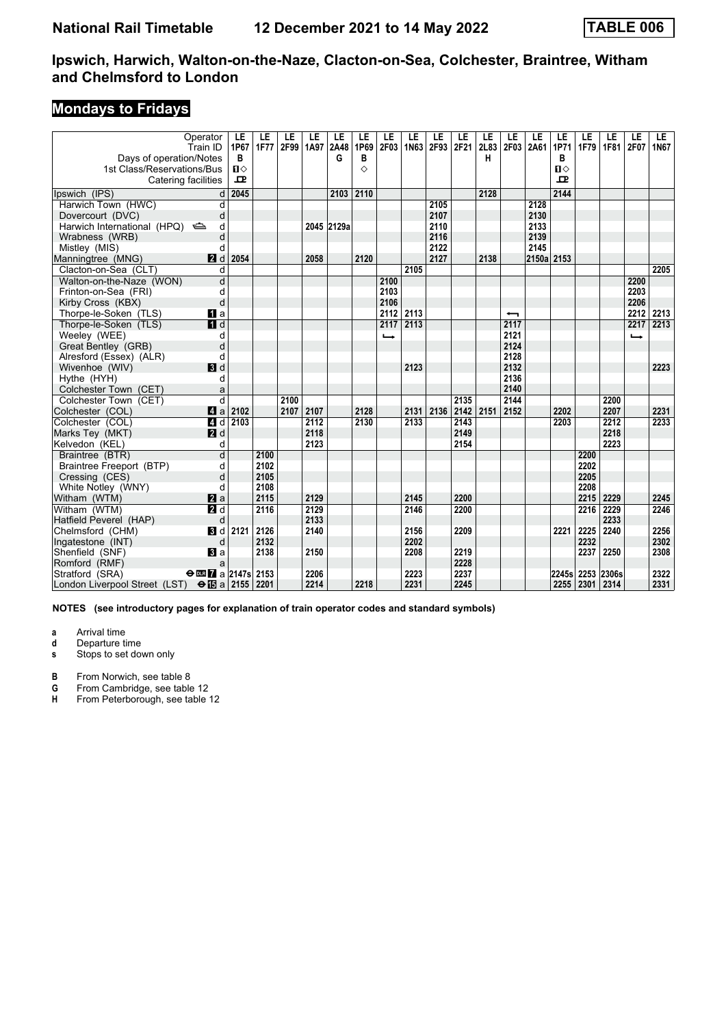# **Mondays to Fridays**

| Operator<br>Train ID<br>Days of operation/Notes<br>1st Class/Reservations/Bus<br>Catering facilities | LE<br>1P67<br>в<br>$\P$<br>$\mathbf{p}$ | LE<br><b>1F77</b> | LE<br>2F99 | LE<br>1A97 | LE<br>2A48<br>G | LE<br>1P69<br>В<br>♦ | LE<br>2F03    | LE<br>1N63 | LE<br>2F93 | LE<br>2F21 | LE<br>2L83<br>н | LE<br>2F03               | LE<br>2A61 | LE<br>1P71<br>в<br>п⇔<br>$\mathbf{P}$ | LE<br>1F79 | LE<br>1F81 | LE<br>2F07    | LE.<br><b>1N67</b> |
|------------------------------------------------------------------------------------------------------|-----------------------------------------|-------------------|------------|------------|-----------------|----------------------|---------------|------------|------------|------------|-----------------|--------------------------|------------|---------------------------------------|------------|------------|---------------|--------------------|
|                                                                                                      |                                         |                   |            |            |                 |                      |               |            |            |            |                 |                          |            |                                       |            |            |               |                    |
| Ipswich (IPS)<br>d                                                                                   | 2045                                    |                   |            |            | 2103            | 2110                 |               |            |            |            | 2128            |                          |            | 2144                                  |            |            |               |                    |
| Harwich Town (HWC)<br>d                                                                              |                                         |                   |            |            |                 |                      |               |            | 2105       |            |                 |                          | 2128       |                                       |            |            |               |                    |
| d<br>Dovercourt (DVC)                                                                                |                                         |                   |            |            |                 |                      |               |            | 2107       |            |                 |                          | 2130       |                                       |            |            |               |                    |
| Harwich International (HPQ) <<br>d                                                                   |                                         |                   |            |            | 2045 2129a      |                      |               |            | 2110       |            |                 |                          | 2133       |                                       |            |            |               |                    |
| Wrabness (WRB)<br>d                                                                                  |                                         |                   |            |            |                 |                      |               |            | 2116       |            |                 |                          | 2139       |                                       |            |            |               |                    |
| Mistley (MIS)<br>d                                                                                   |                                         |                   |            |            |                 |                      |               |            | 2122       |            |                 |                          | 2145       |                                       |            |            |               |                    |
| <b>2</b> d<br>Manningtree (MNG)                                                                      | 2054                                    |                   |            | 2058       |                 | 2120                 |               |            | 2127       |            | 2138            |                          | 2150a 2153 |                                       |            |            |               |                    |
| Clacton-on-Sea (CLT)<br>d                                                                            |                                         |                   |            |            |                 |                      |               | 2105       |            |            |                 |                          |            |                                       |            |            |               | 2205               |
| Walton-on-the-Naze (WON)<br>d                                                                        |                                         |                   |            |            |                 |                      | 2100          |            |            |            |                 |                          |            |                                       |            |            | 2200          |                    |
| Frinton-on-Sea (FRI)<br>d                                                                            |                                         |                   |            |            |                 |                      | 2103          |            |            |            |                 |                          |            |                                       |            |            | 2203          |                    |
| d<br>Kirby Cross (KBX)                                                                               |                                         |                   |            |            |                 |                      | 2106          |            |            |            |                 |                          |            |                                       |            |            | 2206          |                    |
| Thorpe-le-Soken (TLS)<br>$\mathbf{u}$ a                                                              |                                         |                   |            |            |                 |                      | 2112          | 2113       |            |            |                 | $\overline{\phantom{0}}$ |            |                                       |            |            | 2212          | 2213               |
| $\blacksquare$<br>Thorpe-le-Soken (TLS)                                                              |                                         |                   |            |            |                 |                      | 2117          | 2113       |            |            |                 | 2117                     |            |                                       |            |            | 2217          | 2213               |
| Weeley (WEE)<br>d                                                                                    |                                         |                   |            |            |                 |                      | $\rightarrow$ |            |            |            |                 | 2121                     |            |                                       |            |            | $\rightarrow$ |                    |
| d<br>Great Bentley (GRB)                                                                             |                                         |                   |            |            |                 |                      |               |            |            |            |                 | 2124                     |            |                                       |            |            |               |                    |
| Alresford (Essex) (ALR)<br>d                                                                         |                                         |                   |            |            |                 |                      |               |            |            |            |                 | 2128                     |            |                                       |            |            |               |                    |
| $\blacksquare$<br>Wivenhoe (WIV)                                                                     |                                         |                   |            |            |                 |                      |               | 2123       |            |            |                 | 2132                     |            |                                       |            |            |               | 2223               |
| Hythe (HYH)<br>d                                                                                     |                                         |                   |            |            |                 |                      |               |            |            |            |                 | 2136                     |            |                                       |            |            |               |                    |
| Colchester Town (CET)<br>a                                                                           |                                         |                   |            |            |                 |                      |               |            |            |            |                 | 2140                     |            |                                       |            |            |               |                    |
| Colchester Town (CET)<br>d                                                                           |                                         |                   | 2100       |            |                 |                      |               |            |            | 2135       |                 | 2144                     |            |                                       |            | 2200       |               |                    |
| 4a<br>Colchester (COL)                                                                               | 2102                                    |                   | 2107       | 2107       |                 | 2128                 |               | 2131       | 2136       | 2142       | 2151            | 2152                     |            | 2202                                  |            | 2207       |               | 2231               |
| Colchester (COL)<br>4d                                                                               | 2103                                    |                   |            | 2112       |                 | 2130                 |               | 2133       |            | 2143       |                 |                          |            | 2203                                  |            | 2212       |               | 2233               |
| 2d<br>Marks Tey (MKT)                                                                                |                                         |                   |            | 2118       |                 |                      |               |            |            | 2149       |                 |                          |            |                                       |            | 2218       |               |                    |
| Kelvedon (KEL)<br>d                                                                                  |                                         |                   |            | 2123       |                 |                      |               |            |            | 2154       |                 |                          |            |                                       |            | 2223       |               |                    |
| d<br>Braintree (BTR)                                                                                 |                                         | 2100              |            |            |                 |                      |               |            |            |            |                 |                          |            |                                       | 2200       |            |               |                    |
| Braintree Freeport (BTP)<br>d                                                                        |                                         | 2102              |            |            |                 |                      |               |            |            |            |                 |                          |            |                                       | 2202       |            |               |                    |
| d<br>Cressing (CES)                                                                                  |                                         | 2105              |            |            |                 |                      |               |            |            |            |                 |                          |            |                                       | 2205       |            |               |                    |
| White Notley (WNY)<br>d                                                                              |                                         | 2108              |            |            |                 |                      |               |            |            |            |                 |                          |            |                                       | 2208       |            |               |                    |
| Witham (WTM)<br>$\mathbf{z}$ a                                                                       |                                         | 2115              |            | 2129       |                 |                      |               | 2145       |            | 2200       |                 |                          |            |                                       | 2215       | 2229       |               | 2245               |
| Witham (WTM)<br>$\blacksquare$                                                                       |                                         | 2116              |            | 2129       |                 |                      |               | 2146       |            | 2200       |                 |                          |            |                                       | 2216       | 2229       |               | 2246               |
| Hatfield Peverel (HAP)<br>d                                                                          |                                         |                   |            | 2133       |                 |                      |               |            |            |            |                 |                          |            |                                       |            | 2233       |               |                    |
| Chelmsford (CHM)<br><b>B</b> Id                                                                      | 2121                                    | 2126              |            | 2140       |                 |                      |               | 2156       |            | 2209       |                 |                          |            | 2221                                  | 2225       | 2240       |               | 2256               |
| d<br>Ingatestone (INT)                                                                               |                                         | 2132              |            |            |                 |                      |               | 2202       |            |            |                 |                          |            |                                       | 2232       |            |               | 2302               |
| Shenfield (SNF)<br>$\blacksquare$ a                                                                  |                                         | 2138              |            | 2150       |                 |                      |               | 2208       |            | 2219       |                 |                          |            |                                       | 2237       | 2250       |               | 2308               |
| Romford (RMF)<br>a                                                                                   |                                         |                   |            |            |                 |                      |               |            |            | 2228       |                 |                          |            |                                       |            |            |               |                    |
| Stratford (SRA)<br>$\Theta$ $\overline{\mathbf{m}}$ $\overline{\mathbf{a}}$ a 2147s                  |                                         | 2153              |            | 2206       |                 |                      |               | 2223       |            | 2237       |                 |                          |            | 2245s                                 | 2253       | 2306s      |               | 2322               |
| London Liverpool Street (LST) $\Theta$ <b>is</b> a 2155                                              |                                         | 2201              |            | 2214       |                 | 2218                 |               | 2231       |            | 2245       |                 |                          |            | 2255                                  | 2301       | 2314       |               | 2331               |

**NOTES (see introductory pages for explanation of train operator codes and standard symbols)**

**a** Arrival time<br>**d** Departure t

**d** Departure time

**s** Stops to set down only

**B** From Norwich, see table 8<br>**G** From Cambridge, see table

**6** From Cambridge, see table 12<br>**H** From Peterborough, see table

**+** From Peterborough see table 1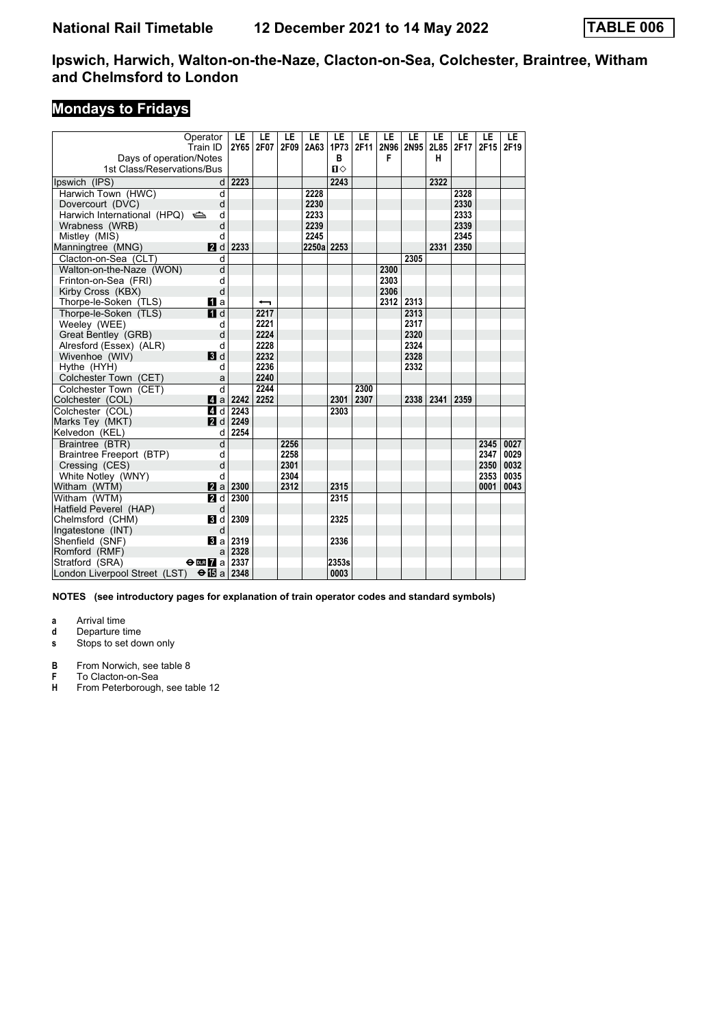# **Mondays to Fridays**

| Operator                                                       | LE       | LE                       | LE   | LE.                 | LE                | LE   | LE             | LE        | LE.  | <b>LE</b> | LE   | LE.  |
|----------------------------------------------------------------|----------|--------------------------|------|---------------------|-------------------|------|----------------|-----------|------|-----------|------|------|
| Train ID                                                       | 2Y65     |                          |      | 2F07 2F09 2A63 1P73 |                   |      | 2F11 2N96 2N95 |           | 2L85 | 2F17      | 2F15 | 2F19 |
| Days of operation/Notes                                        |          |                          |      |                     | в<br>$\mathbf{u}$ |      | F              |           | н    |           |      |      |
| 1st Class/Reservations/Bus                                     |          |                          |      |                     |                   |      |                |           |      |           |      |      |
| Ipswich (IPS)<br>d                                             | 2223     |                          |      |                     | 2243              |      |                |           | 2322 |           |      |      |
| Harwich Town (HWC)<br>d                                        |          |                          |      | 2228                |                   |      |                |           |      | 2328      |      |      |
| Dovercourt (DVC)<br>d                                          |          |                          |      | 2230                |                   |      |                |           |      | 2330      |      |      |
| Harwich International (HPQ)<br>d                               |          |                          |      | 2233                |                   |      |                |           |      | 2333      |      |      |
| Wrabness (WRB)<br>d                                            |          |                          |      | 2239                |                   |      |                |           |      | 2339      |      |      |
| Mistley (MIS)<br>d                                             |          |                          |      | 2245                |                   |      |                |           |      | 2345      |      |      |
| 2d<br>Manningtree (MNG)                                        | 2233     |                          |      | 2250a 2253          |                   |      |                |           | 2331 | 2350      |      |      |
| Clacton-on-Sea (CLT)<br>d                                      |          |                          |      |                     |                   |      |                | 2305      |      |           |      |      |
| $\overline{d}$<br>Walton-on-the-Naze (WON)                     |          |                          |      |                     |                   |      | 2300           |           |      |           |      |      |
| Frinton-on-Sea (FRI)<br>d                                      |          |                          |      |                     |                   |      | 2303           |           |      |           |      |      |
| d<br>Kirby Cross (KBX)                                         |          |                          |      |                     |                   |      | 2306           |           |      |           |      |      |
| Thorpe-le-Soken (TLS)<br>$\blacksquare$ a                      |          | $\overline{\phantom{0}}$ |      |                     |                   |      |                | 2312 2313 |      |           |      |      |
| $\overline{\mathbf{H}}$ d<br>Thorpe-le-Soken (TLS)             |          | 2217                     |      |                     |                   |      |                | 2313      |      |           |      |      |
| Weeley (WEE)<br>d                                              |          | 2221                     |      |                     |                   |      |                | 2317      |      |           |      |      |
| d<br>Great Bentley (GRB)                                       |          | 2224                     |      |                     |                   |      |                | 2320      |      |           |      |      |
| Alresford (Essex) (ALR)<br>d                                   |          | 2228                     |      |                     |                   |      |                | 2324      |      |           |      |      |
| Wivenhoe (WIV)<br>3d                                           |          | 2232                     |      |                     |                   |      |                | 2328      |      |           |      |      |
| Hythe (HYH)<br>d                                               |          | 2236                     |      |                     |                   |      |                | 2332      |      |           |      |      |
| Colchester Town (CET)<br>a                                     |          | 2240                     |      |                     |                   |      |                |           |      |           |      |      |
| $\overline{d}$<br>Colchester Town (CET)                        |          | 2244                     |      |                     |                   | 2300 |                |           |      |           |      |      |
| Colchester (COL)                                               | 4 a 2242 | 2252                     |      |                     | 2301              | 2307 |                | 2338      | 2341 | 2359      |      |      |
| Colchester (COL)<br>4 d                                        | 2243     |                          |      |                     | 2303              |      |                |           |      |           |      |      |
| $P$ d<br>Marks Tey (MKT)                                       | 2249     |                          |      |                     |                   |      |                |           |      |           |      |      |
| Kelvedon (KEL)<br>d                                            | 2254     |                          |      |                     |                   |      |                |           |      |           |      |      |
| d<br>Braintree (BTR)                                           |          |                          | 2256 |                     |                   |      |                |           |      |           | 2345 | 0027 |
| Braintree Freeport (BTP)<br>d                                  |          |                          | 2258 |                     |                   |      |                |           |      |           | 2347 | 0029 |
| d<br>Cressing (CES)                                            |          |                          | 2301 |                     |                   |      |                |           |      |           | 2350 | 0032 |
| d<br>White Notley (WNY)                                        |          |                          | 2304 |                     |                   |      |                |           |      |           | 2353 | 0035 |
| Witham (WTM)<br>2a                                             | 2300     |                          | 2312 |                     | 2315              |      |                |           |      |           | 0001 | 0043 |
| $P$ d<br>Witham (WTM)                                          | 2300     |                          |      |                     | 2315              |      |                |           |      |           |      |      |
| Hatfield Peverel (HAP)<br>d                                    |          |                          |      |                     |                   |      |                |           |      |           |      |      |
| Chelmsford (CHM)<br>3d                                         | 2309     |                          |      |                     | 2325              |      |                |           |      |           |      |      |
| Ingatestone (INT)<br>d                                         |          |                          |      |                     |                   |      |                |           |      |           |      |      |
| Shenfield (SNF)<br><b>B</b> a                                  | 2319     |                          |      |                     | 2336              |      |                |           |      |           |      |      |
| Romford (RMF)<br>a                                             | 2328     |                          |      |                     |                   |      |                |           |      |           |      |      |
| Stratford (SRA)<br>$\Theta$ $\mathbf{m}$ $\mathbf{Z}$ a   2337 |          |                          |      |                     | 2353s             |      |                |           |      |           |      |      |
| London Liverpool Street (LST) $\Theta$ $\mathbb{E}$ a 2348     |          |                          |      |                     | 0003              |      |                |           |      |           |      |      |

**NOTES (see introductory pages for explanation of train operator codes and standard symbols)**

**a** Arrival time<br>**d** Departure ti

**d** Departure time

**s** Stops to set down only

**B** From Norwich, see table 8<br>**F** To Clacton-on-Sea

**F** To Clacton-on-Sea<br>**H** From Peterborough

**From Peterborough, see table 12**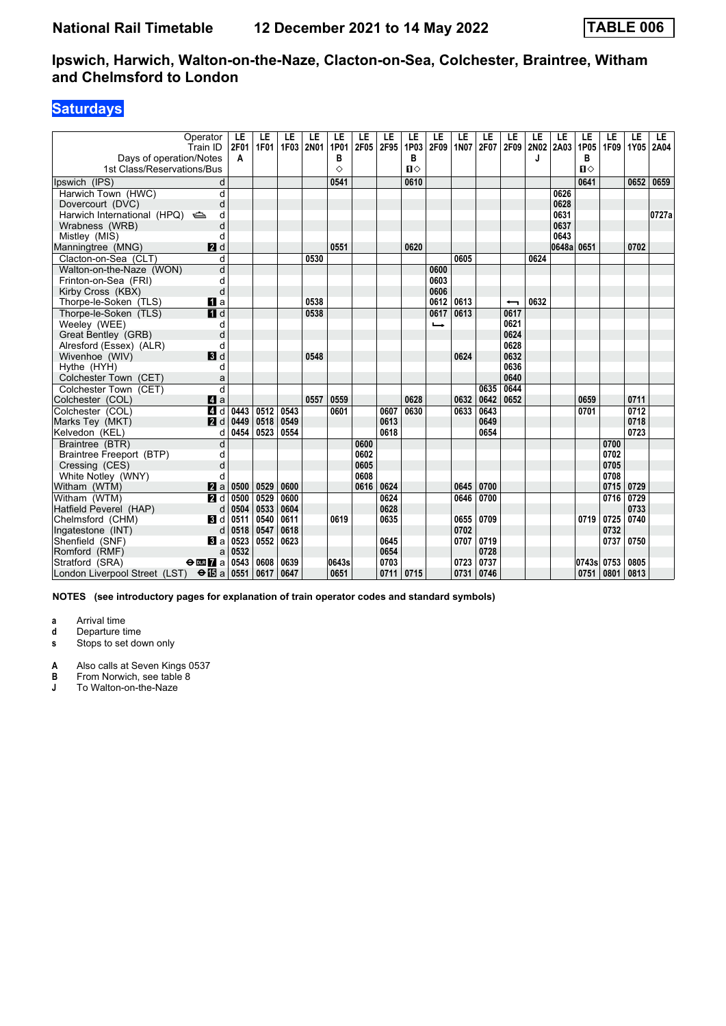# **Saturdays**

| Operator<br>Train ID<br>Days of operation/Notes            |                | LE<br>2F01<br>A | LE<br>1F01 | LE<br>1F03 | LE<br>2N01 | LE<br>1P01<br>в | LE<br>2F05 | LE<br>2F95 | LE<br>1P03<br>в | LE<br>2F09    | LE<br><b>1N07</b> | LE<br>2F07 | LE<br>2F09 | LE<br>2N02 2A03<br>J | LE         | LE<br>1P05<br>в | LE<br>1F09 | LE<br>1Y05 | LE.<br>2A04 |
|------------------------------------------------------------|----------------|-----------------|------------|------------|------------|-----------------|------------|------------|-----------------|---------------|-------------------|------------|------------|----------------------|------------|-----------------|------------|------------|-------------|
| 1st Class/Reservations/Bus                                 |                |                 |            |            |            | ◇               |            |            | $\mathbf{u}$    |               |                   |            |            |                      |            | $\mathbf{u}$    |            |            |             |
| Ipswich (IPS)                                              | d              |                 |            |            |            | 0541            |            |            | 0610            |               |                   |            |            |                      |            | 0641            |            | 0652       | 0659        |
| Harwich Town (HWC)                                         | d              |                 |            |            |            |                 |            |            |                 |               |                   |            |            |                      | 0626       |                 |            |            |             |
| Dovercourt (DVC)                                           | d              |                 |            |            |            |                 |            |            |                 |               |                   |            |            |                      | 0628       |                 |            |            |             |
| Harwich International (HPQ)                                | d              |                 |            |            |            |                 |            |            |                 |               |                   |            |            |                      | 0631       |                 |            |            | 0727a       |
| Wrabness (WRB)                                             | d              |                 |            |            |            |                 |            |            |                 |               |                   |            |            |                      | 0637       |                 |            |            |             |
| Mistley (MIS)                                              | d              |                 |            |            |            |                 |            |            |                 |               |                   |            |            |                      | 0643       |                 |            |            |             |
| 2d<br>Manningtree (MNG)                                    |                |                 |            |            |            | 0551            |            |            | 0620            |               |                   |            |            |                      | 0648a 0651 |                 |            | 0702       |             |
| Clacton-on-Sea (CLT)                                       | d              |                 |            |            | 0530       |                 |            |            |                 |               | 0605              |            |            | 0624                 |            |                 |            |            |             |
| Walton-on-the-Naze (WON)                                   | d              |                 |            |            |            |                 |            |            |                 | 0600          |                   |            |            |                      |            |                 |            |            |             |
| Frinton-on-Sea (FRI)                                       | d              |                 |            |            |            |                 |            |            |                 | 0603          |                   |            |            |                      |            |                 |            |            |             |
| Kirby Cross (KBX)                                          | d              |                 |            |            |            |                 |            |            |                 | 0606          |                   |            |            |                      |            |                 |            |            |             |
| Thorpe-le-Soken (TLS)<br><b>FI</b> a                       |                |                 |            |            | 0538       |                 |            |            |                 | 0612          | 0613              |            | ↽          | 0632                 |            |                 |            |            |             |
| $\overline{H}$ d<br>Thorpe-le-Soken (TLS)                  |                |                 |            |            | 0538       |                 |            |            |                 | 0617          | 0613              |            | 0617       |                      |            |                 |            |            |             |
| Weeley (WEE)                                               | d              |                 |            |            |            |                 |            |            |                 | $\rightarrow$ |                   |            | 0621       |                      |            |                 |            |            |             |
| Great Bentley (GRB)                                        | d              |                 |            |            |            |                 |            |            |                 |               |                   |            | 0624       |                      |            |                 |            |            |             |
| Alresford (Essex) (ALR)                                    | d              |                 |            |            |            |                 |            |            |                 |               |                   |            | 0628       |                      |            |                 |            |            |             |
| $\blacksquare$<br>Wivenhoe (WIV)                           |                |                 |            |            | 0548       |                 |            |            |                 |               | 0624              |            | 0632       |                      |            |                 |            |            |             |
| Hythe (HYH)                                                | d              |                 |            |            |            |                 |            |            |                 |               |                   |            | 0636       |                      |            |                 |            |            |             |
| Colchester Town (CET)                                      | a              |                 |            |            |            |                 |            |            |                 |               |                   |            | 0640       |                      |            |                 |            |            |             |
| Colchester Town (CET)                                      | $\overline{d}$ |                 |            |            |            |                 |            |            |                 |               |                   | 0635       | 0644       |                      |            |                 |            |            |             |
| Colchester (COL)<br>4a                                     |                |                 |            |            | 0557       | 0559            |            |            | 0628            |               | 0632              | 0642       | 0652       |                      |            | 0659            |            | 0711       |             |
| $\overline{a}$ d<br>Colchester (COL)                       |                | 0443            | 0512       | 0543       |            | 0601            |            | 0607       | 0630            |               | 0633              | 0643       |            |                      |            | 0701            |            | 0712       |             |
| 2d<br>Marks Tey (MKT)                                      |                | 0449            | 0518       | 0549       |            |                 |            | 0613       |                 |               |                   | 0649       |            |                      |            |                 |            | 0718       |             |
| Kelvedon (KEL)                                             | d              | 0454            | 0523       | 0554       |            |                 |            | 0618       |                 |               |                   | 0654       |            |                      |            |                 |            | 0723       |             |
| Braintree (BTR)                                            | d              |                 |            |            |            |                 | 0600       |            |                 |               |                   |            |            |                      |            |                 | 0700       |            |             |
| Braintree Freeport (BTP)                                   | d              |                 |            |            |            |                 | 0602       |            |                 |               |                   |            |            |                      |            |                 | 0702       |            |             |
| Cressing (CES)                                             | d              |                 |            |            |            |                 | 0605       |            |                 |               |                   |            |            |                      |            |                 | 0705       |            |             |
| White Notley (WNY)                                         | d              |                 |            |            |            |                 | 0608       |            |                 |               |                   |            |            |                      |            |                 | 0708       |            |             |
| $\mathbf{z}$ a<br>Witham (WTM)                             |                | 0500            | 0529       | 0600       |            |                 | 0616       | 0624       |                 |               | 0645              | 0700       |            |                      |            |                 | 0715       | 0729       |             |
| $\overline{M}$ d<br>Witham (WTM)                           |                | 0500            | 0529       | 0600       |            |                 |            | 0624       |                 |               | 0646              | 0700       |            |                      |            |                 | 0716       | 0729       |             |
| Hatfield Peverel (HAP)                                     | d              | 0504            | 0533       | 0604       |            |                 |            | 0628       |                 |               |                   |            |            |                      |            |                 |            | 0733       |             |
| Chelmsford (CHM)<br><b>B</b> Id                            |                | 0511            | 0540       | 0611       |            | 0619            |            | 0635       |                 |               | 0655              | 0709       |            |                      |            | 0719            | 0725       | 0740       |             |
| Ingatestone (INT)                                          | d              | 0518            | 0547       | 0618       |            |                 |            |            |                 |               | 0702              |            |            |                      |            |                 | 0732       |            |             |
| Shenfield (SNF)<br>a                                       |                | 0523            | 0552       | 0623       |            |                 |            | 0645       |                 |               | 0707              | 0719       |            |                      |            |                 | 0737       | 0750       |             |
| Romford (RMF)                                              | a              | 0532            |            |            |            |                 |            | 0654       |                 |               |                   | 0728       |            |                      |            |                 |            |            |             |
| Stratford (SRA)<br>$\Theta$ or $\overline{A}$ a            |                | 0543            | 0608       | 0639       |            | 0643s           |            | 0703       |                 |               | 0723              | 0737       |            |                      |            | 0743s 0753      |            | 0805       |             |
| London Liverpool Street (LST) $\Theta$ $\mathbb{E}$ a 0551 |                |                 | 0617       | 0647       |            | 0651            |            | 0711       | 0715            |               | 0731              | 0746       |            |                      |            | 0751            | 0801       | 0813       |             |

**NOTES (see introductory pages for explanation of train operator codes and standard symbols)**

**a** Arrival time<br>**d** Departure ti

**d** Departure time

**s** Stops to set down only

**A** Also calls at Seven Kings 0537<br>**B** From Norwich, see table 8

**B** From Norwich, see table 8<br>**J** To Walton-on-the-Naze

To Walton-on-the-Naze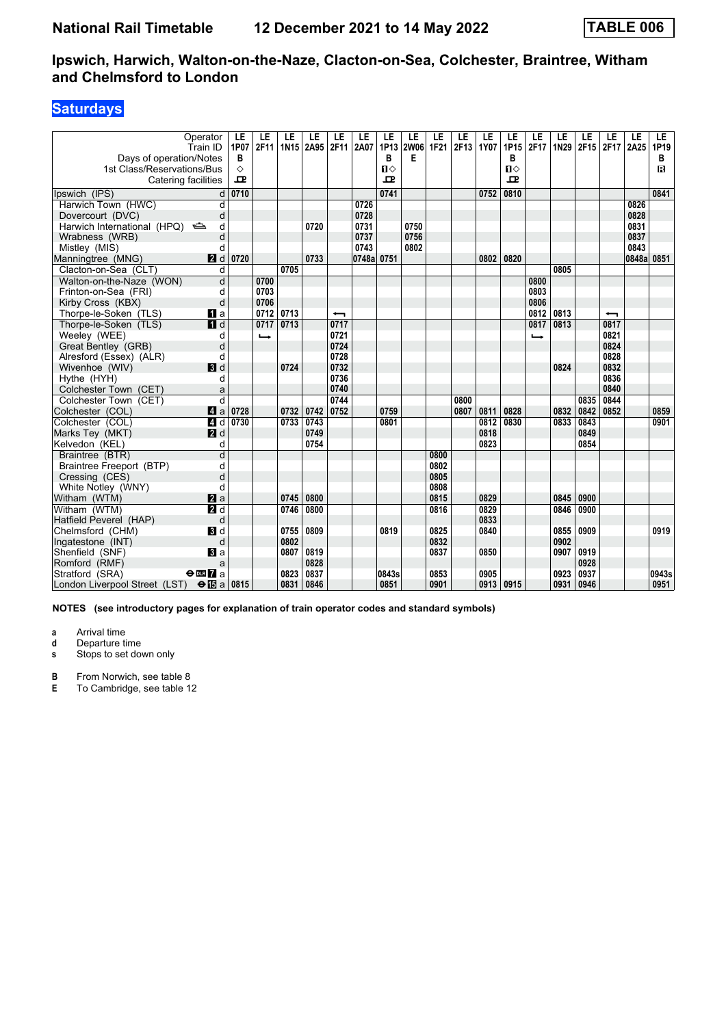# **Saturdays**

| Operator<br>Train ID<br>Days of operation/Notes<br>1st Class/Reservations/Bus<br>Catering facilities | LE<br>1P07<br>в<br>♦<br>모 | LE<br>2F11 | LE<br><b>1N15</b> | LE<br>2A95 | LE<br>2F11 | LE<br>2A07 | LE<br>1P13<br>в<br>$\mathbf{u}$<br>$\mathbf{P}$ | LE<br><b>2W06</b><br>Е | LE<br>1F21 | LE<br>2F13 | LE<br><b>1Y07</b> | LE<br>1P15<br>В<br>$\P$ $\Diamond$<br>ᇁ | LE<br>2F17 | LE<br>1N29 | LE<br>2F15 | LE<br>2F17               | LE<br>2A25 | LE.<br>1P19<br>в<br>R |
|------------------------------------------------------------------------------------------------------|---------------------------|------------|-------------------|------------|------------|------------|-------------------------------------------------|------------------------|------------|------------|-------------------|-----------------------------------------|------------|------------|------------|--------------------------|------------|-----------------------|
| Ipswich (IPS)                                                                                        | 0710<br>d                 |            |                   |            |            |            | 0741                                            |                        |            |            | 0752              | 0810                                    |            |            |            |                          |            | 0841                  |
| Harwich Town (HWC)                                                                                   | d                         |            |                   |            |            | 0726       |                                                 |                        |            |            |                   |                                         |            |            |            |                          | 0826       |                       |
| Dovercourt (DVC)                                                                                     | d                         |            |                   |            |            | 0728       |                                                 |                        |            |            |                   |                                         |            |            |            |                          | 0828       |                       |
| Harwich International (HPQ)                                                                          | d                         |            |                   | 0720       |            | 0731       |                                                 | 0750                   |            |            |                   |                                         |            |            |            |                          | 0831       |                       |
| Wrabness (WRB)                                                                                       | d                         |            |                   |            |            | 0737       |                                                 | 0756                   |            |            |                   |                                         |            |            |            |                          | 0837       |                       |
| Mistley (MIS)                                                                                        | d                         |            |                   |            |            | 0743       |                                                 | 0802                   |            |            |                   |                                         |            |            |            |                          | 0843       |                       |
| Manningtree (MNG)<br><b>2</b> d                                                                      | 0720                      |            |                   | 0733       |            | 0748a      | 0751                                            |                        |            |            | 0802              | 0820                                    |            |            |            |                          | 0848a 0851 |                       |
| Clacton-on-Sea (CLT)                                                                                 | d                         |            | 0705              |            |            |            |                                                 |                        |            |            |                   |                                         |            | 0805       |            |                          |            |                       |
| Walton-on-the-Naze (WON)                                                                             | d                         | 0700       |                   |            |            |            |                                                 |                        |            |            |                   |                                         | 0800       |            |            |                          |            |                       |
| Frinton-on-Sea (FRI)                                                                                 | d                         | 0703       |                   |            |            |            |                                                 |                        |            |            |                   |                                         | 0803       |            |            |                          |            |                       |
| Kirby Cross (KBX)                                                                                    | d                         | 0706       |                   |            |            |            |                                                 |                        |            |            |                   |                                         | 0806       |            |            |                          |            |                       |
| Thorpe-le-Soken (TLS)<br>$\mathbf{u}$ a                                                              |                           | 0712       | 0713              |            | ↽          |            |                                                 |                        |            |            |                   |                                         | 0812       | 0813       |            | $\overline{\phantom{0}}$ |            |                       |
| $\blacksquare$<br>Thorpe-le-Soken (TLS)                                                              |                           | 0717       | 0713              |            | 0717       |            |                                                 |                        |            |            |                   |                                         | 0817       | 0813       |            | 0817                     |            |                       |
| Weeley (WEE)                                                                                         | d                         | ىــا       |                   |            | 0721       |            |                                                 |                        |            |            |                   |                                         | ⊷          |            |            | 0821                     |            |                       |
| Great Bentley (GRB)                                                                                  | d                         |            |                   |            | 0724       |            |                                                 |                        |            |            |                   |                                         |            |            |            | 0824                     |            |                       |
| Alresford (Essex) (ALR)                                                                              | d                         |            |                   |            | 0728       |            |                                                 |                        |            |            |                   |                                         |            |            |            | 0828                     |            |                       |
| $\blacksquare$<br>Wivenhoe (WIV)                                                                     |                           |            | 0724              |            | 0732       |            |                                                 |                        |            |            |                   |                                         |            | 0824       |            | 0832                     |            |                       |
| Hythe (HYH)                                                                                          | d                         |            |                   |            | 0736       |            |                                                 |                        |            |            |                   |                                         |            |            |            | 0836                     |            |                       |
| Colchester Town (CET)                                                                                | a                         |            |                   |            | 0740       |            |                                                 |                        |            |            |                   |                                         |            |            |            | 0840                     |            |                       |
| Colchester Town (CET)                                                                                | d                         |            |                   |            | 0744       |            |                                                 |                        |            | 0800       |                   |                                         |            |            | 0835       | 0844                     |            |                       |
| $\mathbf{A}$ a<br>Colchester (COL)                                                                   | 0728                      |            | 0732              | 0742       | 0752       |            | 0759                                            |                        |            | 0807       | 0811              | 0828                                    |            | 0832       | 0842       | 0852                     |            | 0859                  |
| Colchester (COL)<br>4d                                                                               | 0730                      |            | 0733              | 0743       |            |            | 0801                                            |                        |            |            | 0812              | 0830                                    |            | 0833       | 0843       |                          |            | 0901                  |
| 2d<br>Marks Tey (MKT)                                                                                |                           |            |                   | 0749       |            |            |                                                 |                        |            |            | 0818              |                                         |            |            | 0849       |                          |            |                       |
| Kelvedon (KEL)                                                                                       | d                         |            |                   | 0754       |            |            |                                                 |                        |            |            | 0823              |                                         |            |            | 0854       |                          |            |                       |
| Braintree (BTR)                                                                                      | d                         |            |                   |            |            |            |                                                 |                        | 0800       |            |                   |                                         |            |            |            |                          |            |                       |
| Braintree Freeport (BTP)                                                                             | d                         |            |                   |            |            |            |                                                 |                        | 0802       |            |                   |                                         |            |            |            |                          |            |                       |
| Cressing (CES)                                                                                       | d                         |            |                   |            |            |            |                                                 |                        | 0805       |            |                   |                                         |            |            |            |                          |            |                       |
| White Notley (WNY)                                                                                   | d                         |            |                   |            |            |            |                                                 |                        | 0808       |            |                   |                                         |            |            |            |                          |            |                       |
| Witham (WTM)<br>$\mathbf{z}$ a                                                                       |                           |            | 0745              | 0800       |            |            |                                                 |                        | 0815       |            | 0829              |                                         |            | 0845       | 0900       |                          |            |                       |
| $\overline{\mathbf{p}}$ d<br>Witham (WTM)                                                            |                           |            | 0746              | 0800       |            |            |                                                 |                        | 0816       |            | 0829              |                                         |            | 0846       | 0900       |                          |            |                       |
| Hatfield Peverel (HAP)                                                                               | d                         |            |                   |            |            |            |                                                 |                        |            |            | 0833              |                                         |            |            |            |                          |            |                       |
| Chelmsford (CHM)<br><b>B</b> Id                                                                      |                           |            | 0755              | 0809       |            |            | 0819                                            |                        | 0825       |            | 0840              |                                         |            | 0855       | 0909       |                          |            | 0919                  |
| Ingatestone (INT)                                                                                    | d                         |            | 0802              |            |            |            |                                                 |                        | 0832       |            |                   |                                         |            | 0902       |            |                          |            |                       |
| Shenfield (SNF)<br><b>B</b> la                                                                       |                           |            | 0807              | 0819       |            |            |                                                 |                        | 0837       |            | 0850              |                                         |            | 0907       | 0919       |                          |            |                       |
| Romford (RMF)                                                                                        | a                         |            |                   | 0828       |            |            |                                                 |                        |            |            |                   |                                         |            |            | 0928       |                          |            |                       |
| Stratford (SRA)<br>$\Theta$ <b>ER</b> a                                                              |                           |            | 0823              | 0837       |            |            | 0843s                                           |                        | 0853       |            | 0905              |                                         |            | 0923       | 0937       |                          |            | 0943s                 |
| London Liverpool Street (LST) $\Theta$ <b>I</b> B a 0815                                             |                           |            | 0831              | 0846       |            |            | 0851                                            |                        | 0901       |            | 0913              | 0915                                    |            | 0931       | 0946       |                          |            | 0951                  |

**NOTES (see introductory pages for explanation of train operator codes and standard symbols)**

**a** Arrival time<br>**d** Departure t

**d** Departure time

**s** Stops to set down only

**B** From Norwich, see table 8<br>**E** To Cambridge, see table 1 To Cambridge, see table 12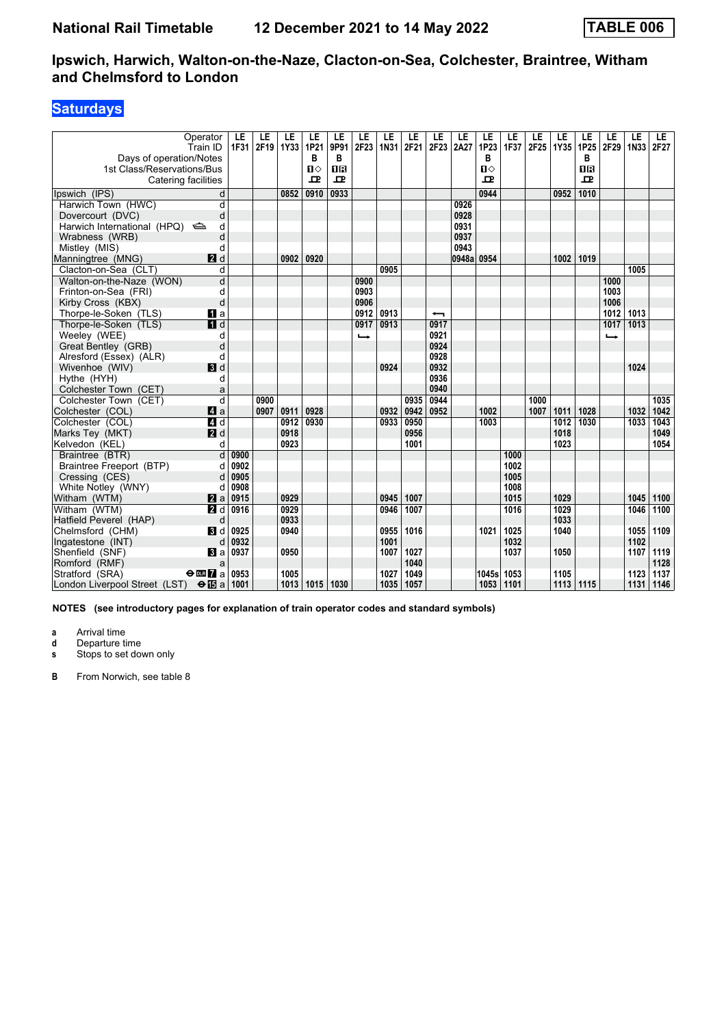# **Saturdays**

| Operator<br>Train ID<br>Days of operation/Notes<br>1st Class/Reservations/Bus | LE<br>1F31 | LE<br>2F19 | LE<br>1Y33 | LE<br>1P21<br>в<br>$\Pi$ | LE<br>9P91<br>B<br><b>08</b> | LE<br>2F23    | LE<br><b>1N31</b> | LE<br>2F21 | LE<br>2F23 | LE<br>2A27 | LE<br>1P23<br>в<br>$\mathbf{u}$ | LE<br><b>1F37</b> | LE<br>2F25 | LE<br>1Y35 | LE<br>1P25<br>в<br><b>08</b> | LE<br>2F29    | LE<br>1N33 | LE.<br>2F27 |
|-------------------------------------------------------------------------------|------------|------------|------------|--------------------------|------------------------------|---------------|-------------------|------------|------------|------------|---------------------------------|-------------------|------------|------------|------------------------------|---------------|------------|-------------|
| Catering facilities                                                           |            |            |            | ᇁ                        | 모                            |               |                   |            |            |            | ᇁ                               |                   |            |            | ᇁ                            |               |            |             |
| Ipswich (IPS)<br>d                                                            |            |            | 0852       | 0910                     | 0933                         |               |                   |            |            |            | 0944                            |                   |            | 0952       | 1010                         |               |            |             |
| Harwich Town (HWC)<br>d                                                       |            |            |            |                          |                              |               |                   |            |            | 0926       |                                 |                   |            |            |                              |               |            |             |
| d<br>Dovercourt (DVC)                                                         |            |            |            |                          |                              |               |                   |            |            | 0928       |                                 |                   |            |            |                              |               |            |             |
| Harwich International (HPQ)<br>d                                              |            |            |            |                          |                              |               |                   |            |            | 0931       |                                 |                   |            |            |                              |               |            |             |
| d<br>Wrabness (WRB)                                                           |            |            |            |                          |                              |               |                   |            |            | 0937       |                                 |                   |            |            |                              |               |            |             |
| Mistley (MIS)<br>d                                                            |            |            |            |                          |                              |               |                   |            |            | 0943       |                                 |                   |            |            |                              |               |            |             |
| <b>2</b> d<br>Manningtree (MNG)                                               |            |            | 0902       | 0920                     |                              |               |                   |            |            | 0948a      | 0954                            |                   |            | 1002       | 1019                         |               |            |             |
| Clacton-on-Sea (CLT)<br>d                                                     |            |            |            |                          |                              |               | 0905              |            |            |            |                                 |                   |            |            |                              |               | 1005       |             |
| Walton-on-the-Naze (WON)<br>d                                                 |            |            |            |                          |                              | 0900          |                   |            |            |            |                                 |                   |            |            |                              | 1000          |            |             |
| Frinton-on-Sea (FRI)<br>d                                                     |            |            |            |                          |                              | 0903          |                   |            |            |            |                                 |                   |            |            |                              | 1003          |            |             |
| d<br>Kirby Cross (KBX)                                                        |            |            |            |                          |                              | 0906          |                   |            |            |            |                                 |                   |            |            |                              | 1006          |            |             |
| Thorpe-le-Soken (TLS)<br>$\mathbf{u}$ a                                       |            |            |            |                          |                              | 0912          | 0913              |            | ╼          |            |                                 |                   |            |            |                              | 1012          | 1013       |             |
| $\blacksquare$<br>Thorpe-le-Soken (TLS)                                       |            |            |            |                          |                              | 0917          | 0913              |            | 0917       |            |                                 |                   |            |            |                              | 1017          | 1013       |             |
| Weeley (WEE)<br>d                                                             |            |            |            |                          |                              | $\rightarrow$ |                   |            | 0921       |            |                                 |                   |            |            |                              | $\rightarrow$ |            |             |
| d<br>Great Bentley (GRB)                                                      |            |            |            |                          |                              |               |                   |            | 0924       |            |                                 |                   |            |            |                              |               |            |             |
| Alresford (Essex) (ALR)<br>d                                                  |            |            |            |                          |                              |               |                   |            | 0928       |            |                                 |                   |            |            |                              |               |            |             |
| $\blacksquare$<br>Wivenhoe (WIV)                                              |            |            |            |                          |                              |               | 0924              |            | 0932       |            |                                 |                   |            |            |                              |               | 1024       |             |
| Hythe (HYH)<br>d                                                              |            |            |            |                          |                              |               |                   |            | 0936       |            |                                 |                   |            |            |                              |               |            |             |
| Colchester Town (CET)<br>a                                                    |            |            |            |                          |                              |               |                   |            | 0940       |            |                                 |                   |            |            |                              |               |            |             |
| $\overline{\mathsf{d}}$<br>Colchester Town (CET)                              |            | 0900       |            |                          |                              |               |                   | 0935       | 0944       |            |                                 |                   | 1000       |            |                              |               |            | 1035        |
| $\mathbf{A}$ a<br>Colchester (COL)                                            |            | 0907       | 0911       | 0928                     |                              |               | 0932              | 0942       | 0952       |            | 1002                            |                   | 1007       | 1011       | 1028                         |               | 1032       | 1042        |
| 4d<br>Colchester (COL)                                                        |            |            | 0912       | 0930                     |                              |               | 0933              | 0950       |            |            | 1003                            |                   |            | 1012       | 1030                         |               | 1033       | 1043        |
| 2d<br>Marks Tey (MKT)                                                         |            |            | 0918       |                          |                              |               |                   | 0956       |            |            |                                 |                   |            | 1018       |                              |               |            | 1049        |
| Kelvedon (KEL)<br>d                                                           |            |            | 0923       |                          |                              |               |                   | 1001       |            |            |                                 |                   |            | 1023       |                              |               |            | 1054        |
| $\overline{\mathsf{d}}$<br>Braintree (BTR)                                    | 0900       |            |            |                          |                              |               |                   |            |            |            |                                 | 1000              |            |            |                              |               |            |             |
| Braintree Freeport (BTP)<br>d                                                 | 0902       |            |            |                          |                              |               |                   |            |            |            |                                 | 1002              |            |            |                              |               |            |             |
| Cressing (CES)<br>d                                                           | 0905       |            |            |                          |                              |               |                   |            |            |            |                                 | 1005              |            |            |                              |               |            |             |
| White Notley (WNY)<br>d                                                       | 0908       |            |            |                          |                              |               |                   |            |            |            |                                 | 1008              |            |            |                              |               |            |             |
| Witham (WTM)<br>2a                                                            | 0915       |            | 0929       |                          |                              |               | 0945              | 1007       |            |            |                                 | 1015              |            | 1029       |                              |               | 1045       | 1100        |
| Witham (WTM)<br><b>2</b> d                                                    | 0916       |            | 0929       |                          |                              |               | 0946              | 1007       |            |            |                                 | 1016              |            | 1029       |                              |               | 1046       | 1100        |
| Hatfield Peverel (HAP)<br>d                                                   |            |            | 0933       |                          |                              |               |                   |            |            |            |                                 |                   |            | 1033       |                              |               |            |             |
| Chelmsford (CHM)<br><b>Bi</b> d                                               | 0925       |            | 0940       |                          |                              |               | 0955              | 1016       |            |            | 1021                            | 1025              |            | 1040       |                              |               | 1055       | 1109        |
| Ingatestone (INT)<br>d                                                        | 0932       |            |            |                          |                              |               | 1001              |            |            |            |                                 | 1032              |            |            |                              |               | 1102       |             |
| Shenfield (SNF)<br><b>B</b> a                                                 | 0937       |            | 0950       |                          |                              |               | 1007              | 1027       |            |            |                                 | 1037              |            | 1050       |                              |               | 1107       | 1119        |
| Romford (RMF)<br>a                                                            |            |            |            |                          |                              |               |                   | 1040       |            |            |                                 |                   |            |            |                              |               |            | 1128        |
| Stratford (SRA)<br>$\Theta$ <b>ER</b> a                                       | 0953       |            | 1005       |                          |                              |               | 1027              | 1049       |            |            | 1045s 1053                      |                   |            | 1105       |                              |               | 1123       | 1137        |
| London Liverpool Street (LST) <b>⊖ is</b> a                                   | 1001       |            | 1013       | 1015                     | 1030                         |               | 1035              | 1057       |            |            | 1053                            | 1101              |            | 1113       | 1115                         |               | 1131       | 1146        |

**NOTES (see introductory pages for explanation of train operator codes and standard symbols)**

**a** Arrival time<br>**d** Departure t

**d** Departure time

**s** Stops to set down only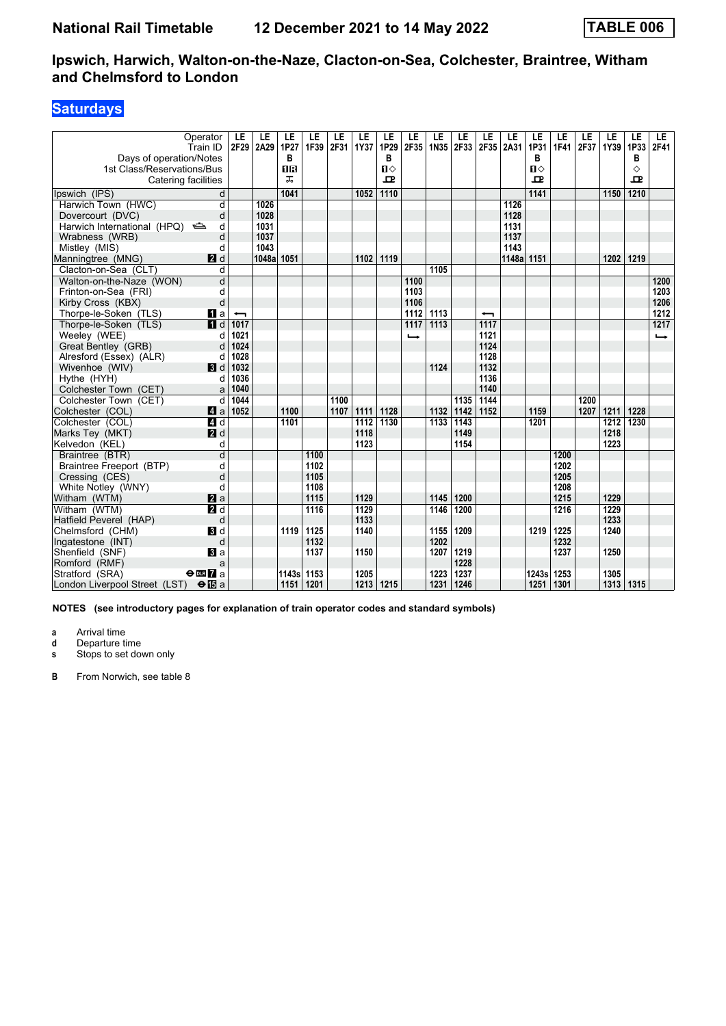# **Saturdays**

| Operator<br>Train ID                                      | LE<br>2F29               | LE<br>2A29 | LE<br>1P27 | LE<br>1F39 | LE<br>2F31 | LE<br>1Y37 | LE<br>1P29        | LE<br>2F35    | LE<br>1N35 | LE<br>2F33 | LE   | LE<br>2F35 2A31 | LE<br>1P31        | LE<br><b>1F41</b> | LE<br>2F37 | LE<br>1Y39 | LE<br>1P33 | LE<br>2F41    |
|-----------------------------------------------------------|--------------------------|------------|------------|------------|------------|------------|-------------------|---------------|------------|------------|------|-----------------|-------------------|-------------------|------------|------------|------------|---------------|
| Days of operation/Notes<br>1st Class/Reservations/Bus     |                          |            | в<br>08    |            |            |            | в<br>$\mathbf{u}$ |               |            |            |      |                 | в<br>$\mathbf{u}$ |                   |            |            | в<br>♦     |               |
| Catering facilities                                       |                          |            | ᠼ          |            |            |            | 모                 |               |            |            |      |                 | ᇁ                 |                   |            |            | ᅭ          |               |
| Ipswich (IPS)                                             | d                        |            | 1041       |            |            | 1052       | 1110              |               |            |            |      |                 | 1141              |                   |            | 1150       | 1210       |               |
| Harwich Town (HWC)                                        | d                        | 1026       |            |            |            |            |                   |               |            |            |      | 1126            |                   |                   |            |            |            |               |
| Dovercourt (DVC)                                          | d                        | 1028       |            |            |            |            |                   |               |            |            |      | 1128            |                   |                   |            |            |            |               |
| Harwich International (HPQ)                               | d                        | 1031       |            |            |            |            |                   |               |            |            |      | 1131            |                   |                   |            |            |            |               |
| Wrabness (WRB)                                            | d                        | 1037       |            |            |            |            |                   |               |            |            |      | 1137            |                   |                   |            |            |            |               |
| Mistley (MIS)                                             | d                        | 1043       |            |            |            |            |                   |               |            |            |      | 1143            |                   |                   |            |            |            |               |
| $P$ d<br>Manningtree (MNG)                                |                          | 1048a      | 1051       |            |            | 1102       | 1119              |               |            |            |      | 1148a 1151      |                   |                   |            | 1202       | 1219       |               |
| Clacton-on-Sea (CLT)                                      | d                        |            |            |            |            |            |                   |               | 1105       |            |      |                 |                   |                   |            |            |            |               |
| Walton-on-the-Naze (WON)                                  | d                        |            |            |            |            |            |                   | 1100          |            |            |      |                 |                   |                   |            |            |            | 1200          |
| Frinton-on-Sea (FRI)                                      | d                        |            |            |            |            |            |                   | 1103          |            |            |      |                 |                   |                   |            |            |            | 1203          |
| Kirby Cross (KBX)                                         | d                        |            |            |            |            |            |                   | 1106          |            |            |      |                 |                   |                   |            |            |            | 1206          |
| $\blacksquare$ a<br>Thorpe-le-Soken (TLS)                 | $\overline{\phantom{0}}$ |            |            |            |            |            |                   | 1112          | 1113       |            | ↽    |                 |                   |                   |            |            |            | 1212          |
| $\overline{\mathbf{H}}$ d<br>Thorpe-le-Soken (TLS)        | 1017                     |            |            |            |            |            |                   | 1117          | 1113       |            | 1117 |                 |                   |                   |            |            |            | 1217          |
| Weeley (WEE)                                              | 1021<br>d                |            |            |            |            |            |                   | $\rightarrow$ |            |            | 1121 |                 |                   |                   |            |            |            | $\rightarrow$ |
| Great Bentley (GRB)                                       | 1024<br>d                |            |            |            |            |            |                   |               |            |            | 1124 |                 |                   |                   |            |            |            |               |
| Alresford (Essex) (ALR)                                   | 1028<br>d                |            |            |            |            |            |                   |               |            |            | 1128 |                 |                   |                   |            |            |            |               |
| Wivenhoe (WIV)<br>3d                                      | 1032                     |            |            |            |            |            |                   |               | 1124       |            | 1132 |                 |                   |                   |            |            |            |               |
| Hythe (HYH)<br>d                                          | 1036                     |            |            |            |            |            |                   |               |            |            | 1136 |                 |                   |                   |            |            |            |               |
| Colchester Town (CET)                                     | 1040<br>a                |            |            |            |            |            |                   |               |            |            | 1140 |                 |                   |                   |            |            |            |               |
| Colchester Town (CET)<br>d                                | 1044                     |            |            |            | 1100       |            |                   |               |            | 1135       | 1144 |                 |                   |                   | 1200       |            |            |               |
| 4a<br>Colchester (COL)                                    | 1052                     |            | 1100       |            | 1107       | 1111       | 1128              |               | 1132       | 1142       | 1152 |                 | 1159              |                   | 1207       | 1211       | 1228       |               |
| $\overline{4}$ d<br>Colchester (COL)                      |                          |            | 1101       |            |            | 1112       | 1130              |               | 1133       | 1143       |      |                 | 1201              |                   |            | 1212       | 1230       |               |
| 2d<br>Marks Tey (MKT)                                     |                          |            |            |            |            | 1118       |                   |               |            | 1149       |      |                 |                   |                   |            | 1218       |            |               |
| Kelvedon (KEL)                                            | d                        |            |            |            |            | 1123       |                   |               |            | 1154       |      |                 |                   |                   |            | 1223       |            |               |
| Braintree (BTR)                                           | $\overline{d}$           |            |            | 1100       |            |            |                   |               |            |            |      |                 |                   | 1200              |            |            |            |               |
| Braintree Freeport (BTP)                                  | d                        |            |            | 1102       |            |            |                   |               |            |            |      |                 |                   | 1202              |            |            |            |               |
| Cressing (CES)                                            | d                        |            |            | 1105       |            |            |                   |               |            |            |      |                 |                   | 1205              |            |            |            |               |
| White Notley (WNY)                                        | d                        |            |            | 1108       |            |            |                   |               |            |            |      |                 |                   | 1208              |            |            |            |               |
| Witham (WTM)<br><b>2</b> a                                |                          |            |            | 1115       |            | 1129       |                   |               | 1145       | 1200       |      |                 |                   | 1215              |            | 1229       |            |               |
| Witham (WTM)<br>$\mathbf{p}$ d                            |                          |            |            | 1116       |            | 1129       |                   |               | 1146       | 1200       |      |                 |                   | 1216              |            | 1229       |            |               |
| Hatfield Peverel (HAP)                                    | d                        |            |            |            |            | 1133       |                   |               |            |            |      |                 |                   |                   |            | 1233       |            |               |
| Chelmsford (CHM)<br><b>3</b> d                            |                          |            | 1119       | 1125       |            | 1140       |                   |               | 1155       | 1209       |      |                 | 1219              | 1225              |            | 1240       |            |               |
| Ingatestone (INT)                                         | d                        |            |            | 1132       |            |            |                   |               | 1202       |            |      |                 |                   | 1232              |            |            |            |               |
| Shenfield (SNF)<br><b>B</b> la                            |                          |            |            | 1137       |            | 1150       |                   |               | 1207       | 1219       |      |                 |                   | 1237              |            | 1250       |            |               |
| Romford (RMF)                                             | a                        |            |            |            |            |            |                   |               |            | 1228       |      |                 |                   |                   |            |            |            |               |
| Stratford (SRA)<br>$\Theta$ DLR $\overline{\mathbf{Z}}$ a |                          |            | 1143s      | 1153       |            | 1205       |                   |               | 1223       | 1237       |      |                 | 1243s             | 1253              |            | 1305       |            |               |
| London Liverpool Street (LST)<br>$\Theta$ is a            |                          |            | 1151       | 1201       |            | 1213       | 1215              |               | 1231       | 1246       |      |                 | 1251              | 1301              |            | 1313       | 1315       |               |

**NOTES (see introductory pages for explanation of train operator codes and standard symbols)**

**a** Arrival time<br>**d** Departure t

**d** Departure time

**s** Stops to set down only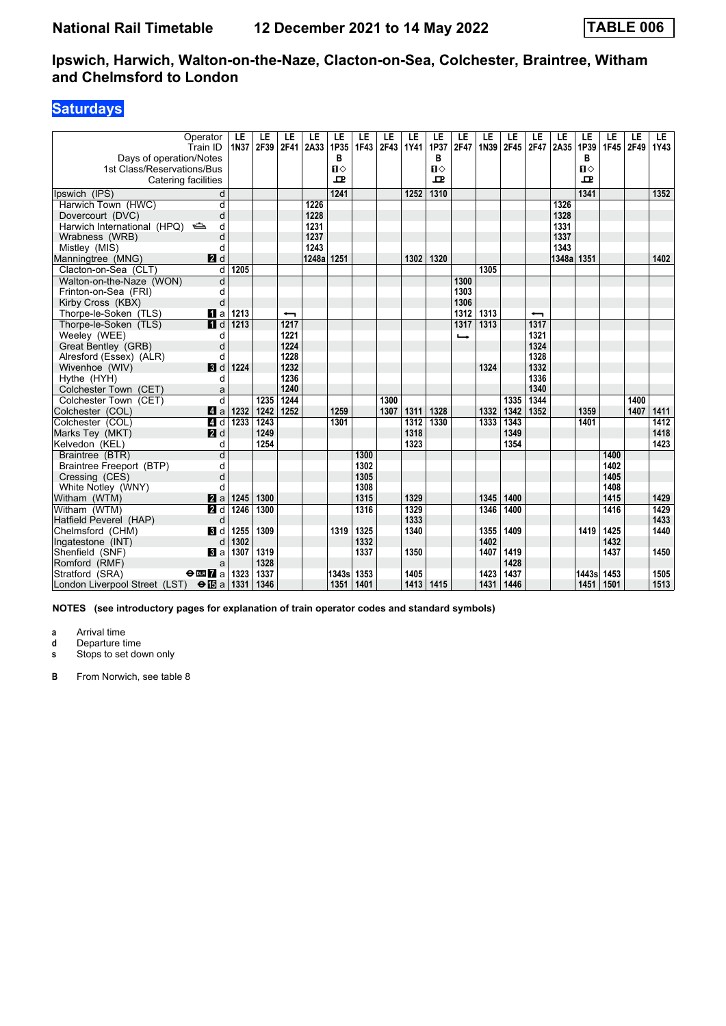# **Saturdays**

| Operator<br>Train ID                             |                  | LE<br>1N37 | LE<br>2F39 | LE<br>2F41               | LE<br>2A33 | LE<br>1P35   | LE<br>1F43 | LE<br>2F43 | LE<br>1Y41 | LE<br>1P37 | LE<br>2F47 | LE<br>1N39 | LE<br>2F45 | LE<br>2F47 | LE<br>2A35 | LE<br>1P39   | LE<br>1F45 | LE<br>2F49 | LE.<br>1Y43 |
|--------------------------------------------------|------------------|------------|------------|--------------------------|------------|--------------|------------|------------|------------|------------|------------|------------|------------|------------|------------|--------------|------------|------------|-------------|
| Days of operation/Notes                          |                  |            |            |                          |            | в            |            |            |            | в          |            |            |            |            |            | в            |            |            |             |
| 1st Class/Reservations/Bus                       |                  |            |            |                          |            | $\mathbf{u}$ |            |            |            | $\Pi$      |            |            |            |            |            | $\mathbf{u}$ |            |            |             |
| Catering facilities                              |                  |            |            |                          |            | $\mathbf{r}$ |            |            |            | 고          |            |            |            |            |            | ᄆ            |            |            |             |
| Ipswich (IPS)                                    | d                |            |            |                          |            | 1241         |            |            | 1252       | 1310       |            |            |            |            |            | 1341         |            |            | 1352        |
| Harwich Town (HWC)                               | d                |            |            |                          | 1226       |              |            |            |            |            |            |            |            |            | 1326       |              |            |            |             |
| Dovercourt (DVC)                                 | d                |            |            |                          | 1228       |              |            |            |            |            |            |            |            |            | 1328       |              |            |            |             |
| Harwich International (HPQ)                      | d                |            |            |                          | 1231       |              |            |            |            |            |            |            |            |            | 1331       |              |            |            |             |
| Wrabness (WRB)                                   | d                |            |            |                          | 1237       |              |            |            |            |            |            |            |            |            | 1337       |              |            |            |             |
| Mistley (MIS)                                    | d                |            |            |                          | 1243       |              |            |            |            |            |            |            |            |            | 1343       |              |            |            |             |
| Manningtree (MNG)                                | 2d               |            |            |                          | 1248a      | 1251         |            |            | 1302       | 1320       |            |            |            |            | 1348a      | 1351         |            |            | 1402        |
| Clacton-on-Sea (CLT)                             | d                | 1205       |            |                          |            |              |            |            |            |            |            | 1305       |            |            |            |              |            |            |             |
| Walton-on-the-Naze (WON)                         | d                |            |            |                          |            |              |            |            |            |            | 1300       |            |            |            |            |              |            |            |             |
| Frinton-on-Sea (FRI)                             | d                |            |            |                          |            |              |            |            |            |            | 1303       |            |            |            |            |              |            |            |             |
| Kirby Cross (KBX)                                | d                |            |            |                          |            |              |            |            |            |            | 1306       |            |            |            |            |              |            |            |             |
| Thorpe-le-Soken (TLS)                            | $\blacksquare$ a | 1213       |            | $\overline{\phantom{0}}$ |            |              |            |            |            |            | 1312       | 1313       |            | ↽          |            |              |            |            |             |
| Thorpe-le-Soken (TLS)                            | $\blacksquare$   | 1213       |            | 1217                     |            |              |            |            |            |            | 1317       | 1313       |            | 1317       |            |              |            |            |             |
| Weeley (WEE)                                     | d                |            |            | 1221                     |            |              |            |            |            |            | ⊷          |            |            | 1321       |            |              |            |            |             |
| Great Bentley (GRB)                              | d                |            |            | 1224                     |            |              |            |            |            |            |            |            |            | 1324       |            |              |            |            |             |
| Alresford (Essex) (ALR)                          | d                |            |            | 1228                     |            |              |            |            |            |            |            |            |            | 1328       |            |              |            |            |             |
| Wivenhoe (WIV)                                   | $\blacksquare$   | 1224       |            | 1232                     |            |              |            |            |            |            |            | 1324       |            | 1332       |            |              |            |            |             |
| Hythe (HYH)                                      | d                |            |            | 1236                     |            |              |            |            |            |            |            |            |            | 1336       |            |              |            |            |             |
| Colchester Town (CET)                            | a                |            |            | 1240                     |            |              |            |            |            |            |            |            |            | 1340       |            |              |            |            |             |
| Colchester Town (CET)                            | d                |            | 1235       | 1244                     |            |              |            | 1300       |            |            |            |            | 1335       | 1344       |            |              |            | 1400       |             |
| Colchester (COL)                                 | 4 a              | 1232       | 1242       | 1252                     |            | 1259         |            | 1307       | 1311       | 1328       |            | 1332       | 1342       | 1352       |            | 1359         |            | 1407       | 1411        |
| Colchester (COL)                                 | 4 d              | 1233       | 1243       |                          |            | 1301         |            |            | 1312       | 1330       |            | 1333       | 1343       |            |            | 1401         |            |            | 1412        |
| Marks Tey (MKT)                                  | 2d               |            | 1249       |                          |            |              |            |            | 1318       |            |            |            | 1349       |            |            |              |            |            | 1418        |
| Kelvedon (KEL)                                   | d                |            | 1254       |                          |            |              |            |            | 1323       |            |            |            | 1354       |            |            |              |            |            | 1423        |
| Braintree (BTR)                                  | d                |            |            |                          |            |              | 1300       |            |            |            |            |            |            |            |            |              | 1400       |            |             |
| Braintree Freeport (BTP)                         | d                |            |            |                          |            |              | 1302       |            |            |            |            |            |            |            |            |              | 1402       |            |             |
| Cressing (CES)                                   | d                |            |            |                          |            |              | 1305       |            |            |            |            |            |            |            |            |              | 1405       |            |             |
| White Notley (WNY)                               | d                |            |            |                          |            |              | 1308       |            |            |            |            |            |            |            |            |              | 1408       |            |             |
| Witham (WTM)                                     | <b>Z</b> a       | 1245       | 1300       |                          |            |              | 1315       |            | 1329       |            |            | 1345       | 1400       |            |            |              | 1415       |            | 1429        |
| Witham (WTM)                                     | $\blacksquare$   | 1246       | 1300       |                          |            |              | 1316       |            | 1329       |            |            | 1346       | 1400       |            |            |              | 1416       |            | 1429        |
| Hatfield Peverel (HAP)                           | d                |            |            |                          |            |              |            |            | 1333       |            |            |            |            |            |            |              |            |            | 1433        |
| Chelmsford (CHM)                                 | <b>B</b> Id      | 1255       | 1309       |                          |            | 1319         | 1325       |            | 1340       |            |            | 1355       | 1409       |            |            | 1419         | 1425       |            | 1440        |
| Ingatestone (INT)                                | d                | 1302       |            |                          |            |              | 1332       |            |            |            |            | 1402       |            |            |            |              | 1432       |            |             |
| Shenfield (SNF)                                  | <b>B</b> la      | 1307       | 1319       |                          |            |              | 1337       |            | 1350       |            |            | 1407       | 1419       |            |            |              | 1437       |            | 1450        |
| Romford (RMF)                                    | a                |            | 1328       |                          |            |              |            |            |            |            |            |            | 1428       |            |            |              |            |            |             |
| Stratford (SRA)<br>$\Theta$ or $\overline{A}$ a  |                  | 1323       | 1337       |                          |            | 1343s        | 1353       |            | 1405       |            |            | 1423       | 1437       |            |            | 1443s        | 1453       |            | 1505        |
| London Liverpool Street (LST) <b>⊖ is</b> a 1331 |                  |            | 1346       |                          |            | 1351         | 1401       |            | 1413       | 1415       |            | 1431       | 1446       |            |            | 1451         | 1501       |            | 1513        |

**NOTES (see introductory pages for explanation of train operator codes and standard symbols)**

**a** Arrival time<br>**d** Departure t

**d** Departure time

**s** Stops to set down only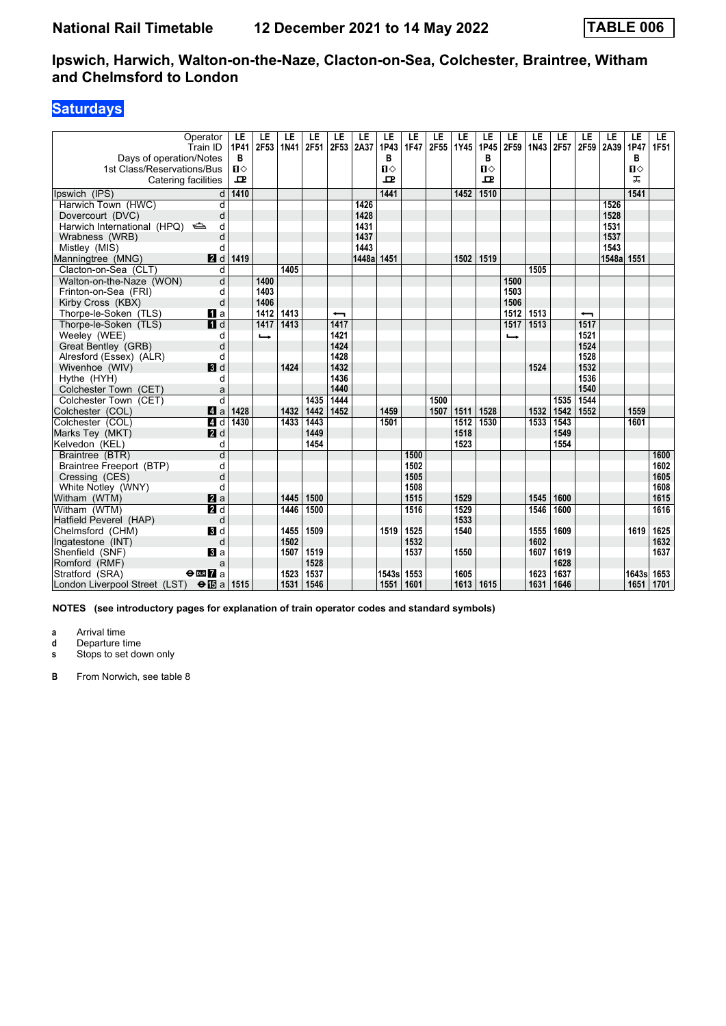# **Saturdays**

| Operator<br>Train ID<br>Days of operation/Notes<br>1st Class/Reservations/Bus | LE<br>1P41<br>B<br>$\mathbf{u}$<br>$\mathbf{p}$ | LE<br>2F53    | LE<br><b>1N41</b> | LE<br>2F51 | LE<br>2F53 | LE<br>2A37 | LE<br>1P43<br>в<br>$\mathbf{u}$<br>모 | LE<br><b>1F47</b> | LE   | LE<br>2F55 1Y45 | LE<br>1P45<br>в<br>$\Pi$<br>$\mathbf{P}$ | LE<br>2F59    | LE<br>1N43 | LE<br>2F57 | LE<br>2F59               | LE<br>2A39 | LE<br>1P47<br>в<br>$\P$<br>ᅚ | LE.<br><b>1F51</b> |
|-------------------------------------------------------------------------------|-------------------------------------------------|---------------|-------------------|------------|------------|------------|--------------------------------------|-------------------|------|-----------------|------------------------------------------|---------------|------------|------------|--------------------------|------------|------------------------------|--------------------|
| Catering facilities                                                           |                                                 |               |                   |            |            |            |                                      |                   |      |                 |                                          |               |            |            |                          |            |                              |                    |
| Ipswich (IPS)<br>d                                                            | 1410                                            |               |                   |            |            |            | 1441                                 |                   |      | 1452            | 1510                                     |               |            |            |                          |            | 1541                         |                    |
| Harwich Town (HWC)<br>d                                                       |                                                 |               |                   |            |            | 1426       |                                      |                   |      |                 |                                          |               |            |            |                          | 1526       |                              |                    |
| Dovercourt (DVC)<br>d                                                         |                                                 |               |                   |            |            | 1428       |                                      |                   |      |                 |                                          |               |            |            |                          | 1528       |                              |                    |
| Harwich International (HPQ)<br>d                                              |                                                 |               |                   |            |            | 1431       |                                      |                   |      |                 |                                          |               |            |            |                          | 1531       |                              |                    |
| Wrabness (WRB)<br>d                                                           |                                                 |               |                   |            |            | 1437       |                                      |                   |      |                 |                                          |               |            |            |                          | 1537       |                              |                    |
| Mistley (MIS)<br>d                                                            |                                                 |               |                   |            |            | 1443       |                                      |                   |      |                 |                                          |               |            |            |                          | 1543       |                              |                    |
| 2d<br>Manningtree (MNG)                                                       | 1419                                            |               |                   |            |            | 1448a      | 1451                                 |                   |      | 1502            | 1519                                     |               |            |            |                          | 1548a      | 1551                         |                    |
| Clacton-on-Sea (CLT)<br>d                                                     |                                                 |               | 1405              |            |            |            |                                      |                   |      |                 |                                          |               | 1505       |            |                          |            |                              |                    |
| Walton-on-the-Naze (WON)<br>d                                                 |                                                 | 1400          |                   |            |            |            |                                      |                   |      |                 |                                          | 1500          |            |            |                          |            |                              |                    |
| Frinton-on-Sea (FRI)<br>d                                                     |                                                 | 1403          |                   |            |            |            |                                      |                   |      |                 |                                          | 1503          |            |            |                          |            |                              |                    |
| d<br>Kirby Cross (KBX)                                                        |                                                 | 1406          |                   |            |            |            |                                      |                   |      |                 |                                          | 1506          |            |            |                          |            |                              |                    |
| Thorpe-le-Soken (TLS)<br>$\mathbf{u}$ a                                       |                                                 | 1412          | 1413              |            | ↽          |            |                                      |                   |      |                 |                                          | 1512          | 1513       |            | $\overline{\phantom{0}}$ |            |                              |                    |
| $\blacksquare$<br>Thorpe-le-Soken (TLS)                                       |                                                 | 1417          | 1413              |            | 1417       |            |                                      |                   |      |                 |                                          | 1517          | 1513       |            | 1517                     |            |                              |                    |
| Weeley (WEE)<br>d                                                             |                                                 | $\rightarrow$ |                   |            | 1421       |            |                                      |                   |      |                 |                                          | $\rightarrow$ |            |            | 1521                     |            |                              |                    |
| d<br>Great Bentley (GRB)                                                      |                                                 |               |                   |            | 1424       |            |                                      |                   |      |                 |                                          |               |            |            | 1524                     |            |                              |                    |
| Alresford (Essex) (ALR)<br>d                                                  |                                                 |               |                   |            | 1428       |            |                                      |                   |      |                 |                                          |               |            |            | 1528                     |            |                              |                    |
| $\blacksquare$<br>Wivenhoe (WIV)                                              |                                                 |               | 1424              |            | 1432       |            |                                      |                   |      |                 |                                          |               | 1524       |            | 1532                     |            |                              |                    |
| Hythe (HYH)<br>d                                                              |                                                 |               |                   |            | 1436       |            |                                      |                   |      |                 |                                          |               |            |            | 1536                     |            |                              |                    |
| Colchester Town (CET)<br>a                                                    |                                                 |               |                   |            | 1440       |            |                                      |                   |      |                 |                                          |               |            |            | 1540                     |            |                              |                    |
| Colchester Town (CET)<br>d                                                    |                                                 |               |                   | 1435       | 1444       |            |                                      |                   | 1500 |                 |                                          |               |            | 1535       | 1544                     |            |                              |                    |
| $\mathbf{A}$ a<br>Colchester (COL)                                            | 1428                                            |               | 1432              | 1442       | 1452       |            | 1459                                 |                   | 1507 | 1511            | 1528                                     |               | 1532       | 1542       | 1552                     |            | 1559                         |                    |
| Colchester (COL)<br>4 d                                                       | 1430                                            |               | 1433              | 1443       |            |            | 1501                                 |                   |      | 1512            | 1530                                     |               | 1533       | 1543       |                          |            | 1601                         |                    |
| 2d<br>Marks Tey (MKT)                                                         |                                                 |               |                   | 1449       |            |            |                                      |                   |      | 1518            |                                          |               |            | 1549       |                          |            |                              |                    |
| Kelvedon (KEL)<br>d                                                           |                                                 |               |                   | 1454       |            |            |                                      |                   |      | 1523            |                                          |               |            | 1554       |                          |            |                              |                    |
| $\overline{\mathsf{d}}$<br>Braintree (BTR)                                    |                                                 |               |                   |            |            |            |                                      | 1500              |      |                 |                                          |               |            |            |                          |            |                              | 1600               |
| Braintree Freeport (BTP)<br>d                                                 |                                                 |               |                   |            |            |            |                                      | 1502              |      |                 |                                          |               |            |            |                          |            |                              | 1602               |
| d<br>Cressing (CES)                                                           |                                                 |               |                   |            |            |            |                                      | 1505              |      |                 |                                          |               |            |            |                          |            |                              | 1605               |
| White Notley (WNY)<br>d                                                       |                                                 |               |                   |            |            |            |                                      | 1508              |      |                 |                                          |               |            |            |                          |            |                              | 1608               |
| Witham (WTM)<br><b>2</b> a                                                    |                                                 |               | 1445              | 1500       |            |            |                                      | 1515              |      | 1529            |                                          |               | 1545       | 1600       |                          |            |                              | 1615               |
| Witham (WTM)<br>$\blacksquare$                                                |                                                 |               | 1446              | 1500       |            |            |                                      | 1516              |      | 1529            |                                          |               | 1546       | 1600       |                          |            |                              | 1616               |
| d<br>Hatfield Peverel (HAP)                                                   |                                                 |               |                   |            |            |            |                                      |                   |      | 1533            |                                          |               |            |            |                          |            |                              |                    |
| Chelmsford (CHM)<br><b>B</b> Id                                               |                                                 |               | 1455              | 1509       |            |            | 1519                                 | 1525              |      | 1540            |                                          |               | 1555       | 1609       |                          |            | 1619                         | 1625               |
| d<br>Ingatestone (INT)                                                        |                                                 |               | 1502              |            |            |            |                                      | 1532              |      |                 |                                          |               | 1602       |            |                          |            |                              | 1632               |
| Shenfield (SNF)<br>$\blacksquare$ a                                           |                                                 |               | 1507              | 1519       |            |            |                                      | 1537              |      | 1550            |                                          |               | 1607       | 1619       |                          |            |                              | 1637               |
| Romford (RMF)<br>a                                                            |                                                 |               |                   | 1528       |            |            |                                      |                   |      |                 |                                          |               |            | 1628       |                          |            |                              |                    |
| Stratford (SRA)<br>$\Theta$ DLR $\overline{\mathbf{Z}}$ a                     |                                                 |               | 1523              | 1537       |            |            | 1543s                                | 1553              |      | 1605            |                                          |               | 1623       | 1637       |                          |            | 1643s                        | 1653               |
| London Liverpool Street (LST) $\Theta$ <b>IS</b> a 1515                       |                                                 |               | 1531              | 1546       |            |            | 1551                                 | 1601              |      | 1613            | 1615                                     |               | 1631       | 1646       |                          |            | 1651                         | 1701               |

**NOTES (see introductory pages for explanation of train operator codes and standard symbols)**

**a** Arrival time<br>**d** Departure t

**d** Departure time

**s** Stops to set down only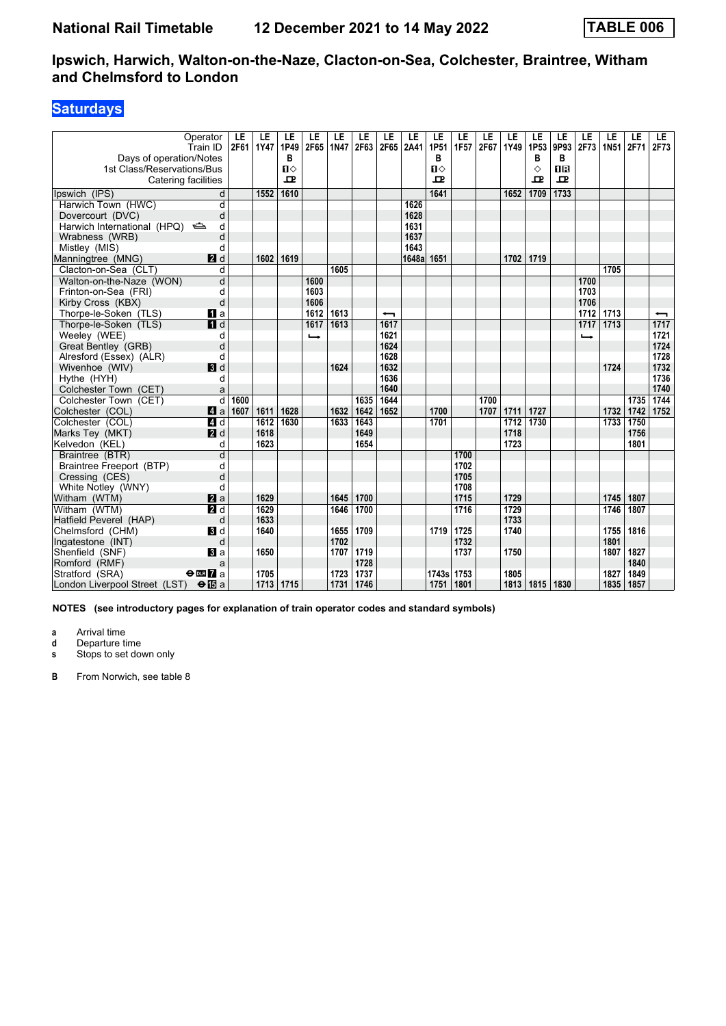# **Saturdays**

| Days of operation/Notes                           | Operator<br>Train ID    | LE<br>2F61 | LE<br><b>1Y47</b> | LE<br>1P49<br>В   | LE<br>2F65    | LE<br><b>1N47</b> | LE<br>2F63 | LE                       | LE<br>2F65 2A41 | LE<br>1P51<br>в   | LE<br>1F57 | LE<br>2F67 | LE<br>1Y49 | LE<br>1P53<br>в | LE<br>9P93<br>в | LE<br>2F73               | LE<br>1N <sub>51</sub> | LE<br>2F71 | LE.<br>2F73              |
|---------------------------------------------------|-------------------------|------------|-------------------|-------------------|---------------|-------------------|------------|--------------------------|-----------------|-------------------|------------|------------|------------|-----------------|-----------------|--------------------------|------------------------|------------|--------------------------|
| 1st Class/Reservations/Bus<br>Catering facilities |                         |            |                   | $\mathbf{u}$<br>모 |               |                   |            |                          |                 | $\mathbf{u}$<br>ᇁ |            |            |            | ◇<br>ᇁ          | 08<br>모         |                          |                        |            |                          |
| Ipswich (IPS)                                     | d                       |            | 1552              | 1610              |               |                   |            |                          |                 | 1641              |            |            | 1652       | 1709            | 1733            |                          |                        |            |                          |
| Harwich Town (HWC)                                | d                       |            |                   |                   |               |                   |            |                          | 1626            |                   |            |            |            |                 |                 |                          |                        |            |                          |
| Dovercourt (DVC)                                  | d                       |            |                   |                   |               |                   |            |                          | 1628            |                   |            |            |            |                 |                 |                          |                        |            |                          |
| Harwich International (HPQ)                       | d                       |            |                   |                   |               |                   |            |                          | 1631            |                   |            |            |            |                 |                 |                          |                        |            |                          |
| Wrabness (WRB)                                    | d                       |            |                   |                   |               |                   |            |                          | 1637            |                   |            |            |            |                 |                 |                          |                        |            |                          |
| Mistley (MIS)                                     | d                       |            |                   |                   |               |                   |            |                          | 1643            |                   |            |            |            |                 |                 |                          |                        |            |                          |
| Manningtree (MNG)                                 | <b>2</b> d              |            | 1602              | 1619              |               |                   |            |                          | 1648a           | 1651              |            |            | 1702       | 1719            |                 |                          |                        |            |                          |
| Clacton-on-Sea (CLT)                              | d                       |            |                   |                   |               | 1605              |            |                          |                 |                   |            |            |            |                 |                 |                          | 1705                   |            |                          |
| Walton-on-the-Naze (WON)                          | d                       |            |                   |                   | 1600          |                   |            |                          |                 |                   |            |            |            |                 |                 | 1700                     |                        |            |                          |
| Frinton-on-Sea (FRI)                              | d                       |            |                   |                   | 1603          |                   |            |                          |                 |                   |            |            |            |                 |                 | 1703                     |                        |            |                          |
| Kirby Cross (KBX)                                 | d                       |            |                   |                   | 1606          |                   |            |                          |                 |                   |            |            |            |                 |                 | 1706                     |                        |            |                          |
| Thorpe-le-Soken (TLS)                             | $\blacksquare$ a        |            |                   |                   | 1612          | 1613              |            | $\overline{\phantom{0}}$ |                 |                   |            |            |            |                 |                 | 1712                     | 1713                   |            | $\overline{\phantom{0}}$ |
| Thorpe-le-Soken (TLS)                             | $\blacksquare$          |            |                   |                   | 1617          | 1613              |            | 1617                     |                 |                   |            |            |            |                 |                 | 1717                     | 1713                   |            | 1717                     |
| Weeley (WEE)                                      | d                       |            |                   |                   | $\rightarrow$ |                   |            | 1621                     |                 |                   |            |            |            |                 |                 | $\overline{\phantom{a}}$ |                        |            | 1721                     |
| Great Bentley (GRB)                               | d                       |            |                   |                   |               |                   |            | 1624                     |                 |                   |            |            |            |                 |                 |                          |                        |            | 1724                     |
| Alresford (Essex) (ALR)                           | d                       |            |                   |                   |               |                   |            | 1628                     |                 |                   |            |            |            |                 |                 |                          |                        |            | 1728                     |
| Wivenhoe (WIV)                                    | $\blacksquare$          |            |                   |                   |               | 1624              |            | 1632                     |                 |                   |            |            |            |                 |                 |                          | 1724                   |            | 1732                     |
| Hythe (HYH)                                       | d                       |            |                   |                   |               |                   |            | 1636                     |                 |                   |            |            |            |                 |                 |                          |                        |            | 1736                     |
| Colchester Town (CET)                             | a                       |            |                   |                   |               |                   |            | 1640                     |                 |                   |            |            |            |                 |                 |                          |                        |            | 1740                     |
| Colchester Town (CET)                             | $\overline{\mathsf{d}}$ | 1600       |                   |                   |               |                   | 1635       | 1644                     |                 |                   |            | 1700       |            |                 |                 |                          |                        | 1735       | 1744                     |
| Colchester (COL)                                  | $\blacksquare$ a        | 1607       | 1611              | 1628              |               | 1632              | 1642       | 1652                     |                 | 1700              |            | 1707       | 1711       | 1727            |                 |                          | 1732                   | 1742       | 1752                     |
| Colchester (COL)                                  | 4d                      |            | 1612              | 1630              |               | 1633              | 1643       |                          |                 | 1701              |            |            | 1712       | 1730            |                 |                          | 1733                   | 1750       |                          |
| Marks Tey (MKT)                                   | 2d                      |            | 1618              |                   |               |                   | 1649       |                          |                 |                   |            |            | 1718       |                 |                 |                          |                        | 1756       |                          |
| Kelvedon (KEL)                                    | d                       |            | 1623              |                   |               |                   | 1654       |                          |                 |                   |            |            | 1723       |                 |                 |                          |                        | 1801       |                          |
| Braintree (BTR)                                   | d                       |            |                   |                   |               |                   |            |                          |                 |                   | 1700       |            |            |                 |                 |                          |                        |            |                          |
| Braintree Freeport (BTP)                          | d                       |            |                   |                   |               |                   |            |                          |                 |                   | 1702       |            |            |                 |                 |                          |                        |            |                          |
| Cressing (CES)                                    | d                       |            |                   |                   |               |                   |            |                          |                 |                   | 1705       |            |            |                 |                 |                          |                        |            |                          |
| White Notley (WNY)                                | d                       |            |                   |                   |               |                   |            |                          |                 |                   | 1708       |            |            |                 |                 |                          |                        |            |                          |
| Witham (WTM)                                      | <b>2</b> a              |            | 1629              |                   |               | 1645              | 1700       |                          |                 |                   | 1715       |            | 1729       |                 |                 |                          | 1745                   | 1807       |                          |
| Witham (WTM)                                      | $\blacksquare$          |            | 1629              |                   |               | 1646              | 1700       |                          |                 |                   | 1716       |            | 1729       |                 |                 |                          | 1746                   | 1807       |                          |
| Hatfield Peverel (HAP)                            | d                       |            | 1633              |                   |               |                   |            |                          |                 |                   |            |            | 1733       |                 |                 |                          |                        |            |                          |
| Chelmsford (CHM)                                  | <b>B</b> Id             |            | 1640              |                   |               | 1655              | 1709       |                          |                 | 1719              | 1725       |            | 1740       |                 |                 |                          | 1755                   | 1816       |                          |
| Ingatestone (INT)                                 | d                       |            |                   |                   |               | 1702              |            |                          |                 |                   | 1732       |            |            |                 |                 |                          | 1801                   |            |                          |
| Shenfield (SNF)                                   | $\mathbf{B}$ a          |            | 1650              |                   |               | 1707              | 1719       |                          |                 |                   | 1737       |            | 1750       |                 |                 |                          | 1807                   | 1827       |                          |
| Romford (RMF)                                     | a                       |            |                   |                   |               |                   | 1728       |                          |                 |                   |            |            |            |                 |                 |                          |                        | 1840       |                          |
| Stratford (SRA)                                   | $\Theta$ <b>ER</b> a    |            | 1705              |                   |               | 1723              | 1737       |                          |                 | 1743s             | 1753       |            | 1805       |                 |                 |                          | 1827                   | 1849       |                          |
| London Liverpool Street (LST)                     | $\Theta$ is a           |            | 1713              | 1715              |               | 1731              | 1746       |                          |                 | 1751              | 1801       |            | 1813       | 1815 1830       |                 |                          | 1835                   | 1857       |                          |

**NOTES (see introductory pages for explanation of train operator codes and standard symbols)**

**a** Arrival time<br>**d** Departure t

**d** Departure time

**s** Stops to set down only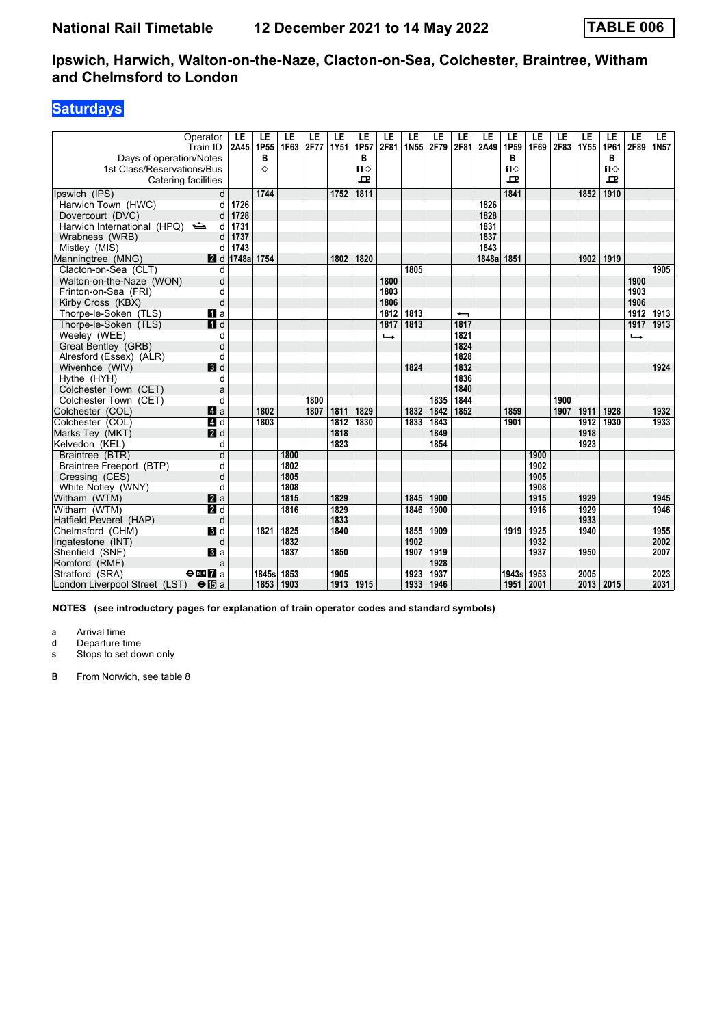# **Saturdays**

| Operator<br>Train ID                                      | LE<br>2A45 | LE<br>1P <sub>55</sub> | LE<br>1F63 | LE<br>2F77 | LE<br>1Y51 | LE<br>1P57   | LE<br>2F81    | LE<br>1N55 | LE<br>2F79 | LE<br>2F81 | LE<br>2A49 | LE<br>1P <sub>59</sub> | LE<br>1F69 | LE<br>2F83 | LE<br>1Y55  | LE<br>1P61     | LE<br>2F89    | LE<br>1N <sub>57</sub> |
|-----------------------------------------------------------|------------|------------------------|------------|------------|------------|--------------|---------------|------------|------------|------------|------------|------------------------|------------|------------|-------------|----------------|---------------|------------------------|
| Days of operation/Notes                                   |            | в                      |            |            |            | в            |               |            |            |            |            | в                      |            |            |             | в              |               |                        |
| 1st Class/Reservations/Bus                                |            | ♦                      |            |            |            | $\mathbf{u}$ |               |            |            |            |            | $\P$ $\Diamond$        |            |            |             | $\blacksquare$ |               |                        |
| Catering facilities                                       |            |                        |            |            |            | $\mathbf{p}$ |               |            |            |            |            | 묘                      |            |            |             | $\mathbf{p}$   |               |                        |
| Ipswich (IPS)<br>d                                        |            | 1744                   |            |            | 1752       | 1811         |               |            |            |            |            | 1841                   |            |            | 1852        | 1910           |               |                        |
| Harwich Town (HWC)<br>d                                   | 1726       |                        |            |            |            |              |               |            |            |            | 1826       |                        |            |            |             |                |               |                        |
| Dovercourt (DVC)<br>d                                     | 1728       |                        |            |            |            |              |               |            |            |            | 1828       |                        |            |            |             |                |               |                        |
| Harwich International (HPQ) <<br>d                        | 1731       |                        |            |            |            |              |               |            |            |            | 1831       |                        |            |            |             |                |               |                        |
| Wrabness (WRB)<br>d                                       | 1737       |                        |            |            |            |              |               |            |            |            | 1837       |                        |            |            |             |                |               |                        |
| Mistley (MIS)<br>d                                        | 1743       |                        |            |            |            |              |               |            |            |            | 1843       |                        |            |            |             |                |               |                        |
| <b>2</b> d<br>Manningtree (MNG)                           | 1748a      | 1754                   |            |            | 1802       | 1820         |               |            |            |            | 1848a 1851 |                        |            |            | 1902        | 1919           |               |                        |
| Clacton-on-Sea (CLT)<br>d                                 |            |                        |            |            |            |              |               | 1805       |            |            |            |                        |            |            |             |                |               | 1905                   |
| Walton-on-the-Naze (WON)<br>d                             |            |                        |            |            |            |              | 1800          |            |            |            |            |                        |            |            |             |                | 1900          |                        |
| Frinton-on-Sea (FRI)<br>d                                 |            |                        |            |            |            |              | 1803          |            |            |            |            |                        |            |            |             |                | 1903          |                        |
| d<br>Kirby Cross (KBX)                                    |            |                        |            |            |            |              | 1806          |            |            |            |            |                        |            |            |             |                | 1906          |                        |
| $\mathbf{u}$ a<br>Thorpe-le-Soken (TLS)                   |            |                        |            |            |            |              | 1812          | 1813       |            | ↽          |            |                        |            |            |             |                | 1912          | 1913                   |
| $\overline{H}$ d<br>Thorpe-le-Soken (TLS)                 |            |                        |            |            |            |              | 1817          | 1813       |            | 1817       |            |                        |            |            |             |                | 1917          | 1913                   |
| Weeley (WEE)<br>d                                         |            |                        |            |            |            |              | $\rightarrow$ |            |            | 1821       |            |                        |            |            |             |                | $\rightarrow$ |                        |
| d<br>Great Bentley (GRB)                                  |            |                        |            |            |            |              |               |            |            | 1824       |            |                        |            |            |             |                |               |                        |
| Alresford (Essex) (ALR)<br>d                              |            |                        |            |            |            |              |               |            |            | 1828       |            |                        |            |            |             |                |               |                        |
| Wivenhoe (WIV)<br>$\blacksquare$                          |            |                        |            |            |            |              |               | 1824       |            | 1832       |            |                        |            |            |             |                |               | 1924                   |
| Hythe (HYH)<br>d                                          |            |                        |            |            |            |              |               |            |            | 1836       |            |                        |            |            |             |                |               |                        |
| Colchester Town (CET)<br>a                                |            |                        |            |            |            |              |               |            |            | 1840       |            |                        |            |            |             |                |               |                        |
| Colchester Town (CET)<br>$\overline{d}$                   |            |                        |            | 1800       |            |              |               |            | 1835       | 1844       |            |                        |            | 1900       |             |                |               |                        |
| $\blacksquare$ a<br>Colchester (COL)                      |            | 1802                   |            | 1807       | 1811       | 1829         |               | 1832       | 1842       | 1852       |            | 1859                   |            | 1907       | 1911        | 1928           |               | 1932                   |
| 4d<br>Colchester (COL)                                    |            | 1803                   |            |            | 1812       | 1830         |               | 1833       | 1843       |            |            | 1901                   |            |            | 1912        | 1930           |               | 1933                   |
| Marks Tey (MKT)<br>2d                                     |            |                        |            |            | 1818       |              |               |            | 1849       |            |            |                        |            |            | 1918        |                |               |                        |
| Kelvedon (KEL)<br>d                                       |            |                        |            |            | 1823       |              |               |            | 1854       |            |            |                        |            |            | 1923        |                |               |                        |
| $\overline{\mathsf{d}}$<br>Braintree (BTR)                |            |                        | 1800       |            |            |              |               |            |            |            |            |                        | 1900       |            |             |                |               |                        |
| Braintree Freeport (BTP)<br>d                             |            |                        | 1802       |            |            |              |               |            |            |            |            |                        | 1902       |            |             |                |               |                        |
| d<br>Cressing (CES)                                       |            |                        | 1805       |            |            |              |               |            |            |            |            |                        | 1905       |            |             |                |               |                        |
| White Notley (WNY)<br>d                                   |            |                        | 1808       |            |            |              |               |            |            |            |            |                        | 1908       |            |             |                |               |                        |
| Witham (WTM)<br><b>2</b> a                                |            |                        | 1815       |            | 1829       |              |               | 1845       | 1900       |            |            |                        | 1915       |            | 1929        |                |               | 1945                   |
| $\blacksquare$<br>Witham (WTM)                            |            |                        | 1816       |            | 1829       |              |               | 1846       | 1900       |            |            |                        | 1916       |            | 1929        |                |               | 1946                   |
| d<br>Hatfield Peverel (HAP)                               |            |                        |            |            | 1833       |              |               |            |            |            |            |                        |            |            | 1933        |                |               |                        |
| Chelmsford (CHM)<br><b>B</b> Id                           |            | 1821                   | 1825       |            | 1840       |              |               | 1855       | 1909       |            |            | 1919                   | 1925       |            | 1940        |                |               | 1955                   |
| d<br>Ingatestone (INT)                                    |            |                        | 1832       |            |            |              |               | 1902       |            |            |            |                        | 1932       |            |             |                |               | 2002                   |
| $\blacksquare$ a<br>Shenfield (SNF)                       |            |                        | 1837       |            | 1850       |              |               | 1907       | 1919       |            |            |                        | 1937       |            | 1950        |                |               | 2007                   |
| Romford (RMF)<br>a                                        |            |                        |            |            |            |              |               |            | 1928       |            |            |                        |            |            |             |                |               |                        |
| Stratford (SRA)<br>$\Theta$ DLR $\overline{\mathbf{Z}}$ a |            | 1845s                  | 1853       |            | 1905       |              |               | 1923       | 1937       |            |            | 1943s                  | 1953       |            | 2005        |                |               | 2023                   |
| London Liverpool Street (LST) <b>⊖ iB</b> a               |            | 1853                   | 1903       |            | 1913       | 1915         |               | 1933       | 1946       |            |            | 1951                   | 2001       |            | 2013   2015 |                |               | 2031                   |

**NOTES (see introductory pages for explanation of train operator codes and standard symbols)**

**a** Arrival time<br>**d** Departure t

**d** Departure time

**s** Stops to set down only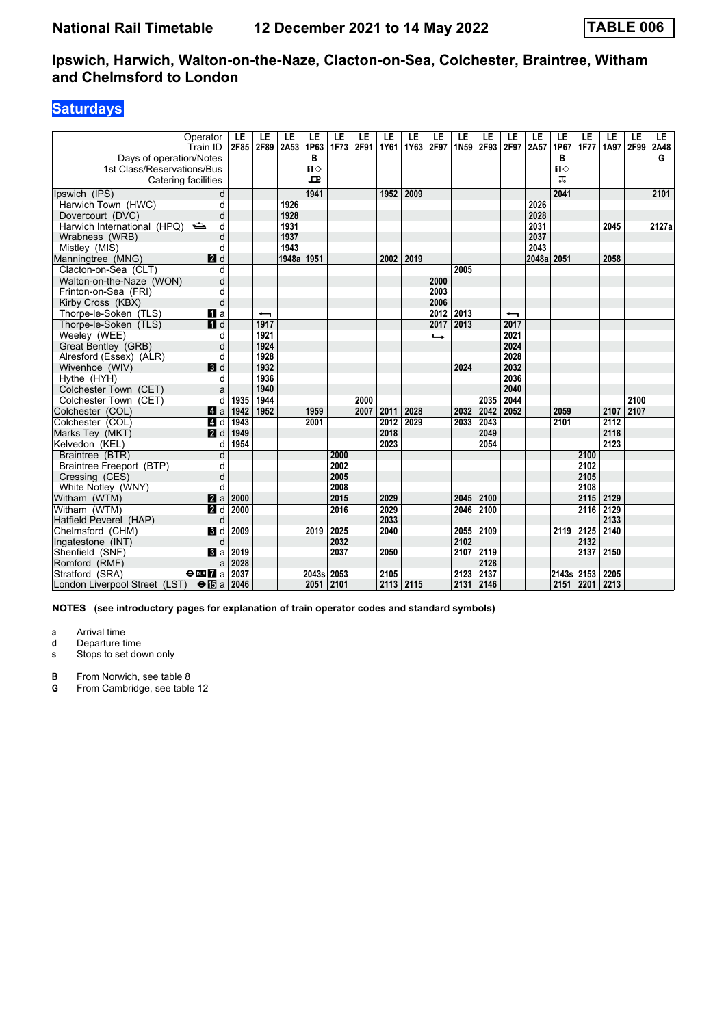# **Saturdays**

| Operator<br>Train ID<br>Days of operation/Notes<br>1st Class/Reservations/Bus | LE<br>2F85 | LE<br>2F89 | LE<br>2A53 | LE<br>1P63<br>В<br>$\Pi$ | LE<br>1F73 | LE<br>2F91 | LE<br>1Y61 | LE<br>1Y63 | LE<br>2F97    | LE<br>1N <sub>59</sub> | LE<br>2F93 | LE<br>2F97               | LE<br>2A57 | LE<br>1P67<br>в<br>п⇔ | LE<br><b>1F77</b> | LE<br>1A97        | LE<br>2F99 | LE.<br>2A48<br>G |
|-------------------------------------------------------------------------------|------------|------------|------------|--------------------------|------------|------------|------------|------------|---------------|------------------------|------------|--------------------------|------------|-----------------------|-------------------|-------------------|------------|------------------|
| Catering facilities                                                           |            |            |            | ᇁ                        |            |            |            |            |               |                        |            |                          |            | ᠼ                     |                   |                   |            |                  |
| Ipswich (IPS)<br>d                                                            |            |            |            | 1941                     |            |            | 1952       | 2009       |               |                        |            |                          |            | 2041                  |                   |                   |            | 2101             |
| Harwich Town (HWC)<br>d                                                       |            |            | 1926       |                          |            |            |            |            |               |                        |            |                          | 2026       |                       |                   |                   |            |                  |
| d<br>Dovercourt (DVC)                                                         |            |            | 1928       |                          |            |            |            |            |               |                        |            |                          | 2028       |                       |                   |                   |            |                  |
| Harwich International (HPQ)<br>d                                              |            |            | 1931       |                          |            |            |            |            |               |                        |            |                          | 2031       |                       |                   | 2045              |            | 2127a            |
| Wrabness (WRB)<br>d                                                           |            |            | 1937       |                          |            |            |            |            |               |                        |            |                          | 2037       |                       |                   |                   |            |                  |
| Mistley (MIS)<br>d                                                            |            |            | 1943       |                          |            |            |            |            |               |                        |            |                          | 2043       |                       |                   |                   |            |                  |
| 2d<br>Manningtree (MNG)                                                       |            |            | 1948a      | 1951                     |            |            | 2002       | 2019       |               |                        |            |                          | 2048a 2051 |                       |                   | 2058              |            |                  |
| Clacton-on-Sea (CLT)<br>d                                                     |            |            |            |                          |            |            |            |            |               | 2005                   |            |                          |            |                       |                   |                   |            |                  |
| Walton-on-the-Naze (WON)<br>d                                                 |            |            |            |                          |            |            |            |            | 2000          |                        |            |                          |            |                       |                   |                   |            |                  |
| Frinton-on-Sea (FRI)<br>d                                                     |            |            |            |                          |            |            |            |            | 2003          |                        |            |                          |            |                       |                   |                   |            |                  |
| d<br>Kirby Cross (KBX)                                                        |            |            |            |                          |            |            |            |            | 2006          |                        |            |                          |            |                       |                   |                   |            |                  |
| Thorpe-le-Soken (TLS)<br>$\mathbf{u}$ a                                       |            | ↽          |            |                          |            |            |            |            |               | 2012 2013              |            | $\overline{\phantom{0}}$ |            |                       |                   |                   |            |                  |
| Thorpe-le-Soken (TLS)<br>$\blacksquare$                                       |            | 1917       |            |                          |            |            |            |            | 2017          | 2013                   |            | 2017                     |            |                       |                   |                   |            |                  |
| Weeley (WEE)<br>d                                                             |            | 1921       |            |                          |            |            |            |            | $\rightarrow$ |                        |            | 2021                     |            |                       |                   |                   |            |                  |
| d<br>Great Bentley (GRB)                                                      |            | 1924       |            |                          |            |            |            |            |               |                        |            | 2024                     |            |                       |                   |                   |            |                  |
| Alresford (Essex) (ALR)<br>d                                                  |            | 1928       |            |                          |            |            |            |            |               |                        |            | 2028                     |            |                       |                   |                   |            |                  |
| $\mathbf{3}$ d<br>Wivenhoe (WIV)                                              |            | 1932       |            |                          |            |            |            |            |               | 2024                   |            | 2032                     |            |                       |                   |                   |            |                  |
| Hythe (HYH)<br>d                                                              |            | 1936       |            |                          |            |            |            |            |               |                        |            | 2036                     |            |                       |                   |                   |            |                  |
| Colchester Town (CET)<br>a                                                    |            | 1940       |            |                          |            |            |            |            |               |                        |            | 2040                     |            |                       |                   |                   |            |                  |
| Colchester Town (CET)<br>$\overline{\mathsf{d}}$                              | 1935       | 1944       |            |                          |            | 2000       |            |            |               |                        | 2035       | 2044                     |            |                       |                   |                   | 2100       |                  |
| $\blacksquare$ a<br>Colchester (COL)                                          | 1942       | 1952       |            | 1959                     |            | 2007       | 2011       | 2028       |               | 2032                   | 2042       | 2052                     |            | 2059                  |                   | 2107              | 2107       |                  |
| 4d<br>Colchester (COL)                                                        | 1943       |            |            | 2001                     |            |            | 2012       | 2029       |               | 2033                   | 2043       |                          |            | 2101                  |                   | 2112              |            |                  |
| 2d<br>Marks Tey (MKT)                                                         | 1949       |            |            |                          |            |            | 2018       |            |               |                        | 2049       |                          |            |                       |                   | 2118              |            |                  |
| Kelvedon (KEL)<br>d                                                           | 1954       |            |            |                          |            |            | 2023       |            |               |                        | 2054       |                          |            |                       |                   | 2123              |            |                  |
| d<br>Braintree (BTR)                                                          |            |            |            |                          | 2000       |            |            |            |               |                        |            |                          |            |                       | 2100              |                   |            |                  |
| Braintree Freeport (BTP)<br>d                                                 |            |            |            |                          | 2002       |            |            |            |               |                        |            |                          |            |                       | 2102              |                   |            |                  |
| d<br>Cressing (CES)                                                           |            |            |            |                          | 2005       |            |            |            |               |                        |            |                          |            |                       | 2105              |                   |            |                  |
| White Notley (WNY)<br>d                                                       |            |            |            |                          | 2008       |            |            |            |               |                        |            |                          |            |                       | 2108              |                   |            |                  |
| Witham (WTM)<br>$\mathbf{z}$ a                                                | 2000       |            |            |                          | 2015       |            | 2029       |            |               | 2045                   | 2100       |                          |            |                       | 2115              | 2129              |            |                  |
| Witham (WTM)<br>$\blacksquare$                                                | 2000       |            |            |                          | 2016       |            | 2029       |            |               | 2046                   | 2100       |                          |            |                       | 2116              | $\overline{2129}$ |            |                  |
| Hatfield Peverel (HAP)<br>d                                                   |            |            |            |                          |            |            | 2033       |            |               |                        |            |                          |            |                       |                   | 2133              |            |                  |
| Chelmsford (CHM)<br>BI d                                                      | 2009       |            |            | 2019                     | 2025       |            | 2040       |            |               | 2055                   | 2109       |                          |            | 2119                  | 2125              | 2140              |            |                  |
| d<br>Ingatestone (INT)                                                        |            |            |            |                          | 2032       |            |            |            |               | 2102                   |            |                          |            |                       | 2132              |                   |            |                  |
| Shenfield (SNF)<br>a                                                          | 2019       |            |            |                          | 2037       |            | 2050       |            |               | 2107                   | 2119       |                          |            |                       | 2137              | 2150              |            |                  |
| Romford (RMF)<br>a                                                            | 2028       |            |            |                          |            |            |            |            |               |                        | 2128       |                          |            |                       |                   |                   |            |                  |
| Stratford (SRA)<br>$\Theta$ <b>EM</b> a                                       | 2037       |            |            | 2043s                    | 2053       |            | 2105       |            |               | 2123                   | 2137       |                          |            | 2143s 2153            |                   | 2205              |            |                  |
| London Liverpool Street (LST) <b>⊖個a</b>                                      | 2046       |            |            | 2051                     | 2101       |            | 2113       | 2115       |               | 2131                   | 2146       |                          |            | 2151                  | 2201              | 2213              |            |                  |

**NOTES (see introductory pages for explanation of train operator codes and standard symbols)**

**a** Arrival time<br>**d** Departure t

**d** Departure time

**s** Stops to set down only

**B** From Norwich, see table 8<br>**G** From Cambridge, see table From Cambridge, see table 12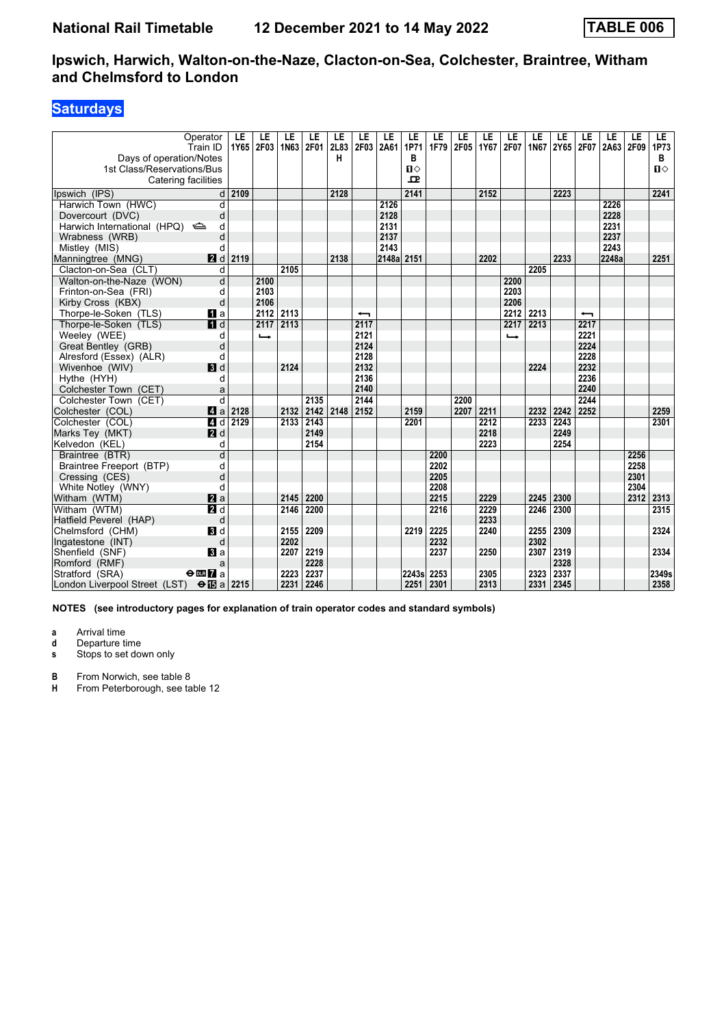# **Saturdays**

| Operator<br>Train ID<br>Days of operation/Notes    | LE<br>1Y65         | LE<br>2F03    | LE<br>1N63 | LE<br>2F01 | LE<br>2L83<br>н | LE<br>2F03 | LE<br>2A61 | LE<br>1P71<br>в | LE<br><b>1F79</b> | LE<br>2F05 | LE<br>1Y67 | LE<br>2F07    | LE<br><b>1N67</b> | LE<br>2Y65 | LE<br>2F07               | LE<br>2A63 2F09 | LE   | LE<br>1P73<br>B |
|----------------------------------------------------|--------------------|---------------|------------|------------|-----------------|------------|------------|-----------------|-------------------|------------|------------|---------------|-------------------|------------|--------------------------|-----------------|------|-----------------|
| 1st Class/Reservations/Bus<br>Catering facilities  |                    |               |            |            |                 |            |            | $\Pi$<br>ᇁ      |                   |            |            |               |                   |            |                          |                 |      | $\mathbf{u}$    |
| Ipswich (IPS)                                      | 2109<br>d          |               |            |            | 2128            |            |            | 2141            |                   |            | 2152       |               |                   | 2223       |                          |                 |      | 2241            |
| Harwich Town (HWC)                                 | d                  |               |            |            |                 |            | 2126       |                 |                   |            |            |               |                   |            |                          | 2226            |      |                 |
| Dovercourt (DVC)                                   | d                  |               |            |            |                 |            | 2128       |                 |                   |            |            |               |                   |            |                          | 2228            |      |                 |
| Harwich International (HPQ)                        | d                  |               |            |            |                 |            | 2131       |                 |                   |            |            |               |                   |            |                          | 2231            |      |                 |
| Wrabness (WRB)                                     | d                  |               |            |            |                 |            | 2137       |                 |                   |            |            |               |                   |            |                          | 2237            |      |                 |
| Mistley (MIS)                                      | d                  |               |            |            |                 |            | 2143       |                 |                   |            |            |               |                   |            |                          | 2243            |      |                 |
| 2d<br>Manningtree (MNG)                            | 2119               |               |            |            | 2138            |            | 2148a 2151 |                 |                   |            | 2202       |               |                   | 2233       |                          | 2248a           |      | 2251            |
| Clacton-on-Sea (CLT)                               | d                  |               | 2105       |            |                 |            |            |                 |                   |            |            |               | 2205              |            |                          |                 |      |                 |
| Walton-on-the-Naze (WON)                           | d                  | 2100          |            |            |                 |            |            |                 |                   |            |            | 2200          |                   |            |                          |                 |      |                 |
| Frinton-on-Sea (FRI)                               | d                  | 2103          |            |            |                 |            |            |                 |                   |            |            | 2203          |                   |            |                          |                 |      |                 |
| Kirby Cross (KBX)                                  | d                  | 2106          |            |            |                 |            |            |                 |                   |            |            | 2206          |                   |            |                          |                 |      |                 |
| Thorpe-le-Soken (TLS)<br>$\mathbf{u}$ a            |                    | 2112          | 2113       |            |                 |            |            |                 |                   |            |            | 2212          | 2213              |            | $\overline{\phantom{0}}$ |                 |      |                 |
| $\overline{\mathbf{H}}$ d<br>Thorpe-le-Soken (TLS) |                    | 2117          | 2113       |            |                 | 2117       |            |                 |                   |            |            | 2217          | 2213              |            | 2217                     |                 |      |                 |
| Weeley (WEE)                                       | d                  | $\rightarrow$ |            |            |                 | 2121       |            |                 |                   |            |            | $\rightarrow$ |                   |            | 2221                     |                 |      |                 |
| Great Bentley (GRB)                                | d                  |               |            |            |                 | 2124       |            |                 |                   |            |            |               |                   |            | 2224                     |                 |      |                 |
| Alresford (Essex) (ALR)                            | d                  |               |            |            |                 | 2128       |            |                 |                   |            |            |               |                   |            | 2228                     |                 |      |                 |
| $\blacksquare$<br>Wivenhoe (WIV)                   |                    |               | 2124       |            |                 | 2132       |            |                 |                   |            |            |               | 2224              |            | 2232                     |                 |      |                 |
| Hythe (HYH)                                        | d                  |               |            |            |                 | 2136       |            |                 |                   |            |            |               |                   |            | 2236                     |                 |      |                 |
| Colchester Town (CET)                              | a                  |               |            |            |                 | 2140       |            |                 |                   |            |            |               |                   |            | 2240                     |                 |      |                 |
| Colchester Town (CET)                              | d                  |               |            | 2135       |                 | 2144       |            |                 |                   | 2200       |            |               |                   |            | 2244                     |                 |      |                 |
| Colchester (COL)<br>ZI a                           | 2128               |               | 2132       | 2142       | 2148            | 2152       |            | 2159            |                   | 2207       | 2211       |               | 2232              | 2242       | 2252                     |                 |      | 2259            |
| $\overline{a}$ d<br>Colchester (COL)               | 2129               |               | 2133       | 2143       |                 |            |            | 2201            |                   |            | 2212       |               | 2233              | 2243       |                          |                 |      | 2301            |
| 2d<br>Marks Tey (MKT)                              |                    |               |            | 2149       |                 |            |            |                 |                   |            | 2218       |               |                   | 2249       |                          |                 |      |                 |
| Kelvedon (KEL)                                     | d                  |               |            | 2154       |                 |            |            |                 |                   |            | 2223       |               |                   | 2254       |                          |                 |      |                 |
| Braintree (BTR)                                    | d                  |               |            |            |                 |            |            |                 | 2200              |            |            |               |                   |            |                          |                 | 2256 |                 |
| Braintree Freeport (BTP)                           | d                  |               |            |            |                 |            |            |                 | 2202              |            |            |               |                   |            |                          |                 | 2258 |                 |
| Cressing (CES)                                     | d                  |               |            |            |                 |            |            |                 | 2205              |            |            |               |                   |            |                          |                 | 2301 |                 |
| White Notley (WNY)                                 | d                  |               |            |            |                 |            |            |                 | 2208              |            |            |               |                   |            |                          |                 | 2304 |                 |
| Witham (WTM)<br>$\mathbf{z}$ a                     |                    |               | 2145       | 2200       |                 |            |            |                 | 2215              |            | 2229       |               | 2245              | 2300       |                          |                 | 2312 | 2313            |
| Witham (WTM)<br>$\blacksquare$                     |                    |               | 2146       | 2200       |                 |            |            |                 | 2216              |            | 2229       |               | 2246              | 2300       |                          |                 |      | 2315            |
| Hatfield Peverel (HAP)                             | d                  |               |            |            |                 |            |            |                 |                   |            | 2233       |               |                   |            |                          |                 |      |                 |
| Chelmsford (CHM)<br><b>B</b> Id                    |                    |               | 2155       | 2209       |                 |            |            | 2219            | 2225              |            | 2240       |               | 2255              | 2309       |                          |                 |      | 2324            |
| Ingatestone (INT)                                  | d                  |               | 2202       |            |                 |            |            |                 | 2232              |            |            |               | 2302              |            |                          |                 |      |                 |
| Shenfield (SNF)<br><b>B</b> la                     |                    |               | 2207       | 2219       |                 |            |            |                 | 2237              |            | 2250       |               | 2307              | 2319       |                          |                 |      | 2334            |
| Romford (RMF)                                      | a                  |               |            | 2228       |                 |            |            |                 |                   |            |            |               |                   | 2328       |                          |                 |      |                 |
| Stratford (SRA)<br>$\Theta$ <b>ER</b> a            |                    |               | 2223       | 2237       |                 |            |            | 2243s 2253      |                   |            | 2305       |               | 2323              | 2337       |                          |                 |      | 2349s           |
| London Liverpool Street (LST)                      | $\Theta$ is a 2215 |               | 2231       | 2246       |                 |            |            | 2251            | 2301              |            | 2313       |               | 2331              | 2345       |                          |                 |      | 2358            |

**NOTES (see introductory pages for explanation of train operator codes and standard symbols)**

**a** Arrival time<br>**d** Departure t

**d** Departure time

**s** Stops to set down only

**B** From Norwich, see table 8<br>**H** From Peterborough, see ta **From Peterborough, see table 12**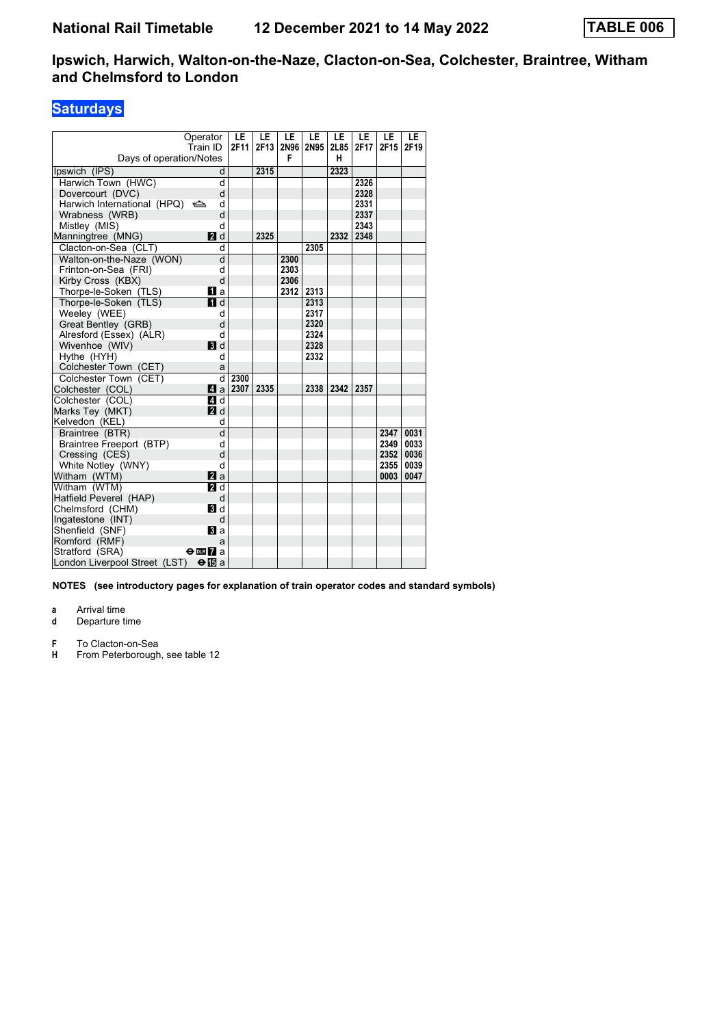#### **Saturdays**

| Operator                                        |                  | LE   | LE.  | LE   | LE.       | LE   | LE.  | LE.  | LE.  |
|-------------------------------------------------|------------------|------|------|------|-----------|------|------|------|------|
| Train ID                                        |                  | 2F11 | 2F13 |      | 2N96 2N95 | 2L85 | 2F17 | 2F15 | 2F19 |
| Days of operation/Notes                         |                  |      |      | F    |           | н    |      |      |      |
| Ipswich (IPS)                                   | d                |      | 2315 |      |           | 2323 |      |      |      |
| Harwich Town (HWC)                              | d                |      |      |      |           |      | 2326 |      |      |
| Dovercourt (DVC)                                | d                |      |      |      |           |      | 2328 |      |      |
| Harwich International (HPQ)                     | d                |      |      |      |           |      | 2331 |      |      |
| Wrabness (WRB)                                  | d                |      |      |      |           |      | 2337 |      |      |
| Mistley (MIS)                                   | d                |      |      |      |           |      | 2343 |      |      |
| Manningtree (MNG)                               | 2d               |      | 2325 |      |           | 2332 | 2348 |      |      |
| Clacton-on-Sea (CLT)                            | d                |      |      |      | 2305      |      |      |      |      |
| Walton-on-the-Naze (WON)                        | d                |      |      | 2300 |           |      |      |      |      |
| Frinton-on-Sea (FRI)                            | d                |      |      | 2303 |           |      |      |      |      |
| Kirby Cross (KBX)                               | d                |      |      | 2306 |           |      |      |      |      |
| Thorpe-le-Soken (TLS)                           | $\blacksquare$ a |      |      | 2312 | 2313      |      |      |      |      |
| Thorpe-le-Soken (TLS)                           | $\P$ d           |      |      |      | 2313      |      |      |      |      |
| Weeley (WEE)                                    | d                |      |      |      | 2317      |      |      |      |      |
| Great Bentley (GRB)                             | d                |      |      |      | 2320      |      |      |      |      |
| Alresford (Essex) (ALR)                         | d                |      |      |      | 2324      |      |      |      |      |
| Wivenhoe (WIV)                                  | <b>3</b> d       |      |      |      | 2328      |      |      |      |      |
| Hythe (HYH)                                     | d                |      |      |      | 2332      |      |      |      |      |
| Colchester Town (CET)                           | a                |      |      |      |           |      |      |      |      |
| Colchester Town (CET)                           | d                | 2300 |      |      |           |      |      |      |      |
| Colchester (COL)                                | $\blacksquare$ a | 2307 | 2335 |      | 2338      | 2342 | 2357 |      |      |
| Colchester (COL)                                | $\overline{a}$ d |      |      |      |           |      |      |      |      |
| Marks Tey (MKT)                                 | $\blacksquare$   |      |      |      |           |      |      |      |      |
| Kelvedon (KEL)                                  | d                |      |      |      |           |      |      |      |      |
| Braintree (BTR)                                 | d                |      |      |      |           |      |      | 2347 | 0031 |
| Braintree Freeport (BTP)                        | d                |      |      |      |           |      |      | 2349 | 0033 |
| Cressing (CES)                                  | d                |      |      |      |           |      |      | 2352 | 0036 |
| White Notley (WNY)                              | d                |      |      |      |           |      |      | 2355 | 0039 |
| Witham (WTM)                                    | 2a               |      |      |      |           |      |      | 0003 | 0047 |
| Witham (WTM)                                    | 21 d             |      |      |      |           |      |      |      |      |
| Hatfield Peverel (HAP)                          | d                |      |      |      |           |      |      |      |      |
| Chelmsford (CHM)                                | 3d               |      |      |      |           |      |      |      |      |
| Ingatestone (INT)                               | d                |      |      |      |           |      |      |      |      |
| Shenfield (SNF)                                 | Вa               |      |      |      |           |      |      |      |      |
| Romford (RMF)                                   | a                |      |      |      |           |      |      |      |      |
| Stratford (SRA)<br>$\Theta$ on $\overline{A}$ a |                  |      |      |      |           |      |      |      |      |
| London Liverpool Street (LST)<br>$\bigoplus$ a  |                  |      |      |      |           |      |      |      |      |

**NOTES (see introductory pages for explanation of train operator codes and standard symbols)**

**a** Arrival time

**d** Departure time

**F** To Clacton-on-Sea<br>**H** From Peterborough

From Peterborough, see table 12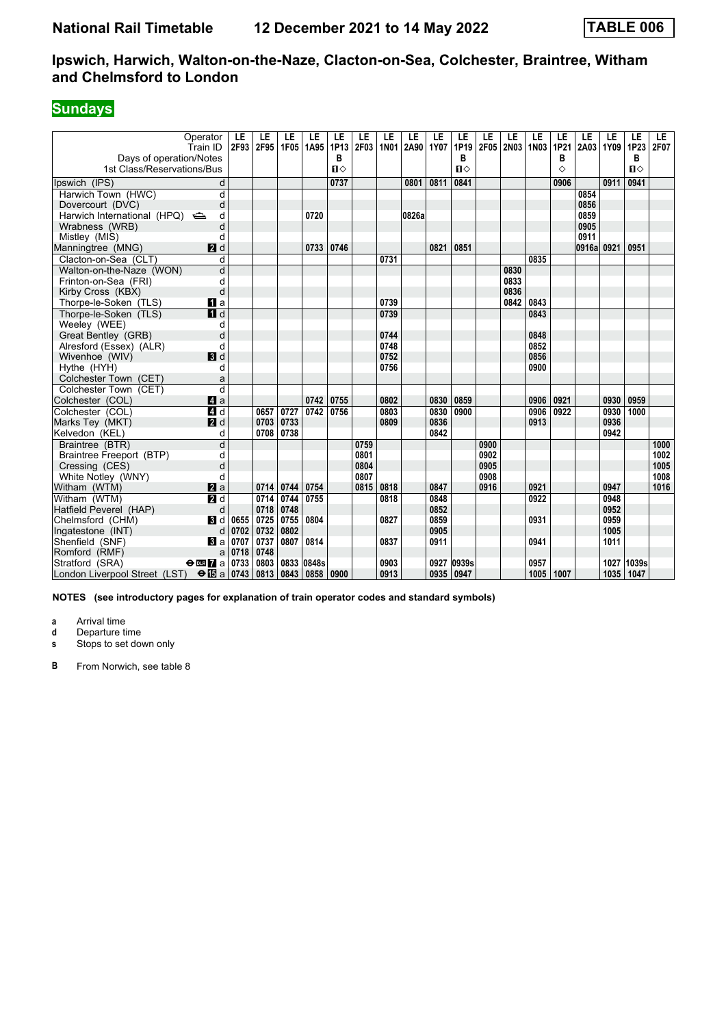# **Sundays**

|                                                           | Operator                     | LE<br>2F93 | LE<br>2F95 | LE<br>1F05 | LE   | LE<br>1P13   | LE<br>2F03 | LE   | LE<br>1N01 2A90 | LE<br>1Y07 | LE<br>1P19 | LE<br>2F05 | LE<br><b>2N03</b> | LE<br><b>1N03</b> | LE<br>1P21 | LE<br>2A03 1Y09 | LE   | LE<br>1P23   | LE.<br>2F07 |
|-----------------------------------------------------------|------------------------------|------------|------------|------------|------|--------------|------------|------|-----------------|------------|------------|------------|-------------------|-------------------|------------|-----------------|------|--------------|-------------|
| Days of operation/Notes                                   | Train ID                     |            |            |            | 1A95 | в            |            |      |                 |            | в          |            |                   |                   | в          |                 |      | в            |             |
| 1st Class/Reservations/Bus                                |                              |            |            |            |      | $\mathbf{u}$ |            |      |                 |            | $\P$       |            |                   |                   | ♦          |                 |      | $\mathbf{u}$ |             |
|                                                           |                              |            |            |            |      | 0737         |            |      | 0801            | 0811       | 0841       |            |                   |                   | 0906       |                 | 0911 | 0941         |             |
| Ipswich (IPS)                                             | d<br>d                       |            |            |            |      |              |            |      |                 |            |            |            |                   |                   |            | 0854            |      |              |             |
| Harwich Town (HWC)<br>Dovercourt (DVC)                    | d                            |            |            |            |      |              |            |      |                 |            |            |            |                   |                   |            | 0856            |      |              |             |
| Harwich International (HPQ)                               |                              |            |            |            | 0720 |              |            |      | 0826a           |            |            |            |                   |                   |            | 0859            |      |              |             |
| Wrabness (WRB)                                            | d<br>d                       |            |            |            |      |              |            |      |                 |            |            |            |                   |                   |            | 0905            |      |              |             |
| Mistley (MIS)                                             | d                            |            |            |            |      |              |            |      |                 |            |            |            |                   |                   |            | 0911            |      |              |             |
| Manningtree (MNG)                                         | <b>2</b> d                   |            |            |            | 0733 | 0746         |            |      |                 | 0821       | 0851       |            |                   |                   |            | 0916a 0921      |      | 0951         |             |
| Clacton-on-Sea (CLT)                                      | d                            |            |            |            |      |              |            | 0731 |                 |            |            |            |                   | 0835              |            |                 |      |              |             |
| Walton-on-the-Naze (WON)                                  | d                            |            |            |            |      |              |            |      |                 |            |            |            | 0830              |                   |            |                 |      |              |             |
| Frinton-on-Sea (FRI)                                      | d                            |            |            |            |      |              |            |      |                 |            |            |            | 0833              |                   |            |                 |      |              |             |
| Kirby Cross (KBX)                                         | d                            |            |            |            |      |              |            |      |                 |            |            |            | 0836              |                   |            |                 |      |              |             |
| Thorpe-le-Soken (TLS)                                     | <b>II</b> a                  |            |            |            |      |              |            | 0739 |                 |            |            |            | 0842              | 0843              |            |                 |      |              |             |
| Thorpe-le-Soken (TLS)                                     | $\blacksquare$               |            |            |            |      |              |            | 0739 |                 |            |            |            |                   | 0843              |            |                 |      |              |             |
| Weeley (WEE)                                              | d                            |            |            |            |      |              |            |      |                 |            |            |            |                   |                   |            |                 |      |              |             |
| Great Bentley (GRB)                                       | d                            |            |            |            |      |              |            | 0744 |                 |            |            |            |                   | 0848              |            |                 |      |              |             |
| Alresford (Essex) (ALR)                                   | d                            |            |            |            |      |              |            | 0748 |                 |            |            |            |                   | 0852              |            |                 |      |              |             |
| Wivenhoe (WIV)                                            | 3d                           |            |            |            |      |              |            | 0752 |                 |            |            |            |                   | 0856              |            |                 |      |              |             |
| Hythe (HYH)                                               | d                            |            |            |            |      |              |            | 0756 |                 |            |            |            |                   | 0900              |            |                 |      |              |             |
| Colchester Town (CET)                                     | a                            |            |            |            |      |              |            |      |                 |            |            |            |                   |                   |            |                 |      |              |             |
| Colchester Town (CET)                                     | d                            |            |            |            |      |              |            |      |                 |            |            |            |                   |                   |            |                 |      |              |             |
| Colchester (COL)                                          | $\blacksquare$ a             |            |            |            | 0742 | 0755         |            | 0802 |                 | 0830       | 0859       |            |                   | 0906              | 0921       |                 | 0930 | 0959         |             |
| Colchester (COL)                                          | $\overline{4}$ d             |            | 0657       | 0727       | 0742 | 0756         |            | 0803 |                 | 0830       | 0900       |            |                   | 0906              | 0922       |                 | 0930 | 1000         |             |
| Marks Tey (MKT)                                           | 2d                           |            | 0703       | 0733       |      |              |            | 0809 |                 | 0836       |            |            |                   | 0913              |            |                 | 0936 |              |             |
| Kelvedon (KEL)                                            | d                            |            | 0708       | 0738       |      |              |            |      |                 | 0842       |            |            |                   |                   |            |                 | 0942 |              |             |
| Braintree (BTR)                                           | d                            |            |            |            |      |              | 0759       |      |                 |            |            | 0900       |                   |                   |            |                 |      |              | 1000        |
| Braintree Freeport (BTP)                                  | d                            |            |            |            |      |              | 0801       |      |                 |            |            | 0902       |                   |                   |            |                 |      |              | 1002        |
| Cressing (CES)                                            | d                            |            |            |            |      |              | 0804       |      |                 |            |            | 0905       |                   |                   |            |                 |      |              | 1005        |
| White Notley (WNY)                                        | d                            |            |            |            |      |              | 0807       |      |                 |            |            | 0908       |                   |                   |            |                 |      |              | 1008        |
| Witham (WTM)                                              | 2a                           |            | 0714       | 0744       | 0754 |              | 0815       | 0818 |                 | 0847       |            | 0916       |                   | 0921              |            |                 | 0947 |              | 1016        |
| Witham (WTM)                                              | $\overline{\mathbf{p}}$ d    |            | 0714       | 0744       | 0755 |              |            | 0818 |                 | 0848       |            |            |                   | 0922              |            |                 | 0948 |              |             |
| Hatfield Peverel (HAP)                                    | d                            |            | 0718       | 0748       |      |              |            |      |                 | 0852       |            |            |                   |                   |            |                 | 0952 |              |             |
| Chelmsford (CHM)                                          | <b>B</b> d                   | 0655       | 0725       | 0755       | 0804 |              |            | 0827 |                 | 0859       |            |            |                   | 0931              |            |                 | 0959 |              |             |
| Ingatestone (INT)                                         | d                            | 0702       | 0732       | 0802       |      |              |            |      |                 | 0905       |            |            |                   |                   |            |                 | 1005 |              |             |
| Shenfield (SNF)                                           | $\mathbf{B}$ a               | 0707       | 0737       | 0807       | 0814 |              |            | 0837 |                 | 0911       |            |            |                   | 0941              |            |                 | 1011 |              |             |
| Romford (RMF)                                             | a                            | 0718       | 0748       |            |      |              |            |      |                 |            |            |            |                   |                   |            |                 |      |              |             |
| Stratford (SRA)                                           | $\Theta$ DR $\overline{A}$ a | 0733       | 0803       | 0833 0848s |      |              |            | 0903 |                 | 0927       | 0939s      |            |                   | 0957              |            |                 | 1027 | 1039s        |             |
| London Liverpool Street (LST) $\Theta$ $\boxed{6}$ a 0743 |                              |            | 0813       | 0843       | 0858 | 0900         |            | 0913 |                 | 0935       | 0947       |            |                   | 1005              | 1007       |                 | 1035 | 1047         |             |

**NOTES (see introductory pages for explanation of train operator codes and standard symbols)**

**a** Arrival time<br>**d** Departure ti

**d** Departure time

**s** Stops to set down only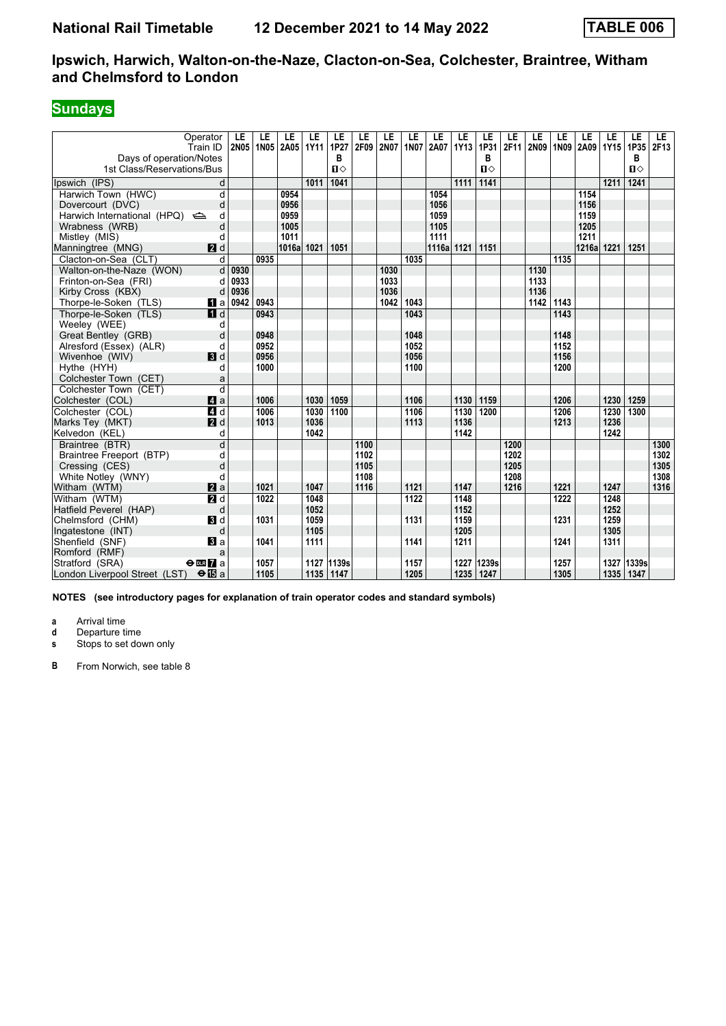# **Sundays**

| Days of operation/Notes                            | Operator<br>Train ID          | LE<br>2N05 | LE<br>1N05 | LE<br>2A05 | LE<br><b>1Y11</b> | LE<br>1P27<br>в | LE<br>2F09 | LE<br>2N07 | LE<br><b>1N07</b> | LE    | LE<br>2A07 1Y13 | LE<br>1P31<br>в | LE<br>2F11 | LE<br>2N09 | LE   | LE<br>1N09 2A09 1Y15 | LE   | LE<br>1P35<br>в | LE.<br>2F13 |
|----------------------------------------------------|-------------------------------|------------|------------|------------|-------------------|-----------------|------------|------------|-------------------|-------|-----------------|-----------------|------------|------------|------|----------------------|------|-----------------|-------------|
| 1st Class/Reservations/Bus                         |                               |            |            |            |                   | $\mathbf{u}$    |            |            |                   |       |                 | $\P$            |            |            |      |                      |      | $\P$            |             |
| Ipswich (IPS)                                      | d                             |            |            |            | 1011              | 1041            |            |            |                   |       | 1111            | 1141            |            |            |      |                      | 1211 | 1241            |             |
| Harwich Town (HWC)                                 | d                             |            |            | 0954       |                   |                 |            |            |                   | 1054  |                 |                 |            |            |      | 1154                 |      |                 |             |
| Dovercourt (DVC)                                   | d                             |            |            | 0956       |                   |                 |            |            |                   | 1056  |                 |                 |            |            |      | 1156                 |      |                 |             |
| Harwich International (HPQ)                        | d                             |            |            | 0959       |                   |                 |            |            |                   | 1059  |                 |                 |            |            |      | 1159                 |      |                 |             |
| Wrabness (WRB)                                     | d                             |            |            | 1005       |                   |                 |            |            |                   | 1105  |                 |                 |            |            |      | 1205                 |      |                 |             |
| Mistley (MIS)                                      | d                             |            |            | 1011       |                   |                 |            |            |                   | 1111  |                 |                 |            |            |      | 1211                 |      |                 |             |
| Manningtree (MNG)                                  | <b>2</b> d                    |            |            | 1016a      | 1021              | 1051            |            |            |                   | 1116a | 1121            | 1151            |            |            |      | 1216a                | 1221 | 1251            |             |
| Clacton-on-Sea (CLT)                               | d                             |            | 0935       |            |                   |                 |            |            | 1035              |       |                 |                 |            |            | 1135 |                      |      |                 |             |
| Walton-on-the-Naze (WON)                           | d                             | 0930       |            |            |                   |                 |            | 1030       |                   |       |                 |                 |            | 1130       |      |                      |      |                 |             |
| Frinton-on-Sea (FRI)                               | d                             | 0933       |            |            |                   |                 |            | 1033       |                   |       |                 |                 |            | 1133       |      |                      |      |                 |             |
| Kirby Cross (KBX)                                  | d                             | 0936       |            |            |                   |                 |            | 1036       |                   |       |                 |                 |            | 1136       |      |                      |      |                 |             |
| Thorpe-le-Soken (TLS)                              | $\blacksquare$ a              | 0942       | 0943       |            |                   |                 |            | 1042       | 1043              |       |                 |                 |            | 1142       | 1143 |                      |      |                 |             |
| Thorpe-le-Soken (TLS)                              | $\overline{H}$ d              |            | 0943       |            |                   |                 |            |            | 1043              |       |                 |                 |            |            | 1143 |                      |      |                 |             |
| Weelev (WEE)                                       | d                             |            |            |            |                   |                 |            |            |                   |       |                 |                 |            |            |      |                      |      |                 |             |
| Great Bentley (GRB)                                | d                             |            | 0948       |            |                   |                 |            |            | 1048              |       |                 |                 |            |            | 1148 |                      |      |                 |             |
| Alresford (Essex) (ALR)                            | d                             |            | 0952       |            |                   |                 |            |            | 1052              |       |                 |                 |            |            | 1152 |                      |      |                 |             |
| Wivenhoe (WIV)                                     | $\blacksquare$                |            | 0956       |            |                   |                 |            |            | 1056              |       |                 |                 |            |            | 1156 |                      |      |                 |             |
| Hythe (HYH)                                        | d                             |            | 1000       |            |                   |                 |            |            | 1100              |       |                 |                 |            |            | 1200 |                      |      |                 |             |
| Colchester Town (CET)                              | a                             |            |            |            |                   |                 |            |            |                   |       |                 |                 |            |            |      |                      |      |                 |             |
| Colchester Town (CET)                              | d                             |            |            |            |                   |                 |            |            |                   |       |                 |                 |            |            |      |                      |      |                 |             |
| Colchester (COL)                                   | $\mathbf{A}$ a                |            | 1006       |            | 1030              | 1059            |            |            | 1106              |       | 1130            | 1159            |            |            | 1206 |                      | 1230 | 1259            |             |
| Colchester (COL)                                   | $\overline{A}$ d              |            | 1006       |            | 1030              | 1100            |            |            | 1106              |       | 1130            | 1200            |            |            | 1206 |                      | 1230 | 1300            |             |
| Marks Tev (MKT)                                    | 2d                            |            | 1013       |            | 1036              |                 |            |            | 1113              |       | 1136            |                 |            |            | 1213 |                      | 1236 |                 |             |
| Kelvedon (KEL)                                     | d                             |            |            |            | 1042              |                 |            |            |                   |       | 1142            |                 |            |            |      |                      | 1242 |                 |             |
| Braintree (BTR)                                    | d                             |            |            |            |                   |                 | 1100       |            |                   |       |                 |                 | 1200       |            |      |                      |      |                 | 1300        |
| Braintree Freeport (BTP)                           | d                             |            |            |            |                   |                 | 1102       |            |                   |       |                 |                 | 1202       |            |      |                      |      |                 | 1302        |
| Cressing (CES)                                     | d                             |            |            |            |                   |                 | 1105       |            |                   |       |                 |                 | 1205       |            |      |                      |      |                 | 1305        |
| White Notley (WNY)                                 | d                             |            |            |            |                   |                 | 1108       |            |                   |       |                 |                 | 1208       |            |      |                      |      |                 | 1308        |
| Witham (WTM)                                       | <b>2</b> a                    |            | 1021       |            | 1047              |                 | 1116       |            | 1121              |       | 1147            |                 | 1216       |            | 1221 |                      | 1247 |                 | 1316        |
| Witham (WTM)                                       | $\overline{\mathbf{p}}$ d     |            | 1022       |            | 1048              |                 |            |            | 1122              |       | 1148            |                 |            |            | 1222 |                      | 1248 |                 |             |
| Hatfield Peverel (HAP)                             | d                             |            |            |            | 1052              |                 |            |            |                   |       | 1152            |                 |            |            |      |                      | 1252 |                 |             |
| Chelmsford (CHM)                                   | <b>B</b> Id                   |            | 1031       |            | 1059              |                 |            |            | 1131              |       | 1159            |                 |            |            | 1231 |                      | 1259 |                 |             |
| Ingatestone (INT)                                  | d                             |            |            |            | 1105              |                 |            |            |                   |       | 1205            |                 |            |            |      |                      | 1305 |                 |             |
| Shenfield (SNF)                                    | $\mathbf{B}$ a                |            | 1041       |            | 1111              |                 |            |            | 1141              |       | 1211            |                 |            |            | 1241 |                      | 1311 |                 |             |
| Romford (RMF)                                      | a                             |            |            |            |                   |                 |            |            |                   |       |                 |                 |            |            |      |                      |      |                 |             |
| Stratford (SRA)                                    | $\Theta$ DER $\overline{A}$ a |            | 1057       |            |                   | 1127 1139s      |            |            | 1157              |       |                 | 1227 1239s      |            |            | 1257 |                      | 1327 | 1339s           |             |
| London Liverpool Street (LST) $\Theta$ <b>is</b> a |                               |            | 1105       |            | 1135              | 1147            |            |            | 1205              |       |                 | 1235 1247       |            |            | 1305 |                      | 1335 | 1347            |             |

**NOTES (see introductory pages for explanation of train operator codes and standard symbols)**

**a** Arrival time<br>**d** Departure ti

**d** Departure time

**s** Stops to set down only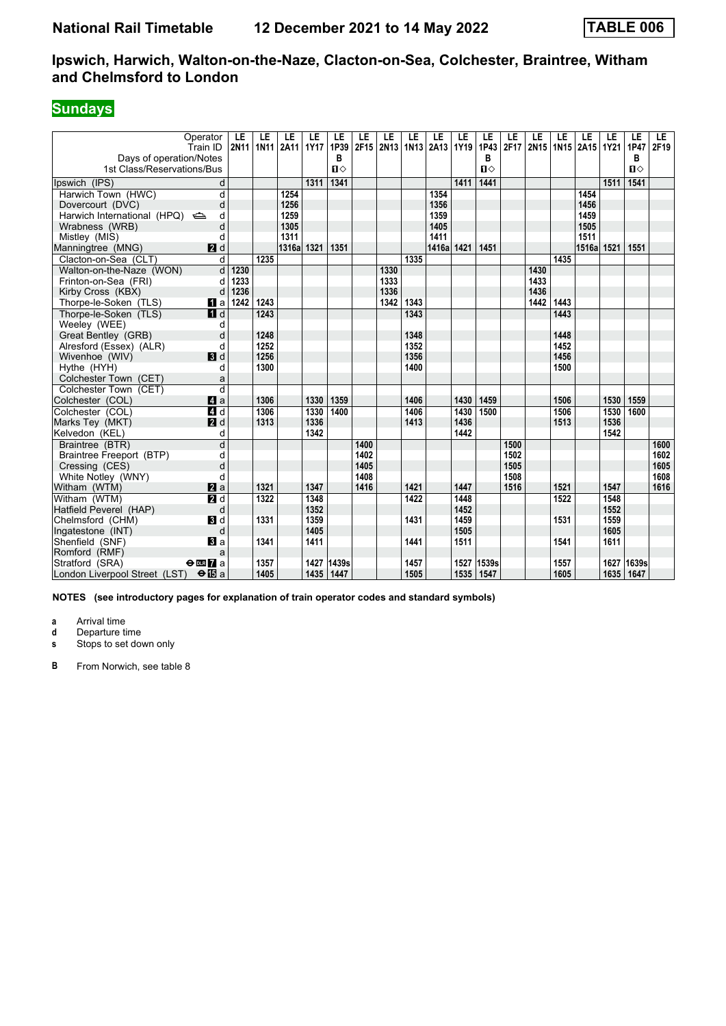# **Sundays**

|                                                    | Operator<br>Train ID         | LE<br>2N11 | LE<br><b>1N11</b> | LE<br>2A11 | LE<br><b>1Y17</b> | LE<br>1P39   | LE   | LE<br>2F15 2N13 1N13 2A13 | LE   | LE         | LE<br><b>1Y19</b> | LE<br>1P43   | LE<br>2F17 | LE   | LE   | LE<br>2N15   1N15   2A15   1Y21 | LE   | LE<br>1P47   | LE.<br>2F19 |
|----------------------------------------------------|------------------------------|------------|-------------------|------------|-------------------|--------------|------|---------------------------|------|------------|-------------------|--------------|------------|------|------|---------------------------------|------|--------------|-------------|
| Days of operation/Notes                            |                              |            |                   |            |                   | в            |      |                           |      |            |                   | в            |            |      |      |                                 |      | в            |             |
| 1st Class/Reservations/Bus                         |                              |            |                   |            |                   | $\mathbf{u}$ |      |                           |      |            |                   | $\mathbf{u}$ |            |      |      |                                 |      | $\mathbf{u}$ |             |
| Ipswich (IPS)                                      | d                            |            |                   |            | 1311              | 1341         |      |                           |      |            | 1411              | 1441         |            |      |      |                                 | 1511 | 1541         |             |
| Harwich Town (HWC)                                 | d                            |            |                   | 1254       |                   |              |      |                           |      | 1354       |                   |              |            |      |      | 1454                            |      |              |             |
| Dovercourt (DVC)                                   | d                            |            |                   | 1256       |                   |              |      |                           |      | 1356       |                   |              |            |      |      | 1456                            |      |              |             |
| Harwich International (HPQ)                        | d                            |            |                   | 1259       |                   |              |      |                           |      | 1359       |                   |              |            |      |      | 1459                            |      |              |             |
| Wrabness (WRB)                                     | d                            |            |                   | 1305       |                   |              |      |                           |      | 1405       |                   |              |            |      |      | 1505                            |      |              |             |
| Mistley (MIS)                                      | d                            |            |                   | 1311       |                   |              |      |                           |      | 1411       |                   |              |            |      |      | 1511                            |      |              |             |
| Manningtree (MNG)                                  | 2d                           |            |                   | 1316al     | 1321              | 1351         |      |                           |      | 1416a 1421 |                   | 1451         |            |      |      | 1516a 1521                      |      | 1551         |             |
| Clacton-on-Sea (CLT)                               | d                            |            | 1235              |            |                   |              |      |                           | 1335 |            |                   |              |            |      | 1435 |                                 |      |              |             |
| Walton-on-the-Naze (WON)                           | d                            | 1230       |                   |            |                   |              |      | 1330                      |      |            |                   |              |            | 1430 |      |                                 |      |              |             |
| Frinton-on-Sea (FRI)                               | d                            | 1233       |                   |            |                   |              |      | 1333                      |      |            |                   |              |            | 1433 |      |                                 |      |              |             |
| Kirby Cross (KBX)                                  | d                            | 1236       |                   |            |                   |              |      | 1336                      |      |            |                   |              |            | 1436 |      |                                 |      |              |             |
| Thorpe-le-Soken (TLS)                              | $\blacksquare$ a             | 1242       | 1243              |            |                   |              |      | 1342                      | 1343 |            |                   |              |            | 1442 | 1443 |                                 |      |              |             |
| Thorpe-le-Soken (TLS)                              | $\overline{\mathbf{H}}$ d    |            | 1243              |            |                   |              |      |                           | 1343 |            |                   |              |            |      | 1443 |                                 |      |              |             |
| Weeley (WEE)                                       | d                            |            |                   |            |                   |              |      |                           |      |            |                   |              |            |      |      |                                 |      |              |             |
| Great Bentley (GRB)                                | d                            |            | 1248              |            |                   |              |      |                           | 1348 |            |                   |              |            |      | 1448 |                                 |      |              |             |
| Alresford (Essex) (ALR)                            | d                            |            | 1252              |            |                   |              |      |                           | 1352 |            |                   |              |            |      | 1452 |                                 |      |              |             |
| Wivenhoe (WIV)                                     | 3d                           |            | 1256              |            |                   |              |      |                           | 1356 |            |                   |              |            |      | 1456 |                                 |      |              |             |
| Hythe (HYH)                                        | d                            |            | 1300              |            |                   |              |      |                           | 1400 |            |                   |              |            |      | 1500 |                                 |      |              |             |
| Colchester Town (CET)                              | a                            |            |                   |            |                   |              |      |                           |      |            |                   |              |            |      |      |                                 |      |              |             |
| Colchester Town (CET)                              | d                            |            |                   |            |                   |              |      |                           |      |            |                   |              |            |      |      |                                 |      |              |             |
| Colchester (COL)                                   | $\blacksquare$ a             |            | 1306              |            | 1330              | 1359         |      |                           | 1406 |            | 1430              | 1459         |            |      | 1506 |                                 | 1530 | 1559         |             |
| Colchester (COL)                                   | $\blacksquare$               |            | 1306              |            | 1330              | 1400         |      |                           | 1406 |            | 1430              | 1500         |            |      | 1506 |                                 | 1530 | 1600         |             |
| Marks Tey (MKT)                                    | 2d                           |            | 1313              |            | 1336              |              |      |                           | 1413 |            | 1436              |              |            |      | 1513 |                                 | 1536 |              |             |
| Kelvedon (KEL)                                     | d                            |            |                   |            | 1342              |              |      |                           |      |            | 1442              |              |            |      |      |                                 | 1542 |              |             |
| Braintree (BTR)                                    | d                            |            |                   |            |                   |              | 1400 |                           |      |            |                   |              | 1500       |      |      |                                 |      |              | 1600        |
| Braintree Freeport (BTP)                           | d                            |            |                   |            |                   |              | 1402 |                           |      |            |                   |              | 1502       |      |      |                                 |      |              | 1602        |
| Cressing (CES)                                     | d                            |            |                   |            |                   |              | 1405 |                           |      |            |                   |              | 1505       |      |      |                                 |      |              | 1605        |
| White Notley (WNY)                                 | d                            |            |                   |            |                   |              | 1408 |                           |      |            |                   |              | 1508       |      |      |                                 |      |              | 1608        |
| Witham (WTM)                                       | $\mathbf{z}$ a               |            | 1321              |            | 1347              |              | 1416 |                           | 1421 |            | 1447              |              | 1516       |      | 1521 |                                 | 1547 |              | 1616        |
| Witham (WTM)                                       | $\overline{\mathbf{p}}$ d    |            | 1322              |            | 1348              |              |      |                           | 1422 |            | 1448              |              |            |      | 1522 |                                 | 1548 |              |             |
| Hatfield Peverel (HAP)                             | d                            |            |                   |            | 1352              |              |      |                           |      |            | 1452              |              |            |      |      |                                 | 1552 |              |             |
| Chelmsford (CHM)                                   | $\mathbf{B}$ d               |            | 1331              |            | 1359              |              |      |                           | 1431 |            | 1459              |              |            |      | 1531 |                                 | 1559 |              |             |
| Ingatestone (INT)                                  | d                            |            |                   |            | 1405              |              |      |                           |      |            | 1505              |              |            |      |      |                                 | 1605 |              |             |
| Shenfield (SNF)                                    | <b>El</b> a                  |            | 1341              |            | 1411              |              |      |                           | 1441 |            | 1511              |              |            |      | 1541 |                                 | 1611 |              |             |
| Romford (RMF)                                      | a                            |            |                   |            |                   |              |      |                           |      |            |                   |              |            |      |      |                                 |      |              |             |
| Stratford (SRA)                                    | $\Theta$ or $\overline{A}$ a |            | 1357              |            |                   | 1427 1439s   |      |                           | 1457 |            |                   | 1527 1539s   |            |      | 1557 |                                 | 1627 | 1639s        |             |
| London Liverpool Street (LST) $\Theta$ <b>is</b> a |                              |            | 1405              |            | 1435              | 1447         |      |                           | 1505 |            | 1535 1547         |              |            |      | 1605 |                                 | 1635 | 1647         |             |

**NOTES (see introductory pages for explanation of train operator codes and standard symbols)**

**a** Arrival time<br>**d** Departure ti

**d** Departure time

**s** Stops to set down only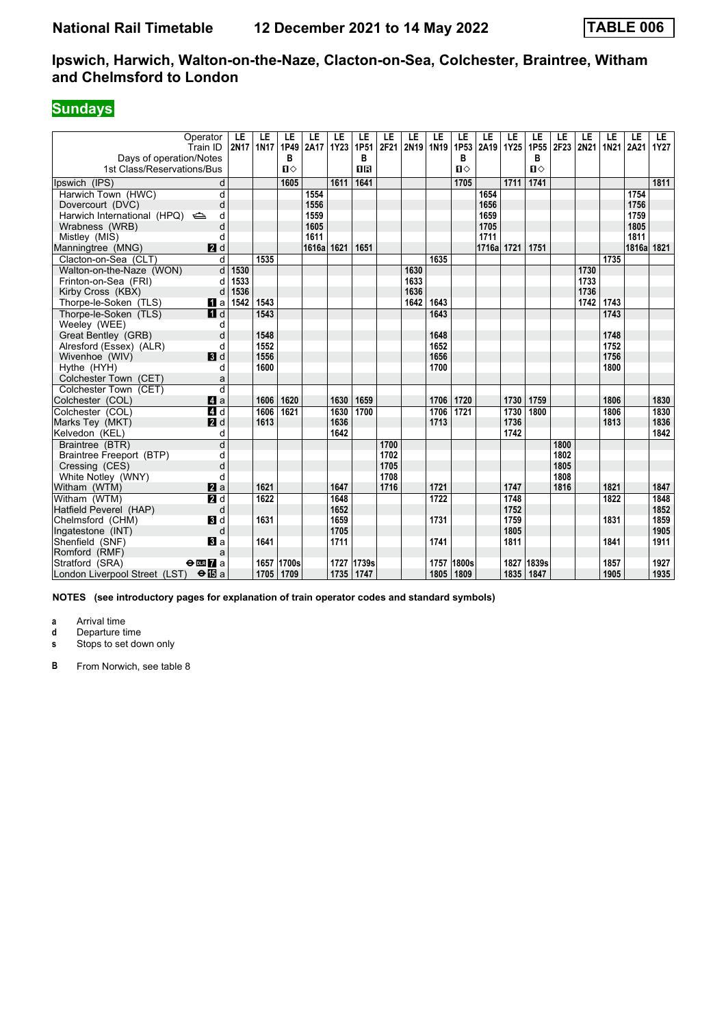# **Sundays**

|                                             | Operator<br>Train ID          | LE<br><b>2N17</b> | LE<br>1N17 | LE<br>1P49   | LE<br>2A17 | LE<br><b>1Y23</b> | LE<br>1P51 | LE   | LE<br>2F21 2N19 1N19 | LE   | LE<br>1P53 | LE<br>2A19 1Y25 | LE   | LE<br>1P55 | LE<br>2F23 | LE<br><b>2N21</b> | LE<br>1N21 | LE<br>2A21 | LE.<br><b>1Y27</b> |
|---------------------------------------------|-------------------------------|-------------------|------------|--------------|------------|-------------------|------------|------|----------------------|------|------------|-----------------|------|------------|------------|-------------------|------------|------------|--------------------|
| Days of operation/Notes                     |                               |                   |            | B            |            |                   | B          |      |                      |      | В          |                 |      | в          |            |                   |            |            |                    |
| 1st Class/Reservations/Bus                  |                               |                   |            | $\mathbf{u}$ |            |                   | <b>OR</b>  |      |                      |      | $\P$       |                 |      | $\Pi$      |            |                   |            |            |                    |
| Ipswich (IPS)                               | d                             |                   |            | 1605         |            | 1611              | 1641       |      |                      |      | 1705       |                 | 1711 | 1741       |            |                   |            |            | 1811               |
| Harwich Town (HWC)                          | d                             |                   |            |              | 1554       |                   |            |      |                      |      |            | 1654            |      |            |            |                   |            | 1754       |                    |
| Dovercourt (DVC)                            | d                             |                   |            |              | 1556       |                   |            |      |                      |      |            | 1656            |      |            |            |                   |            | 1756       |                    |
| Harwich International (HPQ)                 | d                             |                   |            |              | 1559       |                   |            |      |                      |      |            | 1659            |      |            |            |                   |            | 1759       |                    |
| Wrabness (WRB)                              | d                             |                   |            |              | 1605       |                   |            |      |                      |      |            | 1705            |      |            |            |                   |            | 1805       |                    |
| Mistley (MIS)                               | d                             |                   |            |              | 1611       |                   |            |      |                      |      |            | 1711            |      |            |            |                   |            | 1811       |                    |
| Manningtree (MNG)                           | 2d                            |                   |            |              | 1616a      | 1621              | 1651       |      |                      |      |            | 1716a 1721      |      | 1751       |            |                   |            | 1816a 1821 |                    |
| Clacton-on-Sea (CLT)                        | d                             |                   | 1535       |              |            |                   |            |      |                      | 1635 |            |                 |      |            |            |                   | 1735       |            |                    |
| Walton-on-the-Naze (WON)                    | d                             | 1530              |            |              |            |                   |            |      | 1630                 |      |            |                 |      |            |            | 1730              |            |            |                    |
| Frinton-on-Sea (FRI)                        | d                             | 1533              |            |              |            |                   |            |      | 1633                 |      |            |                 |      |            |            | 1733              |            |            |                    |
| Kirby Cross (KBX)                           | d                             | 1536              |            |              |            |                   |            |      | 1636                 |      |            |                 |      |            |            | 1736              |            |            |                    |
| Thorpe-le-Soken (TLS)                       | $\blacksquare$ a              | 1542              | 1543       |              |            |                   |            |      | 1642                 | 1643 |            |                 |      |            |            | 1742              | 1743       |            |                    |
| Thorpe-le-Soken (TLS)                       | $\blacksquare$                |                   | 1543       |              |            |                   |            |      |                      | 1643 |            |                 |      |            |            |                   | 1743       |            |                    |
| Weeley (WEE)                                | d                             |                   |            |              |            |                   |            |      |                      |      |            |                 |      |            |            |                   |            |            |                    |
| Great Bentley (GRB)                         | d                             |                   | 1548       |              |            |                   |            |      |                      | 1648 |            |                 |      |            |            |                   | 1748       |            |                    |
| Alresford (Essex) (ALR)                     | d                             |                   | 1552       |              |            |                   |            |      |                      | 1652 |            |                 |      |            |            |                   | 1752       |            |                    |
| Wivenhoe (WIV)                              | 3d                            |                   | 1556       |              |            |                   |            |      |                      | 1656 |            |                 |      |            |            |                   | 1756       |            |                    |
| Hythe (HYH)                                 | d                             |                   | 1600       |              |            |                   |            |      |                      | 1700 |            |                 |      |            |            |                   | 1800       |            |                    |
| Colchester Town (CET)                       | a                             |                   |            |              |            |                   |            |      |                      |      |            |                 |      |            |            |                   |            |            |                    |
| Colchester Town (CET)                       | d                             |                   |            |              |            |                   |            |      |                      |      |            |                 |      |            |            |                   |            |            |                    |
| Colchester (COL)                            | $\blacksquare$ a              |                   | 1606       | 1620         |            | 1630              | 1659       |      |                      | 1706 | 1720       |                 | 1730 | 1759       |            |                   | 1806       |            | 1830               |
| Colchester (COL)                            | 4d                            |                   | 1606       | 1621         |            | 1630              | 1700       |      |                      | 1706 | 1721       |                 | 1730 | 1800       |            |                   | 1806       |            | 1830               |
| Marks Tey (MKT)                             | 2d                            |                   | 1613       |              |            | 1636              |            |      |                      | 1713 |            |                 | 1736 |            |            |                   | 1813       |            | 1836               |
| Kelvedon (KEL)                              | d                             |                   |            |              |            | 1642              |            |      |                      |      |            |                 | 1742 |            |            |                   |            |            | 1842               |
| Braintree (BTR)                             | d                             |                   |            |              |            |                   |            | 1700 |                      |      |            |                 |      |            | 1800       |                   |            |            |                    |
| Braintree Freeport (BTP)                    | d                             |                   |            |              |            |                   |            | 1702 |                      |      |            |                 |      |            | 1802       |                   |            |            |                    |
| Cressing (CES)                              | d                             |                   |            |              |            |                   |            | 1705 |                      |      |            |                 |      |            | 1805       |                   |            |            |                    |
| White Notley (WNY)                          | d                             |                   |            |              |            |                   |            | 1708 |                      |      |            |                 |      |            | 1808       |                   |            |            |                    |
| Witham (WTM)                                | a                             |                   | 1621       |              |            | 1647              |            | 1716 |                      | 1721 |            |                 | 1747 |            | 1816       |                   | 1821       |            | 1847               |
| Witham (WTM)                                | $\overline{P}$ d              |                   | 1622       |              |            | 1648              |            |      |                      | 1722 |            |                 | 1748 |            |            |                   | 1822       |            | 1848               |
| Hatfield Peverel (HAP)                      | d                             |                   |            |              |            | 1652              |            |      |                      |      |            |                 | 1752 |            |            |                   |            |            | 1852               |
| Chelmsford (CHM)                            | 3d                            |                   | 1631       |              |            | 1659              |            |      |                      | 1731 |            |                 | 1759 |            |            |                   | 1831       |            | 1859               |
| Ingatestone (INT)                           | d                             |                   |            |              |            | 1705              |            |      |                      |      |            |                 | 1805 |            |            |                   |            |            | 1905               |
| Shenfield (SNF)                             | $\mathbf{B}$ a                |                   | 1641       |              |            | 1711              |            |      |                      | 1741 |            |                 | 1811 |            |            |                   | 1841       |            | 1911               |
| Romford (RMF)                               | a                             |                   |            |              |            |                   |            |      |                      |      |            |                 |      |            |            |                   |            |            |                    |
| Stratford (SRA)                             | $\Theta$ DER $\overline{A}$ a |                   |            | 1657 1700s   |            | 1727              | 1739s      |      |                      | 1757 | 1800s      |                 | 1827 | 1839s      |            |                   | 1857       |            | 1927               |
| London Liverpool Street (LST) <b>⊖ iB</b> a |                               |                   | 1705       | 1709         |            | 1735              | 1747       |      |                      | 1805 | 1809       |                 | 1835 | 1847       |            |                   | 1905       |            | 1935               |

**NOTES (see introductory pages for explanation of train operator codes and standard symbols)**

**a** Arrival time<br>**d** Departure ti

**d** Departure time

**s** Stops to set down only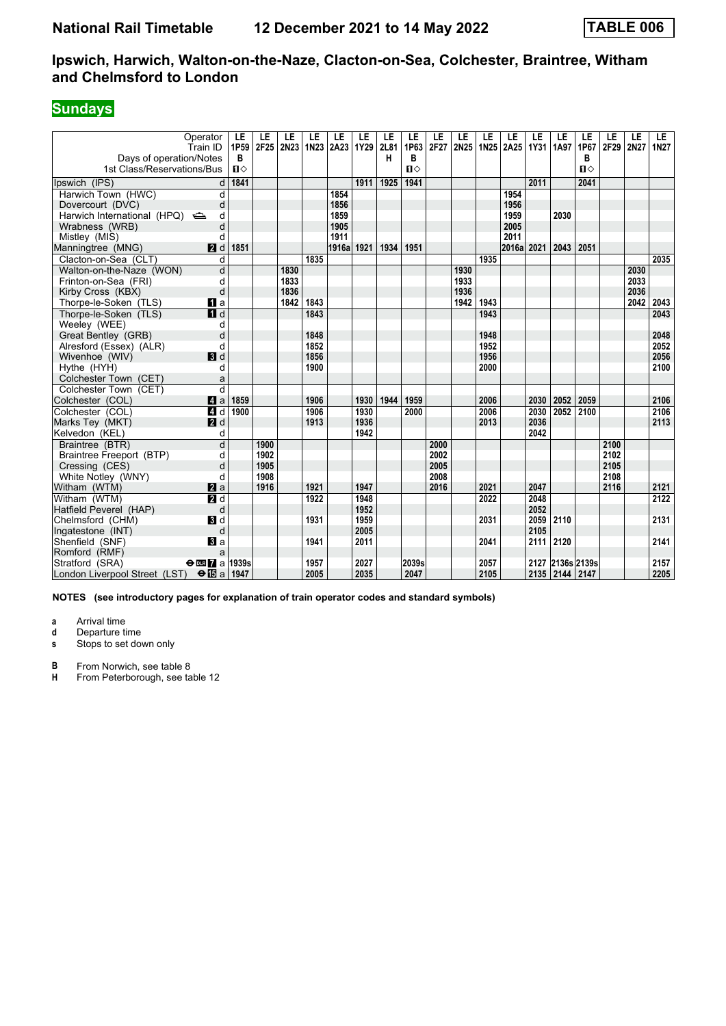## **Sundays**

| Operator<br>Train ID                                    | LE<br>1P59        | LE<br>2F25 | LE<br>2N23 | LE<br>1N23 | LE<br>2A23 | LE<br>1Y29 | LE<br>2L81 | LE<br>1P63 | LE<br>2F27 | LE<br>2N25 | LE<br>1N25 | LE<br>  2A25   1Y31 | LE   | LE<br>1A97  | LE<br>1P67 | LE<br>2F29 | LE<br>2N27 | LE<br>1N27 |
|---------------------------------------------------------|-------------------|------------|------------|------------|------------|------------|------------|------------|------------|------------|------------|---------------------|------|-------------|------------|------------|------------|------------|
| Days of operation/Notes<br>1st Class/Reservations/Bus   | в<br>$\mathbf{u}$ |            |            |            |            |            | н          | В<br>$\P$  |            |            |            |                     |      |             | в<br>$\P$  |            |            |            |
| Ipswich (IPS)                                           | 1841<br>d         |            |            |            |            | 1911       | 1925       | 1941       |            |            |            |                     | 2011 |             | 2041       |            |            |            |
| Harwich Town (HWC)                                      | d                 |            |            |            | 1854       |            |            |            |            |            |            | 1954                |      |             |            |            |            |            |
| Dovercourt (DVC)                                        | d                 |            |            |            | 1856       |            |            |            |            |            |            | 1956                |      |             |            |            |            |            |
| Harwich International (HPQ)                             | d                 |            |            |            | 1859       |            |            |            |            |            |            | 1959                |      | 2030        |            |            |            |            |
| Wrabness (WRB)                                          | d                 |            |            |            | 1905       |            |            |            |            |            |            | 2005                |      |             |            |            |            |            |
| Mistley (MIS)                                           | d                 |            |            |            | 1911       |            |            |            |            |            |            | 2011                |      |             |            |            |            |            |
| 2d<br>Manningtree (MNG)                                 | 1851              |            |            |            | 1916a      | 1921       | 1934       | 1951       |            |            |            | 2016a 2021          |      | 2043        | 2051       |            |            |            |
| Clacton-on-Sea (CLT)                                    | d                 |            |            | 1835       |            |            |            |            |            |            | 1935       |                     |      |             |            |            |            | 2035       |
| Walton-on-the-Naze (WON)                                | d                 |            | 1830       |            |            |            |            |            |            | 1930       |            |                     |      |             |            |            | 2030       |            |
| Frinton-on-Sea (FRI)                                    | d                 |            | 1833       |            |            |            |            |            |            | 1933       |            |                     |      |             |            |            | 2033       |            |
| Kirby Cross (KBX)                                       | d                 |            | 1836       |            |            |            |            |            |            | 1936       |            |                     |      |             |            |            | 2036       |            |
| Thorpe-le-Soken (TLS)<br>$\blacksquare$ a               |                   |            | 1842       | 1843       |            |            |            |            |            | 1942       | 1943       |                     |      |             |            |            | 2042       | 2043       |
| $\P$ d<br>Thorpe-le-Soken (TLS)                         |                   |            |            | 1843       |            |            |            |            |            |            | 1943       |                     |      |             |            |            |            | 2043       |
| Weelev (WEE)                                            | d                 |            |            |            |            |            |            |            |            |            |            |                     |      |             |            |            |            |            |
| Great Bentley (GRB)                                     | d                 |            |            | 1848       |            |            |            |            |            |            | 1948       |                     |      |             |            |            |            | 2048       |
| Alresford (Essex) (ALR)                                 | d                 |            |            | 1852       |            |            |            |            |            |            | 1952       |                     |      |             |            |            |            | 2052       |
| $\blacksquare$<br>Wivenhoe (WIV)                        |                   |            |            | 1856       |            |            |            |            |            |            | 1956       |                     |      |             |            |            |            | 2056       |
| Hythe (HYH)                                             | d                 |            |            | 1900       |            |            |            |            |            |            | 2000       |                     |      |             |            |            |            | 2100       |
| Colchester Town (CET)                                   | a                 |            |            |            |            |            |            |            |            |            |            |                     |      |             |            |            |            |            |
| Colchester Town (CET)                                   | d                 |            |            |            |            |            |            |            |            |            |            |                     |      |             |            |            |            |            |
| Colchester (COL)<br>4a                                  | 1859              |            |            | 1906       |            | 1930       | 1944       | 1959       |            |            | 2006       |                     | 2030 | 2052        | 2059       |            |            | 2106       |
| Colchester (COL)<br>4d                                  | 1900              |            |            | 1906       |            | 1930       |            | 2000       |            |            | 2006       |                     | 2030 | 2052        | 2100       |            |            | 2106       |
| Marks Tey (MKT)<br>2d                                   |                   |            |            | 1913       |            | 1936       |            |            |            |            | 2013       |                     | 2036 |             |            |            |            | 2113       |
| Kelvedon (KEL)                                          | d                 |            |            |            |            | 1942       |            |            |            |            |            |                     | 2042 |             |            |            |            |            |
| Braintree (BTR)                                         | d                 | 1900       |            |            |            |            |            |            | 2000       |            |            |                     |      |             |            | 2100       |            |            |
| Braintree Freeport (BTP)                                | d                 | 1902       |            |            |            |            |            |            | 2002       |            |            |                     |      |             |            | 2102       |            |            |
| Cressing (CES)                                          | d                 | 1905       |            |            |            |            |            |            | 2005       |            |            |                     |      |             |            | 2105       |            |            |
| White Notley (WNY)                                      | d                 | 1908       |            |            |            |            |            |            | 2008       |            |            |                     |      |             |            | 2108       |            |            |
| <b>2</b> a<br>Witham (WTM)                              |                   | 1916       |            | 1921       |            | 1947       |            |            | 2016       |            | 2021       |                     | 2047 |             |            | 2116       |            | 2121       |
| Witham (WTM)<br>$\overline{a}$ d                        |                   |            |            | 1922       |            | 1948       |            |            |            |            | 2022       |                     | 2048 |             |            |            |            | 2122       |
| Hatfield Peverel (HAP)                                  | d                 |            |            |            |            | 1952       |            |            |            |            |            |                     | 2052 |             |            |            |            |            |
| Chelmsford (CHM)<br>3 d                                 |                   |            |            | 1931       |            | 1959       |            |            |            |            | 2031       |                     | 2059 | 2110        |            |            |            | 2131       |
| Ingatestone (INT)                                       | d                 |            |            |            |            | 2005       |            |            |            |            |            |                     | 2105 |             |            |            |            |            |
| Shenfield (SNF)<br>$\mathbf{B}$ a                       |                   |            |            | 1941       |            | 2011       |            |            |            |            | 2041       |                     | 2111 | 2120        |            |            |            | 2141       |
| Romford (RMF)                                           | a                 |            |            |            |            |            |            |            |            |            |            |                     |      |             |            |            |            |            |
| Stratford (SRA)<br>$\Theta$ <b>DR</b> $\theta$ a        | 1939s             |            |            | 1957       |            | 2027       |            | 2039s      |            |            | 2057       |                     | 2127 | 2136s 2139s |            |            |            | 2157       |
| London Liverpool Street (LST) $\Theta$ <b>is</b> a 1947 |                   |            |            | 2005       |            | 2035       |            | 2047       |            |            | 2105       |                     | 2135 | 2144 2147   |            |            |            | 2205       |

**NOTES (see introductory pages for explanation of train operator codes and standard symbols)**

**a** Arrival time<br>**d** Departure ti

**d** Departure time

**s** Stops to set down only

**B** From Norwich, see table 8<br>**H** From Peterborough, see ta

**From Peterborough, see table 12**